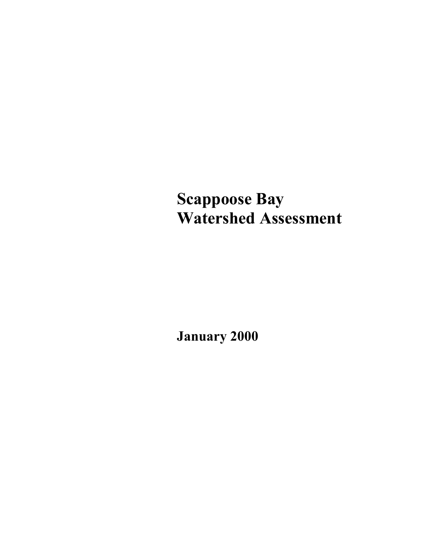**Scappoose Bay Watershed Assessment**

**January 2000**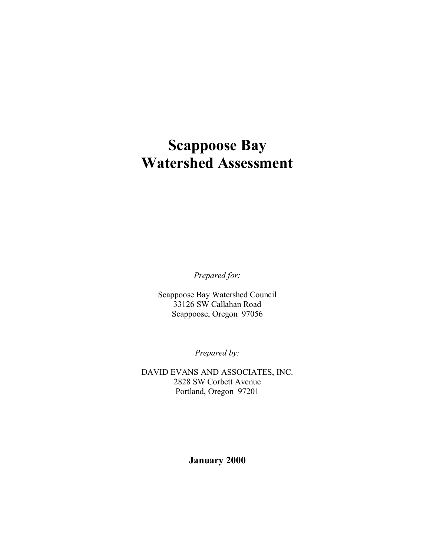# **Scappoose Bay Watershed Assessment**

*Prepared for:* 

Scappoose Bay Watershed Council 33126 SW Callahan Road Scappoose, Oregon 97056

*Prepared by:* 

DAVID EVANS AND ASSOCIATES, INC. 2828 SW Corbett Avenue Portland, Oregon 97201

**January 2000**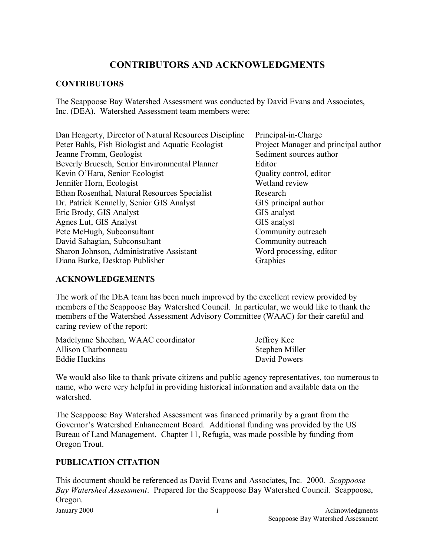## **CONTRIBUTORS AND ACKNOWLEDGMENTS**

#### **CONTRIBUTORS**

The Scappoose Bay Watershed Assessment was conducted by David Evans and Associates, Inc. (DEA). Watershed Assessment team members were:

| Dan Heagerty, Director of Natural Resources Discipline | Principal-in-Charge                  |
|--------------------------------------------------------|--------------------------------------|
| Peter Bahls, Fish Biologist and Aquatic Ecologist      | Project Manager and principal author |
| Jeanne Fromm, Geologist                                | Sediment sources author              |
| Beverly Bruesch, Senior Environmental Planner          | Editor                               |
| Kevin O'Hara, Senior Ecologist                         | Quality control, editor              |
| Jennifer Horn, Ecologist                               | Wetland review                       |
| Ethan Rosenthal, Natural Resources Specialist          | Research                             |
| Dr. Patrick Kennelly, Senior GIS Analyst               | GIS principal author                 |
| Eric Brody, GIS Analyst                                | GIS analyst                          |
| Agnes Lut, GIS Analyst                                 | GIS analyst                          |
| Pete McHugh, Subconsultant                             | Community outreach                   |
| David Sahagian, Subconsultant                          | Community outreach                   |
| Sharon Johnson, Administrative Assistant               | Word processing, editor              |
| Diana Burke, Desktop Publisher                         | Graphics                             |

#### **ACKNOWLEDGEMENTS**

The work of the DEA team has been much improved by the excellent review provided by members of the Scappoose Bay Watershed Council. In particular, we would like to thank the members of the Watershed Assessment Advisory Committee (WAAC) for their careful and caring review of the report:

| Madelynne Sheehan, WAAC coordinator | Jeffrey Kee    |
|-------------------------------------|----------------|
| Allison Charbonneau                 | Stephen Miller |
| <b>Eddie Huckins</b>                | David Powers   |

We would also like to thank private citizens and public agency representatives, too numerous to name, who were very helpful in providing historical information and available data on the watershed.

The Scappoose Bay Watershed Assessment was financed primarily by a grant from the Governor's Watershed Enhancement Board. Additional funding was provided by the US Bureau of Land Management. Chapter 11, Refugia, was made possible by funding from Oregon Trout.

#### **PUBLICATION CITATION**

This document should be referenced as David Evans and Associates, Inc. 2000. *Scappoose Bay Watershed Assessment*. Prepared for the Scappoose Bay Watershed Council. Scappoose, Oregon.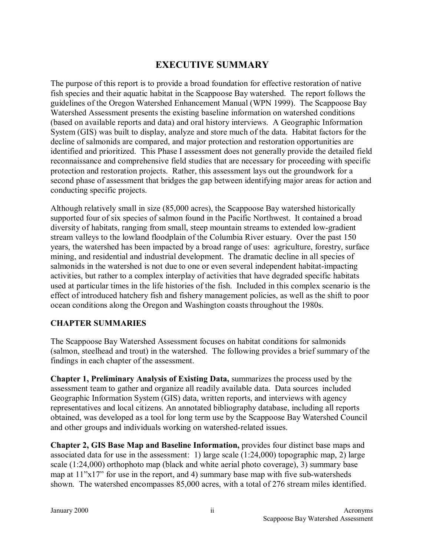## **EXECUTIVE SUMMARY**

The purpose of this report is to provide a broad foundation for effective restoration of native fish species and their aquatic habitat in the Scappoose Bay watershed. The report follows the guidelines of the Oregon Watershed Enhancement Manual (WPN 1999). The Scappoose Bay Watershed Assessment presents the existing baseline information on watershed conditions (based on available reports and data) and oral history interviews. A Geographic Information System (GIS) was built to display, analyze and store much of the data. Habitat factors for the decline of salmonids are compared, and major protection and restoration opportunities are identified and prioritized. This Phase I assessment does not generally provide the detailed field reconnaissance and comprehensive field studies that are necessary for proceeding with specific protection and restoration projects. Rather, this assessment lays out the groundwork for a second phase of assessment that bridges the gap between identifying major areas for action and conducting specific projects.

Although relatively small in size (85,000 acres), the Scappoose Bay watershed historically supported four of six species of salmon found in the Pacific Northwest. It contained a broad diversity of habitats, ranging from small, steep mountain streams to extended low-gradient stream valleys to the lowland floodplain of the Columbia River estuary. Over the past 150 years, the watershed has been impacted by a broad range of uses: agriculture, forestry, surface mining, and residential and industrial development. The dramatic decline in all species of salmonids in the watershed is not due to one or even several independent habitat-impacting activities, but rather to a complex interplay of activities that have degraded specific habitats used at particular times in the life histories of the fish. Included in this complex scenario is the effect of introduced hatchery fish and fishery management policies, as well as the shift to poor ocean conditions along the Oregon and Washington coasts throughout the 1980s.

#### **CHAPTER SUMMARIES**

The Scappoose Bay Watershed Assessment focuses on habitat conditions for salmonids (salmon, steelhead and trout) in the watershed. The following provides a brief summary of the findings in each chapter of the assessment.

**Chapter 1, Preliminary Analysis of Existing Data,** summarizes the process used by the assessment team to gather and organize all readily available data. Data sources included Geographic Information System (GIS) data, written reports, and interviews with agency representatives and local citizens. An annotated bibliography database, including all reports obtained, was developed as a tool for long term use by the Scappoose Bay Watershed Council and other groups and individuals working on watershed-related issues.

**Chapter 2, GIS Base Map and Baseline Information,** provides four distinct base maps and associated data for use in the assessment: 1) large scale (1:24,000) topographic map, 2) large scale (1:24,000) orthophoto map (black and white aerial photo coverage), 3) summary base map at  $11^{\circ}x17^{\circ}$  for use in the report, and 4) summary base map with five sub-watersheds shown. The watershed encompasses 85,000 acres, with a total of 276 stream miles identified.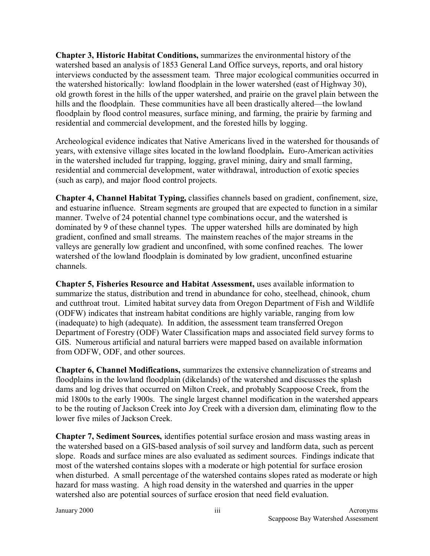**Chapter 3, Historic Habitat Conditions,** summarizes the environmental history of the watershed based an analysis of 1853 General Land Office surveys, reports, and oral history interviews conducted by the assessment team.Three major ecological communities occurred in the watershed historically: lowland floodplain in the lower watershed (east of Highway 30), old growth forest in the hills of the upper watershed, and prairie on the gravel plain between the hills and the floodplain. These communities have all been drastically altered—the lowland floodplain by flood control measures, surface mining, and farming, the prairie by farming and residential and commercial development, and the forested hills by logging.

Archeological evidence indicates that Native Americans lived in the watershed for thousands of years, with extensive village sites located in the lowland floodplain**.** Euro-American activities in the watershed included fur trapping, logging, gravel mining, dairy and small farming, residential and commercial development, water withdrawal, introduction of exotic species (such as carp), and major flood control projects.

**Chapter 4, Channel Habitat Typing,** classifies channels based on gradient, confinement, size, and estuarine influence. Stream segments are grouped that are expected to function in a similar manner. Twelve of 24 potential channel type combinations occur, and the watershed is dominated by 9 of these channel types. The upper watershed hills are dominated by high gradient, confined and small streams. The mainstem reaches of the major streams in the valleys are generally low gradient and unconfined, with some confined reaches. The lower watershed of the lowland floodplain is dominated by low gradient, unconfined estuarine channels.

**Chapter 5, Fisheries Resource and Habitat Assessment,** uses available information to summarize the status, distribution and trend in abundance for coho, steelhead, chinook, chum and cutthroat trout. Limited habitat survey data from Oregon Department of Fish and Wildlife (ODFW) indicates that instream habitat conditions are highly variable, ranging from low (inadequate) to high (adequate). In addition, the assessment team transferred Oregon Department of Forestry (ODF) Water Classification maps and associated field survey forms to GIS. Numerous artificial and natural barriers were mapped based on available information from ODFW, ODF, and other sources.

**Chapter 6, Channel Modifications,** summarizes the extensive channelization of streams and floodplains in the lowland floodplain (dikelands) of the watershed and discusses the splash dams and log drives that occurred on Milton Creek, and probably Scappoose Creek, from the mid 1800s to the early 1900s. The single largest channel modification in the watershed appears to be the routing of Jackson Creek into Joy Creek with a diversion dam, eliminating flow to the lower five miles of Jackson Creek.

**Chapter 7, Sediment Sources,** identifies potential surface erosion and mass wasting areas in the watershed based on a GIS-based analysis of soil survey and landform data, such as percent slope. Roads and surface mines are also evaluated as sediment sources.Findings indicate that most of the watershed contains slopes with a moderate or high potential for surface erosion when disturbed. A small percentage of the watershed contains slopes rated as moderate or high hazard for mass wasting. A high road density in the watershed and quarries in the upper watershed also are potential sources of surface erosion that need field evaluation.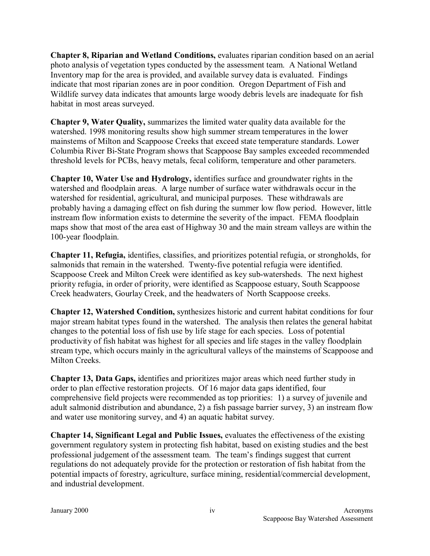**Chapter 8, Riparian and Wetland Conditions,** evaluates riparian condition based on an aerial photo analysis of vegetation types conducted by the assessment team. A National Wetland Inventory map for the area is provided, and available survey data is evaluated. Findings indicate that most riparian zones are in poor condition. Oregon Department of Fish and Wildlife survey data indicates that amounts large woody debris levels are inadequate for fish habitat in most areas surveyed.

**Chapter 9, Water Quality,** summarizes the limited water quality data available for the watershed. 1998 monitoring results show high summer stream temperatures in the lower mainstems of Milton and Scappoose Creeks that exceed state temperature standards. Lower Columbia River Bi-State Program shows that Scappoose Bay samples exceeded recommended threshold levels for PCBs, heavy metals, fecal coliform, temperature and other parameters.

**Chapter 10, Water Use and Hydrology,** identifies surface and groundwater rights in the watershed and floodplain areas. A large number of surface water withdrawals occur in the watershed for residential, agricultural, and municipal purposes. These withdrawals are probably having a damaging effect on fish during the summer low flow period. However, little instream flow information exists to determine the severity of the impact. FEMA floodplain maps show that most of the area east of Highway 30 and the main stream valleys are within the 100-year floodplain.

**Chapter 11, Refugia,** identifies, classifies, and prioritizes potential refugia, or strongholds, for salmonids that remain in the watershed. Twenty-five potential refugia were identified. Scappoose Creek and Milton Creek were identified as key sub-watersheds. The next highest priority refugia, in order of priority, were identified as Scappoose estuary, South Scappoose Creek headwaters, Gourlay Creek, and the headwaters of North Scappoose creeks.

**Chapter 12, Watershed Condition,** synthesizes historic and current habitat conditions for four major stream habitat types found in the watershed. The analysis then relates the general habitat changes to the potential loss of fish use by life stage for each species.Loss of potential productivity of fish habitat was highest for all species and life stages in the valley floodplain stream type, which occurs mainly in the agricultural valleys of the mainstems of Scappoose and Milton Creeks.

**Chapter 13, Data Gaps,** identifies and prioritizes major areas which need further study in order to plan effective restoration projects. Of 16 major data gaps identified, four comprehensive field projects were recommended as top priorities: 1) a survey of juvenile and adult salmonid distribution and abundance, 2) a fish passage barrier survey, 3) an instream flow and water use monitoring survey, and 4) an aquatic habitat survey.

**Chapter 14, Significant Legal and Public Issues,** evaluates the effectiveness of the existing government regulatory system in protecting fish habitat, based on existing studies and the best professional judgement of the assessment team. The teamís findings suggest that current regulations do not adequately provide for the protection or restoration of fish habitat from the potential impacts of forestry, agriculture, surface mining, residential/commercial development, and industrial development.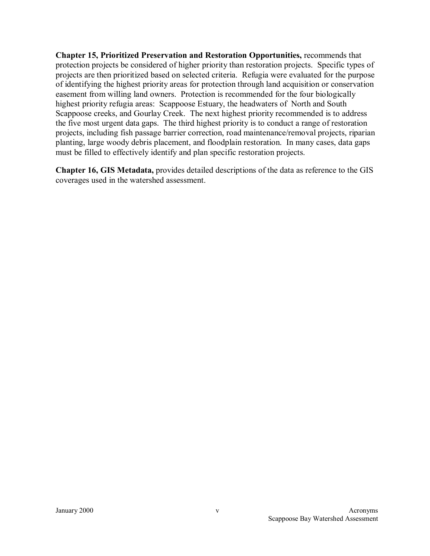**Chapter 15, Prioritized Preservation and Restoration Opportunities,** recommends that protection projects be considered of higher priority than restoration projects. Specific types of projects are then prioritized based on selected criteria. Refugia were evaluated for the purpose of identifying the highest priority areas for protection through land acquisition or conservation easement from willing land owners. Protection is recommended for the four biologically highest priority refugia areas: Scappoose Estuary, the headwaters of North and South Scappoose creeks, and Gourlay Creek. The next highest priority recommended is to address the five most urgent data gaps. The third highest priority is to conduct a range of restoration projects, including fish passage barrier correction, road maintenance/removal projects, riparian planting, large woody debris placement, and floodplain restoration. In many cases, data gaps must be filled to effectively identify and plan specific restoration projects.

**Chapter 16, GIS Metadata,** provides detailed descriptions of the data as reference to the GIS coverages used in the watershed assessment.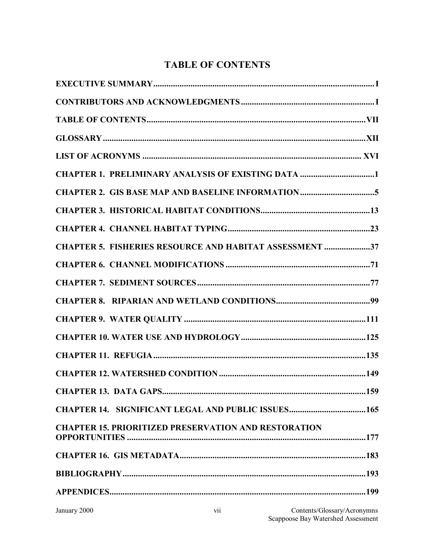## **TABLE OF CONTENTS**

| CHAPTER 1. PRELIMINARY ANALYSIS OF EXISTING DATA 1          |
|-------------------------------------------------------------|
|                                                             |
|                                                             |
|                                                             |
| CHAPTER 5. FISHERIES RESOURCE AND HABITAT ASSESSMENT 37     |
|                                                             |
|                                                             |
|                                                             |
|                                                             |
|                                                             |
|                                                             |
|                                                             |
| <b>CHAPTER 13. DATA GAPS</b><br>159                         |
|                                                             |
| <b>CHAPTER 15. PRIORITIZED PRESERVATION AND RESTORATION</b> |
|                                                             |
|                                                             |
|                                                             |
|                                                             |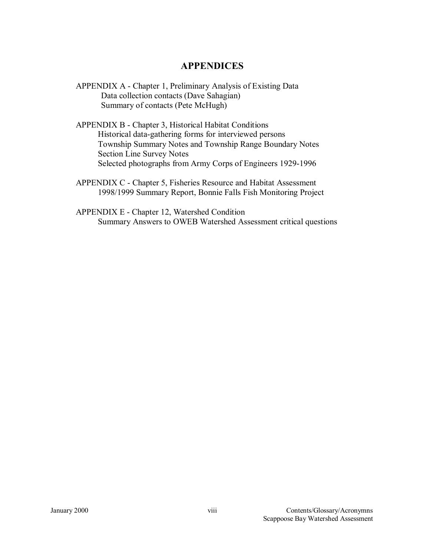#### **APPENDICES**

APPENDIX A - Chapter 1, Preliminary Analysis of Existing Data Data collection contacts (Dave Sahagian) Summary of contacts (Pete McHugh)

APPENDIX B - Chapter 3, Historical Habitat Conditions Historical data-gathering forms for interviewed persons Township Summary Notes and Township Range Boundary Notes Section Line Survey Notes Selected photographs from Army Corps of Engineers 1929-1996

APPENDIX C - Chapter 5, Fisheries Resource and Habitat Assessment 1998/1999 Summary Report, Bonnie Falls Fish Monitoring Project

APPENDIX E - Chapter 12, Watershed Condition Summary Answers to OWEB Watershed Assessment critical questions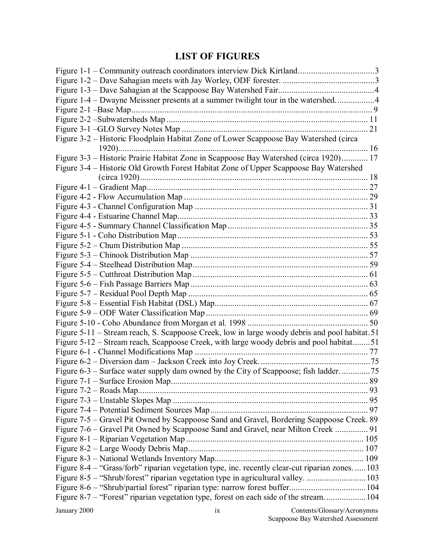## **LIST OF FIGURES**

| Figure 1-4 - Dwayne Meissner presents at a summer twilight tour in the watershed4                |  |
|--------------------------------------------------------------------------------------------------|--|
|                                                                                                  |  |
|                                                                                                  |  |
|                                                                                                  |  |
| Figure 3-2 - Historic Floodplain Habitat Zone of Lower Scappoose Bay Watershed (circa            |  |
|                                                                                                  |  |
| Figure 3-3 – Historic Prairie Habitat Zone in Scappoose Bay Watershed (circa 1920) 17            |  |
| Figure 3-4 – Historic Old Growth Forest Habitat Zone of Upper Scappoose Bay Watershed            |  |
|                                                                                                  |  |
|                                                                                                  |  |
|                                                                                                  |  |
|                                                                                                  |  |
|                                                                                                  |  |
|                                                                                                  |  |
|                                                                                                  |  |
|                                                                                                  |  |
|                                                                                                  |  |
|                                                                                                  |  |
|                                                                                                  |  |
|                                                                                                  |  |
|                                                                                                  |  |
|                                                                                                  |  |
|                                                                                                  |  |
|                                                                                                  |  |
| Figure 5-11 – Stream reach, S. Scappoose Creek, low in large woody debris and pool habitat. 51   |  |
| Figure 5-12 - Stream reach, Scappoose Creek, with large woody debris and pool habitat51          |  |
|                                                                                                  |  |
|                                                                                                  |  |
| Figure 6-3 – Surface water supply dam owned by the City of Scappoose; fish ladder                |  |
|                                                                                                  |  |
|                                                                                                  |  |
|                                                                                                  |  |
|                                                                                                  |  |
| Figure 7-5 – Gravel Pit Owned by Scappoose Sand and Gravel, Bordering Scappoose Creek. 89        |  |
| Figure 7-6 – Gravel Pit Owned by Scappoose Sand and Gravel, near Milton Creek  91                |  |
|                                                                                                  |  |
|                                                                                                  |  |
|                                                                                                  |  |
| Figure 8-4 – "Grass/forb" riparian vegetation type, inc. recently clear-cut riparian zones.  103 |  |
| Figure 8-5 – "Shrub/forest" riparian vegetation type in agricultural valley.  103                |  |
|                                                                                                  |  |
| Figure 8-7 - "Forest" riparian vegetation type, forest on each side of the stream 104            |  |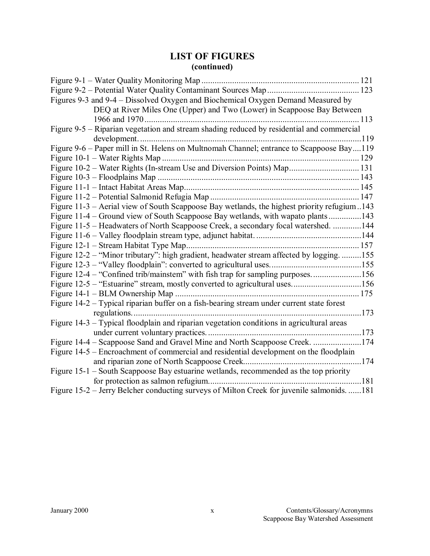## **LIST OF FIGURES (continued)**

| Figures 9-3 and 9-4 - Dissolved Oxygen and Biochemical Oxygen Demand Measured by            |       |
|---------------------------------------------------------------------------------------------|-------|
| DEQ at River Miles One (Upper) and Two (Lower) in Scappoose Bay Between                     |       |
|                                                                                             |       |
| Figure 9-5 – Riparian vegetation and stream shading reduced by residential and commercial   |       |
|                                                                                             | 119   |
| Figure 9-6 - Paper mill in St. Helens on Multnomah Channel; entrance to Scappoose Bay119    |       |
|                                                                                             |       |
| Figure 10-2 – Water Rights (In-stream Use and Diversion Points) Map 131                     |       |
|                                                                                             |       |
|                                                                                             |       |
|                                                                                             |       |
| Figure 11-3 - Aerial view of South Scappoose Bay wetlands, the highest priority refugium143 |       |
| Figure 11-4 – Ground view of South Scappoose Bay wetlands, with wapato plants143            |       |
| Figure 11-5 - Headwaters of North Scappoose Creek, a secondary focal watershed. 144         |       |
|                                                                                             |       |
|                                                                                             |       |
| Figure 12-2 - "Minor tributary": high gradient, headwater stream affected by logging. 155   |       |
|                                                                                             |       |
| Figure 12-4 – "Confined trib/mainstem" with fish trap for sampling purposes156              |       |
| Figure 12-5 – "Estuarine" stream, mostly converted to agricultural uses156                  |       |
|                                                                                             |       |
| Figure 14-2 - Typical riparian buffer on a fish-bearing stream under current state forest   |       |
| 173                                                                                         |       |
| Figure 14-3 – Typical floodplain and riparian vegetation conditions in agricultural areas   |       |
|                                                                                             |       |
| Figure 14-4 – Scappoose Sand and Gravel Mine and North Scappoose Creek. 174                 |       |
| Figure 14-5 – Encroachment of commercial and residential development on the floodplain      |       |
|                                                                                             | . 174 |
| Figure 15-1 – South Scappoose Bay estuarine wetlands, recommended as the top priority       |       |
|                                                                                             |       |
| Figure 15-2 - Jerry Belcher conducting surveys of Milton Creek for juvenile salmonids.  181 |       |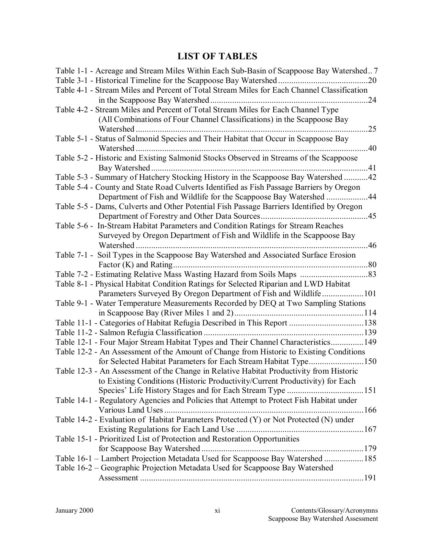## **LIST OF TABLES**

| Table 1-1 - Acreage and Stream Miles Within Each Sub-Basin of Scappoose Bay Watershed 7     |
|---------------------------------------------------------------------------------------------|
|                                                                                             |
| Table 4-1 - Stream Miles and Percent of Total Stream Miles for Each Channel Classification  |
| .24                                                                                         |
| Table 4-2 - Stream Miles and Percent of Total Stream Miles for Each Channel Type            |
| (All Combinations of Four Channel Classifications) in the Scappoose Bay                     |
| .25<br>Watershed                                                                            |
| Table 5-1 - Status of Salmonid Species and Their Habitat that Occur in Scappoose Bay<br>.40 |
| Table 5-2 - Historic and Existing Salmonid Stocks Observed in Streams of the Scappoose      |
|                                                                                             |
| Table 5-3 - Summary of Hatchery Stocking History in the Scappoose Bay Watershed 42          |
| Table 5-4 - County and State Road Culverts Identified as Fish Passage Barriers by Oregon    |
| Department of Fish and Wildlife for the Scappoose Bay Watershed 44                          |
| Table 5-5 - Dams, Culverts and Other Potential Fish Passage Barriers Identified by Oregon   |
|                                                                                             |
| Table 5-6 - In-Stream Habitat Parameters and Condition Ratings for Stream Reaches           |
| Surveyed by Oregon Department of Fish and Wildlife in the Scappoose Bay                     |
| .46                                                                                         |
| Table 7-1 - Soil Types in the Scappoose Bay Watershed and Associated Surface Erosion        |
|                                                                                             |
|                                                                                             |
| Table 8-1 - Physical Habitat Condition Ratings for Selected Riparian and LWD Habitat        |
| Parameters Surveyed By Oregon Department of Fish and Wildlife101                            |
| Table 9-1 - Water Temperature Measurements Recorded by DEQ at Two Sampling Stations         |
|                                                                                             |
| Table 11-1 - Categories of Habitat Refugia Described in This Report 138                     |
|                                                                                             |
| Table 12-1 - Four Major Stream Habitat Types and Their Channel Characteristics 149          |
| Table 12-2 - An Assessment of the Amount of Change from Historic to Existing Conditions     |
| for Selected Habitat Parameters for Each Stream Habitat Type150                             |
| Table 12-3 - An Assessment of the Change in Relative Habitat Productivity from Historic     |
| to Existing Conditions (Historic Productivity/Current Productivity) for Each                |
|                                                                                             |
| Table 14-1 - Regulatory Agencies and Policies that Attempt to Protect Fish Habitat under    |
|                                                                                             |
| Table 14-2 - Evaluation of Habitat Parameters Protected (Y) or Not Protected (N) under      |
|                                                                                             |
| Table 15-1 - Prioritized List of Protection and Restoration Opportunities                   |
|                                                                                             |
| Table 16-1 - Lambert Projection Metadata Used for Scappoose Bay Watershed  185              |
| Table 16-2 – Geographic Projection Metadata Used for Scappoose Bay Watershed                |
|                                                                                             |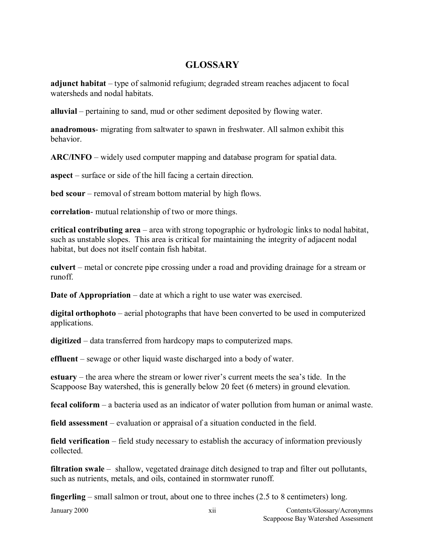#### **GLOSSARY**

**adjunct habitat** – type of salmonid refugium; degraded stream reaches adjacent to focal watersheds and nodal habitats.

**alluvial** – pertaining to sand, mud or other sediment deposited by flowing water.

**anadromous**- migrating from saltwater to spawn in freshwater. All salmon exhibit this behavior.

**ARC/INFO** – widely used computer mapping and database program for spatial data.

 $a$ **spect** – surface or side of the hill facing a certain direction.

**bed scour** – removal of stream bottom material by high flows.

**correlation**- mutual relationship of two or more things.

**critical contributing area** – area with strong topographic or hydrologic links to nodal habitat, such as unstable slopes. This area is critical for maintaining the integrity of adjacent nodal habitat, but does not itself contain fish habitat.

**culvert** – metal or concrete pipe crossing under a road and providing drainage for a stream or runoff.

**Date of Appropriation** – date at which a right to use water was exercised.

**digital orthophoto** – aerial photographs that have been converted to be used in computerized applications.

**digitized** – data transferred from hardcopy maps to computerized maps.

**effluent** – sewage or other liquid waste discharged into a body of water.

**estuary** – the area where the stream or lower river's current meets the sea's tide. In the Scappoose Bay watershed, this is generally below 20 feet (6 meters) in ground elevation.

**fecal coliform** – a bacteria used as an indicator of water pollution from human or animal waste.

**field assessment** – evaluation or appraisal of a situation conducted in the field.

**field verification** – field study necessary to establish the accuracy of information previously collected.

**filtration swale** – shallow, vegetated drainage ditch designed to trap and filter out pollutants, such as nutrients, metals, and oils, contained in stormwater runoff.

**fingerling** – small salmon or trout, about one to three inches  $(2.5 \text{ to } 8 \text{ centimeters})$  long.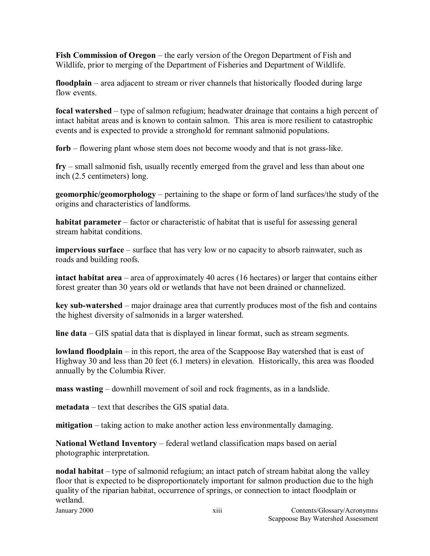**Fish Commission of Oregon** – the early version of the Oregon Department of Fish and Wildlife, prior to merging of the Department of Fisheries and Department of Wildlife.

**floodplain** – area adjacent to stream or river channels that historically flooded during large flow events.

**focal watershed** – type of salmon refugium; headwater drainage that contains a high percent of intact habitat areas and is known to contain salmon. This area is more resilient to catastrophic events and is expected to provide a stronghold for remnant salmonid populations.

**forb** – flowering plant whose stem does not become woody and that is not grass-like.

**fry** – small salmonid fish, usually recently emerged from the gravel and less than about one inch (2.5 centimeters) long.

**geomorphic/geomorphology** – pertaining to the shape or form of land surfaces/the study of the origins and characteristics of landforms.

**habitat parameter** – factor or characteristic of habitat that is useful for assessing general stream habitat conditions.

**impervious surface** – surface that has very low or no capacity to absorb rainwater, such as roads and building roofs.

**intact habitat area** – area of approximately 40 acres (16 hectares) or larger that contains either forest greater than 30 years old or wetlands that have not been drained or channelized.

**key sub-watershed** – major drainage area that currently produces most of the fish and contains the highest diversity of salmonids in a larger watershed.

**line data** – GIS spatial data that is displayed in linear format, such as stream segments.

**lowland floodplain** – in this report, the area of the Scappoose Bay watershed that is east of Highway 30 and less than 20 feet (6.1 meters) in elevation. Historically, this area was flooded annually by the Columbia River.

**mass wasting** – downhill movement of soil and rock fragments, as in a landslide.

 $\text{metadata} - \text{text that describes the GIS spatial data.}$ 

**mitigation** – taking action to make another action less environmentally damaging.

**National Wetland Inventory** – federal wetland classification maps based on aerial photographic interpretation.

**nodal habitat** – type of salmonid refugium; an intact patch of stream habitat along the valley floor that is expected to be disproportionately important for salmon production due to the high quality of the riparian habitat, occurrence of springs, or connection to intact floodplain or wetland.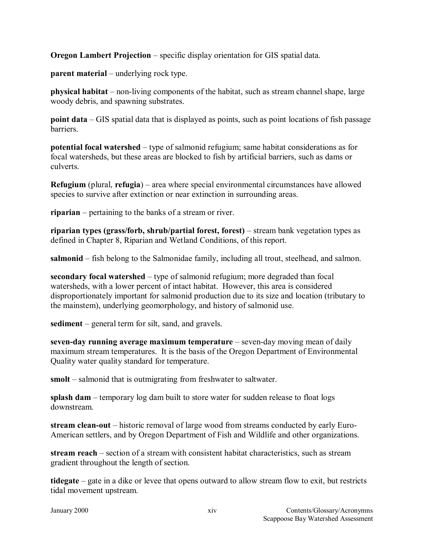**Oregon Lambert Projection** – specific display orientation for GIS spatial data.

**parent material** – underlying rock type.

**physical habitat** – non-living components of the habitat, such as stream channel shape, large woody debris, and spawning substrates.

**point data** – GIS spatial data that is displayed as points, such as point locations of fish passage barriers.

**potential focal watershed** – type of salmonid refugium; same habitat considerations as for focal watersheds, but these areas are blocked to fish by artificial barriers, such as dams or culverts.

**Refugium** (plural, **refugia**) – area where special environmental circumstances have allowed species to survive after extinction or near extinction in surrounding areas.

**riparian** – pertaining to the banks of a stream or river.

**riparian types (grass/forb, shrub/partial forest, forest)** – stream bank vegetation types as defined in Chapter 8, Riparian and Wetland Conditions, of this report.

**salmonid** – fish belong to the Salmonidae family, including all trout, steelhead, and salmon.

**secondary focal watershed** – type of salmonid refugium; more degraded than focal watersheds, with a lower percent of intact habitat. However, this area is considered disproportionately important for salmonid production due to its size and location (tributary to the mainstem), underlying geomorphology, and history of salmonid use.

**sediment** – general term for silt, sand, and gravels.

**seven-day running average maximum temperature** – seven-day moving mean of daily maximum stream temperatures. It is the basis of the Oregon Department of Environmental Quality water quality standard for temperature.

**smolt** – salmonid that is outmigrating from freshwater to saltwater.

**splash dam** – temporary log dam built to store water for sudden release to float logs downstream.

**stream clean-out** – historic removal of large wood from streams conducted by early Euro-American settlers, and by Oregon Department of Fish and Wildlife and other organizations.

**stream reach** – section of a stream with consistent habitat characteristics, such as stream gradient throughout the length of section.

**tidegate** – gate in a dike or levee that opens outward to allow stream flow to exit, but restricts tidal movement upstream.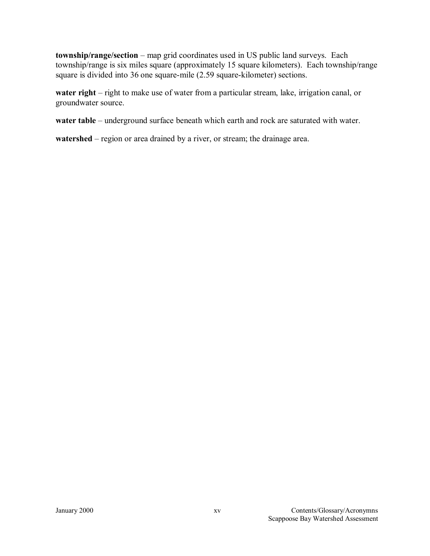**township/range/section** – map grid coordinates used in US public land surveys. Each township/range is six miles square (approximately 15 square kilometers). Each township/range square is divided into 36 one square-mile (2.59 square-kilometer) sections.

water right – right to make use of water from a particular stream, lake, irrigation canal, or groundwater source.

water table – underground surface beneath which earth and rock are saturated with water.

watershed – region or area drained by a river, or stream; the drainage area.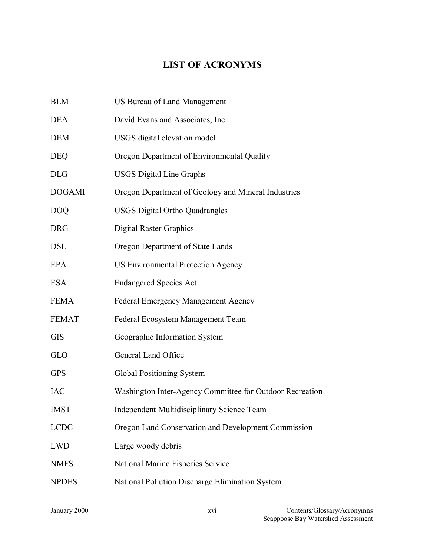## **LIST OF ACRONYMS**

| <b>BLM</b>    | <b>US Bureau of Land Management</b>                      |
|---------------|----------------------------------------------------------|
| <b>DEA</b>    | David Evans and Associates, Inc.                         |
| <b>DEM</b>    | USGS digital elevation model                             |
| <b>DEQ</b>    | Oregon Department of Environmental Quality               |
| <b>DLG</b>    | <b>USGS</b> Digital Line Graphs                          |
| <b>DOGAMI</b> | Oregon Department of Geology and Mineral Industries      |
| <b>DOQ</b>    | <b>USGS Digital Ortho Quadrangles</b>                    |
| <b>DRG</b>    | <b>Digital Raster Graphics</b>                           |
| <b>DSL</b>    | Oregon Department of State Lands                         |
| <b>EPA</b>    | <b>US Environmental Protection Agency</b>                |
| <b>ESA</b>    | <b>Endangered Species Act</b>                            |
| <b>FEMA</b>   | Federal Emergency Management Agency                      |
| <b>FEMAT</b>  | Federal Ecosystem Management Team                        |
| <b>GIS</b>    | Geographic Information System                            |
| <b>GLO</b>    | General Land Office                                      |
| <b>GPS</b>    | <b>Global Positioning System</b>                         |
| <b>IAC</b>    | Washington Inter-Agency Committee for Outdoor Recreation |
| <b>IMST</b>   | <b>Independent Multidisciplinary Science Team</b>        |
| <b>LCDC</b>   | Oregon Land Conservation and Development Commission      |
| <b>LWD</b>    | Large woody debris                                       |
| <b>NMFS</b>   | National Marine Fisheries Service                        |
| <b>NPDES</b>  | National Pollution Discharge Elimination System          |
|               |                                                          |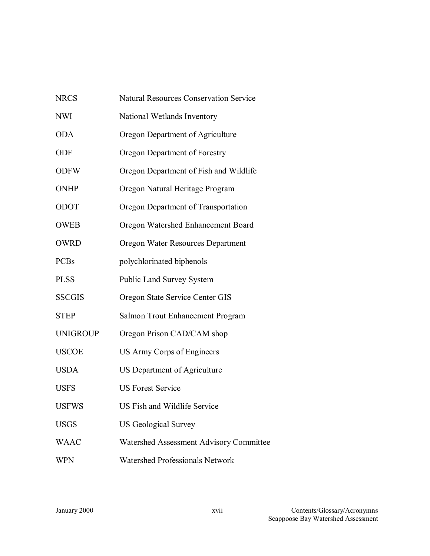| <b>NRCS</b>     | <b>Natural Resources Conservation Service</b> |  |
|-----------------|-----------------------------------------------|--|
| <b>NWI</b>      | National Wetlands Inventory                   |  |
| <b>ODA</b>      | Oregon Department of Agriculture              |  |
| <b>ODF</b>      | Oregon Department of Forestry                 |  |
| <b>ODFW</b>     | Oregon Department of Fish and Wildlife        |  |
| <b>ONHP</b>     | Oregon Natural Heritage Program               |  |
| <b>ODOT</b>     | Oregon Department of Transportation           |  |
| <b>OWEB</b>     | Oregon Watershed Enhancement Board            |  |
| <b>OWRD</b>     | Oregon Water Resources Department             |  |
| <b>PCBs</b>     | polychlorinated biphenols                     |  |
| <b>PLSS</b>     | <b>Public Land Survey System</b>              |  |
| <b>SSCGIS</b>   | Oregon State Service Center GIS               |  |
| <b>STEP</b>     | Salmon Trout Enhancement Program              |  |
| <b>UNIGROUP</b> | Oregon Prison CAD/CAM shop                    |  |
| <b>USCOE</b>    | US Army Corps of Engineers                    |  |
| <b>USDA</b>     | US Department of Agriculture                  |  |
| <b>USFS</b>     | <b>US Forest Service</b>                      |  |
| <b>USFWS</b>    | US Fish and Wildlife Service                  |  |
| <b>USGS</b>     | <b>US Geological Survey</b>                   |  |
| <b>WAAC</b>     | Watershed Assessment Advisory Committee       |  |
| WPN             | Watershed Professionals Network               |  |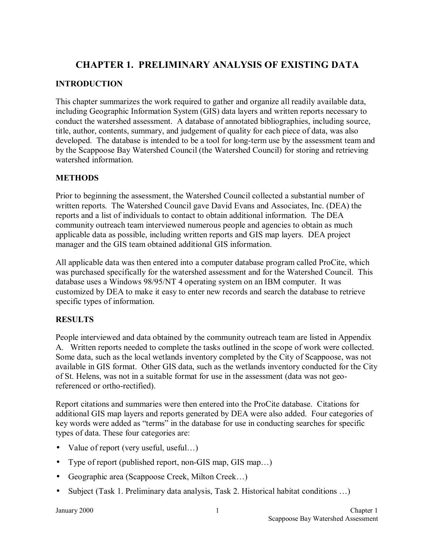## **CHAPTER 1. PRELIMINARY ANALYSIS OF EXISTING DATA**

#### **INTRODUCTION**

This chapter summarizes the work required to gather and organize all readily available data, including Geographic Information System (GIS) data layers and written reports necessary to conduct the watershed assessment. A database of annotated bibliographies, including source, title, author, contents, summary, and judgement of quality for each piece of data, was also developed. The database is intended to be a tool for long-term use by the assessment team and by the Scappoose Bay Watershed Council (the Watershed Council) for storing and retrieving watershed information.

#### **METHODS**

Prior to beginning the assessment, the Watershed Council collected a substantial number of written reports. The Watershed Council gave David Evans and Associates, Inc. (DEA) the reports and a list of individuals to contact to obtain additional information. The DEA community outreach team interviewed numerous people and agencies to obtain as much applicable data as possible, including written reports and GIS map layers. DEA project manager and the GIS team obtained additional GIS information.

All applicable data was then entered into a computer database program called ProCite, which was purchased specifically for the watershed assessment and for the Watershed Council. This database uses a Windows 98/95/NT 4 operating system on an IBM computer. It was customized by DEA to make it easy to enter new records and search the database to retrieve specific types of information.

#### **RESULTS**

People interviewed and data obtained by the community outreach team are listed in Appendix A. Written reports needed to complete the tasks outlined in the scope of work were collected. Some data, such as the local wetlands inventory completed by the City of Scappoose, was not available in GIS format. Other GIS data, such as the wetlands inventory conducted for the City of St. Helens, was not in a suitable format for use in the assessment (data was not georeferenced or ortho-rectified).

Report citations and summaries were then entered into the ProCite database. Citations for additional GIS map layers and reports generated by DEA were also added. Four categories of key words were added as "terms" in the database for use in conducting searches for specific types of data. These four categories are:

- Value of report (very useful, useful $\ldots$ )
- Type of report (published report, non-GIS map, GIS map...)
- Geographic area (Scappoose Creek, Milton Creek...)
- Subject (Task 1. Preliminary data analysis, Task 2. Historical habitat conditions  $\ldots$ )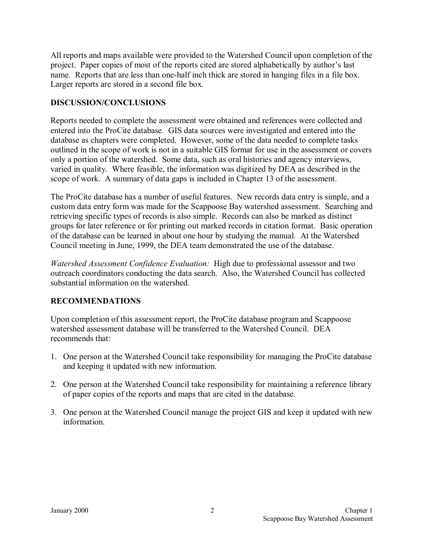All reports and maps available were provided to the Watershed Council upon completion of the project. Paper copies of most of the reports cited are stored alphabetically by author's last name. Reports that are less than one-half inch thick are stored in hanging files in a file box. Larger reports are stored in a second file box.

#### **DISCUSSION/CONCLUSIONS**

Reports needed to complete the assessment were obtained and references were collected and entered into the ProCite database. GIS data sources were investigated and entered into the database as chapters were completed. However, some of the data needed to complete tasks outlined in the scope of work is not in a suitable GIS format for use in the assessment or covers only a portion of the watershed. Some data, such as oral histories and agency interviews, varied in quality. Where feasible, the information was digitized by DEA as described in the scope of work. A summary of data gaps is included in Chapter 13 of the assessment.

The ProCite database has a number of useful features. New records data entry is simple, and a custom data entry form was made for the Scappoose Bay watershed assessment. Searching and retrieving specific types of records is also simple. Records can also be marked as distinct groups for later reference or for printing out marked records in citation format. Basic operation of the database can be learned in about one hour by studying the manual. At the Watershed Council meeting in June, 1999, the DEA team demonstrated the use of the database.

*Watershed Assessment Confidence Evaluation:* High due to professional assessor and two outreach coordinators conducting the data search. Also, the Watershed Council has collected substantial information on the watershed.

#### **RECOMMENDATIONS**

Upon completion of this assessment report, the ProCite database program and Scappoose watershed assessment database will be transferred to the Watershed Council. DEA recommends that:

- 1. One person at the Watershed Council take responsibility for managing the ProCite database and keeping it updated with new information.
- 2. One person at the Watershed Council take responsibility for maintaining a reference library of paper copies of the reports and maps that are cited in the database.
- 3. One person at the Watershed Council manage the project GIS and keep it updated with new information.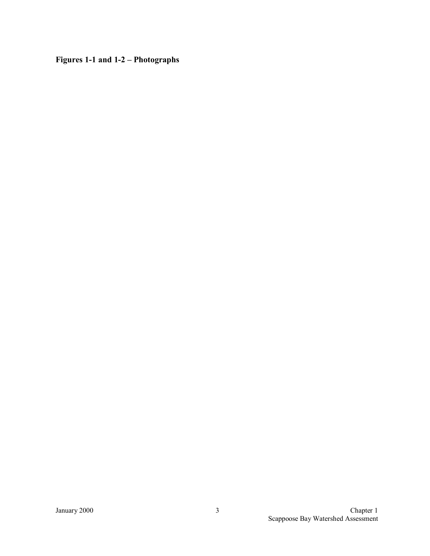Figures 1-1 and 1-2 - Photographs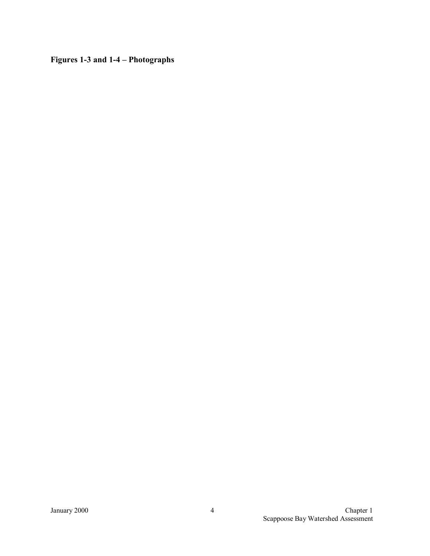Figures 1-3 and 1-4 – Photographs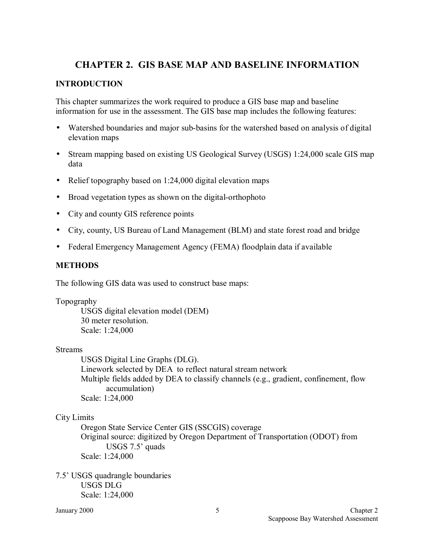### **CHAPTER 2. GIS BASE MAP AND BASELINE INFORMATION**

#### **INTRODUCTION**

This chapter summarizes the work required to produce a GIS base map and baseline information for use in the assessment. The GIS base map includes the following features:

- Watershed boundaries and major sub-basins for the watershed based on analysis of digital elevation maps
- Stream mapping based on existing US Geological Survey (USGS) 1:24,000 scale GIS map data
- Relief topography based on 1:24,000 digital elevation maps
- Broad vegetation types as shown on the digital-orthophoto
- City and county GIS reference points
- City, county, US Bureau of Land Management (BLM) and state forest road and bridge
- Federal Emergency Management Agency (FEMA) floodplain data if available

#### **METHODS**

The following GIS data was used to construct base maps:

Topography

USGS digital elevation model (DEM) 30 meter resolution. Scale: 1:24,000

#### **Streams**

USGS Digital Line Graphs (DLG). Linework selected by DEA to reflect natural stream network Multiple fields added by DEA to classify channels (e.g., gradient, confinement, flow accumulation) Scale: 1:24,000

#### City Limits

Oregon State Service Center GIS (SSCGIS) coverage Original source: digitized by Oregon Department of Transportation (ODOT) from USGS 7.5<sup>'</sup> quads Scale: 1:24,000

7.5<sup>'</sup> USGS quadrangle boundaries USGS DLG Scale: 1:24,000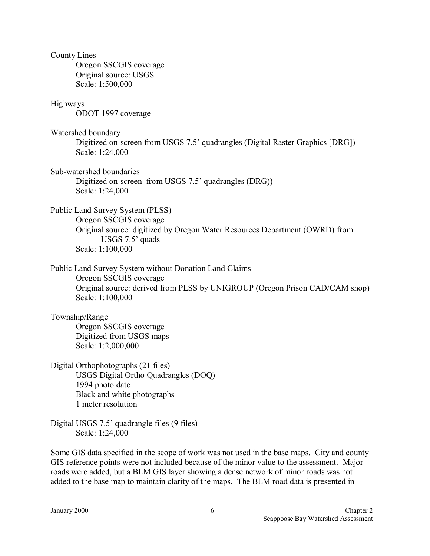| <b>County Lines</b><br>Oregon SSCGIS coverage<br>Original source: USGS<br>Scale: 1:500,000                                                                                          |
|-------------------------------------------------------------------------------------------------------------------------------------------------------------------------------------|
| Highways<br>ODOT 1997 coverage                                                                                                                                                      |
| Watershed boundary<br>Digitized on-screen from USGS 7.5' quadrangles (Digital Raster Graphics [DRG])<br>Scale: 1:24,000                                                             |
| Sub-watershed boundaries<br>Digitized on-screen from USGS 7.5' quadrangles (DRG))<br>Scale: 1:24,000                                                                                |
| Public Land Survey System (PLSS)<br>Oregon SSCGIS coverage<br>Original source: digitized by Oregon Water Resources Department (OWRD) from<br>USGS 7.5' quads<br>Scale: 1:100,000    |
| Public Land Survey System without Donation Land Claims<br>Oregon SSCGIS coverage<br>Original source: derived from PLSS by UNIGROUP (Oregon Prison CAD/CAM shop)<br>Scale: 1:100,000 |
| Township/Range<br>Oregon SSCGIS coverage<br>Digitized from USGS maps<br>Scale: 1:2,000,000                                                                                          |
| Digital Orthophotographs (21 files)<br>USGS Digital Ortho Quadrangles (DOQ)<br>1994 photo date<br>Black and white photographs<br>1 meter resolution                                 |
| Digital USGS 7.5' quadrangle files (9 files)<br>Scale: 1:24,000                                                                                                                     |
| Some GIS data specified in the scope of work was not used in the base maps. City and county                                                                                         |

GIS reference points were not included because of the minor value to the assessment. Major roads were added, but a BLM GIS layer showing a dense network of minor roads was not added to the base map to maintain clarity of the maps. The BLM road data is presented in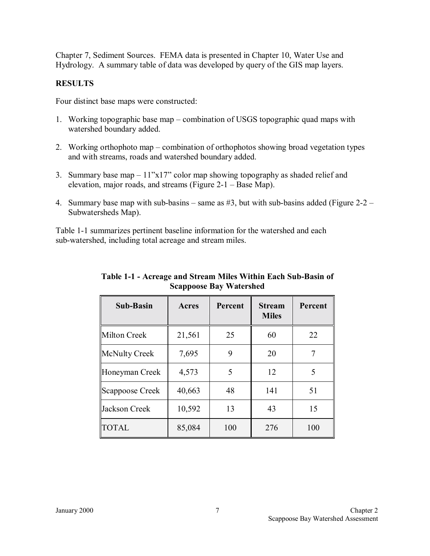Chapter 7, Sediment Sources. FEMA data is presented in Chapter 10, Water Use and Hydrology. A summary table of data was developed by query of the GIS map layers.

#### **RESULTS**

Four distinct base maps were constructed:

- 1. Working topographic base map combination of USGS topographic quad maps with watershed boundary added.
- 2. Working orthophoto map  $-\tilde{\text{com}}$  combination of orthophotos showing broad vegetation types and with streams, roads and watershed boundary added.
- 3. Summary base map  $-11$ <sup>n</sup>x17<sup>*n*</sup> color map showing topography as shaded relief and elevation, major roads, and streams (Figure  $2-1$  – Base Map).
- 4. Summary base map with sub-basins same as  $#3$ , but with sub-basins added (Figure 2-2 Subwatersheds Map).

Table 1-1 summarizes pertinent baseline information for the watershed and each sub-watershed, including total acreage and stream miles.

| <b>Sub-Basin</b>     | <b>Acres</b> | Percent | <b>Stream</b><br><b>Miles</b> | Percent |
|----------------------|--------------|---------|-------------------------------|---------|
| <b>Milton Creek</b>  | 21,561       | 25      | 60                            | 22      |
| <b>McNulty Creek</b> | 7,695        | 9       | 20                            |         |
| Honeyman Creek       | 4,573        | 5       | 12                            | 5       |
| Scappoose Creek      | 40,663       | 48      | 141                           | 51      |
| Jackson Creek        | 10,592       | 13      | 43                            | 15      |
| <b>TOTAL</b>         | 85,084       | 100     | 276                           | 100     |

**Table 1-1 - Acreage and Stream Miles Within Each Sub-Basin of Scappoose Bay Watershed**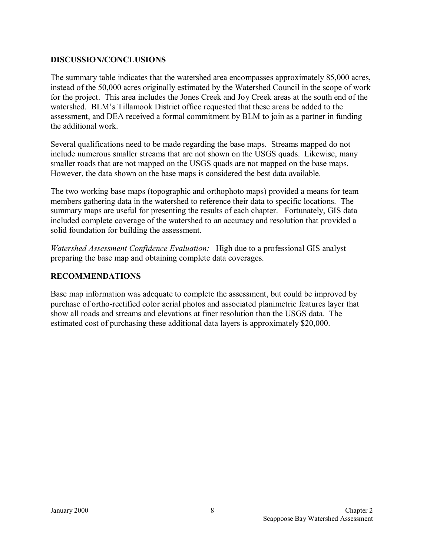#### **DISCUSSION/CONCLUSIONS**

The summary table indicates that the watershed area encompasses approximately 85,000 acres, instead of the 50,000 acres originally estimated by the Watershed Council in the scope of work for the project. This area includes the Jones Creek and Joy Creek areas at the south end of the watershed. BLM's Tillamook District office requested that these areas be added to the assessment, and DEA received a formal commitment by BLM to join as a partner in funding the additional work.

Several qualifications need to be made regarding the base maps. Streams mapped do not include numerous smaller streams that are not shown on the USGS quads. Likewise, many smaller roads that are not mapped on the USGS quads are not mapped on the base maps. However, the data shown on the base maps is considered the best data available.

The two working base maps (topographic and orthophoto maps) provided a means for team members gathering data in the watershed to reference their data to specific locations. The summary maps are useful for presenting the results of each chapter. Fortunately, GIS data included complete coverage of the watershed to an accuracy and resolution that provided a solid foundation for building the assessment.

*Watershed Assessment Confidence Evaluation:* High due to a professional GIS analyst preparing the base map and obtaining complete data coverages.

#### **RECOMMENDATIONS**

Base map information was adequate to complete the assessment, but could be improved by purchase of ortho-rectified color aerial photos and associated planimetric features layer that show all roads and streams and elevations at finer resolution than the USGS data. The estimated cost of purchasing these additional data layers is approximately \$20,000.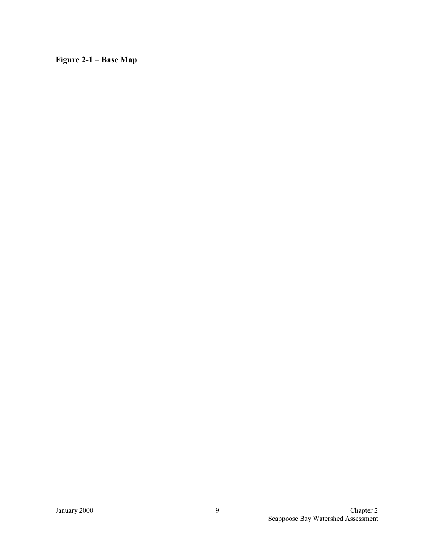Figure 2-1 – Base Map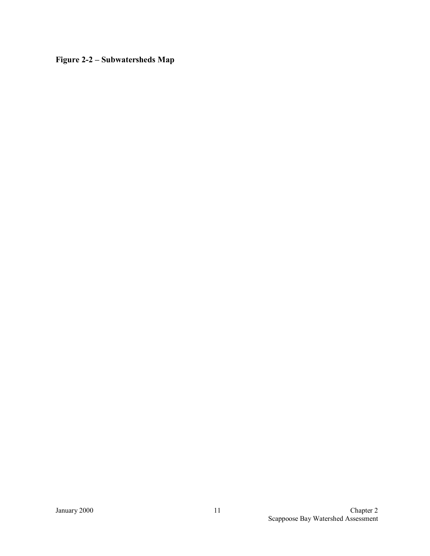**Figure 2-2 – Subwatersheds Map**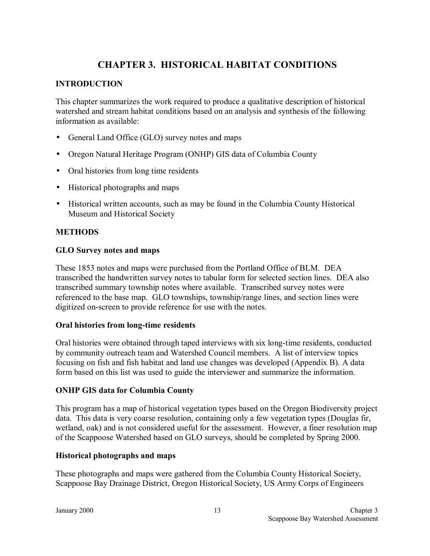## **CHAPTER 3. HISTORICAL HABITAT CONDITIONS**

#### **INTRODUCTION**

This chapter summarizes the work required to produce a qualitative description of historical watershed and stream habitat conditions based on an analysis and synthesis of the following information as available:

- General Land Office (GLO) survey notes and maps
- Oregon Natural Heritage Program (ONHP) GIS data of Columbia County
- Oral histories from long time residents
- Historical photographs and maps
- Historical written accounts, such as may be found in the Columbia County Historical Museum and Historical Society

#### **METHODS**

#### **GLO Survey notes and maps**

These 1853 notes and maps were purchased from the Portland Office of BLM. DEA transcribed the handwritten survey notes to tabular form for selected section lines. DEA also transcribed summary township notes where available. Transcribed survey notes were referenced to the base map. GLO townships, township/range lines, and section lines were digitized on-screen to provide reference for use with the notes.

#### **Oral histories from long-time residents**

Oral histories were obtained through taped interviews with six long-time residents, conducted by community outreach team and Watershed Council members. A list of interview topics focusing on fish and fish habitat and land use changes was developed (Appendix B). A data form based on this list was used to guide the interviewer and summarize the information.

#### **ONHP GIS data for Columbia County**

This program has a map of historical vegetation types based on the Oregon Biodiversity project data. This data is very coarse resolution, containing only a few vegetation types (Douglas fir, wetland, oak) and is not considered useful for the assessment. However, a finer resolution map of the Scappoose Watershed based on GLO surveys, should be completed by Spring 2000.

#### **Historical photographs and maps**

These photographs and maps were gathered from the Columbia County Historical Society, Scappoose Bay Drainage District, Oregon Historical Society, US Army Corps of Engineers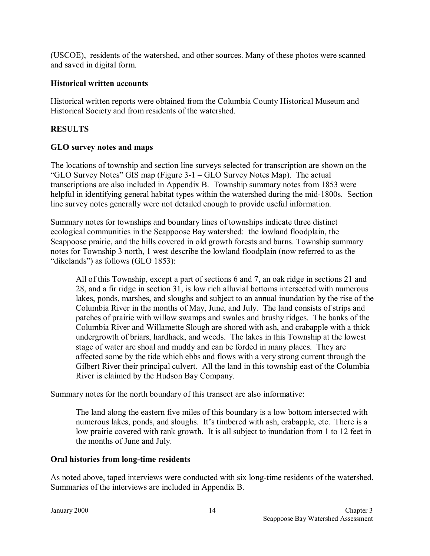(USCOE), residents of the watershed, and other sources. Many of these photos were scanned and saved in digital form.

#### **Historical written accounts**

Historical written reports were obtained from the Columbia County Historical Museum and Historical Society and from residents of the watershed.

#### **RESULTS**

#### **GLO survey notes and maps**

The locations of township and section line surveys selected for transcription are shown on the "GLO Survey Notes" GIS map (Figure  $3-1 -$  GLO Survey Notes Map). The actual transcriptions are also included in Appendix B. Township summary notes from 1853 were helpful in identifying general habitat types within the watershed during the mid-1800s. Section line survey notes generally were not detailed enough to provide useful information.

Summary notes for townships and boundary lines of townships indicate three distinct ecological communities in the Scappoose Bay watershed: the lowland floodplain, the Scappoose prairie, and the hills covered in old growth forests and burns. Township summary notes for Township 3 north, 1 west describe the lowland floodplain (now referred to as the "dikelands") as follows (GLO 1853):

All of this Township, except a part of sections 6 and 7, an oak ridge in sections 21 and 28, and a fir ridge in section 31, is low rich alluvial bottoms intersected with numerous lakes, ponds, marshes, and sloughs and subject to an annual inundation by the rise of the Columbia River in the months of May, June, and July. The land consists of strips and patches of prairie with willow swamps and swales and brushy ridges. The banks of the Columbia River and Willamette Slough are shored with ash, and crabapple with a thick undergrowth of briars, hardhack, and weeds. The lakes in this Township at the lowest stage of water are shoal and muddy and can be forded in many places. They are affected some by the tide which ebbs and flows with a very strong current through the Gilbert River their principal culvert. All the land in this township east of the Columbia River is claimed by the Hudson Bay Company.

Summary notes for the north boundary of this transect are also informative:

The land along the eastern five miles of this boundary is a low bottom intersected with numerous lakes, ponds, and sloughs. It's timbered with ash, crabapple, etc. There is a low prairie covered with rank growth. It is all subject to inundation from 1 to 12 feet in the months of June and July.

#### **Oral histories from long-time residents**

As noted above, taped interviews were conducted with six long-time residents of the watershed. Summaries of the interviews are included in Appendix B.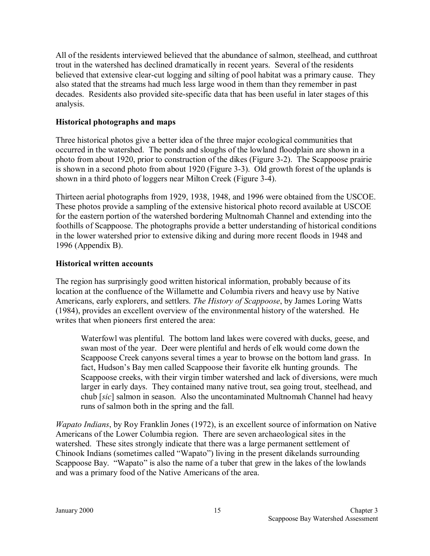All of the residents interviewed believed that the abundance of salmon, steelhead, and cutthroat trout in the watershed has declined dramatically in recent years. Several of the residents believed that extensive clear-cut logging and silting of pool habitat was a primary cause. They also stated that the streams had much less large wood in them than they remember in past decades. Residents also provided site-specific data that has been useful in later stages of this analysis.

#### **Historical photographs and maps**

Three historical photos give a better idea of the three major ecological communities that occurred in the watershed. The ponds and sloughs of the lowland floodplain are shown in a photo from about 1920, prior to construction of the dikes (Figure 3-2). The Scappoose prairie is shown in a second photo from about 1920 (Figure 3-3). Old growth forest of the uplands is shown in a third photo of loggers near Milton Creek (Figure 3-4).

Thirteen aerial photographs from 1929, 1938, 1948, and 1996 were obtained from the USCOE. These photos provide a sampling of the extensive historical photo record available at USCOE for the eastern portion of the watershed bordering Multnomah Channel and extending into the foothills of Scappoose. The photographs provide a better understanding of historical conditions in the lower watershed prior to extensive diking and during more recent floods in 1948 and 1996 (Appendix B).

#### **Historical written accounts**

The region has surprisingly good written historical information, probably because of its location at the confluence of the Willamette and Columbia rivers and heavy use by Native Americans, early explorers, and settlers. *The History of Scappoose*, by James Loring Watts (1984), provides an excellent overview of the environmental history of the watershed. He writes that when pioneers first entered the area:

Waterfowl was plentiful. The bottom land lakes were covered with ducks, geese, and swan most of the year. Deer were plentiful and herds of elk would come down the Scappoose Creek canyons several times a year to browse on the bottom land grass. In fact, Hudson's Bay men called Scappoose their favorite elk hunting grounds. The Scappoose creeks, with their virgin timber watershed and lack of diversions, were much larger in early days. They contained many native trout, sea going trout, steelhead, and chub [*sic*] salmon in season. Also the uncontaminated Multnomah Channel had heavy runs of salmon both in the spring and the fall.

*Wapato Indians*, by Roy Franklin Jones (1972), is an excellent source of information on Native Americans of the Lower Columbia region. There are seven archaeological sites in the watershed. These sites strongly indicate that there was a large permanent settlement of Chinook Indians (sometimes called "Wapato") living in the present dikelands surrounding Scappoose Bay. "Wapato" is also the name of a tuber that grew in the lakes of the lowlands and was a primary food of the Native Americans of the area.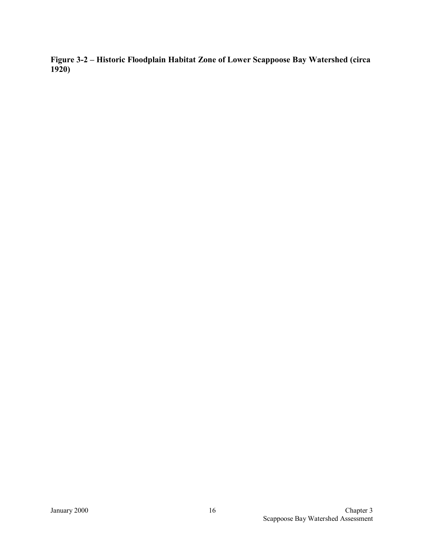Figure 3-2 – Historic Floodplain Habitat Zone of Lower Scappoose Bay Watershed (circa **1920)**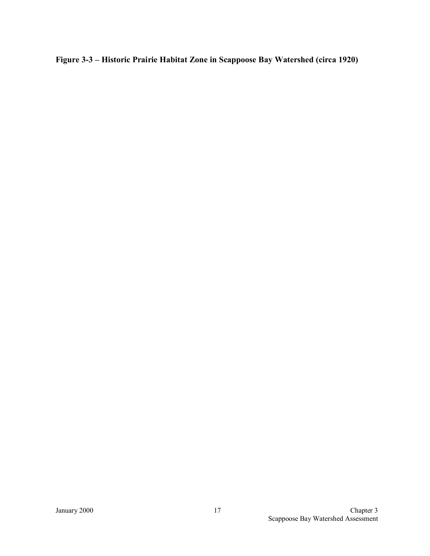Figure 3-3 – Historic Prairie Habitat Zone in Scappoose Bay Watershed (circa 1920)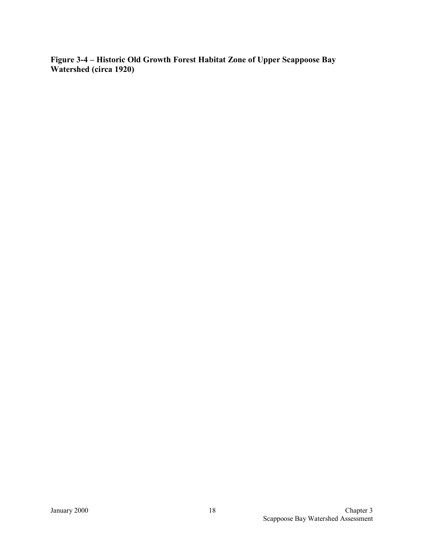Figure 3-4 – Historic Old Growth Forest Habitat Zone of Upper Scappoose Bay **Watershed (circa 1920)**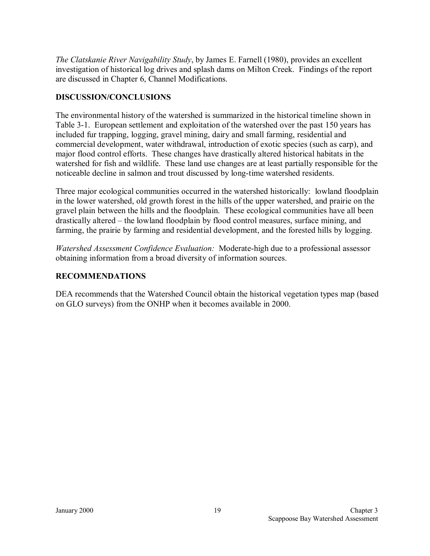*The Clatskanie River Navigability Study*, by James E. Farnell (1980), provides an excellent investigation of historical log drives and splash dams on Milton Creek. Findings of the report are discussed in Chapter 6, Channel Modifications.

#### **DISCUSSION/CONCLUSIONS**

The environmental history of the watershed is summarized in the historical timeline shown in Table 3-1. European settlement and exploitation of the watershed over the past 150 years has included fur trapping, logging, gravel mining, dairy and small farming, residential and commercial development, water withdrawal, introduction of exotic species (such as carp), and major flood control efforts. These changes have drastically altered historical habitats in the watershed for fish and wildlife. These land use changes are at least partially responsible for the noticeable decline in salmon and trout discussed by long-time watershed residents.

Three major ecological communities occurred in the watershed historically: lowland floodplain in the lower watershed, old growth forest in the hills of the upper watershed, and prairie on the gravel plain between the hills and the floodplain. These ecological communities have all been drastically altered – the lowland floodplain by flood control measures, surface mining, and farming, the prairie by farming and residential development, and the forested hills by logging.

*Watershed Assessment Confidence Evaluation:* Moderate-high due to a professional assessor obtaining information from a broad diversity of information sources.

#### **RECOMMENDATIONS**

DEA recommends that the Watershed Council obtain the historical vegetation types map (based on GLO surveys) from the ONHP when it becomes available in 2000.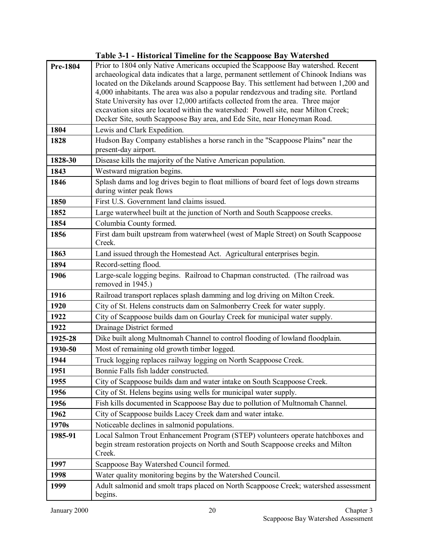|          | Table 3-1 - Historical Timeline for the Scappoose Bay Watershed                                                                                                                                                                                                                                                                                                                                                                                                                                                                                                                                                  |
|----------|------------------------------------------------------------------------------------------------------------------------------------------------------------------------------------------------------------------------------------------------------------------------------------------------------------------------------------------------------------------------------------------------------------------------------------------------------------------------------------------------------------------------------------------------------------------------------------------------------------------|
| Pre-1804 | Prior to 1804 only Native Americans occupied the Scappoose Bay watershed. Recent<br>archaeological data indicates that a large, permanent settlement of Chinook Indians was<br>located on the Dikelands around Scappoose Bay. This settlement had between 1,200 and<br>4,000 inhabitants. The area was also a popular rendezvous and trading site. Portland<br>State University has over 12,000 artifacts collected from the area. Three major<br>excavation sites are located within the watershed: Powell site, near Milton Creek;<br>Decker Site, south Scappoose Bay area, and Ede Site, near Honeyman Road. |
| 1804     | Lewis and Clark Expedition.                                                                                                                                                                                                                                                                                                                                                                                                                                                                                                                                                                                      |
| 1828     | Hudson Bay Company establishes a horse ranch in the "Scappoose Plains" near the<br>present-day airport.                                                                                                                                                                                                                                                                                                                                                                                                                                                                                                          |
| 1828-30  | Disease kills the majority of the Native American population.                                                                                                                                                                                                                                                                                                                                                                                                                                                                                                                                                    |
| 1843     | Westward migration begins.                                                                                                                                                                                                                                                                                                                                                                                                                                                                                                                                                                                       |
| 1846     | Splash dams and log drives begin to float millions of board feet of logs down streams<br>during winter peak flows                                                                                                                                                                                                                                                                                                                                                                                                                                                                                                |
| 1850     | First U.S. Government land claims issued.                                                                                                                                                                                                                                                                                                                                                                                                                                                                                                                                                                        |
| 1852     | Large waterwheel built at the junction of North and South Scappoose creeks.                                                                                                                                                                                                                                                                                                                                                                                                                                                                                                                                      |
| 1854     | Columbia County formed.                                                                                                                                                                                                                                                                                                                                                                                                                                                                                                                                                                                          |
| 1856     | First dam built upstream from waterwheel (west of Maple Street) on South Scappoose<br>Creek.                                                                                                                                                                                                                                                                                                                                                                                                                                                                                                                     |
| 1863     | Land issued through the Homestead Act. Agricultural enterprises begin.                                                                                                                                                                                                                                                                                                                                                                                                                                                                                                                                           |
| 1894     | Record-setting flood.                                                                                                                                                                                                                                                                                                                                                                                                                                                                                                                                                                                            |
| 1906     | Large-scale logging begins. Railroad to Chapman constructed. (The railroad was<br>removed in 1945.)                                                                                                                                                                                                                                                                                                                                                                                                                                                                                                              |
| 1916     | Railroad transport replaces splash damming and log driving on Milton Creek.                                                                                                                                                                                                                                                                                                                                                                                                                                                                                                                                      |
| 1920     | City of St. Helens constructs dam on Salmonberry Creek for water supply.                                                                                                                                                                                                                                                                                                                                                                                                                                                                                                                                         |
| 1922     | City of Scappoose builds dam on Gourlay Creek for municipal water supply.                                                                                                                                                                                                                                                                                                                                                                                                                                                                                                                                        |
| 1922     | Drainage District formed                                                                                                                                                                                                                                                                                                                                                                                                                                                                                                                                                                                         |
| 1925-28  | Dike built along Multnomah Channel to control flooding of lowland floodplain.                                                                                                                                                                                                                                                                                                                                                                                                                                                                                                                                    |
| 1930-50  | Most of remaining old growth timber logged.                                                                                                                                                                                                                                                                                                                                                                                                                                                                                                                                                                      |
| 1944     | Truck logging replaces railway logging on North Scappoose Creek.                                                                                                                                                                                                                                                                                                                                                                                                                                                                                                                                                 |
| 1951     | Bonnie Falls fish ladder constructed.                                                                                                                                                                                                                                                                                                                                                                                                                                                                                                                                                                            |
| 1955     | City of Scappoose builds dam and water intake on South Scappoose Creek.                                                                                                                                                                                                                                                                                                                                                                                                                                                                                                                                          |
| 1956     | City of St. Helens begins using wells for municipal water supply.                                                                                                                                                                                                                                                                                                                                                                                                                                                                                                                                                |
| 1956     | Fish kills documented in Scappoose Bay due to pollution of Multnomah Channel.                                                                                                                                                                                                                                                                                                                                                                                                                                                                                                                                    |
| 1962     | City of Scappoose builds Lacey Creek dam and water intake.                                                                                                                                                                                                                                                                                                                                                                                                                                                                                                                                                       |
| 1970s    | Noticeable declines in salmonid populations.                                                                                                                                                                                                                                                                                                                                                                                                                                                                                                                                                                     |
| 1985-91  | Local Salmon Trout Enhancement Program (STEP) volunteers operate hatchboxes and<br>begin stream restoration projects on North and South Scappoose creeks and Milton<br>Creek.                                                                                                                                                                                                                                                                                                                                                                                                                                    |
| 1997     | Scappoose Bay Watershed Council formed.                                                                                                                                                                                                                                                                                                                                                                                                                                                                                                                                                                          |
| 1998     | Water quality monitoring begins by the Watershed Council.                                                                                                                                                                                                                                                                                                                                                                                                                                                                                                                                                        |
| 1999     | Adult salmonid and smolt traps placed on North Scappoose Creek; watershed assessment<br>begins.                                                                                                                                                                                                                                                                                                                                                                                                                                                                                                                  |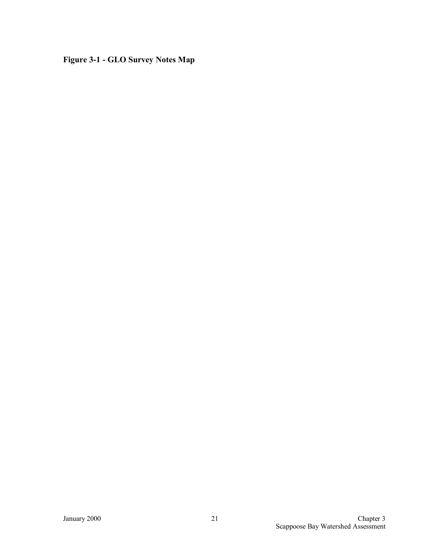**Figure 3-1 - GLO Survey Notes Map**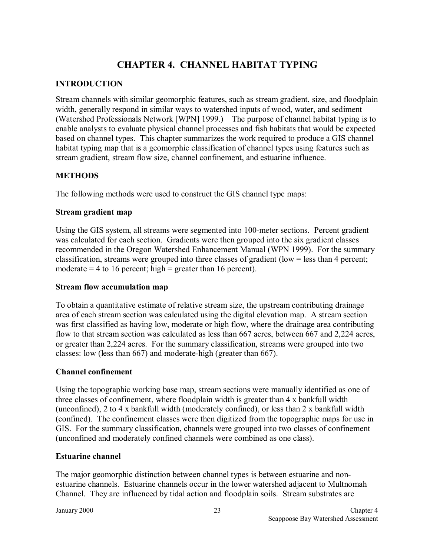# **CHAPTER 4. CHANNEL HABITAT TYPING**

## **INTRODUCTION**

Stream channels with similar geomorphic features, such as stream gradient, size, and floodplain width, generally respond in similar ways to watershed inputs of wood, water, and sediment (Watershed Professionals Network [WPN] 1999.) The purpose of channel habitat typing is to enable analysts to evaluate physical channel processes and fish habitats that would be expected based on channel types. This chapter summarizes the work required to produce a GIS channel habitat typing map that is a geomorphic classification of channel types using features such as stream gradient, stream flow size, channel confinement, and estuarine influence.

#### **METHODS**

The following methods were used to construct the GIS channel type maps:

## **Stream gradient map**

Using the GIS system, all streams were segmented into 100-meter sections. Percent gradient was calculated for each section. Gradients were then grouped into the six gradient classes recommended in the Oregon Watershed Enhancement Manual (WPN 1999). For the summary classification, streams were grouped into three classes of gradient (low = less than 4 percent; moderate  $= 4$  to 16 percent; high  $=$  greater than 16 percent).

#### **Stream flow accumulation map**

To obtain a quantitative estimate of relative stream size, the upstream contributing drainage area of each stream section was calculated using the digital elevation map. A stream section was first classified as having low, moderate or high flow, where the drainage area contributing flow to that stream section was calculated as less than 667 acres, between 667 and 2,224 acres, or greater than 2,224 acres. For the summary classification, streams were grouped into two classes: low (less than 667) and moderate-high (greater than 667).

#### **Channel confinement**

Using the topographic working base map, stream sections were manually identified as one of three classes of confinement, where floodplain width is greater than 4 x bankfull width (unconfined), 2 to 4 x bankfull width (moderately confined), or less than 2 x bankfull width (confined). The confinement classes were then digitized from the topographic maps for use in GIS. For the summary classification, channels were grouped into two classes of confinement (unconfined and moderately confined channels were combined as one class).

#### **Estuarine channel**

The major geomorphic distinction between channel types is between estuarine and nonestuarine channels. Estuarine channels occur in the lower watershed adjacent to Multnomah Channel. They are influenced by tidal action and floodplain soils. Stream substrates are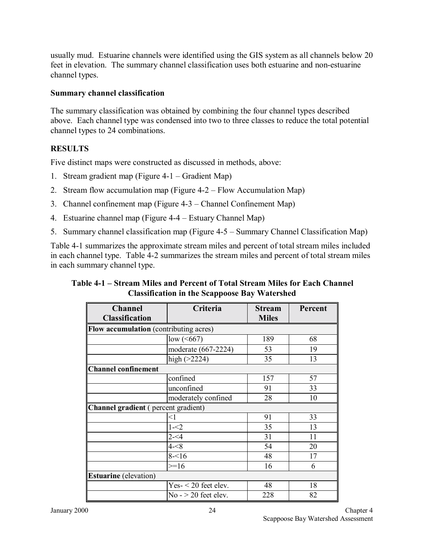usually mud. Estuarine channels were identified using the GIS system as all channels below 20 feet in elevation. The summary channel classification uses both estuarine and non-estuarine channel types.

### **Summary channel classification**

The summary classification was obtained by combining the four channel types described above. Each channel type was condensed into two to three classes to reduce the total potential channel types to 24 combinations.

# **RESULTS**

Five distinct maps were constructed as discussed in methods, above:

- 1. Stream gradient map (Figure  $4-1$  Gradient Map)
- 2. Stream flow accumulation map (Figure  $4-2$  Flow Accumulation Map)
- 3. Channel confinement map (Figure  $4-3$  Channel Confinement Map)
- 4. Estuarine channel map (Figure  $4-4$  Estuary Channel Map)
- 5. Summary channel classification map (Figure  $4-5$  Summary Channel Classification Map)

Table 4-1 summarizes the approximate stream miles and percent of total stream miles included in each channel type. Table 4-2 summarizes the stream miles and percent of total stream miles in each summary channel type.

| Table 4-1 – Stream Miles and Percent of Total Stream Miles for Each Channel |
|-----------------------------------------------------------------------------|
| <b>Classification in the Scappoose Bay Watershed</b>                        |

| <b>Channel</b>                                | Criteria               | <b>Stream</b> | Percent |
|-----------------------------------------------|------------------------|---------------|---------|
| <b>Classification</b>                         |                        | <b>Miles</b>  |         |
| <b>Flow accumulation</b> (contributing acres) |                        |               |         |
|                                               | low $(667)$            | 189           | 68      |
|                                               | moderate (667-2224)    | 53            | 19      |
|                                               | high $(>2224)$         | 35            | 13      |
| <b>Channel confinement</b>                    |                        |               |         |
|                                               | confined               | 157           | 57      |
|                                               | unconfined             | 91            | 33      |
|                                               | moderately confined    | 28            | 10      |
| Channel gradient (percent gradient)           |                        |               |         |
|                                               | $<$ 1                  | 91            | 33      |
|                                               | $1 - 2$                | 35            | 13      |
|                                               | $2 - 4$                | 31            | 11      |
|                                               | $4 - 8$                | 54            | 20      |
|                                               | $8 - 16$               | 48            | 17      |
|                                               | $>=16$                 | 16            | 6       |
| <b>Estuarine</b> (elevation)                  |                        |               |         |
|                                               | $Yes - 20$ feet elev.  | 48            | 18      |
|                                               | $No - > 20$ feet elev. | 228           | 82      |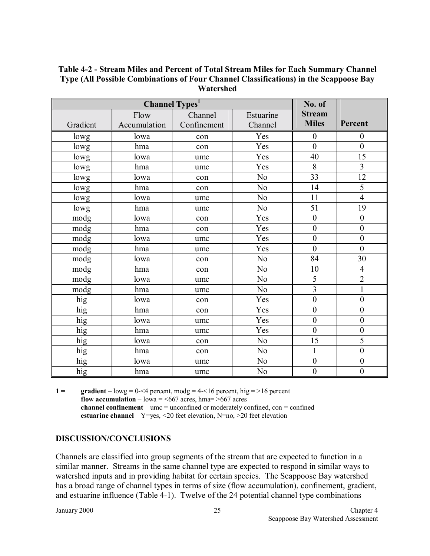## **Table 4-2 - Stream Miles and Percent of Total Stream Miles for Each Summary Channel Type (All Possible Combinations of Four Channel Classifications) in the Scappoose Bay Watershed**

|          | <b>Channel Types</b> <sup>1</sup> |             |                | No. of                  |                  |
|----------|-----------------------------------|-------------|----------------|-------------------------|------------------|
|          | Flow                              | Channel     | Estuarine      | <b>Stream</b>           |                  |
| Gradient | Accumulation                      | Confinement | Channel        | <b>Miles</b>            | Percent          |
| lowg     | lowa                              | con         | Yes            | $\boldsymbol{0}$        | $\boldsymbol{0}$ |
| lowg     | hma                               | con         | Yes            | $\overline{0}$          | $\theta$         |
| lowg     | lowa                              | umc         | Yes            | 40                      | 15               |
| lowg     | hma                               | umc         | Yes            | 8                       | $\overline{3}$   |
| lowg     | lowa                              | con         | N <sub>0</sub> | 33                      | 12               |
| lowg     | hma                               | con         | N <sub>0</sub> | 14                      | 5                |
| lowg     | lowa                              | umc         | N <sub>o</sub> | 11                      | $\overline{4}$   |
| lowg     | hma                               | umc         | N <sub>0</sub> | 51                      | 19               |
| modg     | lowa                              | con         | Yes            | $\boldsymbol{0}$        | $\boldsymbol{0}$ |
| modg     | hma                               | con         | Yes            | $\mathbf{0}$            | $\boldsymbol{0}$ |
| modg     | lowa                              | umc         | Yes            | $\boldsymbol{0}$        | $\boldsymbol{0}$ |
| modg     | hma                               | umc         | Yes            | $\boldsymbol{0}$        | $\boldsymbol{0}$ |
| modg     | lowa                              | con         | N <sub>o</sub> | 84                      | 30               |
| modg     | hma                               | con         | N <sub>0</sub> | 10                      | $\overline{4}$   |
| modg     | lowa                              | umc         | N <sub>0</sub> | $\overline{5}$          | $\overline{2}$   |
| modg     | hma                               | umc         | N <sub>0</sub> | $\overline{\mathbf{3}}$ | $\mathbf{1}$     |
| hig      | lowa                              | con         | Yes            | $\boldsymbol{0}$        | $\boldsymbol{0}$ |
| hig      | hma                               | con         | Yes            | $\boldsymbol{0}$        | $\boldsymbol{0}$ |
| hig      | lowa                              | umc         | Yes            | $\boldsymbol{0}$        | $\boldsymbol{0}$ |
| hig      | hma                               | umc         | Yes            | $\mathbf{0}$            | $\boldsymbol{0}$ |
| hig      | lowa                              | con         | N <sub>0</sub> | $\overline{15}$         | 5                |
| hig      | hma                               | con         | N <sub>0</sub> | $\mathbf{1}$            | $\boldsymbol{0}$ |
| hig      | lowa                              | umc         | N <sub>0</sub> | $\boldsymbol{0}$        | $\boldsymbol{0}$ |
| hig      | hma                               | umc         | No             | $\boldsymbol{0}$        | $\boldsymbol{0}$ |

1 =  $\qquad \qquad$  **gradient** – lowg = 0-<4 percent, modg = 4-<16 percent, hig = >16 percent **flow accumulation**  $-$  lowa = <667 acres, hma= >667 acres **channel confinement** – umc = unconfined or moderately confined, con = confined **estuarine channel** – Y=yes, <20 feet elevation, N=no, >20 feet elevation

#### **DISCUSSION/CONCLUSIONS**

Channels are classified into group segments of the stream that are expected to function in a similar manner. Streams in the same channel type are expected to respond in similar ways to watershed inputs and in providing habitat for certain species. The Scappoose Bay watershed has a broad range of channel types in terms of size (flow accumulation), confinement, gradient, and estuarine influence (Table 4-1). Twelve of the 24 potential channel type combinations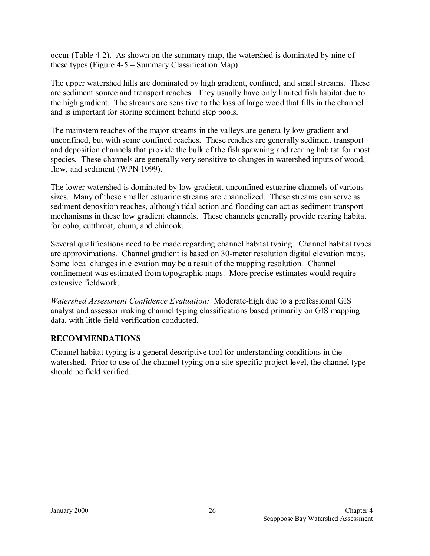occur (Table 4-2). As shown on the summary map, the watershed is dominated by nine of these types (Figure  $4-5$  – Summary Classification Map).

The upper watershed hills are dominated by high gradient, confined, and small streams. These are sediment source and transport reaches. They usually have only limited fish habitat due to the high gradient. The streams are sensitive to the loss of large wood that fills in the channel and is important for storing sediment behind step pools.

The mainstem reaches of the major streams in the valleys are generally low gradient and unconfined, but with some confined reaches. These reaches are generally sediment transport and deposition channels that provide the bulk of the fish spawning and rearing habitat for most species. These channels are generally very sensitive to changes in watershed inputs of wood, flow, and sediment (WPN 1999).

The lower watershed is dominated by low gradient, unconfined estuarine channels of various sizes. Many of these smaller estuarine streams are channelized. These streams can serve as sediment deposition reaches, although tidal action and flooding can act as sediment transport mechanisms in these low gradient channels. These channels generally provide rearing habitat for coho, cutthroat, chum, and chinook.

Several qualifications need to be made regarding channel habitat typing. Channel habitat types are approximations. Channel gradient is based on 30-meter resolution digital elevation maps. Some local changes in elevation may be a result of the mapping resolution. Channel confinement was estimated from topographic maps. More precise estimates would require extensive fieldwork.

*Watershed Assessment Confidence Evaluation:* Moderate-high due to a professional GIS analyst and assessor making channel typing classifications based primarily on GIS mapping data, with little field verification conducted.

#### **RECOMMENDATIONS**

Channel habitat typing is a general descriptive tool for understanding conditions in the watershed. Prior to use of the channel typing on a site-specific project level, the channel type should be field verified.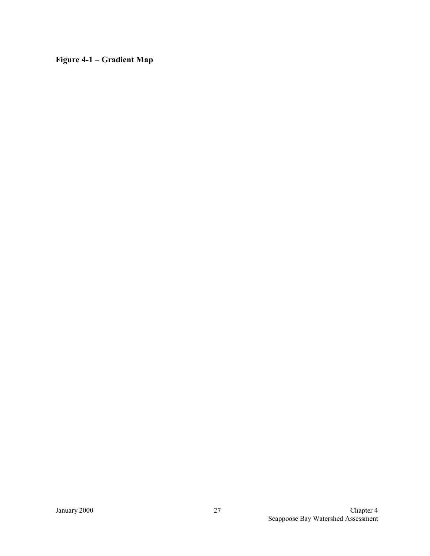**Figure 4-1 – Gradient Map**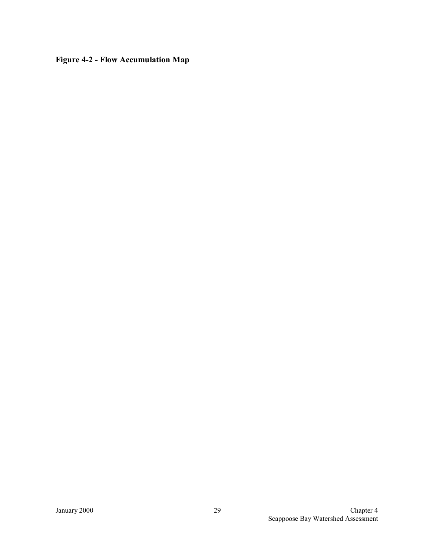**Figure 4-2 - Flow Accumulation Map**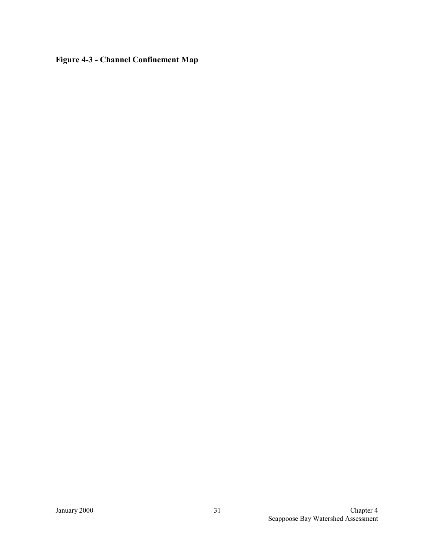**Figure 4-3 - Channel Confinement Map**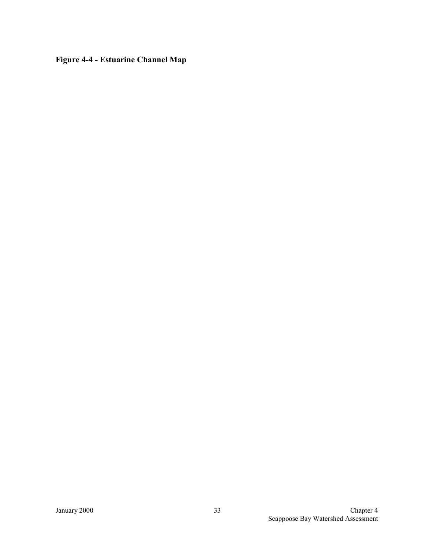**Figure 4-4 - Estuarine Channel Map**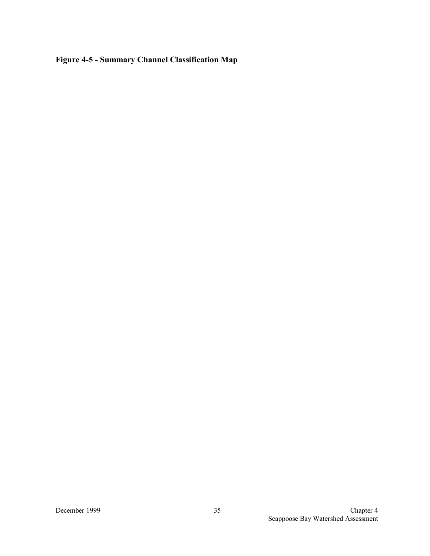# **Figure 4-5 - Summary Channel Classification Map**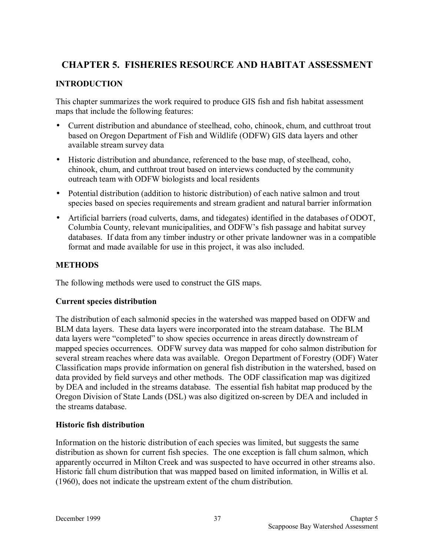# **CHAPTER 5. FISHERIES RESOURCE AND HABITAT ASSESSMENT**

### **INTRODUCTION**

This chapter summarizes the work required to produce GIS fish and fish habitat assessment maps that include the following features:

- Current distribution and abundance of steelhead, coho, chinook, chum, and cutthroat trout based on Oregon Department of Fish and Wildlife (ODFW) GIS data layers and other available stream survey data
- Historic distribution and abundance, referenced to the base map, of steelhead, coho, chinook, chum, and cutthroat trout based on interviews conducted by the community outreach team with ODFW biologists and local residents
- Potential distribution (addition to historic distribution) of each native salmon and trout species based on species requirements and stream gradient and natural barrier information
- Artificial barriers (road culverts, dams, and tidegates) identified in the databases of ODOT, Columbia County, relevant municipalities, and ODFW's fish passage and habitat survey databases. If data from any timber industry or other private landowner was in a compatible format and made available for use in this project, it was also included.

#### **METHODS**

The following methods were used to construct the GIS maps.

#### **Current species distribution**

The distribution of each salmonid species in the watershed was mapped based on ODFW and BLM data layers. These data layers were incorporated into the stream database. The BLM data layers were "completed" to show species occurrence in areas directly downstream of mapped species occurrences. ODFW survey data was mapped for coho salmon distribution for several stream reaches where data was available. Oregon Department of Forestry (ODF) Water Classification maps provide information on general fish distribution in the watershed, based on data provided by field surveys and other methods. The ODF classification map was digitized by DEA and included in the streams database. The essential fish habitat map produced by the Oregon Division of State Lands (DSL) was also digitized on-screen by DEA and included in the streams database.

#### **Historic fish distribution**

Information on the historic distribution of each species was limited, but suggests the same distribution as shown for current fish species. The one exception is fall chum salmon, which apparently occurred in Milton Creek and was suspected to have occurred in other streams also. Historic fall chum distribution that was mapped based on limited information, in Willis et al. (1960), does not indicate the upstream extent of the chum distribution.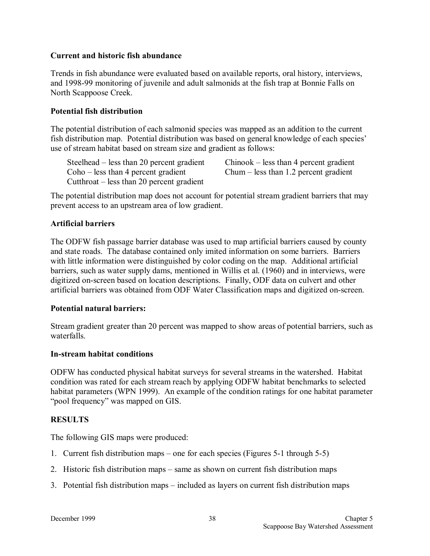#### **Current and historic fish abundance**

Trends in fish abundance were evaluated based on available reports, oral history, interviews, and 1998-99 monitoring of juvenile and adult salmonids at the fish trap at Bonnie Falls on North Scappoose Creek.

#### **Potential fish distribution**

The potential distribution of each salmonid species was mapped as an addition to the current fish distribution map. Potential distribution was based on general knowledge of each species<sup>7</sup> use of stream habitat based on stream size and gradient as follows:

Steelhead  $-$  less than 20 percent gradient Chinook  $-$  less than 4 percent gradient  $Coho - less than 4 percent gradient$  Chum  $- less than 1.2 percent gradient$ Cutthroat  $-$  less than 20 percent gradient

The potential distribution map does not account for potential stream gradient barriers that may prevent access to an upstream area of low gradient.

#### **Artificial barriers**

The ODFW fish passage barrier database was used to map artificial barriers caused by county and state roads. The database contained only imited information on some barriers. Barriers with little information were distinguished by color coding on the map. Additional artificial barriers, such as water supply dams, mentioned in Willis et al. (1960) and in interviews, were digitized on-screen based on location descriptions. Finally, ODF data on culvert and other artificial barriers was obtained from ODF Water Classification maps and digitized on-screen.

#### **Potential natural barriers:**

Stream gradient greater than 20 percent was mapped to show areas of potential barriers, such as waterfalls.

#### **In-stream habitat conditions**

ODFW has conducted physical habitat surveys for several streams in the watershed. Habitat condition was rated for each stream reach by applying ODFW habitat benchmarks to selected habitat parameters (WPN 1999). An example of the condition ratings for one habitat parameter "pool frequency" was mapped on GIS.

#### **RESULTS**

The following GIS maps were produced:

- 1. Current fish distribution maps one for each species (Figures 5-1 through 5-5)
- 2. Historic fish distribution maps  $-$  same as shown on current fish distribution maps
- 3. Potential fish distribution maps  $-\text{included}$  as layers on current fish distribution maps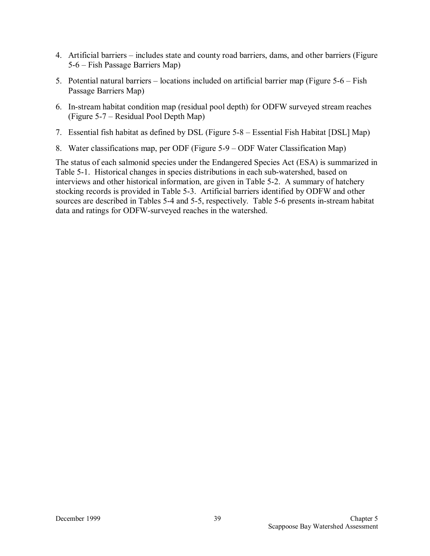- 4. Artificial barriers includes state and county road barriers, dams, and other barriers (Figure 5-6 – Fish Passage Barriers Map)
- 5. Potential natural barriers locations included on artificial barrier map (Figure  $5-6$  Fish Passage Barriers Map)
- 6. In-stream habitat condition map (residual pool depth) for ODFW surveyed stream reaches (Figure  $5-7$  – Residual Pool Depth Map)
- 7. Essential fish habitat as defined by DSL (Figure 5-8 Essential Fish Habitat [DSL] Map)
- 8. Water classifications map, per ODF (Figure  $5-9 -$ ODF Water Classification Map)

The status of each salmonid species under the Endangered Species Act (ESA) is summarized in Table 5-1. Historical changes in species distributions in each sub-watershed, based on interviews and other historical information, are given in Table 5-2. A summary of hatchery stocking records is provided in Table 5-3. Artificial barriers identified by ODFW and other sources are described in Tables 5-4 and 5-5, respectively. Table 5-6 presents in-stream habitat data and ratings for ODFW-surveyed reaches in the watershed.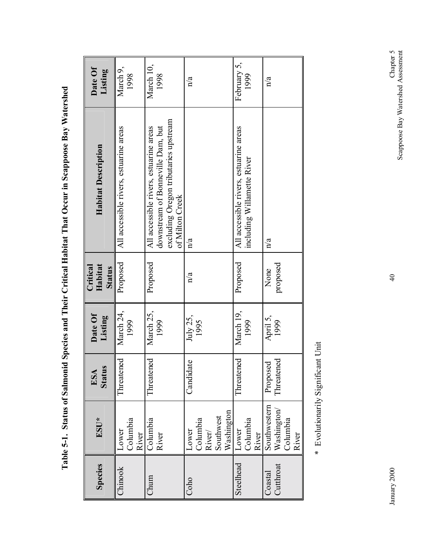| <b>Species</b>       | ESU*                                                   | <b>Status</b><br>ESA   | Date Of<br>Listing | Habitat<br>Critical<br><b>Status</b> | <b>Habitat Description</b>                                                                                                              | Date Of<br>Listing      |
|----------------------|--------------------------------------------------------|------------------------|--------------------|--------------------------------------|-----------------------------------------------------------------------------------------------------------------------------------------|-------------------------|
| Chinook              | Columbia<br>Lower<br><b>River</b>                      | Threatened             | March 24,<br>1999  | Proposed                             | All accessible rivers, estuarine areas                                                                                                  | March 9,<br>1998        |
| Chum                 | Columbia<br>River                                      | Threatened             | March 25,<br>1999  | Proposed                             | excluding Oregon tributaries upstream<br>downstream of Bonneville Dam, but<br>All accessible rivers, estuarine areas<br>of Milton Creek | March 10,<br>1998       |
| Coho                 | Washington<br>Southwest<br>Columbia<br>River/<br>Lower | Candidate              | July 25,<br>1995   | n/a                                  | $\mathbf{n}/\mathbf{a}$                                                                                                                 | n/a                     |
| Steelhead            | Columbia<br>Lower<br>River                             | Threatened             | March 19,<br>1999  | Proposed                             | All accessible rivers, estuarine areas<br>including Willamette River                                                                    | February 5,<br>1999     |
| Cutthroat<br>Coastal | Southwestern<br>Washington/<br>Columbia<br>River       | Threatened<br>Proposed | April 5,<br>1999   | proposed<br>None                     | n/a                                                                                                                                     | $\mathbf{n}/\mathbf{a}$ |

Table 5-1. Status of Salmonid Species and Their Critical Habitat That Occur in Scappoose Bay Watershed **Table 5-1. Status of Salmonid Species and Their Critical Habitat That Occur in Scappoose Bay Watershed** 

\* Evolutionarily Significant Unit \* Evolutionarily Significant Unit

Chapter 5<br>Scappoose Bay Watershed Assessment January 20000 Chapter 5 Scappoose Bay Watershed Assessment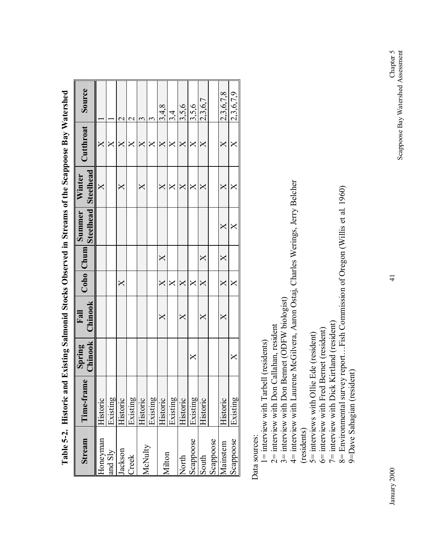|   | Source                    |              |              |                    | ς            | $\mathfrak{c}$ | $\widetilde{\phantom{a}}$ | 3, 4, 8           | $\overline{3}$ | 3,5,6          | 3,5,6        | 2,3,6,7           |           | 2,3,6,7,8         | 2,3,6,7,9         |
|---|---------------------------|--------------|--------------|--------------------|--------------|----------------|---------------------------|-------------------|----------------|----------------|--------------|-------------------|-----------|-------------------|-------------------|
|   | Cutthroat                 | X            | $\mathsf{X}$ | $\mathsf{X}$       | $\mathsf{X}$ | $\mathsf{X}$   | $\mathsf{X}$              | X                 | $\mathsf{X}$   | $\overline{X}$ | $\mathsf{X}$ | $\bm{\times}$     |           | $\bm{\mathsf{X}}$ | $\mathsf{X}$      |
|   | Steelhead<br>Winter       | $\mathsf{X}$ |              | $\mathsf{X}% _{T}$ |              | X              |                           | $\times$          | X              | $\mathsf{X}$   | $\mathsf{X}$ | $\Join$           |           | X                 | X                 |
|   | Steelhead<br>Summer       |              |              |                    |              |                |                           |                   |                |                |              |                   |           | $\bm{\mathsf{X}}$ | X                 |
|   | Chum                      |              |              |                    |              |                |                           | $\bm{\times}$     |                |                |              | $\bm{\times}$     |           | $\bm{\mathsf{X}}$ |                   |
|   | Coho                      |              |              | $\bm{\times}$      |              |                |                           | $\bm{\mathsf{X}}$ | $\mathsf{X}$   | $\overline{X}$ | $\mathsf{X}$ | $\bm{\times}$     |           | $\bm{\mathsf{X}}$ | X                 |
|   | Chinook<br>$_{\rm{Fall}}$ |              |              |                    |              |                |                           | X                 |                | $\bm{\times}$  |              | $\bm{\mathsf{X}}$ |           | $\bm{\times}$     |                   |
| D | Chinook<br>Spring         |              |              |                    |              |                |                           |                   |                |                | $\mathsf{X}$ |                   |           |                   | $\bm{\mathsf{X}}$ |
|   | rame<br>Time-fi           | Historic     | Existing     | Historic           | Existing     | Historic       | Existing                  | Historic          | Existing       | Historic       | Existing     | Historic          |           | Historic          | Existing          |
|   | Stream                    | Honeyman     | and Sly      | Jackson            | Creek        | McNulty        |                           | Milton            |                | North          | Scappoose    | South             | Scappoose | Mainstem          | Scappoose         |

**Table 5-2. Historic and Existing Salmonid Stocks Observed in Streams of the Scappoose Bay Watershed**  Table 5-2. Historic and Existing Salmonid Stocks Observed in Streams of the Scappoose Bay Watershed

Data sources: Data sources:

 $1 =$  interview with Tarbell (residents) 1= interview with Tarbell (residents)

2= interview with Don Callahan, resident 2= interview with Don Callahan, resident

 3= interview with Don Bennet (ODFW biologist) 3= interview with Don Bennet (ODFW biologist)

4= interview with Laurene McGilvera, Aaron Ostaj, Charles Werings, Jerry Belcher 4= interview with Laurene McGilvera, Aaron Ostaj, Charles Werings, Jerry Belcher

(residents)<br>5= interviews with Ollie Ede (resident) 5= interviews with Ollie Ede (resident)

 6= interview with Fred Bernet (resident) 6= interview with Fred Bernet (resident)

 7= interview with Dick Kirtland (resident) 7= interview with Dick Kirtland (resident)

8= Environmental survey report...Fish Commission of Oregon (Willis et al. 1960) 8= Environmental survey report...Fish Commission of Oregon (Willis et al. 1960) 9=Dave Sahagian (resident) 9=Dave Sahagian (resident)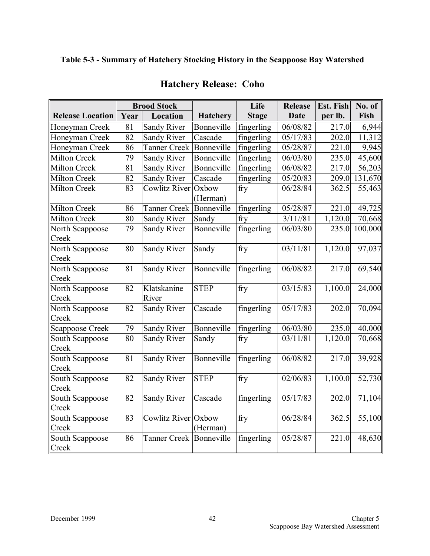# **Table 5-3 - Summary of Hatchery Stocking History in the Scappoose Bay Watershed**

|                          |      | <b>Brood Stock</b>       |                   | Life         | <b>Release</b> | Est. Fish | No. of  |
|--------------------------|------|--------------------------|-------------------|--------------|----------------|-----------|---------|
| <b>Release Location</b>  | Year | Location                 | Hatchery          | <b>Stage</b> | <b>Date</b>    | per lb.   | Fish    |
| Honeyman Creek           | 81   | <b>Sandy River</b>       | Bonneville        | fingerling   | 06/08/82       | 217.0     | 6,944   |
| Honeyman Creek           | 82   | <b>Sandy River</b>       | Cascade           | fingerling   | 05/17/83       | 202.0     | 11,312  |
| Honeyman Creek           | 86   | <b>Tanner Creek</b>      | Bonneville        | fingerling   | 05/28/87       | 221.0     | 9,945   |
| <b>Milton Creek</b>      | 79   | <b>Sandy River</b>       | Bonneville        | fingerling   | 06/03/80       | 235.0     | 45,600  |
| <b>Milton Creek</b>      | 81   | <b>Sandy River</b>       | Bonneville        | fingerling   | 06/08/82       | 217.0     | 56,203  |
| <b>Milton Creek</b>      | 82   | <b>Sandy River</b>       | Cascade           | fingerling   | 05/20/83       | 209.0     | 131,670 |
| <b>Milton Creek</b>      | 83   | <b>Cowlitz River</b>     | Oxbow<br>(Herman) | fry          | 06/28/84       | 362.5     | 55,463  |
| <b>Milton Creek</b>      | 86   | <b>Tanner Creek</b>      | Bonneville        | fingerling   | 05/28/87       | 221.0     | 49,725  |
| <b>Milton Creek</b>      | 80   | <b>Sandy River</b>       | Sandy             | fry          | 3/11/81        | 1,120.0   | 70,668  |
| North Scappoose<br>Creek | 79   | <b>Sandy River</b>       | Bonneville        | fingerling   | 06/03/80       | 235.0     | 100,000 |
| North Scappoose<br>Creek | 80   | <b>Sandy River</b>       | Sandy             | fry          | 03/11/81       | 1,120.0   | 97,037  |
| North Scappoose<br>Creek | 81   | <b>Sandy River</b>       | Bonneville        | fingerling   | 06/08/82       | 217.0     | 69,540  |
| North Scappoose<br>Creek | 82   | Klatskanine<br>River     | <b>STEP</b>       | fry          | 03/15/83       | 1,100.0   | 24,000  |
| North Scappoose<br>Creek | 82   | <b>Sandy River</b>       | Cascade           | fingerling   | 05/17/83       | 202.0     | 70,094  |
| <b>Scappoose Creek</b>   | 79   | <b>Sandy River</b>       | Bonneville        | fingerling   | 06/03/80       | 235.0     | 40,000  |
| South Scappoose<br>Creek | 80   | <b>Sandy River</b>       | Sandy             | fry          | 03/11/81       | 1,120.0   | 70,668  |
| South Scappoose<br>Creek | 81   | <b>Sandy River</b>       | Bonneville        | fingerling   | 06/08/82       | 217.0     | 39,928  |
| South Scappoose<br>Creek | 82   | <b>Sandy River</b>       | <b>STEP</b>       | fry          | 02/06/83       | 1,100.0   | 52,730  |
| South Scappoose<br>Creek | 82   | <b>Sandy River</b>       | Cascade           | fingerling   | 05/17/83       | 202.0     | 71,104  |
| South Scappoose<br>Creek | 83   | Cowlitz River Oxbow      | (Herman)          | fry          | 06/28/84       | 362.5     | 55,100  |
| South Scappoose<br>Creek | 86   | Tanner Creek  Bonneville |                   | fingerling   | 05/28/87       | 221.0     | 48,630  |

# **Hatchery Release: Coho**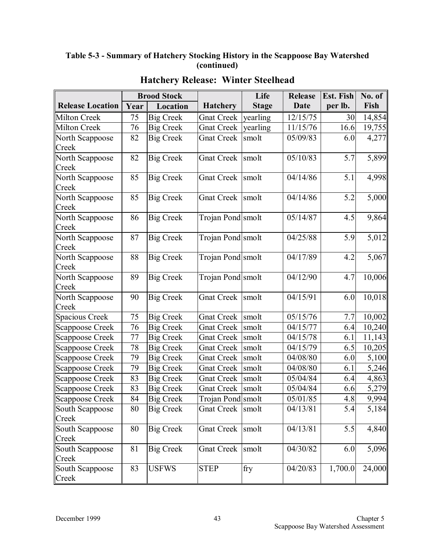## **Table 5-3 - Summary of Hatchery Stocking History in the Scappoose Bay Watershed (continued)**

|                          |      | <b>Brood Stock</b> |                    | Life         | <b>Release</b> | Est. Fish | No. of |
|--------------------------|------|--------------------|--------------------|--------------|----------------|-----------|--------|
| <b>Release Location</b>  | Year | Location           | <b>Hatchery</b>    | <b>Stage</b> | Date           | per lb.   | Fish   |
| <b>Milton Creek</b>      | 75   | <b>Big Creek</b>   | Gnat Creek         | yearling     | 12/15/75       | 30        | 14,854 |
| <b>Milton Creek</b>      | 76   | <b>Big Creek</b>   | <b>Gnat Creek</b>  | yearling     | 11/15/76       | 16.6      | 19,755 |
| North Scappoose          | 82   | <b>Big Creek</b>   | <b>Gnat Creek</b>  | smolt        | 05/09/83       | 6.0       | 4,277  |
| Creek                    |      |                    |                    |              |                |           |        |
| North Scappoose          | 82   | <b>Big Creek</b>   | Gnat Creek  smolt  |              | 05/10/83       | 5.7       | 5,899  |
| Creek                    |      |                    |                    |              |                |           |        |
| North Scappoose<br>Creek | 85   | <b>Big Creek</b>   | Gnat Creek  smolt  |              | 04/14/86       | 5.1       | 4,998  |
| North Scappoose          | 85   | <b>Big Creek</b>   | Gnat Creek  smolt  |              | 04/14/86       | 5.2       | 5,000  |
| Creek                    |      |                    |                    |              |                |           |        |
| North Scappoose          | 86   | <b>Big Creek</b>   | Trojan Pond smolt  |              | 05/14/87       | 4.5       | 9,864  |
| Creek                    |      |                    |                    |              |                |           |        |
| North Scappoose          | 87   | <b>Big Creek</b>   | Trojan Pond smolt  |              | 04/25/88       | 5.9       | 5,012  |
| Creek                    |      |                    |                    |              |                |           |        |
| North Scappoose          | 88   | <b>Big Creek</b>   | Trojan Pond smolt  |              | 04/17/89       | 4.2       | 5,067  |
| Creek                    |      |                    |                    |              |                |           |        |
| North Scappoose          | 89   | <b>Big Creek</b>   | Trojan Pond smolt  |              | 04/12/90       | 4.7       | 10,006 |
| Creek                    |      |                    |                    |              |                |           |        |
| North Scappoose          | 90   | <b>Big Creek</b>   | Gnat Creek  smolt  |              | 04/15/91       | 6.0       | 10,018 |
| Creek                    |      |                    |                    |              |                |           |        |
| Spacious Creek           | 75   | <b>Big Creek</b>   | <b>Gnat Creek</b>  | smolt        | 05/15/76       | 7.7       | 10,002 |
| <b>Scappoose Creek</b>   | 76   | <b>Big Creek</b>   | <b>Gnat Creek</b>  | smolt        | 04/15/77       | 6.4       | 10,240 |
| <b>Scappoose Creek</b>   | 77   | <b>Big Creek</b>   | <b>Gnat Creek</b>  | smolt        | 04/15/78       | 6.1       | 11,143 |
| <b>Scappoose Creek</b>   | 78   | <b>Big Creek</b>   | <b>Gnat Creek</b>  | smolt        | 04/15/79       | 6.5       | 10,205 |
| <b>Scappoose Creek</b>   | 79   | <b>Big Creek</b>   | <b>Gnat Creek</b>  | smolt        | 04/08/80       | 6.0       | 5,100  |
| <b>Scappoose Creek</b>   | 79   | <b>Big Creek</b>   | <b>Gnat Creek</b>  | smolt        | 04/08/80       | 6.1       | 5,246  |
| Scappoose Creek          | 83   | <b>Big Creek</b>   | <b>Gnat Creek</b>  | smolt        | 05/04/84       | 6.4       | 4,863  |
| <b>Scappoose Creek</b>   | 83   | <b>Big Creek</b>   | <b>Gnat Creek</b>  | smolt        | 05/04/84       | 6.6       | 5,279  |
| Scappoose Creek          | 84   | <b>Big Creek</b>   | Trojan Pond smolt  |              | 05/01/85       | 4.8       | 9,994  |
| South Scappoose          | 80   | <b>Big Creek</b>   | Gnat Creek  smolt  |              | 04/13/81       | 5.4       | 5,184  |
| Creek                    |      |                    |                    |              |                |           |        |
| South Scappoose          | 80   | <b>Big Creek</b>   | Gnat Creek   smolt |              | 04/13/81       | 5.5       | 4,840  |
| Creek                    |      |                    |                    |              |                |           |        |
| South Scappoose          | 81   | <b>Big Creek</b>   | Gnat Creek  smolt  |              | 04/30/82       | 6.0       | 5,096  |
| Creek                    |      |                    |                    |              |                |           |        |
| South Scappoose          | 83   | <b>USFWS</b>       | <b>STEP</b>        | fry          | 04/20/83       | 1,700.0   | 24,000 |
| Creek                    |      |                    |                    |              |                |           |        |

# **Hatchery Release: Winter Steelhead**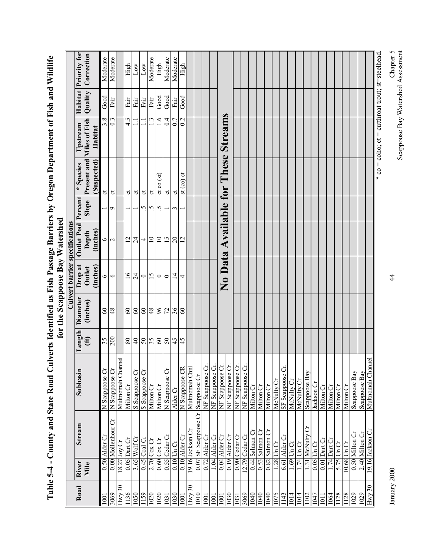|                  |               |                                  |                                    |                                  |                             |                               | for the Scappoose Bay Watershed         |                  |                                         |                                                   |                    |                            |
|------------------|---------------|----------------------------------|------------------------------------|----------------------------------|-----------------------------|-------------------------------|-----------------------------------------|------------------|-----------------------------------------|---------------------------------------------------|--------------------|----------------------------|
|                  |               |                                  |                                    |                                  |                             |                               | <b>Culvert barrier specifications</b>   |                  |                                         |                                                   |                    |                            |
| Road             | River<br>Mile | Stream                           | Subbasin                           | Length<br>$\widehat{\mathbf{t}}$ | <b>Diameter</b><br>(inches) | Drop at<br>(inches)<br>Outlet | <b>Outlet Pool</b><br>(inches)<br>Depth | Percent<br>Slope | Present and<br>(Suspected)<br>* Species | <b>Miles of Fish</b><br>Upstream<br>Habitat       | Quality<br>Habitat | Priority for<br>Correction |
| $\overline{5}$   |               | 0.50 Alder Cr                    | N Scappoose Cr                     | 55                               | $\infty$                    | O                             | $\circ$                                 |                  | $\mathbf{c}$                            | 3.8                                               | Good               | Moderate                   |
| 3069             |               | 0.00 Mollenhour Cr               | N Scappoose Cr                     | 200                              | 8+                          | $\circ$                       | $\sim$                                  | Ó                | $\vec{c}$                               | 0.3                                               | ${\rm Fair}$       | Moderate                   |
| Hwy30            | 18.27         | Joy Cr                           | Multnomah Channel                  |                                  |                             |                               |                                         |                  |                                         |                                                   |                    |                            |
| 136              |               | $0.05$ Dart Cr                   | Milton Cr                          | $\rm 80$                         | $\infty$                    | $\frac{8}{1}$                 | $\frac{2}{3}$                           |                  | 5                                       | 4.5                                               | Fair               | High                       |
| 1050             |               | 3.65 Wolf Cr                     | S Scappoose Cr                     | Q <sub>b</sub>                   | $\mbox{ }_{\!\!\!6}$        | $\overline{24}$               |                                         |                  | đ                                       |                                                   | Fair               | $\sum_{i=1}^{\infty}$      |
| 1159             |               | $0.45$ Coal Cr                   | S Scappoose Cr                     | $rac{50}{35}$                    | $\mbox{60}$                 | $\circ$                       | 4                                       | Ù                | đ                                       |                                                   | Fair               | $_{\text{Low}}$            |
| 020              |               | $2.70$ Cox Cr                    | Milton Cr                          |                                  | 48                          | 15                            | $\overline{\phantom{0}}$                | Ù                | ಕ                                       | 1.3                                               | ${\rm Fair}$       | Moderate                   |
| 1020             |               | $0.60$ Cox Cr                    | Milton Cr                          | 60                               |                             | $\circ$                       | $\overline{10}$                         | ς.               | $\frac{1}{2}$<br>$\mathbf{a}$           | $\frac{6}{1}$                                     | Good               | High                       |
| 1601             |               | $0.55$ Cedar Cr                  | N Scappoose Cr                     | 05                               | 8R                          | $\circ$                       | $\overline{5}$                          |                  | ಕ                                       | 0.4                                               | Good               | Moderate                   |
| 1030             |               | $0.10$ Un Cr                     | Alder Cr                           | 45                               |                             | $\overline{4}$                | $\mathfrak{S}$                          | 3                | ಕ                                       | 0.7                                               | Fair               | Moderate                   |
| 1001             |               | $0.10$ Alder Cr                  | N Scappoose CR                     | 45                               | 60                          | 4                             | $\overline{c}$                          |                  | $st (co)$ ct                            | 0.2                                               | Good               | High                       |
| Hwy30            |               | 19.16 Jackson Cr                 | Multnomah Chnl                     |                                  |                             |                               |                                         |                  |                                         |                                                   |                    |                            |
| 1010             |               | 0.07 SF Scappoose Cr             | Scappoose Cr                       |                                  |                             |                               |                                         |                  |                                         |                                                   |                    |                            |
| 1001             |               | $0.72$ Alder Cr                  | NF Scappoose Cr.                   |                                  |                             |                               |                                         |                  |                                         |                                                   |                    |                            |
| 1001             |               | 1.04 Alder Cr                    | NF Scappoose Cr.                   |                                  |                             |                               |                                         |                  |                                         |                                                   |                    |                            |
| $\overline{001}$ |               | $0.04$ Alder Cr                  | NF Scappoose Cr.                   |                                  |                             |                               |                                         |                  |                                         | No Data Available for These Streams               |                    |                            |
| 1030             |               | $\overline{0.19 \text{Alder C}}$ | NF Scappoose Cr.                   |                                  |                             |                               |                                         |                  |                                         |                                                   |                    |                            |
| 1031             |               | 0.90 Cedar Cr                    | NF Scappoose Cr.                   |                                  |                             |                               |                                         |                  |                                         |                                                   |                    |                            |
| 3069             |               | $12.79$ Cedar Cr                 | NF Scappoose Cr.                   |                                  |                             |                               |                                         |                  |                                         |                                                   |                    |                            |
| 1040             |               | $0.44$ Salmon Cr                 | Milton Cr                          |                                  |                             |                               |                                         |                  |                                         |                                                   |                    |                            |
| 040              |               | $\overline{0.53}$ Salmon Cr      | Milton Cr                          |                                  |                             |                               |                                         |                  |                                         |                                                   |                    |                            |
| 1040             |               | $\overline{0.82}$ Salmon Cr      | Milton Cr                          |                                  |                             |                               |                                         |                  |                                         |                                                   |                    |                            |
| 1075             |               | $1.28$ Un Cr                     | McNulty Cr                         |                                  |                             |                               |                                         |                  |                                         |                                                   |                    |                            |
| 143              |               | $6.61$ Alder C                   | SF Scappoose Cr.                   |                                  |                             |                               |                                         |                  |                                         |                                                   |                    |                            |
| 1014             |               | $1.69$ Un Cr                     | McNulty Cr                         |                                  |                             |                               |                                         |                  |                                         |                                                   |                    |                            |
| 1014             |               | $\overline{1.74}$ Un Cr          | McNulty Cr                         |                                  |                             |                               |                                         |                  |                                         |                                                   |                    |                            |
| 102              |               | ö<br>1.31 McNulty                | Scappoose Bay                      |                                  |                             |                               |                                         |                  |                                         |                                                   |                    |                            |
| 1047             |               | $0.05$ Un Cr                     | Jackson Cr                         |                                  |                             |                               |                                         |                  |                                         |                                                   |                    |                            |
| 1011             |               | $0.01$ Dart Cr                   | Milton Cr                          |                                  |                             |                               |                                         |                  |                                         |                                                   |                    |                            |
| 1064             |               | $1.74$ Dart Cr                   | Milton Cr                          |                                  |                             |                               |                                         |                  |                                         |                                                   |                    |                            |
| 128              |               | $5.75$ Un Cr                     | Milton Cr                          |                                  |                             |                               |                                         |                  |                                         |                                                   |                    |                            |
| 128              |               | 10.68 Un Cr                      | Milton Cr                          |                                  |                             |                               |                                         |                  |                                         |                                                   |                    |                            |
| 1029             |               | 0.50 Milton Cr                   | Scappoose Bay                      |                                  |                             |                               |                                         |                  |                                         |                                                   |                    |                            |
| 029              |               | 2.40 Milton Cr                   | Scappoose Bay<br>Multnomah Channel |                                  |                             |                               |                                         |                  |                                         |                                                   |                    |                            |
| Hwy30            |               | 19.16 Jackson Cr                 |                                    |                                  |                             |                               |                                         |                  |                                         |                                                   |                    |                            |
|                  |               |                                  |                                    |                                  |                             |                               |                                         |                  |                                         | $*$ co = coho; ct = cutthroat trout; st=steelhead |                    |                            |

Table 5-4 - County and State Road Culverts Identified as Fish Passage Barriers by Oregon Department of Fish and Wildlife **Table 5-4 - County and State Road Culverts Identified as Fish Passage Barriers by Oregon Department of Fish and Wildlife** 

January  $2000$ 

Chapter 5<br>Scappoose Bay Watershed Assessment January 20000 Chapter 5 Scappoose Bay Watershed Assessment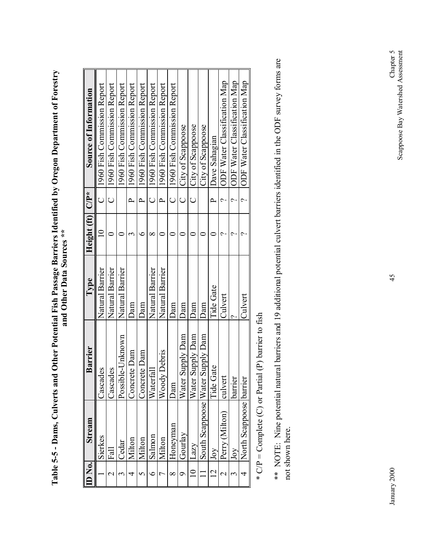| j<br>No.                 | Stream                 | <b>Barrier</b>                   | Type             | Height (ft) C/P* |                  | Source of Information        |
|--------------------------|------------------------|----------------------------------|------------------|------------------|------------------|------------------------------|
|                          | Sierkes                | Jascades                         | Natural Barrier  |                  | $\overline{C}$   | 1960 Fish Commission Report  |
|                          | $_{\rm{E4}}$           | Cascades                         | Natural Barrier  |                  | Ō                | 1960 Fish Commission Report  |
|                          | Cedar                  | ible-Unknown<br>Possi            | Natural Barrier  |                  |                  | 1960 Fish Commission Report  |
|                          | Milton                 | Concrete Dam                     | Dam              |                  | $\mathbf{r}$     | 1960 Fish Commission Report  |
| n                        | Milton                 | Concrete Dam                     | Dam              |                  | ≏                | 1960 Fish Commission Report  |
| ء                        | Salmon                 | Waterfall                        | Natural Barrier  |                  |                  | 1960 Fish Commission Report  |
|                          | Milton                 | Woody Debris                     | Natural Barrier  |                  |                  | 1960 Fish Commission Report  |
| $\infty$                 | Honeyman               | Dam                              | Dam              |                  | $\cup$           | 1960 Fish Commission Report  |
| σ                        | Gourlay                | Water Supply Dam                 | Dam              |                  | Ċ                | City of Scappoose            |
|                          | Lazy                   | Water Supply Dam                 | Dam              |                  | $\mathfrak{c}$ ) | City of Scappoose            |
| $\overline{\phantom{0}}$ |                        | South Scappoose Water Supply Dam | Dam              |                  |                  | City of Scappoose            |
| $\overline{2}$           | Yor                    | Gate<br>ride                     | <b>Tide Gate</b> |                  | $\mathbf{a}$     | Dave Sahagian                |
| $\overline{\mathcal{C}}$ | Perry (Milton)         | culvert                          | Culvert          |                  |                  | ODF Water Classification Map |
| 3                        | λOΛ                    | đ<br>barri                       |                  |                  |                  | ODF Water Classification Map |
| $\overline{4}$           | North Scappoose barrio | ដ                                | Culvert          |                  |                  | ODF Water Classification Map |

Table 5-5 - Dams, Culverts and Other Potential Fish Passage Barriers Identified by Oregon Department of Forestry<br>and Other Data Sources \*\* **Table 5-5 - Dams, Culverts and Other Potential Fish Passage Barriers Identified by Oregon Department of Forestry and Other Data Sources \*\*** 

\*  $C/P =$  Complete (C) or Partial (P) barrier to fish \*  $C/P =$  Complete  $(C)$  or Partial  $(P)$  barrier to fish

\*\* NOTE: Nine potential natural barriers and 19 additional potential culvert barriers identified in the ODF survey forms are \*\* NOTE: Nine potential natural barriers and 19 additional potential culvert barriers identified in the ODF survey forms are not shown here. not shown here.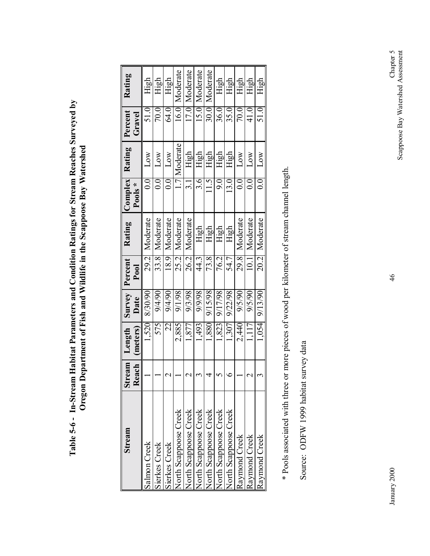**Table 5-6 - In-Stream Habitat Parameters and Condition Ratings for Stream Reaches Surveyed by**  Table 5-6 - In-Stream Habitat Parameters and Condition Ratings for Stream Reaches Surveyed by<br>Oregon Department of Fish and Wildlife in the Scappoose Bay Watershed **Oregon Department of Fish and Wildlife in the Scappoose Bay Watershed** 

| Stream                | <b>Stream</b> | Length   | Survey  | Percent | Rating         | Complex            | Rating       | Percent | Rating        |
|-----------------------|---------------|----------|---------|---------|----------------|--------------------|--------------|---------|---------------|
|                       | Reach         | (meters) | Date    | Pool    |                | Pools <sup>*</sup> |              | Gravel  |               |
| Salmon Creek          |               | 1,520    | 8/30/90 |         | 29.2  Moderate | 0.0                | Low          | 51.0    | High          |
| Sierkes Creek         |               | 575      | 9/4/90  | 33.8    | Moderate       | 0.0                | Low          | 70.0    | High          |
| Sierkes Creek         |               | 22       | 9/4/90  |         | 18.9 Moderate  | 0.0                | Low          | 64.0    | High          |
| North Scappoose Creek |               | 2,885    | 9/1/98  | 25.2    | Moderate       |                    | 1.7 Moderate | 16.0    | Moderate      |
| North Scappoose Creek |               | 1,877    | 9/3/98  | 26.2    | Moderate       | <u>.:</u>          | High         |         | 17.0 Moderate |
| North Scappoose Creek |               | 1,493    | 9/9/98  | 44.3    | High           | 3.6                | High         | 15.0    | Moderate      |
| North Scappoose Creek |               | 1,880    | 9/15/98 | 73.8    | High           | 1.5                | High         | 30.0    | Moderate      |
| North Scappoose Creek |               | 1,823    | 9/17/98 | 76.2    | High           | 9.0                | High         | 36.0    | High          |
| North Scappoose Creek |               | 1,307    | 9/22/98 | 54.7    | High           | 13.0               | High         | 35.0    | High          |
| Raymond Creek         |               | 2,440    | 9/5/90  | 29.8    | Moderate       | $0.0\,$            | Low          | 70.0    | High          |
| Raymond Creek         |               | 1,117    | 9/5/90  | 10.1    | Moderate       | $\overline{0.0}$   | Low          | 41.0    | High          |
| Raymond Creek         |               | 1,054    | 9/13/90 | 20.2    | Moderate       | $0.0\,$            | Low          | 51.0    | High          |
|                       |               |          |         |         |                |                    |              |         |               |

\* Pools associated with three or more pieces of wood per kilometer of stream channel length. \* Pools associated with three or more pieces of wood per kilometer of stream channel length.

Source: ODFW 1999 habitat survey data Source: ODFW 1999 habitat survey data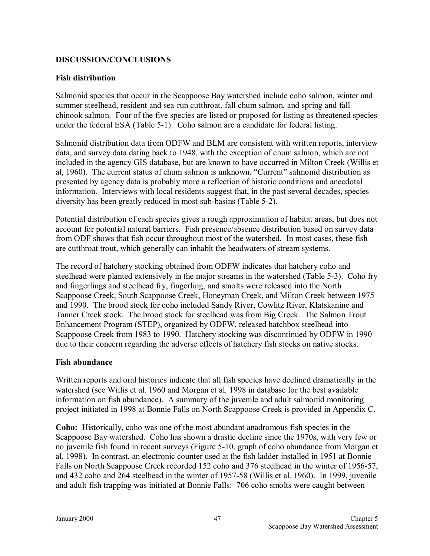#### **DISCUSSION/CONCLUSIONS**

#### **Fish distribution**

Salmonid species that occur in the Scappoose Bay watershed include coho salmon, winter and summer steelhead, resident and sea-run cutthroat, fall chum salmon, and spring and fall chinook salmon. Four of the five species are listed or proposed for listing as threatened species under the federal ESA (Table 5-1). Coho salmon are a candidate for federal listing.

Salmonid distribution data from ODFW and BLM are consistent with written reports, interview data, and survey data dating back to 1948, with the exception of chum salmon, which are not included in the agency GIS database, but are known to have occurred in Milton Creek (Willis et al, 1960). The current status of chum salmon is unknown. "Current" salmonid distribution as presented by agency data is probably more a reflection of historic conditions and anecdotal information. Interviews with local residents suggest that, in the past several decades, species diversity has been greatly reduced in most sub-basins (Table 5-2).

Potential distribution of each species gives a rough approximation of habitat areas, but does not account for potential natural barriers. Fish presence/absence distribution based on survey data from ODF shows that fish occur throughout most of the watershed. In most cases, these fish are cutthroat trout, which generally can inhabit the headwaters of stream systems.

The record of hatchery stocking obtained from ODFW indicates that hatchery coho and steelhead were planted extensively in the major streams in the watershed (Table 5-3). Coho fry and fingerlings and steelhead fry, fingerling, and smolts were released into the North Scappoose Creek, South Scappoose Creek, Honeyman Creek, and Milton Creek between 1975 and 1990. The brood stock for coho included Sandy River, Cowlitz River, Klatskanine and Tanner Creek stock. The brood stock for steelhead was from Big Creek. The Salmon Trout Enhancement Program (STEP), organized by ODFW, released hatchbox steelhead into Scappoose Creek from 1983 to 1990. Hatchery stocking was discontinued by ODFW in 1990 due to their concern regarding the adverse effects of hatchery fish stocks on native stocks.

#### **Fish abundance**

Written reports and oral histories indicate that all fish species have declined dramatically in the watershed (see Willis et al. 1960 and Morgan et al. 1998 in database for the best available information on fish abundance). A summary of the juvenile and adult salmonid monitoring project initiated in 1998 at Bonnie Falls on North Scappoose Creek is provided in Appendix C.

**Coho:** Historically, coho was one of the most abundant anadromous fish species in the Scappoose Bay watershed. Coho has shown a drastic decline since the 1970s, with very few or no juvenile fish found in recent surveys (Figure 5-10, graph of coho abundance from Morgan et al. 1998). In contrast, an electronic counter used at the fish ladder installed in 1951 at Bonnie Falls on North Scappoose Creek recorded 152 coho and 376 steelhead in the winter of 1956-57, and 432 coho and 264 steelhead in the winter of 1957-58 (Willis et al. 1960). In 1999, juvenile and adult fish trapping was initiated at Bonnie Falls: 706 coho smolts were caught between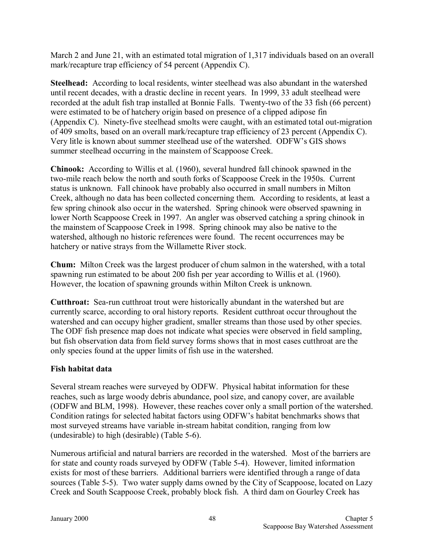March 2 and June 21, with an estimated total migration of 1,317 individuals based on an overall mark/recapture trap efficiency of 54 percent (Appendix C).

**Steelhead:** According to local residents, winter steelhead was also abundant in the watershed until recent decades, with a drastic decline in recent years. In 1999, 33 adult steelhead were recorded at the adult fish trap installed at Bonnie Falls. Twenty-two of the 33 fish (66 percent) were estimated to be of hatchery origin based on presence of a clipped adipose fin (Appendix C). Ninety-five steelhead smolts were caught, with an estimated total out-migration of 409 smolts, based on an overall mark/recapture trap efficiency of 23 percent (Appendix C). Very litle is known about summer steelhead use of the watershed. ODFW's GIS shows summer steelhead occurring in the mainstem of Scappoose Creek.

**Chinook:** According to Willis et al. (1960), several hundred fall chinook spawned in the two-mile reach below the north and south forks of Scappoose Creek in the 1950s. Current status is unknown. Fall chinook have probably also occurred in small numbers in Milton Creek, although no data has been collected concerning them. According to residents, at least a few spring chinook also occur in the watershed. Spring chinook were observed spawning in lower North Scappoose Creek in 1997. An angler was observed catching a spring chinook in the mainstem of Scappoose Creek in 1998. Spring chinook may also be native to the watershed, although no historic references were found. The recent occurrences may be hatchery or native strays from the Willamette River stock.

**Chum:** Milton Creek was the largest producer of chum salmon in the watershed, with a total spawning run estimated to be about 200 fish per year according to Willis et al. (1960). However, the location of spawning grounds within Milton Creek is unknown.

**Cutthroat:** Sea-run cutthroat trout were historically abundant in the watershed but are currently scarce, according to oral history reports. Resident cutthroat occur throughout the watershed and can occupy higher gradient, smaller streams than those used by other species. The ODF fish presence map does not indicate what species were observed in field sampling, but fish observation data from field survey forms shows that in most cases cutthroat are the only species found at the upper limits of fish use in the watershed.

# **Fish habitat data**

Several stream reaches were surveyed by ODFW. Physical habitat information for these reaches, such as large woody debris abundance, pool size, and canopy cover, are available (ODFW and BLM, 1998). However, these reaches cover only a small portion of the watershed. Condition ratings for selected habitat factors using ODFW's habitat benchmarks shows that most surveyed streams have variable in-stream habitat condition, ranging from low (undesirable) to high (desirable) (Table 5-6).

Numerous artificial and natural barriers are recorded in the watershed. Most of the barriers are for state and county roads surveyed by ODFW (Table 5-4). However, limited information exists for most of these barriers. Additional barriers were identified through a range of data sources (Table 5-5). Two water supply dams owned by the City of Scappoose, located on Lazy Creek and South Scappoose Creek, probably block fish. A third dam on Gourley Creek has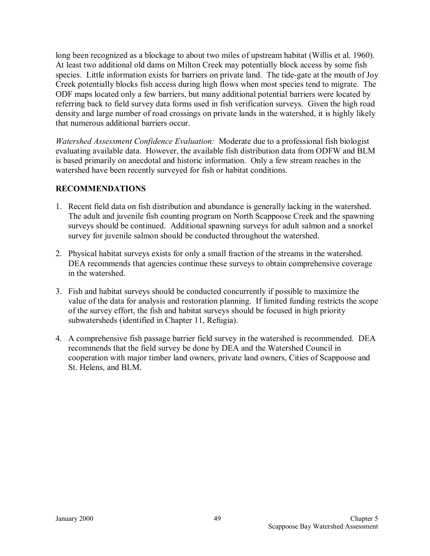long been recognized as a blockage to about two miles of upstream habitat (Willis et al. 1960). At least two additional old dams on Milton Creek may potentially block access by some fish species. Little information exists for barriers on private land. The tide-gate at the mouth of Joy Creek potentially blocks fish access during high flows when most species tend to migrate. The ODF maps located only a few barriers, but many additional potential barriers were located by referring back to field survey data forms used in fish verification surveys. Given the high road density and large number of road crossings on private lands in the watershed, it is highly likely that numerous additional barriers occur.

*Watershed Assessment Confidence Evaluation:* Moderate due to a professional fish biologist evaluating available data. However, the available fish distribution data from ODFW and BLM is based primarily on anecdotal and historic information. Only a few stream reaches in the watershed have been recently surveyed for fish or habitat conditions.

#### **RECOMMENDATIONS**

- 1. Recent field data on fish distribution and abundance is generally lacking in the watershed. The adult and juvenile fish counting program on North Scappoose Creek and the spawning surveys should be continued. Additional spawning surveys for adult salmon and a snorkel survey for juvenile salmon should be conducted throughout the watershed.
- 2. Physical habitat surveys exists for only a small fraction of the streams in the watershed. DEA recommends that agencies continue these surveys to obtain comprehensive coverage in the watershed.
- 3. Fish and habitat surveys should be conducted concurrently if possible to maximize the value of the data for analysis and restoration planning. If limited funding restricts the scope of the survey effort, the fish and habitat surveys should be focused in high priority subwatersheds (identified in Chapter 11, Refugia).
- 4. A comprehensive fish passage barrier field survey in the watershed is recommended. DEA recommends that the field survey be done by DEA and the Watershed Council in cooperation with major timber land owners, private land owners, Cities of Scappoose and St. Helens, and BLM.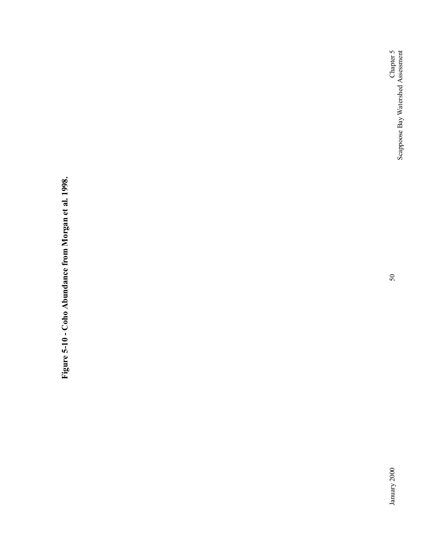**Figure 5-10 - Coho Abundance from Morgan et al. 1998.** Figure 5-10 - Coho Abundance from Morgan et al. 1998.

January  $2000$ 

Chapter 5<br>Scappoose Bay Watershed Assessment January 20000 Chapter 5 Scappoose Bay Watershed Assessment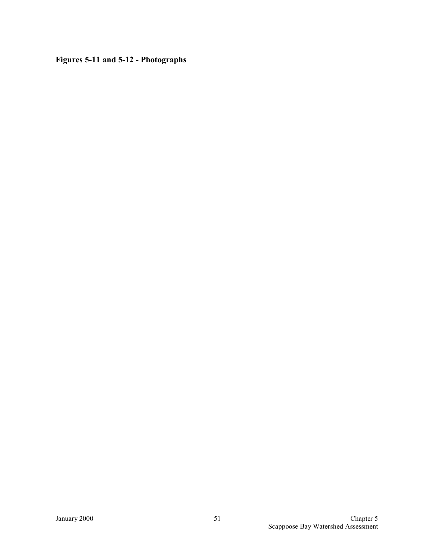**Figures 5-11 and 5-12 - Photographs**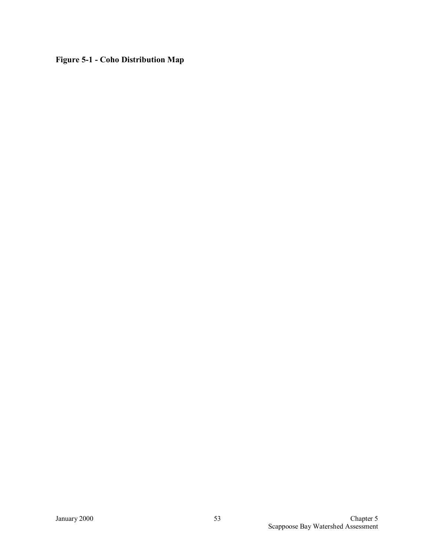**Figure 5-1 - Coho Distribution Map**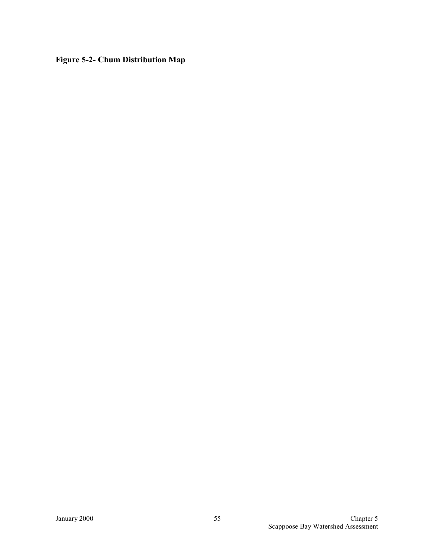# **Figure 5-2- Chum Distribution Map**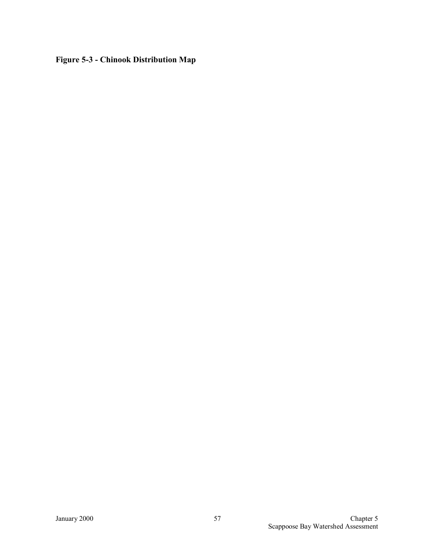# **Figure 5-3 - Chinook Distribution Map**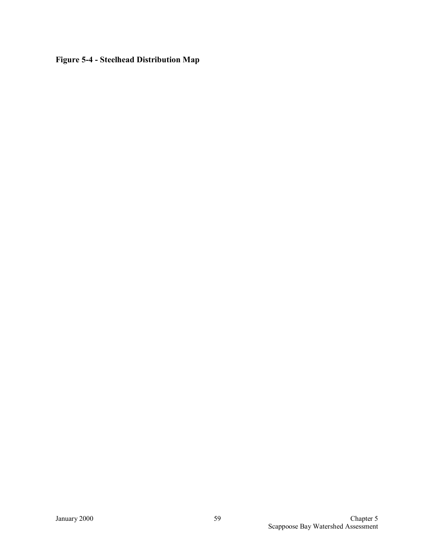# **Figure 5-4 - Steelhead Distribution Map**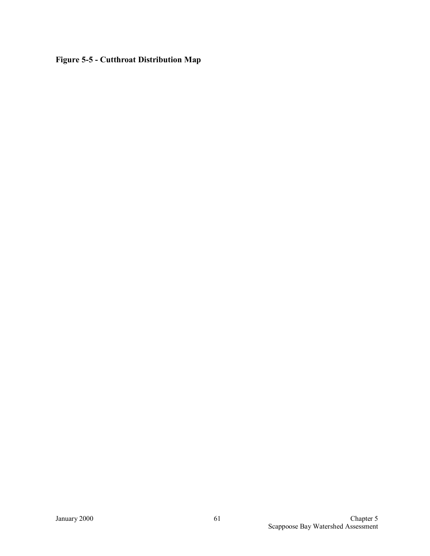# **Figure 5-5 - Cutthroat Distribution Map**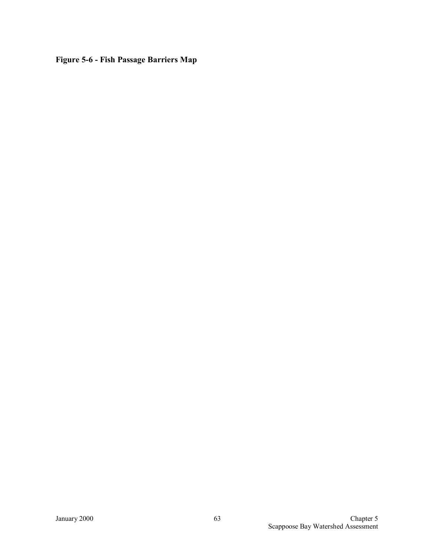**Figure 5-6 - Fish Passage Barriers Map**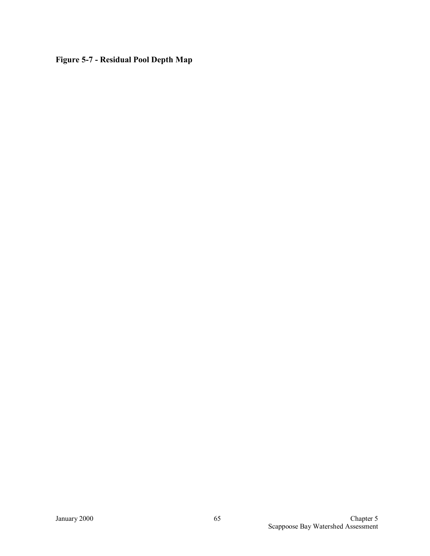**Figure 5-7 - Residual Pool Depth Map**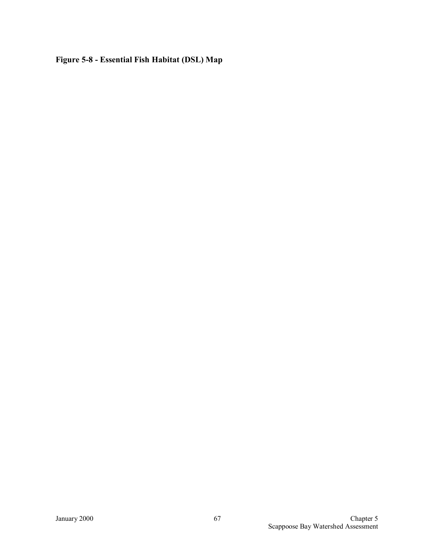**Figure 5-8 - Essential Fish Habitat (DSL) Map**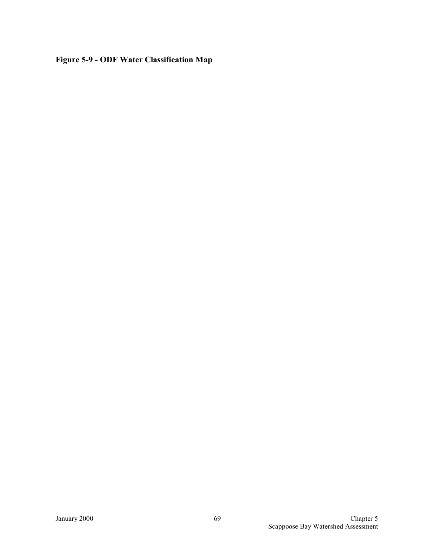**Figure 5-9 - ODF Water Classification Map**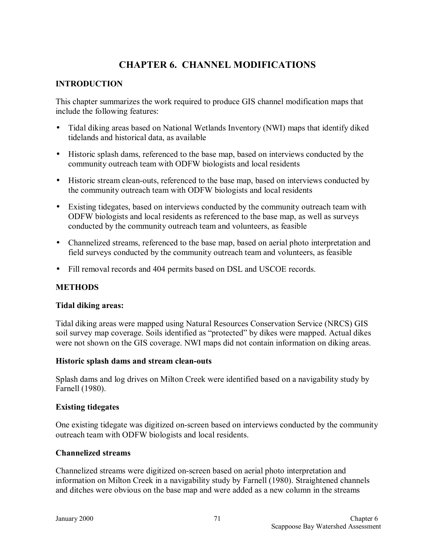## **CHAPTER 6. CHANNEL MODIFICATIONS**

### **INTRODUCTION**

This chapter summarizes the work required to produce GIS channel modification maps that include the following features:

- Tidal diking areas based on National Wetlands Inventory (NWI) maps that identify diked tidelands and historical data, as available
- Historic splash dams, referenced to the base map, based on interviews conducted by the community outreach team with ODFW biologists and local residents
- Historic stream clean-outs, referenced to the base map, based on interviews conducted by the community outreach team with ODFW biologists and local residents
- Existing tidegates, based on interviews conducted by the community outreach team with ODFW biologists and local residents as referenced to the base map, as well as surveys conducted by the community outreach team and volunteers, as feasible
- Channelized streams, referenced to the base map, based on aerial photo interpretation and field surveys conducted by the community outreach team and volunteers, as feasible
- Fill removal records and 404 permits based on DSL and USCOE records.

### **METHODS**

#### **Tidal diking areas:**

Tidal diking areas were mapped using Natural Resources Conservation Service (NRCS) GIS soil survey map coverage. Soils identified as "protected" by dikes were mapped. Actual dikes were not shown on the GIS coverage. NWI maps did not contain information on diking areas.

#### **Historic splash dams and stream clean-outs**

Splash dams and log drives on Milton Creek were identified based on a navigability study by Farnell (1980).

#### **Existing tidegates**

One existing tidegate was digitized on-screen based on interviews conducted by the community outreach team with ODFW biologists and local residents.

#### **Channelized streams**

Channelized streams were digitized on-screen based on aerial photo interpretation and information on Milton Creek in a navigability study by Farnell (1980). Straightened channels and ditches were obvious on the base map and were added as a new column in the streams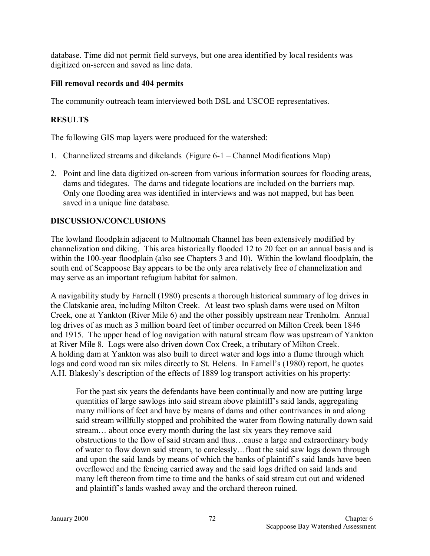database. Time did not permit field surveys, but one area identified by local residents was digitized on-screen and saved as line data.

#### **Fill removal records and 404 permits**

The community outreach team interviewed both DSL and USCOE representatives.

#### **RESULTS**

The following GIS map layers were produced for the watershed:

- 1. Channelized streams and dikelands (Figure  $6-1$  Channel Modifications Map)
- 2. Point and line data digitized on-screen from various information sources for flooding areas, dams and tidegates. The dams and tidegate locations are included on the barriers map. Only one flooding area was identified in interviews and was not mapped, but has been saved in a unique line database.

#### **DISCUSSION/CONCLUSIONS**

The lowland floodplain adjacent to Multnomah Channel has been extensively modified by channelization and diking. This area historically flooded 12 to 20 feet on an annual basis and is within the 100-year floodplain (also see Chapters 3 and 10). Within the lowland floodplain, the south end of Scappoose Bay appears to be the only area relatively free of channelization and may serve as an important refugium habitat for salmon.

A navigability study by Farnell (1980) presents a thorough historical summary of log drives in the Clatskanie area, including Milton Creek. At least two splash dams were used on Milton Creek, one at Yankton (River Mile 6) and the other possibly upstream near Trenholm. Annual log drives of as much as 3 million board feet of timber occurred on Milton Creek been 1846 and 1915. The upper head of log navigation with natural stream flow was upstream of Yankton at River Mile 8. Logs were also driven down Cox Creek, a tributary of Milton Creek. A holding dam at Yankton was also built to direct water and logs into a flume through which logs and cord wood ran six miles directly to St. Helens. In Farnell's (1980) report, he quotes A.H. Blakesly's description of the effects of 1889 log transport activities on his property:

For the past six years the defendants have been continually and now are putting large quantities of large sawlogs into said stream above plaintiff's said lands, aggregating many millions of feet and have by means of dams and other contrivances in and along said stream willfully stopped and prohibited the water from flowing naturally down said stream... about once every month during the last six years they remove said obstructions to the flow of said stream and thus...cause a large and extraordinary body of water to flow down said stream, to carelessly...float the said saw logs down through and upon the said lands by means of which the banks of plaintiff's said lands have been overflowed and the fencing carried away and the said logs drifted on said lands and many left thereon from time to time and the banks of said stream cut out and widened and plaintiff's lands washed away and the orchard thereon ruined.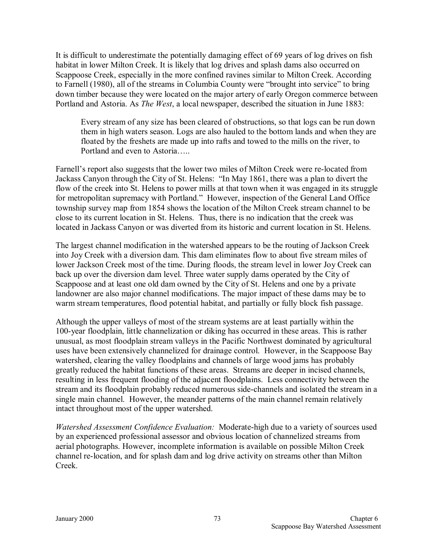It is difficult to underestimate the potentially damaging effect of 69 years of log drives on fish habitat in lower Milton Creek. It is likely that log drives and splash dams also occurred on Scappoose Creek, especially in the more confined ravines similar to Milton Creek. According to Farnell (1980), all of the streams in Columbia County were "brought into service" to bring down timber because they were located on the major artery of early Oregon commerce between Portland and Astoria. As *The West*, a local newspaper, described the situation in June 1883:

Every stream of any size has been cleared of obstructions, so that logs can be run down them in high waters season. Logs are also hauled to the bottom lands and when they are floated by the freshets are made up into rafts and towed to the mills on the river, to Portland and even to Astoria.....

Farnell's report also suggests that the lower two miles of Milton Creek were re-located from Jackass Canyon through the City of St. Helens: "In May 1861, there was a plan to divert the flow of the creek into St. Helens to power mills at that town when it was engaged in its struggle for metropolitan supremacy with Portland." However, inspection of the General Land Office township survey map from 1854 shows the location of the Milton Creek stream channel to be close to its current location in St. Helens. Thus, there is no indication that the creek was located in Jackass Canyon or was diverted from its historic and current location in St. Helens.

The largest channel modification in the watershed appears to be the routing of Jackson Creek into Joy Creek with a diversion dam. This dam eliminates flow to about five stream miles of lower Jackson Creek most of the time. During floods, the stream level in lower Joy Creek can back up over the diversion dam level. Three water supply dams operated by the City of Scappoose and at least one old dam owned by the City of St. Helens and one by a private landowner are also major channel modifications. The major impact of these dams may be to warm stream temperatures, flood potential habitat, and partially or fully block fish passage.

Although the upper valleys of most of the stream systems are at least partially within the 100-year floodplain, little channelization or diking has occurred in these areas. This is rather unusual, as most floodplain stream valleys in the Pacific Northwest dominated by agricultural uses have been extensively channelized for drainage control. However, in the Scappoose Bay watershed, clearing the valley floodplains and channels of large wood jams has probably greatly reduced the habitat functions of these areas. Streams are deeper in incised channels, resulting in less frequent flooding of the adjacent floodplains. Less connectivity between the stream and its floodplain probably reduced numerous side-channels and isolated the stream in a single main channel. However, the meander patterns of the main channel remain relatively intact throughout most of the upper watershed.

*Watershed Assessment Confidence Evaluation:* Moderate-high due to a variety of sources used by an experienced professional assessor and obvious location of channelized streams from aerial photographs. However, incomplete information is available on possible Milton Creek channel re-location, and for splash dam and log drive activity on streams other than Milton Creek.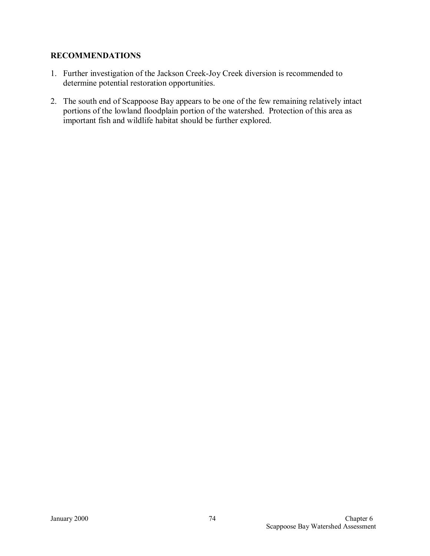#### **RECOMMENDATIONS**

- 1. Further investigation of the Jackson Creek-Joy Creek diversion is recommended to determine potential restoration opportunities.
- 2. The south end of Scappoose Bay appears to be one of the few remaining relatively intact portions of the lowland floodplain portion of the watershed. Protection of this area as important fish and wildlife habitat should be further explored.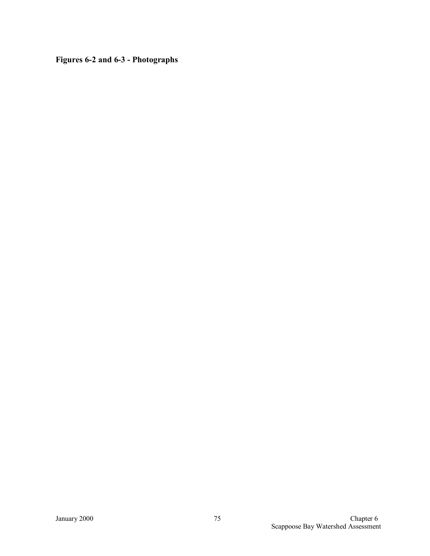**Figures 6-2 and 6-3 - Photographs**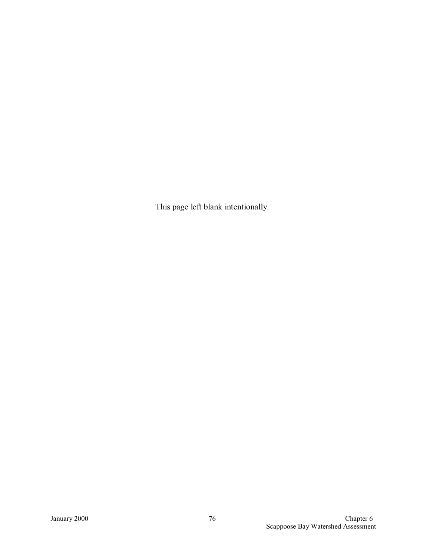This page left blank intentionally.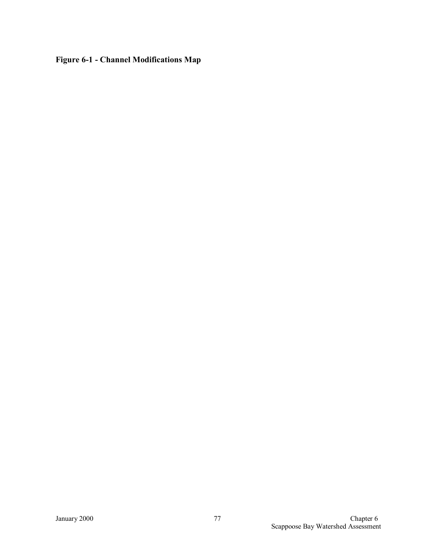**Figure 6-1 - Channel Modifications Map**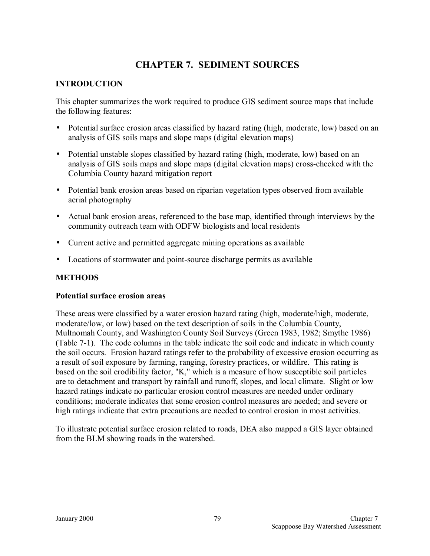## **CHAPTER 7. SEDIMENT SOURCES**

### **INTRODUCTION**

This chapter summarizes the work required to produce GIS sediment source maps that include the following features:

- Potential surface erosion areas classified by hazard rating (high, moderate, low) based on an analysis of GIS soils maps and slope maps (digital elevation maps)
- Potential unstable slopes classified by hazard rating (high, moderate, low) based on an analysis of GIS soils maps and slope maps (digital elevation maps) cross-checked with the Columbia County hazard mitigation report
- Potential bank erosion areas based on riparian vegetation types observed from available aerial photography
- Actual bank erosion areas, referenced to the base map, identified through interviews by the community outreach team with ODFW biologists and local residents
- Current active and permitted aggregate mining operations as available
- Locations of stormwater and point-source discharge permits as available

#### **METHODS**

#### **Potential surface erosion areas**

These areas were classified by a water erosion hazard rating (high, moderate/high, moderate, moderate/low, or low) based on the text description of soils in the Columbia County, Multnomah County, and Washington County Soil Surveys (Green 1983, 1982; Smythe 1986) (Table 7-1). The code columns in the table indicate the soil code and indicate in which county the soil occurs. Erosion hazard ratings refer to the probability of excessive erosion occurring as a result of soil exposure by farming, ranging, forestry practices, or wildfire. This rating is based on the soil erodibility factor, "K," which is a measure of how susceptible soil particles are to detachment and transport by rainfall and runoff, slopes, and local climate. Slight or low hazard ratings indicate no particular erosion control measures are needed under ordinary conditions; moderate indicates that some erosion control measures are needed; and severe or high ratings indicate that extra precautions are needed to control erosion in most activities.

To illustrate potential surface erosion related to roads, DEA also mapped a GIS layer obtained from the BLM showing roads in the watershed.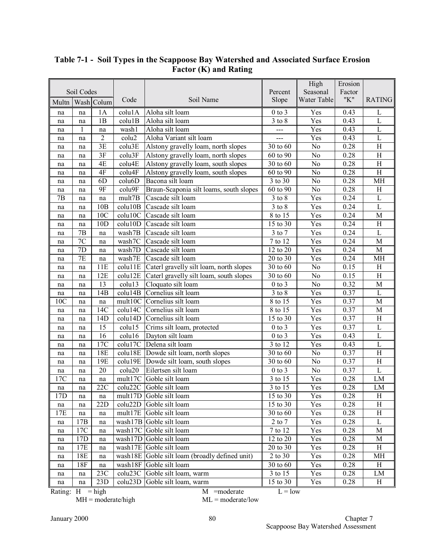|            |              |                      |                 |                                                | High                 | Erosion        |      |                |
|------------|--------------|----------------------|-----------------|------------------------------------------------|----------------------|----------------|------|----------------|
| Soil Codes |              |                      |                 | Percent                                        | Seasonal             | Factor         |      |                |
| Multn      |              | Wash Colum           | Code            | Soil Name                                      | Slope                | Water Table    | "K"  | <b>RATING</b>  |
| na         | na           | 1A                   | colu1A          | Aloha silt loam                                | $0$ to $3$           | Yes            | 0.43 | L              |
| na         | na           | 1B                   | $\text{colu1B}$ | Aloha silt loam                                | $3$ to $8$           | Yes            | 0.43 | $\mathbf L$    |
| na         | $\mathbf{1}$ | na                   | wash1           | Aloha silt loam                                | ---                  | Yes            | 0.43 | $\overline{L}$ |
| na         | na           | $\overline{2}$       | colu2           | Aloha Variant silt loam                        | ---                  | Yes            | 0.43 | $\mathbf L$    |
| na         | na           | 3E                   | colu3E          | Alstony gravelly loam, north slopes            | 30 to 60             | No             | 0.28 | $\overline{H}$ |
| na         | na           | $\overline{3F}$      | colu3F          | Alstony gravelly loam, north slopes            | 60 to 90             | No             | 0.28 | H              |
| na         | na           | 4E                   | colu4E          | Alstony gravelly loam, south slopes            | 30 to 60             | N <sub>o</sub> | 0.28 | H              |
| na         | na           | 4F                   | colu4F          | Alstony gravelly loam, south slopes            | 60 to 90             | N <sub>o</sub> | 0.28 | $\overline{H}$ |
| na         | na           | 6 <sub>D</sub>       | colu6D          | Bacona silt loam                               | 3 to 30              | N <sub>o</sub> | 0.28 | MH             |
| na         | na           | 9F                   | colu9F          | Braun-Scaponia silt loams, south slopes        | 60 to 90             | No             | 0.28 | H              |
| 7B         | na           | na                   | mult7B          | Cascade silt loam                              | $\overline{3}$ to 8  | Yes            | 0.24 | $\mathbf L$    |
| na         | na           | 10B                  | colu10B         | Cascade silt loam                              | $3$ to $8$           | Yes            | 0.24 | $\mathbf L$    |
| na         | na           | 10C                  | colu10C         | Cascade silt loam                              | $\overline{8}$ to 15 | Yes            | 0.24 | $\mathbf M$    |
| na         | na           | 10D                  | colu10D         | Cascade silt loam                              | 15 to 30             | Yes            | 0.24 | H              |
| na         | 7B           | na                   | wash7B          | Cascade silt loam                              | 3 to 7               | Yes            | 0.24 | $\mathbf{L}$   |
| na         | 7C           | na                   | wash7C          | Cascade silt loam                              | 7 to 12              | Yes            | 0.24 | $\overline{M}$ |
| na         | 7D           | na                   | wash7D          | Cascade silt loam                              | 12 to 20             | Yes            | 0.24 | $\mathbf M$    |
| na         | 7E           | na                   | wash7E          | Cascade silt loam                              | 20 to 30             | Yes            | 0.24 | MH             |
| na         | na           | 11E                  | colu11E         | Caterl gravelly silt loam, north slopes        | 30 to 60             | No             | 0.15 | H              |
| na         | na           | 12E                  | colu12E         | Caterl gravelly silt loam, south slopes        | 30 to 60             | No             | 0.15 | $\overline{H}$ |
| na         | na           | 13                   | colu13          | Cloquato silt loam                             | $0$ to $3$           | No             | 0.32 | $\overline{M}$ |
| na         | na           | 14B                  | colu14B         | Cornelius silt loam                            | $3\overline{$ to $8$ | Yes            | 0.37 | L              |
| 10C        | na           | na                   | mult10C         | Cornelius silt loam                            | 8 to 15              | Yes            | 0.37 | $\mathbf M$    |
| na         | na           | 14C                  | colu14C         | Cornelius silt loam                            | 8 to 15              | Yes            | 0.37 | $\mathbf M$    |
| na         | na           | 14D                  | colu14D         | Cornelius silt loam                            | 15 to 30             | Yes            | 0.37 | $\overline{H}$ |
| na         | na           | 15                   | colu15          | Crims silt loam, protected                     | $0$ to $3$           | Yes            | 0.37 | $\mathbf L$    |
| na         | na           | 16                   | colu16          | Dayton silt loam                               | $0$ to $3$           | Yes            | 0.43 | $\overline{L}$ |
| na         | na           | 17C                  | colu17C         | Delena silt loam                               | 3 to 12              | Yes            | 0.43 | $\overline{L}$ |
| na         | na           | <b>18E</b>           | colu18E         | Dowde silt loam, north slopes                  | 30 to 60             | No             | 0.37 | $\overline{H}$ |
| na         | na           | 19E                  | colu19E         | Dowde silt loam, south slopes                  | 30 to 60             | No             | 0.37 | $\overline{H}$ |
| na         | na           | 20                   | colu20          | Eilertsen silt loam                            | $0$ to $3$           | N <sub>o</sub> | 0.37 | L              |
| 17C        | na           | na                   | mult17C         | Goble silt loam                                | $\overline{3}$ to 15 | Yes            | 0.28 | ${\rm LM}$     |
| na         | na           | 22C                  | colu22C         | Goble silt loam                                | 3 to 15              | Yes            | 0.28 | LM             |
| 17D        | na           | na                   |                 | mult17D Goble silt loam                        | 15 to 30             | Yes            | 0.28 | H              |
| na         | na           | 22D                  | colu22D         | Goble silt loam                                | 15 to 30             | Yes            | 0.28 | H              |
| 17E        | na           | na                   | mult17E         | Goble silt loam                                | 30 to 60             | Yes            | 0.28 | H              |
| na         | 17B          | na                   |                 | wash17B Goble silt loam                        | 2 to 7               | Yes            | 0.28 | L              |
| na         | 17C          | na                   |                 | wash17C Goble silt loam                        | 7 to 12              | Yes            | 0.28 | $\mathbf M$    |
| na         | 17D          | na                   | wash17D         | Goble silt loam                                | 12 to 20             | Yes            | 0.28 | M              |
| na         | 17E          | na                   | wash17E         | Goble silt loam                                | 20 to 30             | Yes            | 0.28 | H              |
| na         | 18E          | na                   |                 | wash18E Goble silt loam (broadly defined unit) | 2 to 30              | Yes            | 0.28 | MH             |
| na         | 18F          | na                   | wash18F         | Goble silt loam                                | 30 to 60             | Yes            | 0.28 | H              |
| na         | na           | 23C                  | colu23C         | Goble silt loam, warm                          | 3 to 15              | Yes            | 0.28 | LM             |
| na         | na           | 23D                  | colu23D         | Goble silt loam, warm                          | 15 to 30             | Yes            | 0.28 | H              |
| Rating: H  |              | $=$ high             |                 | $M$ =moderate                                  | $L =$ low            |                |      |                |
|            |              | $MH = moderate/high$ |                 | $ML = moderate/low$                            |                      |                |      |                |

#### **Table 7-1 - Soil Types in the Scappoose Bay Watershed and Associated Surface Erosion Factor (K) and Rating**

 $MH = moderate/high$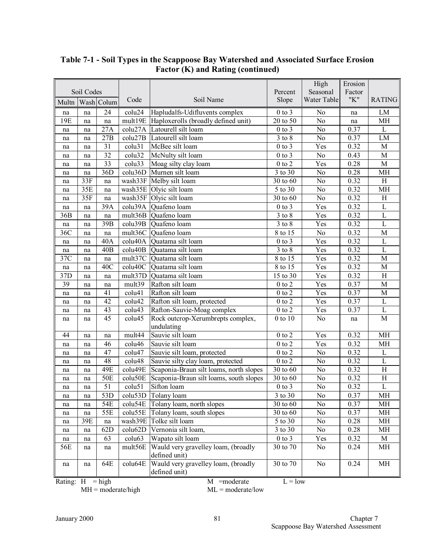| Soil Codes |     |                 |                   | Percent                                                          | High<br>Seasonal      | Erosion<br>Factor |      |                                  |
|------------|-----|-----------------|-------------------|------------------------------------------------------------------|-----------------------|-------------------|------|----------------------------------|
| Multn      |     | Wash Colum      | Code<br>Soil Name |                                                                  | Slope                 | Water Table       | "K"  | <b>RATING</b>                    |
| na         | na  | 24              | colu24            | Hapludalfs-Udifluvents complex                                   | $\overline{0}$ to 3   | No                | na   | LM                               |
| 19E        | na  | na              | mult19E           | Haploxerolls (broadly defined unit)                              | 20 to $\overline{50}$ | No                | na   | MH                               |
| na         | na  | 27A             | colu27A           | Latourell silt loam                                              | $0$ to $3$            | No                | 0.37 | $\mathbf{L}$                     |
| na         | na  | 27B             | colu27B           | Latourell silt loam                                              | $3$ to $8$            | No                | 0.37 | LM                               |
| na         | na  | $\overline{31}$ | colu31            | McBee silt loam                                                  | $0$ to $3$            | Yes               | 0.32 | $\mathbf M$                      |
| na         | na  | 32              | colu32            | McNulty silt loam                                                | $0$ to $3$            | No                | 0.43 | $\mathbf M$                      |
| na         | na  | $\overline{33}$ | colu33            | Moag silty clay loam                                             | $0$ to $2\,$          | Yes               | 0.28 | $\mathbf M$                      |
| na         | na  | 36D             | colu36D           | Murnen silt loam                                                 | 3 to 30               | No                | 0.28 | MH                               |
| na         | 33F | na              | wash33F           | Melby silt loam                                                  | 30 to 60              | No                | 0.32 | H                                |
| na         | 35E | na              | wash35E           | Olyic silt loam                                                  | 5 to 30               | No                | 0.32 | MH                               |
| na         | 35F | na              | wash35F           | Olyic silt loam                                                  | 30 to 60              | No                | 0.32 | $\boldsymbol{\mathrm{H}}$        |
| na         | na  | 39A             | colu39A           | Quafeno loam                                                     | $0 \text{ to } 3$     | Yes               | 0.32 | $\mathbf L$                      |
| 36B        | na  | na              |                   | mult36B Quafeno loam                                             | $3 \text{ to } 8$     | Yes               | 0.32 | $\mathbf L$                      |
| na         | na  | 39B             | colu39B           | Quafeno loam                                                     | $3$ to $8$            | Yes               | 0.32 | $\mathbf L$                      |
| 36C        | na  | na              | mult36C           | <b>Ouafeno</b> loam                                              | 8 to 15               | No                | 0.32 | M                                |
| na         | na  | 40A             | colu40A           | Quatama silt loam                                                | $0$ to $3$            | Yes               | 0.32 | $\mathbf{L}$                     |
| na         | na  | 40 <sub>B</sub> | colu40B           | Quatama silt loam                                                | $\overline{3}$ to 8   | Yes               | 0.32 | $\mathbf L$                      |
| 37C        | na  | na              | mult37C           | Quatama silt loam                                                | 8 to 15               | Yes               | 0.32 | M                                |
| na         | na  | 40C             | colu40C           | Quatama silt loam                                                | 8 to 15               | Yes               | 0.32 | $\overline{M}$                   |
| 37D        | na  | na              | mult37D           | Quatama silt loam                                                | 15 to 30              | Yes               | 0.32 | $\overline{H}$                   |
| 39         | na  | na              | mult39            | Rafton silt loam                                                 | $0$ to $2$            | Yes               | 0.37 | M                                |
| na         | na  | 41              | colu41            | Rafton silt loam                                                 | $0$ to $2$            | Yes               | 0.37 | $\overline{M}$                   |
| na         | na  | 42              | colu42            | Rafton silt loam, protected                                      | $0$ to $2\,$          | Yes               | 0.37 | $\mathbf L$                      |
| na         | na  | 43              | colu43            | Rafton-Sauvie-Moag complex                                       | $0$ to $\overline{2}$ | Yes               | 0.37 | $\overline{L}$                   |
| na         | na  | $\overline{45}$ | colu45            | Rock outcrop-Xerumbrepts complex,<br>undulating                  | $0$ to $10$           | No                | na   | $\overline{M}$                   |
| 44         |     |                 |                   | Sauvie silt loam                                                 | $0$ to $2\,$          | Yes               | 0.32 | MH                               |
|            | na  | na<br>46        | mult44<br>colu46  | Sauvie silt loam                                                 | $0 \text{ to } 2$     | Yes               | 0.32 | MH                               |
| na         | na  | 47              | colu47            |                                                                  | $0$ to $2\,$          | No                | 0.32 |                                  |
| na         | na  | 48              | colu48            | Sauvie silt loam, protected<br>Sauvie silty clay loam, protected | $0$ to $2$            | No                | 0.32 | $\mathbf L$<br>$\overline{L}$    |
| na         | na  | 49E             | colu49E           | Scaponia-Braun silt loams, north slopes                          | 30 to 60              | No                | 0.32 | $\rm H$                          |
| na         | na  | 50E             | colu50E           | Scaponia-Braun silt loams, south slopes                          | 30 to 60              | No                | 0.32 | $\rm H$                          |
| na         | na  | $\overline{51}$ | colu51            | Sifton loam                                                      | $0$ to $3$            | No                | 0.32 | $\mathbf L$                      |
| na         | na  |                 |                   |                                                                  |                       |                   |      |                                  |
| na         | na  | 53D<br>54E      | colu53D           | Tolany loam                                                      | 3 to 30               | No                | 0.37 | МH                               |
| na         | na  | 55E             | colu54E           | Tolany loam, north slopes                                        | 30 to 60              | No                | 0.37 | MH<br>$\mathop{\rm MH}\nolimits$ |
| na         | na  |                 | colu55E           | Tolany loam, south slopes                                        | 30 to 60              | No                | 0.37 |                                  |
| na         | 39E | na              | wash39E           | Tolke silt loam                                                  | 5 to 30               | No                | 0.28 | MH                               |
| na         | na  | 62D             | colu62D           | Vernonia silt loam,                                              | 3 to 30               | No                | 0.28 | $\mathop{\rm MH}\nolimits$       |
| na         | na  | 63              | colu63            | Wapato silt loam                                                 | $0$ to $3$            | Yes               | 0.32 | M                                |
| 56E        | na  | na              | mult56E           | Wauld very gravelley loam, (broadly<br>defined unit)             | 30 to 70              | No                | 0.24 | MH                               |
| na         | na  | 64E             | colu64E           | Wauld very gravelley loam, (broadly<br>defined unit)             | 30 to 70              | $\overline{No}$   | 0.24 | MH                               |

### **Table 7-1 - Soil Types in the Scappoose Bay Watershed and Associated Surface Erosion Factor (K) and Rating (continued)**

Rating:  $H = high$ <br>MH = moderate/high ML = moderate/low L = low

 $MH = moderate/high$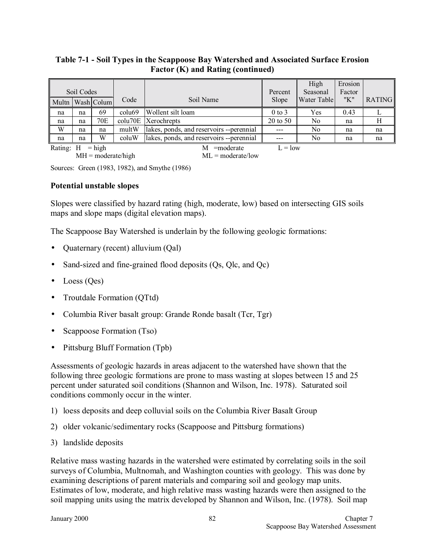### **Table 7-1 - Soil Types in the Scappoose Bay Watershed and Associated Surface Erosion Factor (K) and Rating (continued)**

|            |                              |            |        |                                          |            | High           | Erosion |               |
|------------|------------------------------|------------|--------|------------------------------------------|------------|----------------|---------|---------------|
| Soil Codes |                              |            |        |                                          | Percent    | Seasonal       | Factor  |               |
|            | Code<br>Multn   Wash   Colum |            |        | Soil Name                                | Slope      | Water Table    | "K"     | <b>RATING</b> |
| na         | na                           | 69         | colu69 | Wollent silt loam                        | $0$ to $3$ | Yes            | 0.43    |               |
| na         | na                           | <b>70E</b> |        | colu70E Xerochrepts                      | 20 to 50   | N <sub>0</sub> | na      | Н             |
| W          | na                           | na         | multW  | lakes, ponds, and reservoirs --perennial |            | No             | na      | na            |
| na         | na                           | W          | coluW  | lakes, ponds, and reservoirs --perennial |            | No             | na      | na            |
| Rating:    | H                            | $=$ high   |        | $=$ moderate<br>М                        | $L = low$  |                |         |               |

 $MH = moderate/high$   $ML = moderate/low$ 

Sources: Green (1983, 1982), and Smythe (1986)

#### **Potential unstable slopes**

Slopes were classified by hazard rating (high, moderate, low) based on intersecting GIS soils maps and slope maps (digital elevation maps).

The Scappoose Bay Watershed is underlain by the following geologic formations:

- Quaternary (recent) alluvium (Qal)
- Sand-sized and fine-grained flood deposits (Qs, Qlc, and Qc)
- Loess (Qes)
- Troutdale Formation (QTtd)
- Columbia River basalt group: Grande Ronde basalt (Tcr, Tgr)
- Scappoose Formation (Tso)
- Pittsburg Bluff Formation (Tpb)

Assessments of geologic hazards in areas adjacent to the watershed have shown that the following three geologic formations are prone to mass wasting at slopes between 15 and 25 percent under saturated soil conditions (Shannon and Wilson, Inc. 1978). Saturated soil conditions commonly occur in the winter.

- 1) loess deposits and deep colluvial soils on the Columbia River Basalt Group
- 2) older volcanic/sedimentary rocks (Scappoose and Pittsburg formations)
- 3) landslide deposits

Relative mass wasting hazards in the watershed were estimated by correlating soils in the soil surveys of Columbia, Multnomah, and Washington counties with geology. This was done by examining descriptions of parent materials and comparing soil and geology map units. Estimates of low, moderate, and high relative mass wasting hazards were then assigned to the soil mapping units using the matrix developed by Shannon and Wilson, Inc. (1978). Soil map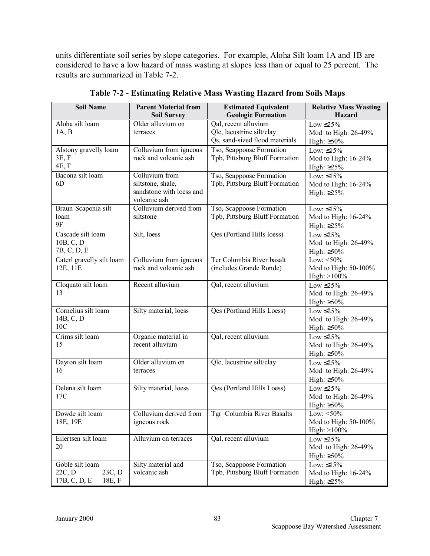units differentiate soil series by slope categories. For example, Aloha Silt loam 1A and 1B are considered to have a low hazard of mass wasting at slopes less than or equal to 25 percent. The results are summarized in Table 7-2.

| <b>Soil Name</b>          | <b>Parent Material from</b> | <b>Estimated Equivalent</b>    | <b>Relative Mass Wasting</b> |  |
|---------------------------|-----------------------------|--------------------------------|------------------------------|--|
|                           | <b>Soil Survey</b>          | <b>Geologic Formation</b>      | Hazard                       |  |
| Aloha silt loam           | Older alluvium on           | Qal, recent alluvium           | Low $\leq$ 25%               |  |
| 1A, B                     | terraces                    | Qlc, lacustrine silt/clay      | Mod to High: 26-49%          |  |
|                           |                             | Qs, sand-sized flood materials | High: $\geq 50\%$            |  |
| Alstony gravelly loam     | Colluvium from igneous      | Tso, Scappoose Formation       | Low: $\leq 15\%$             |  |
| 3E, F                     | rock and volcanic ash       | Tpb, Pittsburg Bluff Formation | Mod to High: 16-24%          |  |
| 4E, F                     |                             |                                | High: $\geq$ 25%             |  |
| Bacona silt loam          | Colluvium from              | Tso, Scappoose Formation       | Low: $\leq 15\%$             |  |
| 6D                        | siltstone, shale,           | Tpb, Pittsburg Bluff Formation | Mod to High: 16-24%          |  |
|                           | sandstone with loess and    |                                | High: $\geq$ 25%             |  |
|                           | volcanic ash                |                                |                              |  |
| Braun-Scaponia silt       | Colluvium derived from      | Tso, Scappoose Formation       | Low: $\leq 15\%$             |  |
| loam                      | siltstone                   | Tpb, Pittsburg Bluff Formation | Mod to High: 16-24%          |  |
| 9F                        |                             |                                | High: $\geq$ 25%             |  |
| Cascade silt loam         | Silt, loess                 | Qes (Portland Hills loess)     | Low $\leq$ 25%               |  |
| 10B, C, D                 |                             |                                | Mod to High: 26-49%          |  |
| 7B, C, D, E               |                             |                                | High: $\geq 50\%$            |  |
| Caterl gravelly silt loam | Colluvium from igneous      | Ter Columbia River basalt      | Low: $\overline{50\%}$       |  |
| 12E, 11E                  | rock and volcanic ash       | (includes Grande Ronde)        | Mod to High: 50-100%         |  |
|                           |                             |                                | High: $>100\%$               |  |
| Cloquato silt loam        | Recent alluvium             | Qal, recent alluvium           | Low $\leq 25\%$              |  |
| 13                        |                             |                                | Mod to High: 26-49%          |  |
|                           |                             |                                | High: $\geq 50\%$            |  |
| Cornelius silt loam       | Silty material, loess       | Qes (Portland Hills Loess)     | Low $\leq$ 25%               |  |
| 14B, C, D                 |                             |                                | Mod to High: 26-49%          |  |
| 10C                       |                             |                                | High: $\geq 50\%$            |  |
| Crims silt loam           | Organic material in         | Qal, recent alluvium           | Low $\leq$ 25%               |  |
| 15                        | recent alluvium             |                                | Mod to High: 26-49%          |  |
|                           |                             |                                | High: $\geq 50\%$            |  |
| Dayton silt loam          | Older alluvium on           | Qlc, lacustrine silt/clay      | Low $\leq$ 25%               |  |
| 16                        | terraces                    |                                | Mod to High: 26-49%          |  |
|                           |                             |                                | High: $\geq 50\%$            |  |
| Delena silt loam          | Silty material, loess       | Qes (Portland Hills Loess)     | Low $\leq$ 25%               |  |
| 17C                       |                             |                                | Mod to High: 26-49%          |  |
|                           |                             |                                | High: $\geq 50\%$            |  |
| Dowde silt loam           | Colluvium derived from      | Tgr Columbia River Basalts     | Low: $<$ 50%                 |  |
| 18E, 19E                  | igneous rock                |                                | Mod to High: 50-100%         |  |
|                           |                             |                                | High: $>100\%$               |  |
| Eilertsen silt loam       | Alluvium on terraces        | Qal, recent alluvium           | Low $\leq$ 25%               |  |
| 20                        |                             |                                | Mod to High: 26-49%          |  |
|                           |                             |                                | High: $\geq 50\%$            |  |
| Goble silt loam           | Silty material and          | Tso, Scappoose Formation       | Low: $\leq 15\%$             |  |
| 23C, D<br>22C, D          | volcanic ash                | Tpb, Pittsburg Bluff Formation | Mod to High: 16-24%          |  |
| 17B, C, D, E<br>18E, F    |                             |                                | High: ≥25%                   |  |

**Table 7-2 - Estimating Relative Mass Wasting Hazard from Soils Maps**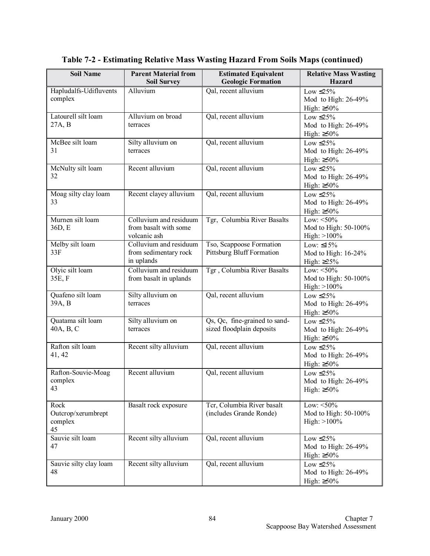| <b>Soil Name</b>                            | <b>Parent Material from</b><br><b>Soil Survey</b>               | <b>Estimated Equivalent</b><br><b>Geologic Formation</b>                               | <b>Relative Mass Wasting</b><br><b>Hazard</b>               |
|---------------------------------------------|-----------------------------------------------------------------|----------------------------------------------------------------------------------------|-------------------------------------------------------------|
| Hapludalfs-Udifluvents<br>complex           | Alluvium                                                        | Qal, recent alluvium                                                                   | Low $\leq$ 25%<br>Mod to High: 26-49%<br>High: $\geq 50\%$  |
| Latourell silt loam<br>27A, B               | Alluvium on broad<br>terraces                                   | Qal, recent alluvium                                                                   | Low $\leq$ 25%<br>Mod to High: 26-49%<br>High: $\geq 50\%$  |
| McBee silt loam<br>31                       | Silty alluvium on<br>terraces                                   | Qal, recent alluvium                                                                   | Low $\leq$ 25%<br>Mod to High: 26-49%<br>High: $\geq 50\%$  |
| McNulty silt loam<br>32                     | Recent alluvium                                                 | Qal, recent alluvium                                                                   | Low $\leq$ 25%<br>Mod to High: 26-49%<br>High: $\geq 50\%$  |
| Moag silty clay loam<br>33                  | Recent clayey alluvium                                          | Qal, recent alluvium                                                                   | Low $\leq$ 25%<br>Mod to High: 26-49%<br>High: $\geq 50\%$  |
| Murnen silt loam<br>36D, E                  | Colluvium and residuum<br>from basalt with some<br>volcanic ash | Tgr, Columbia River Basalts                                                            | Low: $<$ 50%<br>Mod to High: 50-100%<br>High: $>100\%$      |
| Melby silt loam<br>33F                      | Colluvium and residuum<br>from sedimentary rock<br>in uplands   | Tso, Scappoose Formation<br>Pittsburg Bluff Formation                                  | Low: $\leq 15\%$<br>Mod to High: 16-24%<br>High: $\geq$ 25% |
| Olyic silt loam<br>35E, F                   | Colluvium and residuum<br>from basalt in uplands                | Tgr, Columbia River Basalts                                                            | Low: $\leq 50\%$<br>Mod to High: 50-100%<br>High: $>100\%$  |
| Quafeno silt loam<br>39A, B                 | Silty alluvium on<br>terraces                                   | Qal, recent alluvium                                                                   | Low $\leq$ 25%<br>Mod to High: 26-49%<br>High: $\geq 50\%$  |
| Quatama silt loam<br>40A, B, C              | Silty alluvium on<br>terraces                                   | $\overline{Qs}$ , $\overline{Qc}$ , fine-grained to sand-<br>sized floodplain deposits | Low $\leq$ 25%<br>Mod to High: 26-49%<br>High: $\geq 50\%$  |
| Rafton silt loam<br>41, 42                  | Recent silty alluvium                                           | Qal, recent alluvium                                                                   | Low $\leq$ 25%<br>Mod to High: 26-49%<br>High: $\geq 50\%$  |
| Rafton-Souvie-Moag<br>complex<br>43         | Recent alluvium                                                 | Qal, recent alluvium                                                                   | Low $\leq$ 25%<br>Mod to High: 26-49%<br>High: $\geq 50\%$  |
| Rock<br>Outcrop/xerumbrept<br>complex<br>45 | Basalt rock exposure                                            | Tcr, Columbia River basalt<br>(includes Grande Ronde)                                  | Low: $\leq 50\%$<br>Mod to High: 50-100%<br>High: $>100\%$  |
| Sauvie silt loam<br>47                      | Recent silty alluvium                                           | Qal, recent alluvium                                                                   | Low $\leq$ 25%<br>Mod to High: 26-49%<br>High: $\geq 50\%$  |
| Sauvie silty clay loam<br>48                | Recent silty alluvium                                           | Qal, recent alluvium                                                                   | Low $\leq$ 25%<br>Mod to High: 26-49%<br>High: $\geq 50\%$  |

# **Table 7-2 - Estimating Relative Mass Wasting Hazard From Soils Maps (continued)**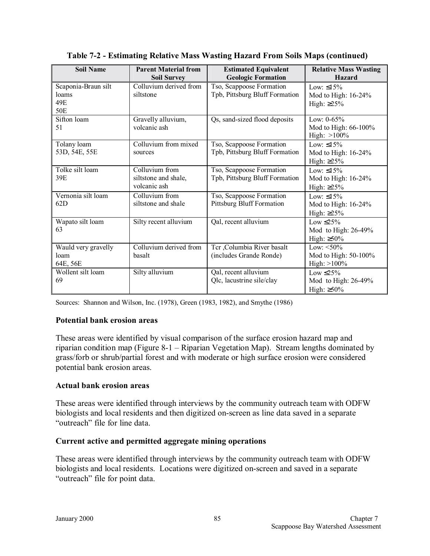| <b>Soil Name</b>    | <b>Parent Material from</b> | <b>Estimated Equivalent</b>    | <b>Relative Mass Wasting</b><br><b>Hazard</b> |
|---------------------|-----------------------------|--------------------------------|-----------------------------------------------|
|                     | <b>Soil Survey</b>          | <b>Geologic Formation</b>      |                                               |
| Scaponia-Braun silt | Colluvium derived from      | Tso, Scappoose Formation       | Low: $\leq 15\%$                              |
| loams               | siltstone                   | Tpb, Pittsburg Bluff Formation | Mod to High: 16-24%                           |
| 49E                 |                             |                                | High: $\geq$ 25%                              |
| 50E                 |                             |                                |                                               |
| Sifton loam         | Gravelly alluvium,          | Qs, sand-sized flood deposits  | Low: $0-65%$                                  |
| 51                  | volcanic ash                |                                | Mod to High: 66-100%                          |
|                     |                             |                                | High: $>100\%$                                |
| Tolany loam         | Colluvium from mixed        | Tso, Scappoose Formation       | Low: $\leq 15\%$                              |
| 53D, 54E, 55E       | sources                     | Tpb, Pittsburg Bluff Formation | Mod to High: 16-24%                           |
|                     |                             |                                | High: $\geq$ 25%                              |
| Tolke silt loam     | Colluvium from              | Tso, Scappoose Formation       | Low: $\leq 15\%$                              |
| 39E                 | siltstone and shale,        | Tpb, Pittsburg Bluff Formation | Mod to High: 16-24%                           |
|                     | volcanic ash                |                                | High: $\geq$ 25%                              |
| Vernonia silt loam  | Colluvium from              | Tso, Scappoose Formation       | Low: $\leq 15\%$                              |
| 62D                 | siltstone and shale         | Pittsburg Bluff Formation      | Mod to High: 16-24%                           |
|                     |                             |                                | High: $\geq$ 25%                              |
| Wapato silt loam    | Silty recent alluvium       | Qal, recent alluvium           | Low $\leq 25\%$                               |
| 63                  |                             |                                | Mod to High: 26-49%                           |
|                     |                             |                                | High: $\geq$ 50%                              |
| Wauld very gravelly | Colluvium derived from      | Tcr ,Columbia River basalt     | Low: $\leq 50\%$                              |
| loam                | basalt                      | (includes Grande Ronde)        | Mod to High: 50-100%                          |
| 64E, 56E            |                             |                                | High: $>100\%$                                |
| Wollent silt loam   | Silty alluvium              | Qal, recent alluvium           | Low $\leq$ 25%                                |
| 69                  |                             | Qlc, lacustrine sile/clay      | Mod to High: 26-49%                           |
|                     |                             |                                | High: $\geq 50\%$                             |

|  |  |  | Table 7-2 - Estimating Relative Mass Wasting Hazard From Soils Maps (continued) |
|--|--|--|---------------------------------------------------------------------------------|
|  |  |  |                                                                                 |

Sources: Shannon and Wilson, Inc. (1978), Green (1983, 1982), and Smythe (1986)

#### **Potential bank erosion areas**

These areas were identified by visual comparison of the surface erosion hazard map and riparian condition map (Figure 8-1 – Riparian Vegetation Map). Stream lengths dominated by grass/forb or shrub/partial forest and with moderate or high surface erosion were considered potential bank erosion areas.

#### **Actual bank erosion areas**

These areas were identified through interviews by the community outreach team with ODFW biologists and local residents and then digitized on-screen as line data saved in a separate "outreach" file for line data

#### **Current active and permitted aggregate mining operations**

These areas were identified through interviews by the community outreach team with ODFW biologists and local residents. Locations were digitized on-screen and saved in a separate "outreach" file for point data.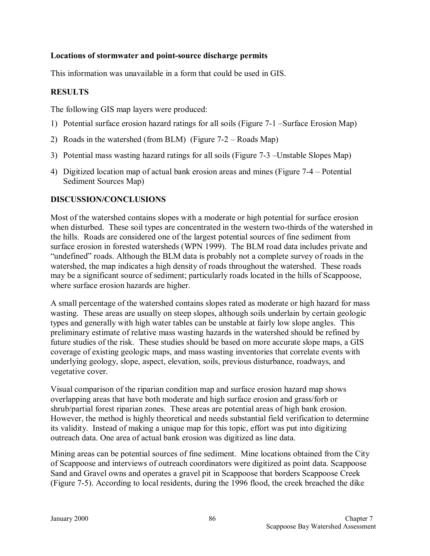#### **Locations of stormwater and point-source discharge permits**

This information was unavailable in a form that could be used in GIS.

### **RESULTS**

The following GIS map layers were produced:

- 1) Potential surface erosion hazard ratings for all soils (Figure 7-1 Surface Erosion Map)
- 2) Roads in the watershed (from BLM) (Figure  $7-2$  Roads Map)
- 3) Potential mass wasting hazard ratings for all soils (Figure  $7-3$  –Unstable Slopes Map)
- 4) Digitized location map of actual bank erosion areas and mines (Figure  $7-4$  Potential Sediment Sources Map)

### **DISCUSSION/CONCLUSIONS**

Most of the watershed contains slopes with a moderate or high potential for surface erosion when disturbed. These soil types are concentrated in the western two-thirds of the watershed in the hills. Roads are considered one of the largest potential sources of fine sediment from surface erosion in forested watersheds (WPN 1999). The BLM road data includes private and "undefined" roads. Although the BLM data is probably not a complete survey of roads in the watershed, the map indicates a high density of roads throughout the watershed. These roads may be a significant source of sediment; particularly roads located in the hills of Scappoose, where surface erosion hazards are higher.

A small percentage of the watershed contains slopes rated as moderate or high hazard for mass wasting. These areas are usually on steep slopes, although soils underlain by certain geologic types and generally with high water tables can be unstable at fairly low slope angles. This preliminary estimate of relative mass wasting hazards in the watershed should be refined by future studies of the risk. These studies should be based on more accurate slope maps, a GIS coverage of existing geologic maps, and mass wasting inventories that correlate events with underlying geology, slope, aspect, elevation, soils, previous disturbance, roadways, and vegetative cover.

Visual comparison of the riparian condition map and surface erosion hazard map shows overlapping areas that have both moderate and high surface erosion and grass/forb or shrub/partial forest riparian zones. These areas are potential areas of high bank erosion. However, the method is highly theoretical and needs substantial field verification to determine its validity. Instead of making a unique map for this topic, effort was put into digitizing outreach data. One area of actual bank erosion was digitized as line data.

Mining areas can be potential sources of fine sediment. Mine locations obtained from the City of Scappoose and interviews of outreach coordinators were digitized as point data. Scappoose Sand and Gravel owns and operates a gravel pit in Scappoose that borders Scappoose Creek (Figure 7-5). According to local residents, during the 1996 flood, the creek breached the dike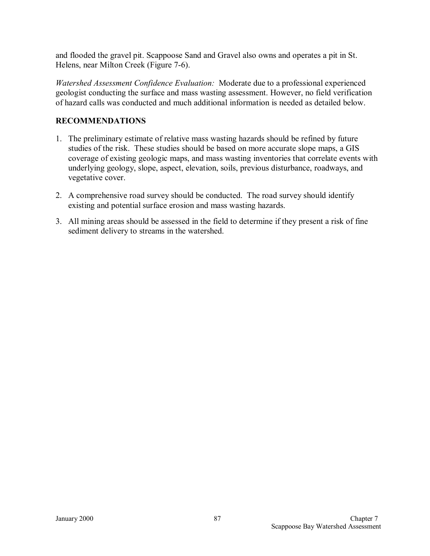and flooded the gravel pit. Scappoose Sand and Gravel also owns and operates a pit in St. Helens, near Milton Creek (Figure 7-6).

*Watershed Assessment Confidence Evaluation:* Moderate due to a professional experienced geologist conducting the surface and mass wasting assessment. However, no field verification of hazard calls was conducted and much additional information is needed as detailed below.

## **RECOMMENDATIONS**

- 1. The preliminary estimate of relative mass wasting hazards should be refined by future studies of the risk. These studies should be based on more accurate slope maps, a GIS coverage of existing geologic maps, and mass wasting inventories that correlate events with underlying geology, slope, aspect, elevation, soils, previous disturbance, roadways, and vegetative cover.
- 2. A comprehensive road survey should be conducted. The road survey should identify existing and potential surface erosion and mass wasting hazards.
- 3. All mining areas should be assessed in the field to determine if they present a risk of fine sediment delivery to streams in the watershed.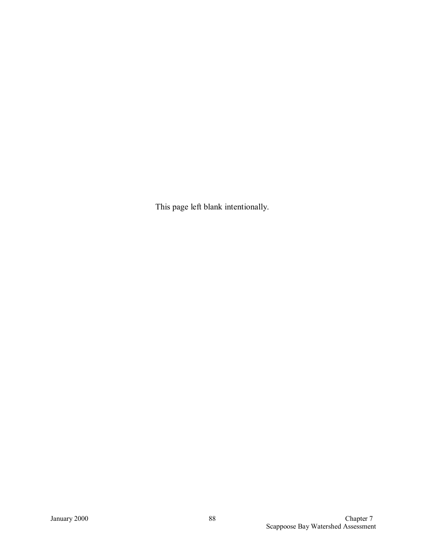This page left blank intentionally.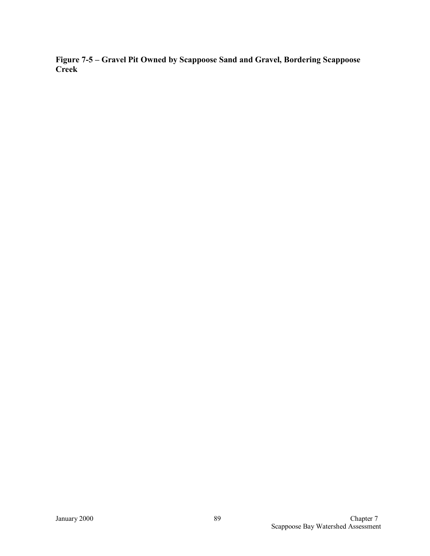Figure 7-5 – Gravel Pit Owned by Scappoose Sand and Gravel, Bordering Scappoose **Creek**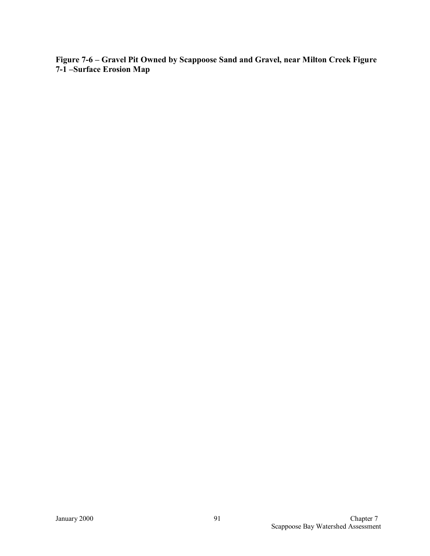Figure 7-6 – Gravel Pit Owned by Scappoose Sand and Gravel, near Milton Creek Figure **7-1 -Surface Erosion Map**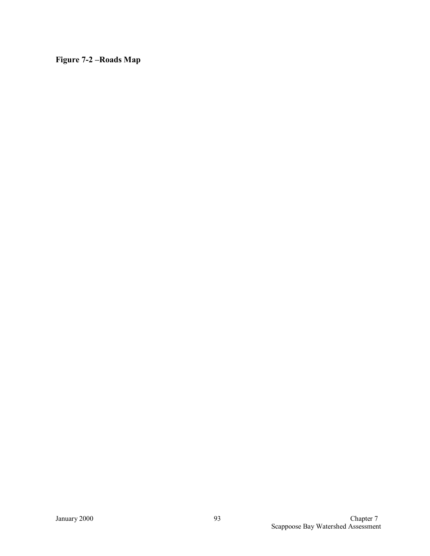**Figure 7-2 - Roads Map**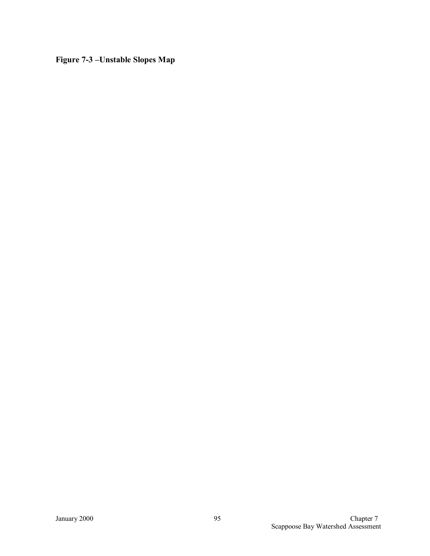**Figure 7-3 – Unstable Slopes Map**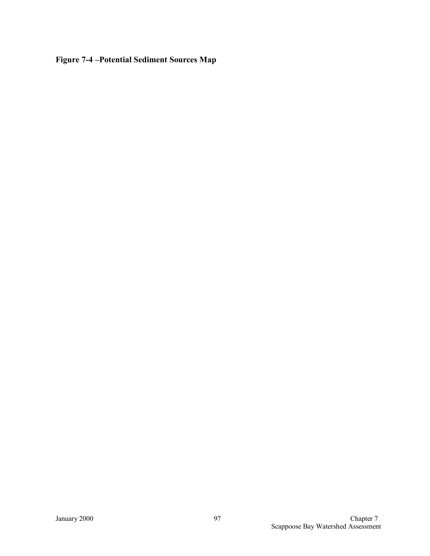Figure 7-4 -Potential Sediment Sources Map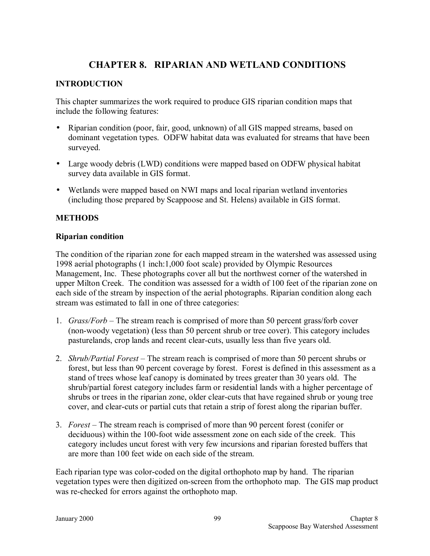# **CHAPTER 8. RIPARIAN AND WETLAND CONDITIONS**

## **INTRODUCTION**

This chapter summarizes the work required to produce GIS riparian condition maps that include the following features:

- Riparian condition (poor, fair, good, unknown) of all GIS mapped streams, based on dominant vegetation types. ODFW habitat data was evaluated for streams that have been surveyed.
- Large woody debris (LWD) conditions were mapped based on ODFW physical habitat survey data available in GIS format.
- Wetlands were mapped based on NWI maps and local riparian wetland inventories (including those prepared by Scappoose and St. Helens) available in GIS format.

# **METHODS**

## **Riparian condition**

The condition of the riparian zone for each mapped stream in the watershed was assessed using 1998 aerial photographs (1 inch:1,000 foot scale) provided by Olympic Resources Management, Inc. These photographs cover all but the northwest corner of the watershed in upper Milton Creek. The condition was assessed for a width of 100 feet of the riparian zone on each side of the stream by inspection of the aerial photographs. Riparian condition along each stream was estimated to fall in one of three categories:

- 1. *Grass/Forb* The stream reach is comprised of more than 50 percent grass/forb cover (non-woody vegetation) (less than 50 percent shrub or tree cover). This category includes pasturelands, crop lands and recent clear-cuts, usually less than five years old.
- 2. *Shrub/Partial Forest* The stream reach is comprised of more than 50 percent shrubs or forest, but less than 90 percent coverage by forest. Forest is defined in this assessment as a stand of trees whose leaf canopy is dominated by trees greater than 30 years old. The shrub/partial forest category includes farm or residential lands with a higher percentage of shrubs or trees in the riparian zone, older clear-cuts that have regained shrub or young tree cover, and clear-cuts or partial cuts that retain a strip of forest along the riparian buffer.
- 3. *Forest* The stream reach is comprised of more than 90 percent forest (conifer or deciduous) within the 100-foot wide assessment zone on each side of the creek. This category includes uncut forest with very few incursions and riparian forested buffers that are more than 100 feet wide on each side of the stream.

Each riparian type was color-coded on the digital orthophoto map by hand. The riparian vegetation types were then digitized on-screen from the orthophoto map. The GIS map product was re-checked for errors against the orthophoto map.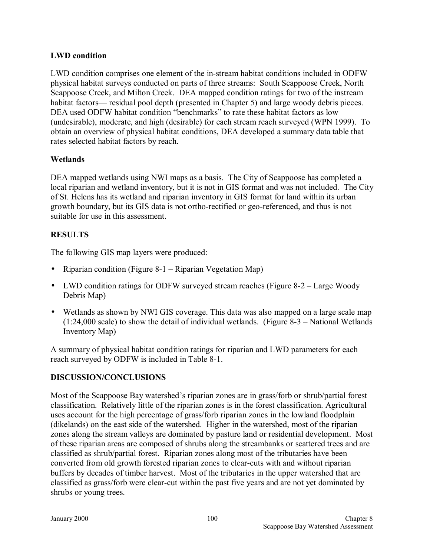# **LWD condition**

LWD condition comprises one element of the in-stream habitat conditions included in ODFW physical habitat surveys conducted on parts of three streams: South Scappoose Creek, North Scappoose Creek, and Milton Creek. DEA mapped condition ratings for two of the instream habitat factors— residual pool depth (presented in Chapter 5) and large woody debris pieces. DEA used ODFW habitat condition "benchmarks" to rate these habitat factors as low (undesirable), moderate, and high (desirable) for each stream reach surveyed (WPN 1999). To obtain an overview of physical habitat conditions, DEA developed a summary data table that rates selected habitat factors by reach.

# **Wetlands**

DEA mapped wetlands using NWI maps as a basis. The City of Scappoose has completed a local riparian and wetland inventory, but it is not in GIS format and was not included. The City of St. Helens has its wetland and riparian inventory in GIS format for land within its urban growth boundary, but its GIS data is not ortho-rectified or geo-referenced, and thus is not suitable for use in this assessment.

# **RESULTS**

The following GIS map layers were produced:

- Riparian condition (Figure 8-1 Riparian Vegetation Map)
- LWD condition ratings for ODFW surveyed stream reaches (Figure 8-2 Large Woody Debris Map)
- Wetlands as shown by NWI GIS coverage. This data was also mapped on a large scale map  $(1:24,000 \text{ scale})$  to show the detail of individual wetlands. (Figure 8-3 – National Wetlands Inventory Map)

A summary of physical habitat condition ratings for riparian and LWD parameters for each reach surveyed by ODFW is included in Table 8-1.

# **DISCUSSION/CONCLUSIONS**

Most of the Scappoose Bay watershed's riparian zones are in grass/forb or shrub/partial forest classification. Relatively little of the riparian zones is in the forest classification. Agricultural uses account for the high percentage of grass/forb riparian zones in the lowland floodplain (dikelands) on the east side of the watershed. Higher in the watershed, most of the riparian zones along the stream valleys are dominated by pasture land or residential development. Most of these riparian areas are composed of shrubs along the streambanks or scattered trees and are classified as shrub/partial forest. Riparian zones along most of the tributaries have been converted from old growth forested riparian zones to clear-cuts with and without riparian buffers by decades of timber harvest. Most of the tributaries in the upper watershed that are classified as grass/forb were clear-cut within the past five years and are not yet dominated by shrubs or young trees.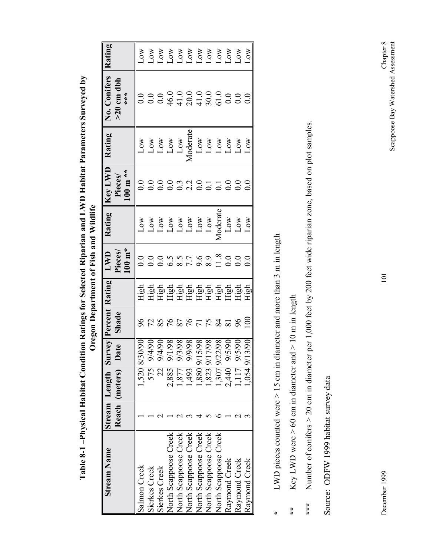**Table 8-1 –Physical Habitat Condition Ratings for Selected Riparian and LWD Habitat Parameters Surveyed by** Table 8-1-Physical Habitat Condition Ratings for Selected Riparian and LWD Habitat Parameters Surveyed by Oregon Department of Fish and Wildlife **Oregon Department of Fish and Wildlife** 

| <b>Stream Name</b>    | Stream Length Su | rvey                                             |               |                                            |                                                                       | Rating | <b>Key LWD</b>               | Rating                                                    |                                   |  |
|-----------------------|------------------|--------------------------------------------------|---------------|--------------------------------------------|-----------------------------------------------------------------------|--------|------------------------------|-----------------------------------------------------------|-----------------------------------|--|
|                       | Reach (meters) D | ate                                              | Shade         |                                            | $LWD$<br>Pieces/<br>100 m*                                            |        | $00 \text{ m}$ **<br>Pieces/ |                                                           | No. Conifers<br>>20 cm dbh<br>*** |  |
| Salmon Creek          | 520 8/3          | 0,00                                             |               |                                            | O O O U U N N O O O O<br>O O O U U N N O O O O<br>O O O U W N O O O O |        |                              |                                                           |                                   |  |
| Sierkes Creek         | $575$ 9/         |                                                  |               |                                            |                                                                       |        |                              |                                                           |                                   |  |
| <b>Sierkes Creek</b>  | 22               |                                                  |               |                                            |                                                                       |        |                              |                                                           |                                   |  |
| North Scappoose Creek | 2,885            | 44776928888690<br>200888888888900<br>20088888888 | 8282627235800 | ក្នុងមួយមានមានមាន<br>មិនមិនមិនមិនមិនមិនមិន |                                                                       |        |                              | Low<br>Low<br>Low<br>Lodd Low<br>Low<br>Low<br>Low<br>Low |                                   |  |
| North Scappoose Creek | 1,877            |                                                  |               |                                            |                                                                       |        |                              |                                                           |                                   |  |
| North Scappoose Creek | $1,493$ 9        |                                                  |               |                                            |                                                                       |        |                              |                                                           |                                   |  |
| North Scappoose Creek | .880 9/1         |                                                  |               |                                            |                                                                       |        |                              |                                                           |                                   |  |
| North Scappoose Creek | .8239/1          |                                                  |               |                                            |                                                                       |        |                              |                                                           |                                   |  |
| North Scappoose Creek | $-3079/2$        |                                                  |               |                                            |                                                                       |        |                              |                                                           |                                   |  |
| Raymond Creek         | $2,440$ 9        |                                                  |               |                                            |                                                                       |        |                              |                                                           |                                   |  |
| Raymond Creek         | 1,117            |                                                  |               |                                            |                                                                       |        |                              |                                                           |                                   |  |
| Raymond Creek         | .0549/1          | 3/90                                             |               |                                            |                                                                       |        |                              |                                                           |                                   |  |

- LWD pieces counted were  $> 15$  cm in diameter and more than 3 m in length **\*** LWD pieces counted were > 15 cm in diameter and more than 3 m in length  $\star$
- **\*\*** Key LWD were > 60 cm in diameter and > 10 m in length Key LWD were  $> 60$  cm in diameter and  $> 10$  m in length  $*$

**\*\*\*** Number of conifers > 20 cm in diameter per 1,000 feet by 200 feet wide riparian zone, based on plot samples. Number of conifers > 20 cm in diameter per 1,000 feet by 200 feet wide riparian zone, based on plot samples. \*\*\*

Source: ODFW 1999 habitat survey data Source: ODFW 1999 habitat survey data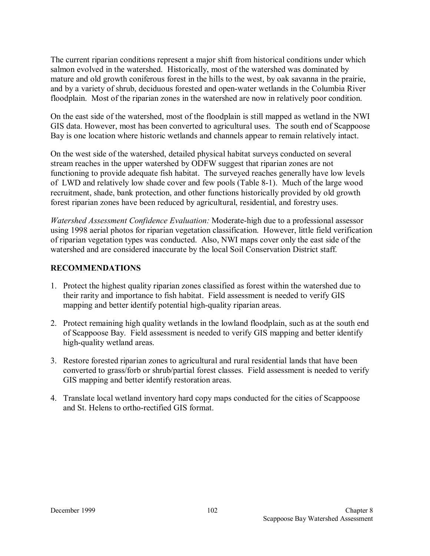The current riparian conditions represent a major shift from historical conditions under which salmon evolved in the watershed. Historically, most of the watershed was dominated by mature and old growth coniferous forest in the hills to the west, by oak savanna in the prairie, and by a variety of shrub, deciduous forested and open-water wetlands in the Columbia River floodplain. Most of the riparian zones in the watershed are now in relatively poor condition.

On the east side of the watershed, most of the floodplain is still mapped as wetland in the NWI GIS data. However, most has been converted to agricultural uses. The south end of Scappoose Bay is one location where historic wetlands and channels appear to remain relatively intact.

On the west side of the watershed, detailed physical habitat surveys conducted on several stream reaches in the upper watershed by ODFW suggest that riparian zones are not functioning to provide adequate fish habitat. The surveyed reaches generally have low levels of LWD and relatively low shade cover and few pools (Table 8-1). Much of the large wood recruitment, shade, bank protection, and other functions historically provided by old growth forest riparian zones have been reduced by agricultural, residential, and forestry uses.

*Watershed Assessment Confidence Evaluation:* Moderate-high due to a professional assessor using 1998 aerial photos for riparian vegetation classification. However, little field verification of riparian vegetation types was conducted. Also, NWI maps cover only the east side of the watershed and are considered inaccurate by the local Soil Conservation District staff.

#### **RECOMMENDATIONS**

- 1. Protect the highest quality riparian zones classified as forest within the watershed due to their rarity and importance to fish habitat. Field assessment is needed to verify GIS mapping and better identify potential high-quality riparian areas.
- 2. Protect remaining high quality wetlands in the lowland floodplain, such as at the south end of Scappoose Bay. Field assessment is needed to verify GIS mapping and better identify high-quality wetland areas.
- 3. Restore forested riparian zones to agricultural and rural residential lands that have been converted to grass/forb or shrub/partial forest classes. Field assessment is needed to verify GIS mapping and better identify restoration areas.
- 4. Translate local wetland inventory hard copy maps conducted for the cities of Scappoose and St. Helens to ortho-rectified GIS format.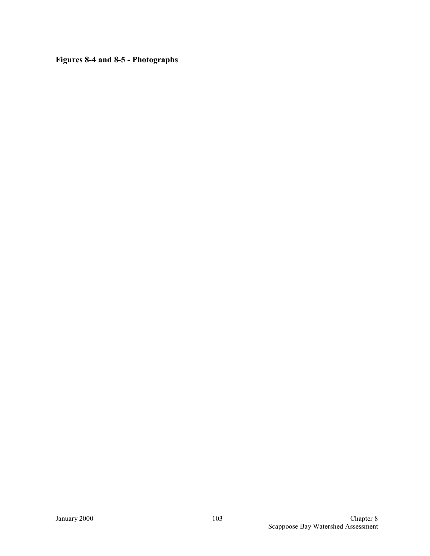**Figures 8-4 and 8-5 - Photographs**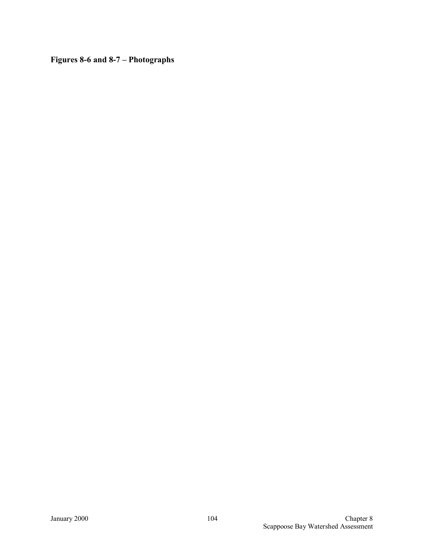Figures 8-6 and 8-7 – Photographs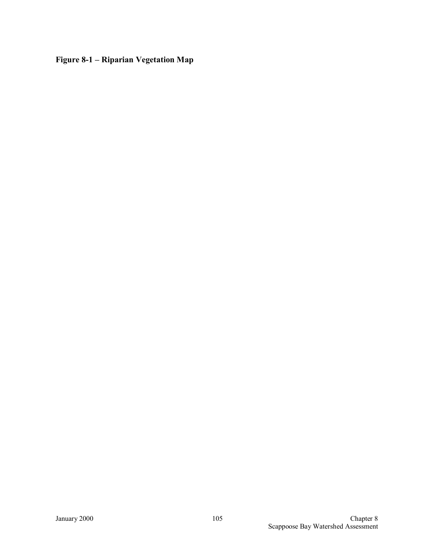Figure 8-1 – Riparian Vegetation Map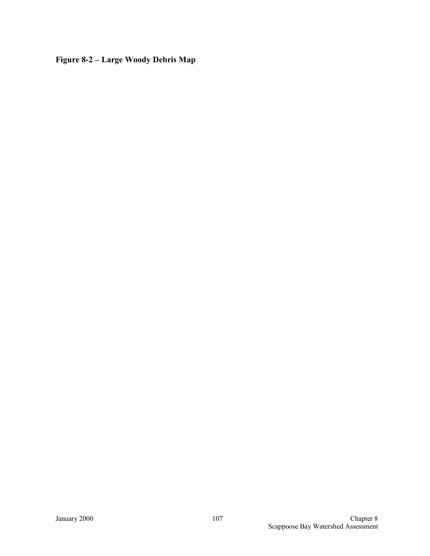Figure 8-2 – Large Woody Debris Map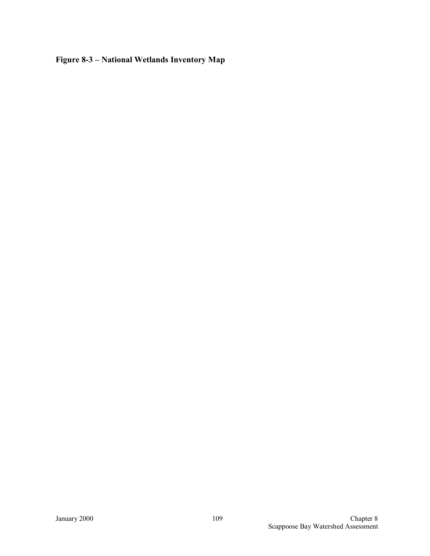Figure 8-3 – National Wetlands Inventory Map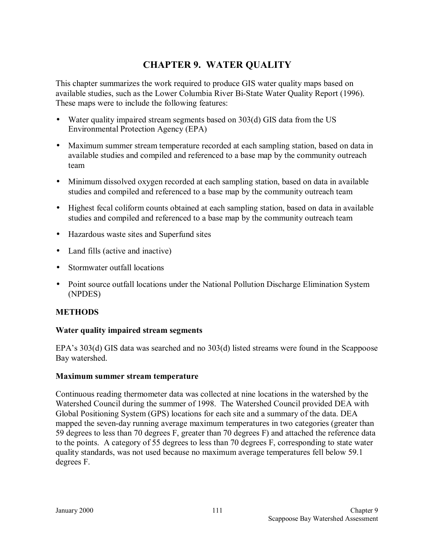# **CHAPTER 9. WATER QUALITY**

This chapter summarizes the work required to produce GIS water quality maps based on available studies, such as the Lower Columbia River Bi-State Water Quality Report (1996). These maps were to include the following features:

- Water quality impaired stream segments based on 303(d) GIS data from the US Environmental Protection Agency (EPA)
- Maximum summer stream temperature recorded at each sampling station, based on data in available studies and compiled and referenced to a base map by the community outreach team
- Minimum dissolved oxygen recorded at each sampling station, based on data in available studies and compiled and referenced to a base map by the community outreach team
- Highest fecal coliform counts obtained at each sampling station, based on data in available studies and compiled and referenced to a base map by the community outreach team
- Hazardous waste sites and Superfund sites
- Land fills (active and inactive)
- Stormwater outfall locations
- Point source outfall locations under the National Pollution Discharge Elimination System (NPDES)

## **METHODS**

## **Water quality impaired stream segments**

EPA's  $303(d)$  GIS data was searched and no  $303(d)$  listed streams were found in the Scappoose Bay watershed.

## **Maximum summer stream temperature**

Continuous reading thermometer data was collected at nine locations in the watershed by the Watershed Council during the summer of 1998. The Watershed Council provided DEA with Global Positioning System (GPS) locations for each site and a summary of the data. DEA mapped the seven-day running average maximum temperatures in two categories (greater than 59 degrees to less than 70 degrees F, greater than 70 degrees F) and attached the reference data to the points. A category of 55 degrees to less than 70 degrees F, corresponding to state water quality standards, was not used because no maximum average temperatures fell below 59.1 degrees F.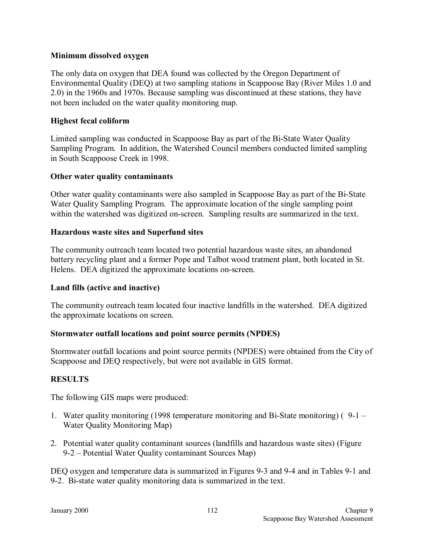#### **Minimum dissolved oxygen**

The only data on oxygen that DEA found was collected by the Oregon Department of Environmental Quality (DEQ) at two sampling stations in Scappoose Bay (River Miles 1.0 and 2.0) in the 1960s and 1970s. Because sampling was discontinued at these stations, they have not been included on the water quality monitoring map.

## **Highest fecal coliform**

Limited sampling was conducted in Scappoose Bay as part of the Bi-State Water Quality Sampling Program. In addition, the Watershed Council members conducted limited sampling in South Scappoose Creek in 1998.

## **Other water quality contaminants**

Other water quality contaminants were also sampled in Scappoose Bay as part of the Bi-State Water Quality Sampling Program. The approximate location of the single sampling point within the watershed was digitized on-screen. Sampling results are summarized in the text.

## **Hazardous waste sites and Superfund sites**

The community outreach team located two potential hazardous waste sites, an abandoned battery recycling plant and a former Pope and Talbot wood tratment plant, both located in St. Helens. DEA digitized the approximate locations on-screen.

## **Land fills (active and inactive)**

The community outreach team located four inactive landfills in the watershed. DEA digitized the approximate locations on screen.

# **Stormwater outfall locations and point source permits (NPDES)**

Stormwater outfall locations and point source permits (NPDES) were obtained from the City of Scappoose and DEQ respectively, but were not available in GIS format.

# **RESULTS**

The following GIS maps were produced:

- 1. Water quality monitoring (1998 temperature monitoring and Bi-State monitoring) ( $9-1$  Water Quality Monitoring Map)
- 2. Potential water quality contaminant sources (landfills and hazardous waste sites) (Figure 9-2 – Potential Water Quality contaminant Sources Map)

DEQ oxygen and temperature data is summarized in Figures 9-3 and 9-4 and in Tables 9-1 and 9-2. Bi-state water quality monitoring data is summarized in the text.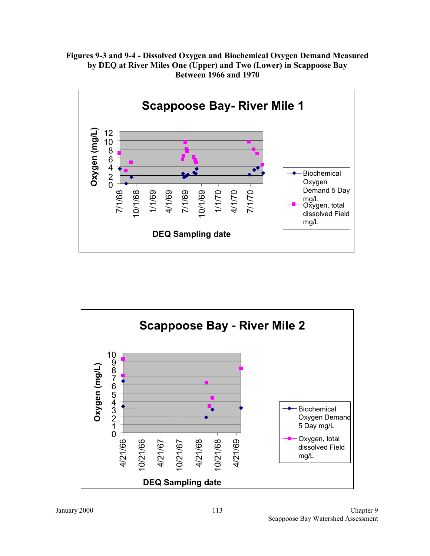**Figures 9-3 and 9-4 - Dissolved Oxygen and Biochemical Oxygen Demand Measured by DEQ at River Miles One (Upper) and Two (Lower) in Scappoose Bay Between 1966 and 1970** 



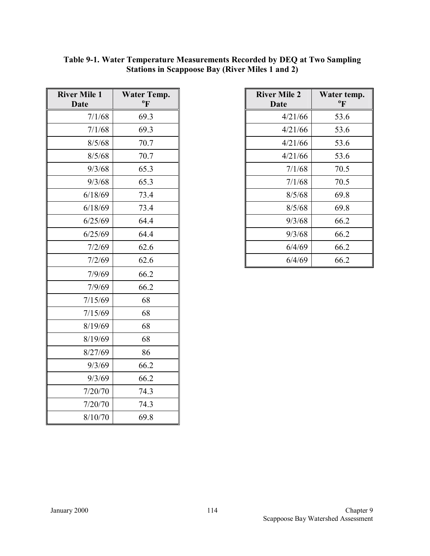| <b>River Mile 1</b><br><b>Date</b> | <b>Water Temp.</b><br>$\rm ^{0}F$ |
|------------------------------------|-----------------------------------|
| 7/1/68                             | 69.3                              |
| 7/1/68                             | 69.3                              |
| 8/5/68                             | 70.7                              |
| 8/5/68                             | 70.7                              |
| 9/3/68                             | 65.3                              |
| 9/3/68                             | 65.3                              |
| 6/18/69                            | 73.4                              |
| 6/18/69                            | 73.4                              |
| 6/25/69                            | 64.4                              |
| 6/25/69                            | 64.4                              |
| 7/2/69                             | 62.6                              |
| 7/2/69                             | 62.6                              |
| 7/9/69                             | 66.2                              |
| 7/9/69                             | 66.2                              |
| 7/15/69                            | 68                                |
| 7/15/69                            | 68                                |
| 8/19/69                            | 68                                |
| 8/19/69                            | 68                                |
| 8/27/69                            | 86                                |
| 9/3/69                             | 66.2                              |
| 9/3/69                             | 66.2                              |
| 7/20/70                            | 74.3                              |
| 7/20/70                            | 74.3                              |
| 8/10/70                            | 69.8                              |

#### **Table 9-1. Water Temperature Measurements Recorded by DEQ at Two Sampling Stations in Scappoose Bay (River Miles 1 and 2)**

| <b>Iile 1</b><br>e | <b>Water Temp.</b><br>$\rm ^{o}F$ | <b>River Mile 2</b><br>Date | Water temp.<br>$\mathbf{P}$ |
|--------------------|-----------------------------------|-----------------------------|-----------------------------|
| 7/1/68             | 69.3                              | 4/21/66                     | 53.6                        |
| 7/1/68             | 69.3                              | 4/21/66                     | 53.6                        |
| 8/5/68             | 70.7                              | 4/21/66                     | 53.6                        |
| 8/5/68             | 70.7                              | 4/21/66                     | 53.6                        |
| 9/3/68             | 65.3                              | 7/1/68                      | 70.5                        |
| 9/3/68             | 65.3                              | 7/1/68                      | 70.5                        |
| 6/18/69            | 73.4                              | 8/5/68                      | 69.8                        |
| 6/18/69            | 73.4                              | 8/5/68                      | 69.8                        |
| 6/25/69            | 64.4                              | 9/3/68                      | 66.2                        |
| 6/25/69            | 64.4                              | 9/3/68                      | 66.2                        |
| 7/2/69             | 62.6                              | 6/4/69                      | 66.2                        |
| 7/2/69             | 62.6                              | 6/4/69                      | 66.2                        |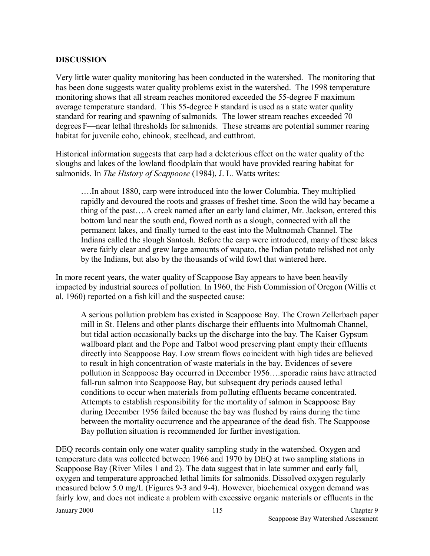#### **DISCUSSION**

Very little water quality monitoring has been conducted in the watershed. The monitoring that has been done suggests water quality problems exist in the watershed. The 1998 temperature monitoring shows that all stream reaches monitored exceeded the 55-degree F maximum average temperature standard. This 55-degree F standard is used as a state water quality standard for rearing and spawning of salmonids. The lower stream reaches exceeded 70 degrees F—near lethal thresholds for salmonids. These streams are potential summer rearing habitat for juvenile coho, chinook, steelhead, and cutthroat.

Historical information suggests that carp had a deleterious effect on the water quality of the sloughs and lakes of the lowland floodplain that would have provided rearing habitat for salmonids. In *The History of Scappoose* (1984), J. L. Watts writes:

Ö.In about 1880, carp were introduced into the lower Columbia. They multiplied rapidly and devoured the roots and grasses of freshet time. Soon the wild hay became a thing of the past....A creek named after an early land claimer, Mr. Jackson, entered this bottom land near the south end, flowed north as a slough, connected with all the permanent lakes, and finally turned to the east into the Multnomah Channel. The Indians called the slough Santosh. Before the carp were introduced, many of these lakes were fairly clear and grew large amounts of wapato, the Indian potato relished not only by the Indians, but also by the thousands of wild fowl that wintered here.

In more recent years, the water quality of Scappoose Bay appears to have been heavily impacted by industrial sources of pollution. In 1960, the Fish Commission of Oregon (Willis et al. 1960) reported on a fish kill and the suspected cause:

A serious pollution problem has existed in Scappoose Bay. The Crown Zellerbach paper mill in St. Helens and other plants discharge their effluents into Multnomah Channel, but tidal action occasionally backs up the discharge into the bay. The Kaiser Gypsum wallboard plant and the Pope and Talbot wood preserving plant empty their effluents directly into Scappoose Bay. Low stream flows coincident with high tides are believed to result in high concentration of waste materials in the bay. Evidences of severe pollution in Scappoose Bay occurred in December 1956....sporadic rains have attracted fall-run salmon into Scappoose Bay, but subsequent dry periods caused lethal conditions to occur when materials from polluting effluents became concentrated. Attempts to establish responsibility for the mortality of salmon in Scappoose Bay during December 1956 failed because the bay was flushed by rains during the time between the mortality occurrence and the appearance of the dead fish. The Scappoose Bay pollution situation is recommended for further investigation.

DEQ records contain only one water quality sampling study in the watershed. Oxygen and temperature data was collected between 1966 and 1970 by DEQ at two sampling stations in Scappoose Bay (River Miles 1 and 2). The data suggest that in late summer and early fall, oxygen and temperature approached lethal limits for salmonids. Dissolved oxygen regularly measured below 5.0 mg/L (Figures 9-3 and 9-4). However, biochemical oxygen demand was fairly low, and does not indicate a problem with excessive organic materials or effluents in the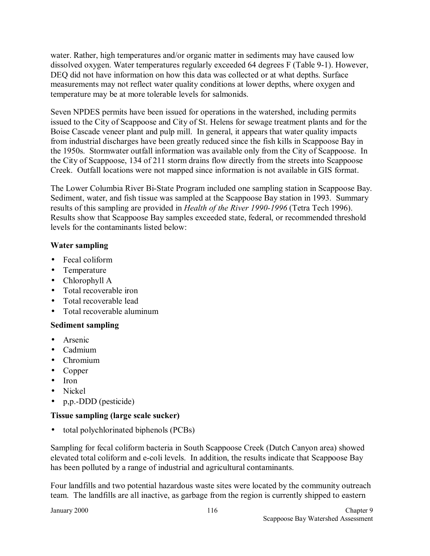water. Rather, high temperatures and/or organic matter in sediments may have caused low dissolved oxygen. Water temperatures regularly exceeded 64 degrees F (Table 9-1). However, DEQ did not have information on how this data was collected or at what depths. Surface measurements may not reflect water quality conditions at lower depths, where oxygen and temperature may be at more tolerable levels for salmonids.

Seven NPDES permits have been issued for operations in the watershed, including permits issued to the City of Scappoose and City of St. Helens for sewage treatment plants and for the Boise Cascade veneer plant and pulp mill. In general, it appears that water quality impacts from industrial discharges have been greatly reduced since the fish kills in Scappoose Bay in the 1950s. Stormwater outfall information was available only from the City of Scappoose. In the City of Scappoose, 134 of 211 storm drains flow directly from the streets into Scappoose Creek. Outfall locations were not mapped since information is not available in GIS format.

The Lower Columbia River Bi-State Program included one sampling station in Scappoose Bay. Sediment, water, and fish tissue was sampled at the Scappoose Bay station in 1993. Summary results of this sampling are provided in *Health of the River 1990-1996* (Tetra Tech 1996). Results show that Scappoose Bay samples exceeded state, federal, or recommended threshold levels for the contaminants listed below:

# **Water sampling**

- Fecal coliform
- Temperature
- Chlorophyll A
- Total recoverable iron
- Total recoverable lead
- Total recoverable aluminum

# **Sediment sampling**

- Arsenic
- Cadmium
- Chromium
- Copper
- Iron
- Nickel
- p,p.-DDD (pesticide)

# **Tissue sampling (large scale sucker)**

• total polychlorinated biphenols (PCBs)

Sampling for fecal coliform bacteria in South Scappoose Creek (Dutch Canyon area) showed elevated total coliform and e-coli levels. In addition, the results indicate that Scappoose Bay has been polluted by a range of industrial and agricultural contaminants.

Four landfills and two potential hazardous waste sites were located by the community outreach team. The landfills are all inactive, as garbage from the region is currently shipped to eastern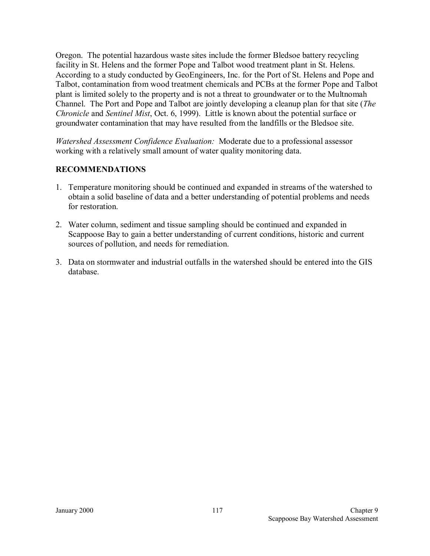Oregon. The potential hazardous waste sites include the former Bledsoe battery recycling facility in St. Helens and the former Pope and Talbot wood treatment plant in St. Helens. According to a study conducted by GeoEngineers, Inc. for the Port of St. Helens and Pope and Talbot, contamination from wood treatment chemicals and PCBs at the former Pope and Talbot plant is limited solely to the property and is not a threat to groundwater or to the Multnomah Channel. The Port and Pope and Talbot are jointly developing a cleanup plan for that site (*The Chronicle* and *Sentinel Mist*, Oct. 6, 1999). Little is known about the potential surface or groundwater contamination that may have resulted from the landfills or the Bledsoe site.

*Watershed Assessment Confidence Evaluation:* Moderate due to a professional assessor working with a relatively small amount of water quality monitoring data.

## **RECOMMENDATIONS**

- 1. Temperature monitoring should be continued and expanded in streams of the watershed to obtain a solid baseline of data and a better understanding of potential problems and needs for restoration.
- 2. Water column, sediment and tissue sampling should be continued and expanded in Scappoose Bay to gain a better understanding of current conditions, historic and current sources of pollution, and needs for remediation.
- 3. Data on stormwater and industrial outfalls in the watershed should be entered into the GIS database.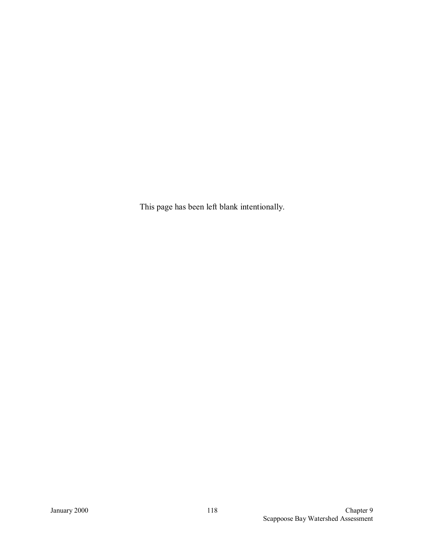This page has been left blank intentionally.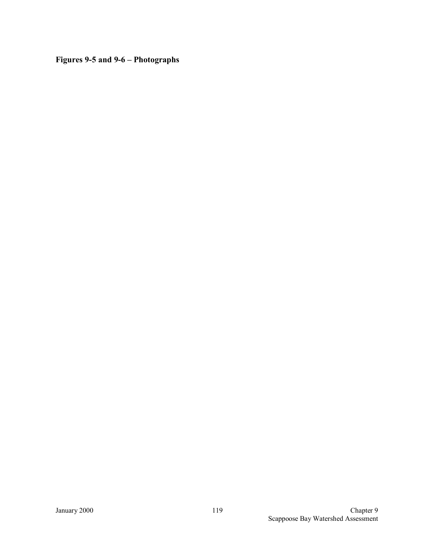Figures 9-5 and 9-6 – Photographs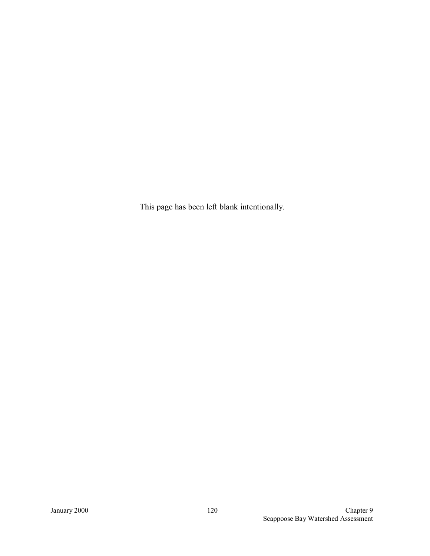This page has been left blank intentionally.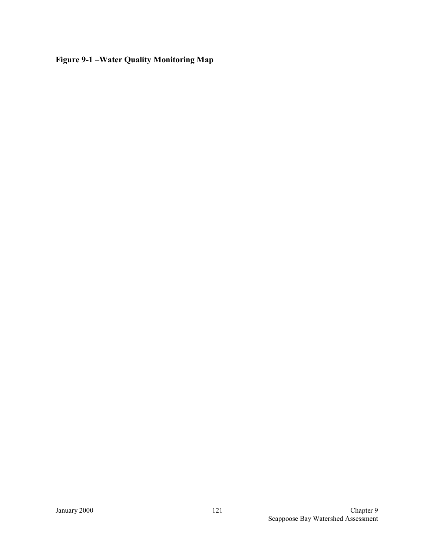Figure 9-1 - Water Quality Monitoring Map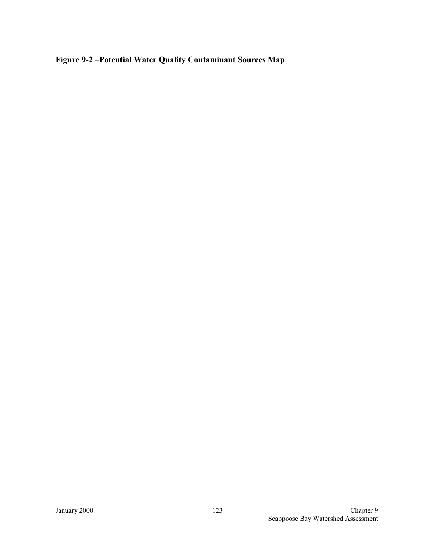Figure 9-2 -Potential Water Quality Contaminant Sources Map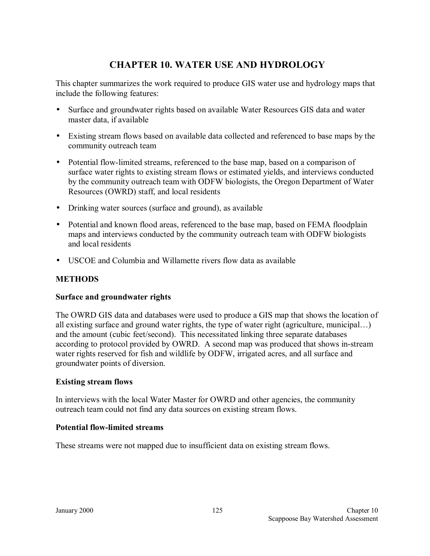# **CHAPTER 10. WATER USE AND HYDROLOGY**

This chapter summarizes the work required to produce GIS water use and hydrology maps that include the following features:

- Surface and groundwater rights based on available Water Resources GIS data and water master data, if available
- Existing stream flows based on available data collected and referenced to base maps by the community outreach team
- Potential flow-limited streams, referenced to the base map, based on a comparison of surface water rights to existing stream flows or estimated yields, and interviews conducted by the community outreach team with ODFW biologists, the Oregon Department of Water Resources (OWRD) staff, and local residents
- Drinking water sources (surface and ground), as available
- Potential and known flood areas, referenced to the base map, based on FEMA floodplain maps and interviews conducted by the community outreach team with ODFW biologists and local residents
- USCOE and Columbia and Willamette rivers flow data as available

#### **METHODS**

#### **Surface and groundwater rights**

The OWRD GIS data and databases were used to produce a GIS map that shows the location of all existing surface and ground water rights, the type of water right (agriculture, municipal...) and the amount (cubic feet/second). This necessitated linking three separate databases according to protocol provided by OWRD. A second map was produced that shows in-stream water rights reserved for fish and wildlife by ODFW, irrigated acres, and all surface and groundwater points of diversion.

#### **Existing stream flows**

In interviews with the local Water Master for OWRD and other agencies, the community outreach team could not find any data sources on existing stream flows.

#### **Potential flow-limited streams**

These streams were not mapped due to insufficient data on existing stream flows.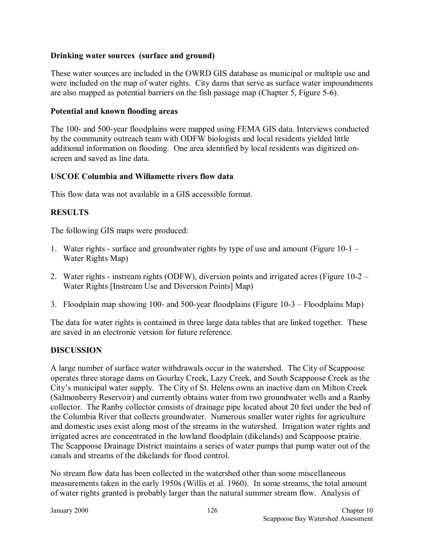### **Drinking water sources (surface and ground)**

These water sources are included in the OWRD GIS database as municipal or multiple use and were included on the map of water rights. City dams that serve as surface water impoundments are also mapped as potential barriers on the fish passage map (Chapter 5, Figure 5-6).

### **Potential and known flooding areas**

The 100- and 500-year floodplains were mapped using FEMA GIS data. Interviews conducted by the community outreach team with ODFW biologists and local residents yielded little additional information on flooding. One area identified by local residents was digitized onscreen and saved as line data.

## **USCOE Columbia and Willamette rivers flow data**

This flow data was not available in a GIS accessible format.

## **RESULTS**

The following GIS maps were produced:

- 1. Water rights surface and groundwater rights by type of use and amount (Figure  $10-1$  Water Rights Map)
- 2. Water rights instream rights (ODFW), diversion points and irrigated acres (Figure  $10-2$  Water Rights [Instream Use and Diversion Points] Map)
- 3. Floodplain map showing 100- and 500-year floodplains (Figure  $10-3$  Floodplains Map)

The data for water rights is contained in three large data tables that are linked together. These are saved in an electronic version for future reference.

### **DISCUSSION**

A large number of surface water withdrawals occur in the watershed. The City of Scappoose operates three storage dams on Gourlay Creek, Lazy Creek, and South Scappoose Creek as the City's municipal water supply. The City of St. Helens owns an inactive dam on Milton Creek (Salmonberry Reservoir) and currently obtains water from two groundwater wells and a Ranby collector. The Ranby collector consists of drainage pipe located about 20 feet under the bed of the Columbia River that collects groundwater. Numerous smaller water rights for agriculture and domestic uses exist along most of the streams in the watershed. Irrigation water rights and irrigated acres are concentrated in the lowland floodplain (dikelands) and Scappoose prairie. The Scappoose Drainage District maintains a series of water pumps that pump water out of the canals and streams of the dikelands for flood control.

No stream flow data has been collected in the watershed other than some miscellaneous measurements taken in the early 1950s (Willis et al. 1960). In some streams, the total amount of water rights granted is probably larger than the natural summer stream flow. Analysis of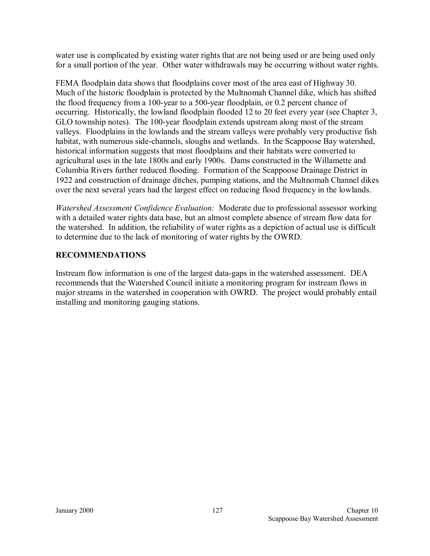water use is complicated by existing water rights that are not being used or are being used only for a small portion of the year. Other water withdrawals may be occurring without water rights.

FEMA floodplain data shows that floodplains cover most of the area east of Highway 30. Much of the historic floodplain is protected by the Multnomah Channel dike, which has shifted the flood frequency from a 100-year to a 500-year floodplain, or 0.2 percent chance of occurring. Historically, the lowland floodplain flooded 12 to 20 feet every year (see Chapter 3, GLO township notes). The 100-year floodplain extends upstream along most of the stream valleys. Floodplains in the lowlands and the stream valleys were probably very productive fish habitat, with numerous side-channels, sloughs and wetlands. In the Scappoose Bay watershed, historical information suggests that most floodplains and their habitats were converted to agricultural uses in the late 1800s and early 1900s. Dams constructed in the Willamette and Columbia Rivers further reduced flooding. Formation of the Scappoose Drainage District in 1922 and construction of drainage ditches, pumping stations, and the Multnomah Channel dikes over the next several years had the largest effect on reducing flood frequency in the lowlands.

*Watershed Assessment Confidence Evaluation:* Moderate due to professional assessor working with a detailed water rights data base, but an almost complete absence of stream flow data for the watershed. In addition, the reliability of water rights as a depiction of actual use is difficult to determine due to the lack of monitoring of water rights by the OWRD.

## **RECOMMENDATIONS**

Instream flow information is one of the largest data-gaps in the watershed assessment. DEA recommends that the Watershed Council initiate a monitoring program for instream flows in major streams in the watershed in cooperation with OWRD. The project would probably entail installing and monitoring gauging stations.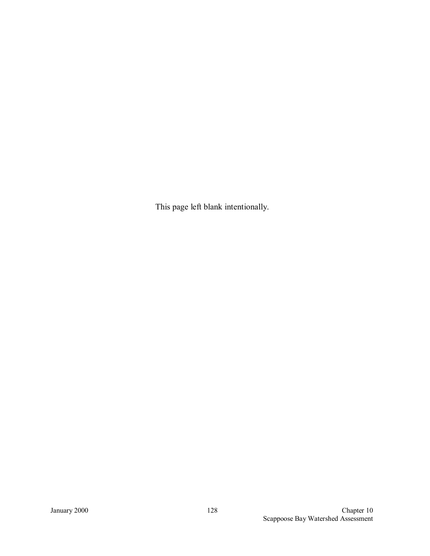This page left blank intentionally.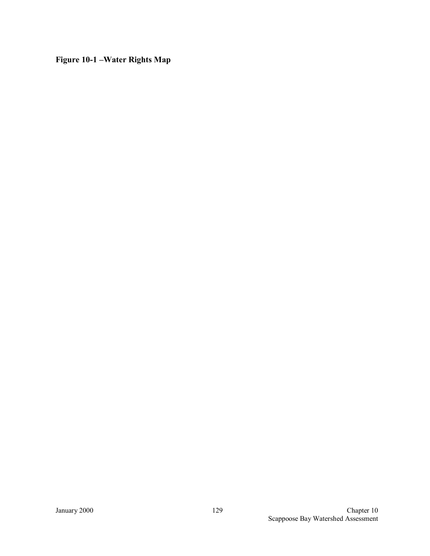Figure 10-1 - Water Rights Map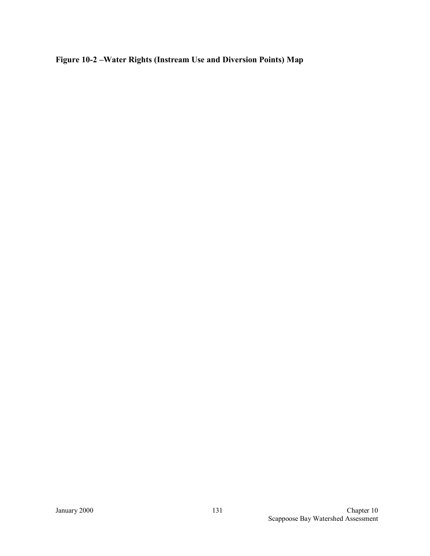Figure 10-2 - Water Rights (Instream Use and Diversion Points) Map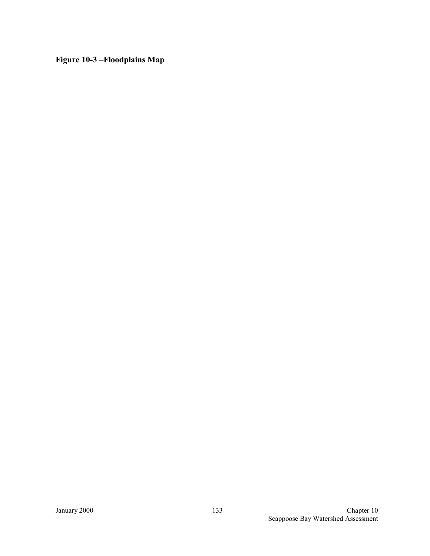Figure 10-3 - Floodplains Map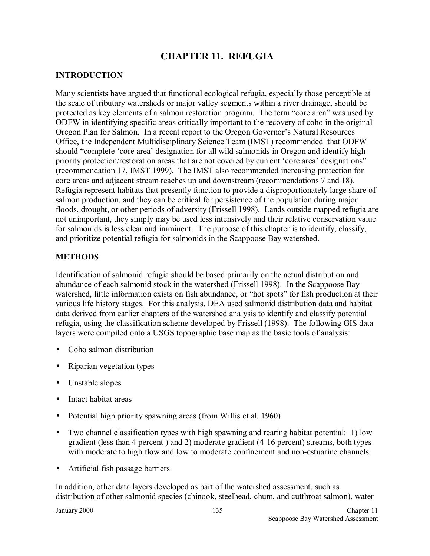# **CHAPTER 11. REFUGIA**

### **INTRODUCTION**

Many scientists have argued that functional ecological refugia, especially those perceptible at the scale of tributary watersheds or major valley segments within a river drainage, should be protected as key elements of a salmon restoration program. The term "core area" was used by ODFW in identifying specific areas critically important to the recovery of coho in the original Oregon Plan for Salmon. In a recent report to the Oregon Governor's Natural Resources Office, the Independent Multidisciplinary Science Team (IMST) recommended that ODFW should "complete 'core area' designation for all wild salmonids in Oregon and identify high priority protection/restoration areas that are not covered by current 'core area' designations" (recommendation 17, IMST 1999). The IMST also recommended increasing protection for core areas and adjacent stream reaches up and downstream (recommendations 7 and 18). Refugia represent habitats that presently function to provide a disproportionately large share of salmon production, and they can be critical for persistence of the population during major floods, drought, or other periods of adversity (Frissell 1998). Lands outside mapped refugia are not unimportant, they simply may be used less intensively and their relative conservation value for salmonids is less clear and imminent. The purpose of this chapter is to identify, classify, and prioritize potential refugia for salmonids in the Scappoose Bay watershed.

## **METHODS**

Identification of salmonid refugia should be based primarily on the actual distribution and abundance of each salmonid stock in the watershed (Frissell 1998). In the Scappoose Bay watershed, little information exists on fish abundance, or "hot spots" for fish production at their various life history stages. For this analysis, DEA used salmonid distribution data and habitat data derived from earlier chapters of the watershed analysis to identify and classify potential refugia, using the classification scheme developed by Frissell (1998). The following GIS data layers were compiled onto a USGS topographic base map as the basic tools of analysis:

- Coho salmon distribution
- Riparian vegetation types
- Unstable slopes
- Intact habitat areas
- Potential high priority spawning areas (from Willis et al. 1960)
- Two channel classification types with high spawning and rearing habitat potential: 1) low gradient (less than 4 percent ) and 2) moderate gradient (4-16 percent) streams, both types with moderate to high flow and low to moderate confinement and non-estuarine channels.
- Artificial fish passage barriers

In addition, other data layers developed as part of the watershed assessment, such as distribution of other salmonid species (chinook, steelhead, chum, and cutthroat salmon), water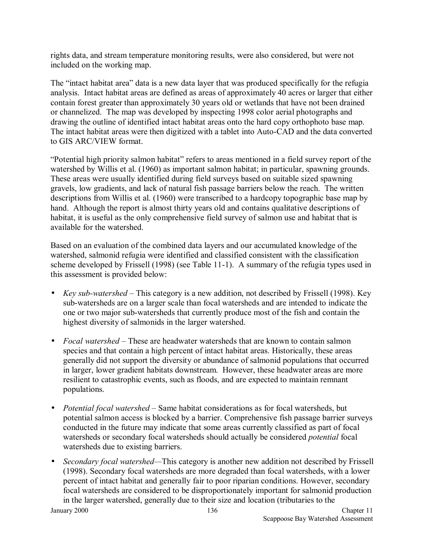rights data, and stream temperature monitoring results, were also considered, but were not included on the working map.

The "intact habitat area" data is a new data layer that was produced specifically for the refugia analysis. Intact habitat areas are defined as areas of approximately 40 acres or larger that either contain forest greater than approximately 30 years old or wetlands that have not been drained or channelized. The map was developed by inspecting 1998 color aerial photographs and drawing the outline of identified intact habitat areas onto the hard copy orthophoto base map. The intact habitat areas were then digitized with a tablet into Auto-CAD and the data converted to GIS ARC/VIEW format.

ìPotential high priority salmon habitatî refers to areas mentioned in a field survey report of the watershed by Willis et al. (1960) as important salmon habitat; in particular, spawning grounds. These areas were usually identified during field surveys based on suitable sized spawning gravels, low gradients, and lack of natural fish passage barriers below the reach. The written descriptions from Willis et al. (1960) were transcribed to a hardcopy topographic base map by hand. Although the report is almost thirty years old and contains qualitative descriptions of habitat, it is useful as the only comprehensive field survey of salmon use and habitat that is available for the watershed.

Based on an evaluation of the combined data layers and our accumulated knowledge of the watershed, salmonid refugia were identified and classified consistent with the classification scheme developed by Frissell (1998) (see Table 11-1). A summary of the refugia types used in this assessment is provided below:

- *Key sub-watershed* This category is a new addition, not described by Frissell (1998). Key sub-watersheds are on a larger scale than focal watersheds and are intended to indicate the one or two major sub-watersheds that currently produce most of the fish and contain the highest diversity of salmonids in the larger watershed.
- *Focal watershed* These are headwater watersheds that are known to contain salmon species and that contain a high percent of intact habitat areas. Historically, these areas generally did not support the diversity or abundance of salmonid populations that occurred in larger, lower gradient habitats downstream. However, these headwater areas are more resilient to catastrophic events, such as floods, and are expected to maintain remnant populations.
- *Potential focal watershed* Same habitat considerations as for focal watersheds, but potential salmon access is blocked by a barrier. Comprehensive fish passage barrier surveys conducted in the future may indicate that some areas currently classified as part of focal watersheds or secondary focal watersheds should actually be considered *potential* focal watersheds due to existing barriers.
- *Secondary focal watershed*—This category is another new addition not described by Frissell (1998). Secondary focal watersheds are more degraded than focal watersheds, with a lower percent of intact habitat and generally fair to poor riparian conditions. However, secondary focal watersheds are considered to be disproportionately important for salmonid production in the larger watershed, generally due to their size and location (tributaries to the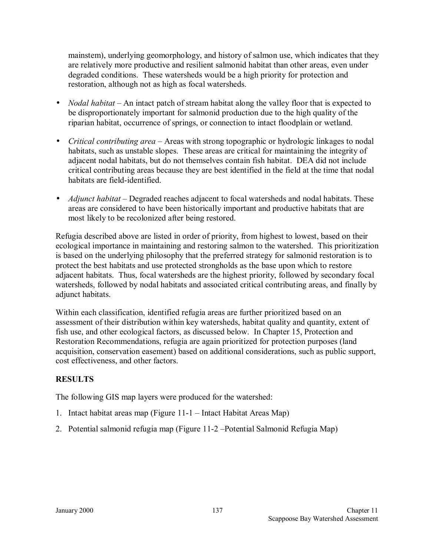mainstem), underlying geomorphology, and history of salmon use, which indicates that they are relatively more productive and resilient salmonid habitat than other areas, even under degraded conditions. These watersheds would be a high priority for protection and restoration, although not as high as focal watersheds.

- *Nodal habitat* An intact patch of stream habitat along the valley floor that is expected to be disproportionately important for salmonid production due to the high quality of the riparian habitat, occurrence of springs, or connection to intact floodplain or wetland.
- *Critical contributing area* Areas with strong topographic or hydrologic linkages to nodal habitats, such as unstable slopes. These areas are critical for maintaining the integrity of adjacent nodal habitats, but do not themselves contain fish habitat. DEA did not include critical contributing areas because they are best identified in the field at the time that nodal habitats are field-identified.
- *Adjunct habitat* Degraded reaches adjacent to focal watersheds and nodal habitats. These areas are considered to have been historically important and productive habitats that are most likely to be recolonized after being restored.

Refugia described above are listed in order of priority, from highest to lowest, based on their ecological importance in maintaining and restoring salmon to the watershed. This prioritization is based on the underlying philosophy that the preferred strategy for salmonid restoration is to protect the best habitats and use protected strongholds as the base upon which to restore adjacent habitats. Thus, focal watersheds are the highest priority, followed by secondary focal watersheds, followed by nodal habitats and associated critical contributing areas, and finally by adjunct habitats.

Within each classification, identified refugia areas are further prioritized based on an assessment of their distribution within key watersheds, habitat quality and quantity, extent of fish use, and other ecological factors, as discussed below. In Chapter 15, Protection and Restoration Recommendations, refugia are again prioritized for protection purposes (land acquisition, conservation easement) based on additional considerations, such as public support, cost effectiveness, and other factors.

## **RESULTS**

The following GIS map layers were produced for the watershed:

- 1. Intact habitat areas map (Figure  $11-1$  Intact Habitat Areas Map)
- 2. Potential salmonid refugia map (Figure  $11-2$  –Potential Salmonid Refugia Map)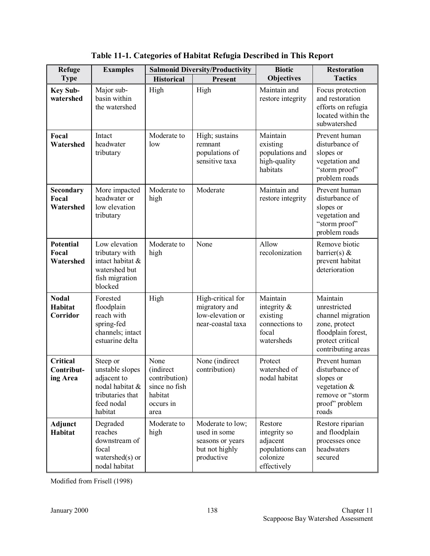| <b>Refuge</b>                              | <b>Examples</b>                                                                                            | <b>Salmonid Diversity/Productivity</b>                                              |                                                                                      | <b>Biotic</b>                                                                     | <b>Restoration</b>                                                                                                             |  |
|--------------------------------------------|------------------------------------------------------------------------------------------------------------|-------------------------------------------------------------------------------------|--------------------------------------------------------------------------------------|-----------------------------------------------------------------------------------|--------------------------------------------------------------------------------------------------------------------------------|--|
| <b>Type</b>                                |                                                                                                            | <b>Historical</b>                                                                   | Present                                                                              | Objectives                                                                        | <b>Tactics</b>                                                                                                                 |  |
| <b>Key Sub-</b><br>watershed               | Major sub-<br>basin within<br>the watershed                                                                | High                                                                                | High                                                                                 | Maintain and<br>restore integrity                                                 | Focus protection<br>and restoration<br>efforts on refugia<br>located within the<br>subwatershed                                |  |
| Focal<br>Watershed                         | Intact<br>headwater<br>tributary                                                                           | Moderate to<br>low                                                                  | High; sustains<br>remnant<br>populations of<br>sensitive taxa                        | Maintain<br>existing<br>populations and<br>high-quality<br>habitats               | Prevent human<br>disturbance of<br>slopes or<br>vegetation and<br>"storm proof"<br>problem roads                               |  |
| Secondary<br>Focal<br>Watershed            | More impacted<br>headwater or<br>low elevation<br>tributary                                                | Moderate to<br>high                                                                 | Moderate                                                                             | Maintain and<br>restore integrity                                                 | Prevent human<br>disturbance of<br>slopes or<br>vegetation and<br>"storm proof"<br>problem roads                               |  |
| <b>Potential</b><br>Focal<br>Watershed     | Low elevation<br>tributary with<br>intact habitat &<br>watershed but<br>fish migration<br>blocked          | Moderate to<br>high                                                                 | None                                                                                 | Allow<br>recolonization                                                           | Remove biotic<br>barrier(s) $\&$<br>prevent habitat<br>deterioration                                                           |  |
| <b>Nodal</b><br><b>Habitat</b><br>Corridor | Forested<br>floodplain<br>reach with<br>spring-fed<br>channels; intact<br>estuarine delta                  | High                                                                                | High-critical for<br>migratory and<br>low-elevation or<br>near-coastal taxa          | Maintain<br>integrity $\&$<br>existing<br>connections to<br>focal<br>watersheds   | Maintain<br>unrestricted<br>channel migration<br>zone, protect<br>floodplain forest,<br>protect critical<br>contributing areas |  |
| <b>Critical</b><br>Contribut-<br>ing Area  | Steep or<br>unstable slopes<br>adjacent to<br>nodal habitat &<br>tributaries that<br>feed nodal<br>habitat | None<br>(indirect<br>contribution)<br>since no fish<br>habitat<br>occurs in<br>area | None (indirect<br>contribution)                                                      | Protect<br>watershed of<br>nodal habitat                                          | Prevent human<br>disturbance of<br>slopes or<br>vegetation $\&$<br>remove or "storm<br>proof" problem<br>roads                 |  |
| <b>Adjunct</b><br>Habitat                  | Degraded<br>reaches<br>downstream of<br>focal<br>watershed $(s)$ or<br>nodal habitat                       | Moderate to<br>high                                                                 | Moderate to low;<br>used in some<br>seasons or years<br>but not highly<br>productive | Restore<br>integrity so<br>adjacent<br>populations can<br>colonize<br>effectively | Restore riparian<br>and floodplain<br>processes once<br>headwaters<br>secured                                                  |  |

**Table 11-1. Categories of Habitat Refugia Described in This Report** 

Modified from Frisell (1998)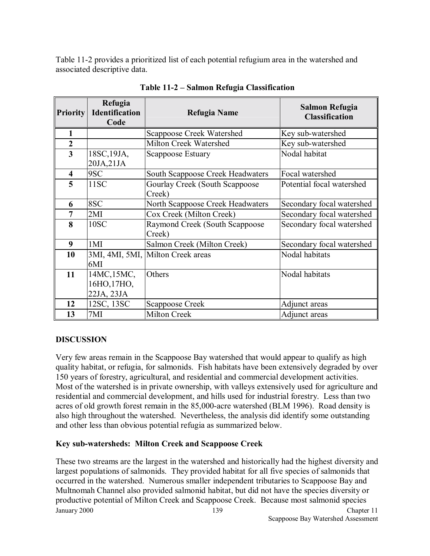Table 11-2 provides a prioritized list of each potential refugium area in the watershed and associated descriptive data.

| <b>Priority</b>         | Refugia<br>Identification<br>Code        | <b>Refugia Name</b>                      | <b>Salmon Refugia</b><br><b>Classification</b> |
|-------------------------|------------------------------------------|------------------------------------------|------------------------------------------------|
| 1                       |                                          | <b>Scappoose Creek Watershed</b>         | Key sub-watershed                              |
| $\boldsymbol{2}$        |                                          | Milton Creek Watershed                   | Key sub-watershed                              |
| $\overline{\mathbf{3}}$ | 18SC, 19JA,<br>20JA,21JA                 | <b>Scappoose Estuary</b>                 | Nodal habitat                                  |
| $\overline{\mathbf{4}}$ | 9SC                                      | South Scappoose Creek Headwaters         | Focal watershed                                |
| 5                       | 11SC                                     | Gourlay Creek (South Scappoose<br>Creek) | Potential focal watershed                      |
| 6                       | 8SC                                      | North Scappoose Creek Headwaters         | Secondary focal watershed                      |
| 7                       | 2MI                                      | Cox Creek (Milton Creek)                 | Secondary focal watershed                      |
| 8                       | 10SC                                     | Raymond Creek (South Scappoose<br>Creek) | Secondary focal watershed                      |
| 9                       | 1MI                                      | Salmon Creek (Milton Creek)              | Secondary focal watershed                      |
| 10                      | 6MI                                      | 3MI, 4MI, 5MI, Milton Creek areas        | Nodal habitats                                 |
| 11                      | 14MC, 15MC,<br>16HO, 17HO,<br>22JA, 23JA | Others                                   | Nodal habitats                                 |
| 12                      | 12SC, 13SC                               | Scappoose Creek                          | Adjunct areas                                  |
| 13                      | 7MI                                      | <b>Milton Creek</b>                      | Adjunct areas                                  |

Table 11-2 – Salmon Refugia Classification

### **DISCUSSION**

Very few areas remain in the Scappoose Bay watershed that would appear to qualify as high quality habitat, or refugia, for salmonids. Fish habitats have been extensively degraded by over 150 years of forestry, agricultural, and residential and commercial development activities. Most of the watershed is in private ownership, with valleys extensively used for agriculture and residential and commercial development, and hills used for industrial forestry. Less than two acres of old growth forest remain in the 85,000-acre watershed (BLM 1996). Road density is also high throughout the watershed. Nevertheless, the analysis did identify some outstanding and other less than obvious potential refugia as summarized below.

### **Key sub-watersheds: Milton Creek and Scappoose Creek**

January 2000 Chapter 11 139 These two streams are the largest in the watershed and historically had the highest diversity and largest populations of salmonids. They provided habitat for all five species of salmonids that occurred in the watershed. Numerous smaller independent tributaries to Scappoose Bay and Multnomah Channel also provided salmonid habitat, but did not have the species diversity or productive potential of Milton Creek and Scappoose Creek. Because most salmonid species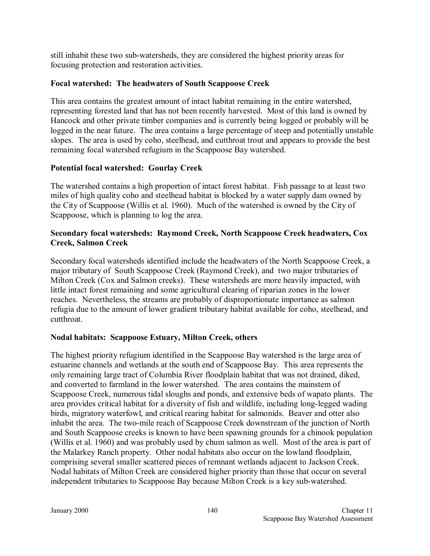still inhabit these two sub-watersheds, they are considered the highest priority areas for focusing protection and restoration activities.

## **Focal watershed: The headwaters of South Scappoose Creek**

This area contains the greatest amount of intact habitat remaining in the entire watershed, representing forested land that has not been recently harvested. Most of this land is owned by Hancock and other private timber companies and is currently being logged or probably will be logged in the near future. The area contains a large percentage of steep and potentially unstable slopes. The area is used by coho, steelhead, and cutthroat trout and appears to provide the best remaining focal watershed refugium in the Scappoose Bay watershed.

## **Potential focal watershed: Gourlay Creek**

The watershed contains a high proportion of intact forest habitat. Fish passage to at least two miles of high quality coho and steelhead habitat is blocked by a water supply dam owned by the City of Scappoose (Willis et al. 1960). Much of the watershed is owned by the City of Scappoose, which is planning to log the area.

## **Secondary focal watersheds: Raymond Creek, North Scappoose Creek headwaters, Cox Creek, Salmon Creek**

Secondary focal watersheds identified include the headwaters of the North Scappoose Creek, a major tributary of South Scappoose Creek (Raymond Creek), and two major tributaries of Milton Creek (Cox and Salmon creeks). These watersheds are more heavily impacted, with little intact forest remaining and some agricultural clearing of riparian zones in the lower reaches. Nevertheless, the streams are probably of disproportionate importance as salmon refugia due to the amount of lower gradient tributary habitat available for coho, steelhead, and cutthroat.

## **Nodal habitats: Scappoose Estuary, Milton Creek, others**

The highest priority refugium identified in the Scappoose Bay watershed is the large area of estuarine channels and wetlands at the south end of Scappoose Bay. This area represents the only remaining large tract of Columbia River floodplain habitat that was not drained, diked, and converted to farmland in the lower watershed. The area contains the mainstem of Scappoose Creek, numerous tidal sloughs and ponds, and extensive beds of wapato plants. The area provides critical habitat for a diversity of fish and wildlife, including long-legged wading birds, migratory waterfowl, and critical rearing habitat for salmonids. Beaver and otter also inhabit the area. The two-mile reach of Scappoose Creek downstream of the junction of North and South Scappoose creeks is known to have been spawning grounds for a chinook population (Willis et al. 1960) and was probably used by chum salmon as well. Most of the area is part of the Malarkey Ranch property. Other nodal habitats also occur on the lowland floodplain, comprising several smaller scattered pieces of remnant wetlands adjacent to Jackson Creek. Nodal habitats of Milton Creek are considered higher priority than those that occur on several independent tributaries to Scappoose Bay because Milton Creek is a key sub-watershed.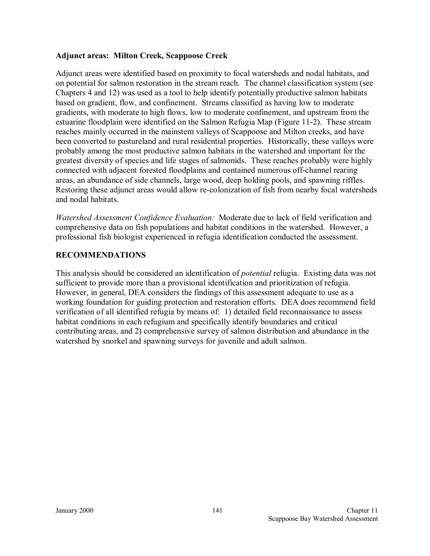### **Adjunct areas: Milton Creek, Scappoose Creek**

Adjunct areas were identified based on proximity to focal watersheds and nodal habitats, and on potential for salmon restoration in the stream reach. The channel classification system (see Chapters 4 and 12) was used as a tool to help identify potentially productive salmon habitats based on gradient, flow, and confinement. Streams classified as having low to moderate gradients, with moderate to high flows, low to moderate confinement, and upstream from the estuarine floodplain were identified on the Salmon Refugia Map (Figure 11-2). These stream reaches mainly occurred in the mainstem valleys of Scappoose and Milton creeks, and have been converted to pastureland and rural residential properties. Historically, these valleys were probably among the most productive salmon habitats in the watershed and important for the greatest diversity of species and life stages of salmonids. These reaches probably were highly connected with adjacent forested floodplains and contained numerous off-channel rearing areas, an abundance of side channels, large wood, deep holding pools, and spawning riffles. Restoring these adjunct areas would allow re-colonization of fish from nearby focal watersheds and nodal habitats.

*Watershed Assessment Confidence Evaluation:* Moderate due to lack of field verification and comprehensive data on fish populations and habitat conditions in the watershed. However, a professional fish biologist experienced in refugia identification conducted the assessment.

### **RECOMMENDATIONS**

This analysis should be considered an identification of *potential* refugia. Existing data was not sufficient to provide more than a provisional identification and prioritization of refugia. However, in general, DEA considers the findings of this assessment adequate to use as a working foundation for guiding protection and restoration efforts. DEA does recommend field verification of all identified refugia by means of: 1) detailed field reconnaissance to assess habitat conditions in each refugium and specifically identify boundaries and critical contributing areas, and 2) comprehensive survey of salmon distribution and abundance in the watershed by snorkel and spawning surveys for juvenile and adult salmon.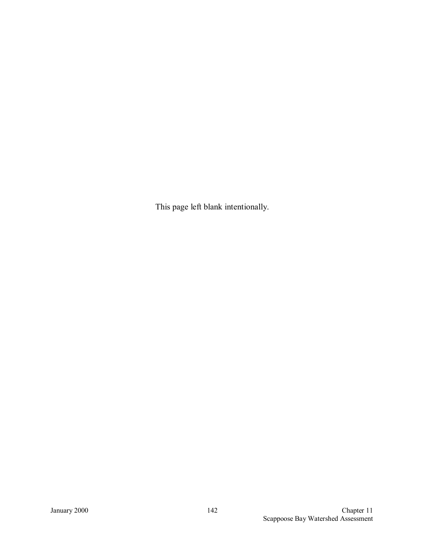This page left blank intentionally.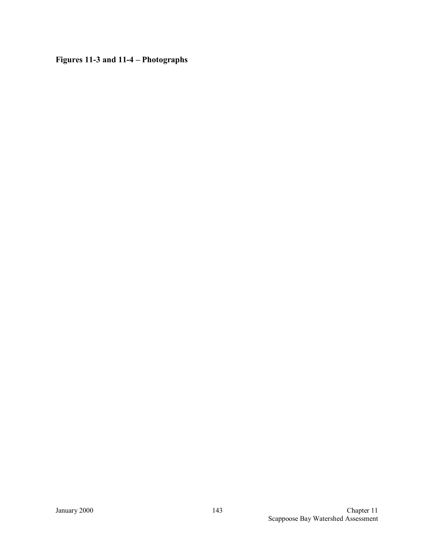Figures 11-3 and 11-4 – Photographs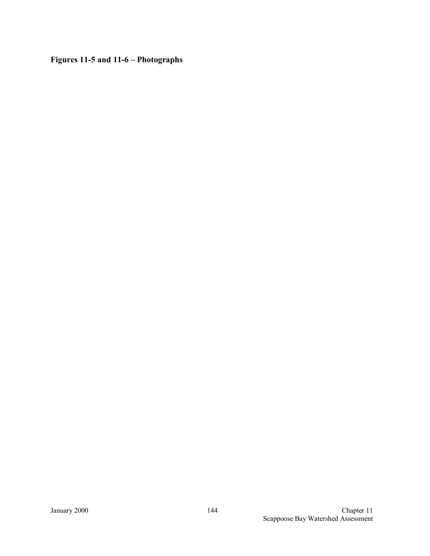Figures 11-5 and 11-6 – Photographs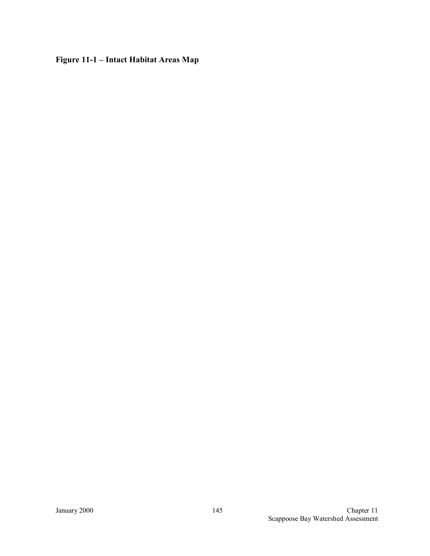Figure 11-1 – Intact Habitat Areas Map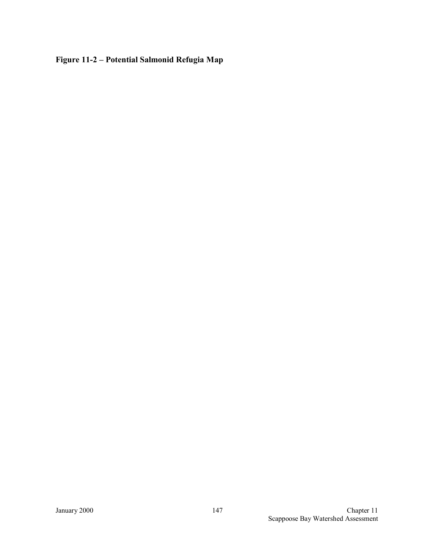Figure 11-2 - Potential Salmonid Refugia Map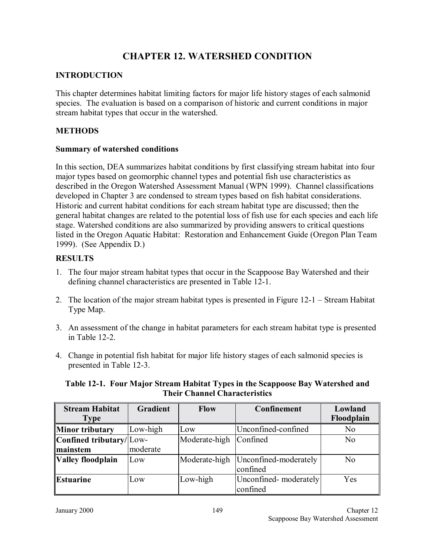# **CHAPTER 12. WATERSHED CONDITION**

## **INTRODUCTION**

This chapter determines habitat limiting factors for major life history stages of each salmonid species. The evaluation is based on a comparison of historic and current conditions in major stream habitat types that occur in the watershed.

## **METHODS**

## **Summary of watershed conditions**

In this section, DEA summarizes habitat conditions by first classifying stream habitat into four major types based on geomorphic channel types and potential fish use characteristics as described in the Oregon Watershed Assessment Manual (WPN 1999). Channel classifications developed in Chapter 3 are condensed to stream types based on fish habitat considerations. Historic and current habitat conditions for each stream habitat type are discussed; then the general habitat changes are related to the potential loss of fish use for each species and each life stage. Watershed conditions are also summarized by providing answers to critical questions listed in the Oregon Aquatic Habitat: Restoration and Enhancement Guide (Oregon Plan Team 1999). (See Appendix D.)

## **RESULTS**

- 1. The four major stream habitat types that occur in the Scappoose Bay Watershed and their defining channel characteristics are presented in Table 12-1.
- 2. The location of the major stream habitat types is presented in Figure  $12-1$  Stream Habitat Type Map.
- 3. An assessment of the change in habitat parameters for each stream habitat type is presented in Table 12-2.
- 4. Change in potential fish habitat for major life history stages of each salmonid species is presented in Table 12-3.

## **Table 12-1. Four Major Stream Habitat Types in the Scappoose Bay Watershed and Their Channel Characteristics**

| <b>Stream Habitat</b>   | <b>Gradient</b> | <b>Flow</b>            | Confinement           | Lowland        |
|-------------------------|-----------------|------------------------|-----------------------|----------------|
| <b>Type</b>             |                 |                        |                       | Floodplain     |
| Minor tributary         | Low-high        | Low                    | Unconfined-confined   | No             |
| Confined tributary/Low- |                 | Moderate-high Confined |                       | N <sub>o</sub> |
| mainstem                | moderate        |                        |                       |                |
| Valley floodplain       | Low             | Moderate-high          | Unconfined-moderately | N <sub>0</sub> |
|                         |                 |                        | confined              |                |
| Estuarine               | Low             | Low-high               | Unconfined-moderately | Yes            |
|                         |                 |                        | confined              |                |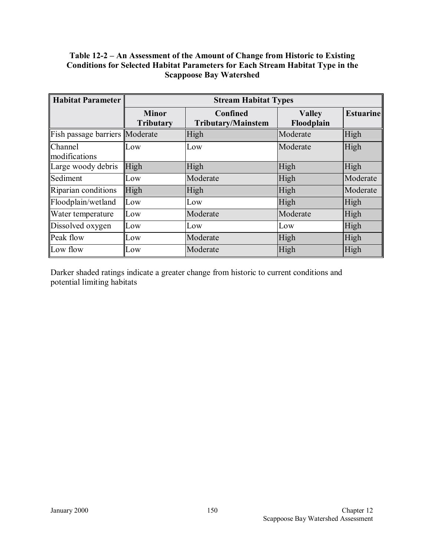### Table 12-2 - An Assessment of the Amount of Change from Historic to Existing **Conditions for Selected Habitat Parameters for Each Stream Habitat Type in the Scappoose Bay Watershed**

| <b>Habitat Parameter</b>        | <b>Stream Habitat Types</b>      |                                       |                             |                  |  |
|---------------------------------|----------------------------------|---------------------------------------|-----------------------------|------------------|--|
|                                 | <b>Minor</b><br><b>Tributary</b> | Confined<br><b>Tributary/Mainstem</b> | <b>Valley</b><br>Floodplain | <b>Estuarine</b> |  |
| Fish passage barriers Moderate  |                                  | High                                  | Moderate                    | High             |  |
| <b>Channel</b><br>modifications | Low                              | Low                                   | Moderate                    | High             |  |
| Large woody debris              | High                             | High                                  | High                        | High             |  |
| Sediment                        | Low                              | Moderate                              | High                        | Moderate         |  |
| Riparian conditions             | High                             | High                                  | High                        | Moderate         |  |
| Floodplain/wetland              | Low                              | Low                                   | High                        | High             |  |
| Water temperature               | Low                              | Moderate                              | Moderate                    | High             |  |
| Dissolved oxygen                | Low                              | Low                                   | Low                         | High             |  |
| Peak flow                       | Low                              | Moderate                              | High                        | High             |  |
| Low flow                        | Low                              | Moderate                              | High                        | High             |  |

Darker shaded ratings indicate a greater change from historic to current conditions and potential limiting habitats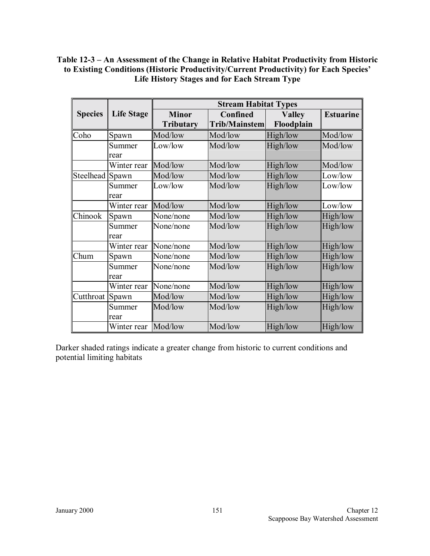### Table 12-3 – An Assessment of the Change in Relative Habitat Productivity from Historic **to Existing Conditions (Historic Productivity/Current Productivity) for Each Speciesí Life History Stages and for Each Stream Type**

|                 | <b>Life Stage</b> | <b>Stream Habitat Types</b> |               |               |                  |  |
|-----------------|-------------------|-----------------------------|---------------|---------------|------------------|--|
| <b>Species</b>  |                   | <b>Minor</b>                | Confined      | <b>Valley</b> | <b>Estuarine</b> |  |
|                 |                   | <b>Tributary</b>            | Trib/Mainstem | Floodplain    |                  |  |
| Coho            | Spawn             | Mod/low                     | Mod/low       | High/low      | Mod/low          |  |
|                 | Summer<br>rear    | Low/low                     | Mod/low       | High/low      | Mod/low          |  |
|                 | Winter rear       | Mod/low                     | Mod/low       | High/low      | Mod/low          |  |
| Steelhead Spawn |                   | Mod/low                     | Mod/low       | High/low      | Low/low          |  |
|                 | Summer<br>rear    | Low/low                     | Mod/low       | High/low      | Low/low          |  |
|                 | Winter rear       | Mod/low                     | Mod/low       | High/low      | Low/low          |  |
| Chinook         | Spawn             | None/none                   | Mod/low       | High/low      | High/low         |  |
|                 | Summer<br>rear    | None/none                   | Mod/low       | High/low      | High/low         |  |
|                 | Winter rear       | None/none                   | Mod/low       | High/low      | High/low         |  |
| <b>Chum</b>     | Spawn             | None/none                   | Mod/low       | High/low      | High/low         |  |
|                 | Summer<br>rear    | None/none                   | Mod/low       | High/low      | High/low         |  |
|                 | Winter rear       | None/none                   | Mod/low       | High/low      | High/low         |  |
| Cutthroat Spawn |                   | Mod/low                     | Mod/low       | High/low      | High/low         |  |
|                 | Summer<br>rear    | Mod/low                     | Mod/low       | High/low      | High/low         |  |
|                 | Winter rear       | Mod/low                     | Mod/low       | High/low      | High/low         |  |

Darker shaded ratings indicate a greater change from historic to current conditions and potential limiting habitats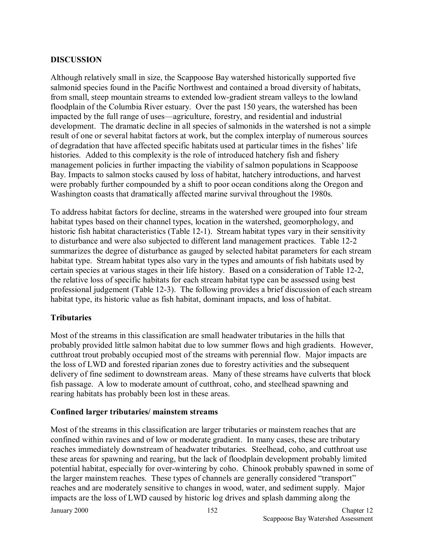### **DISCUSSION**

Although relatively small in size, the Scappoose Bay watershed historically supported five salmonid species found in the Pacific Northwest and contained a broad diversity of habitats, from small, steep mountain streams to extended low-gradient stream valleys to the lowland floodplain of the Columbia River estuary. Over the past 150 years, the watershed has been impacted by the full range of uses—agriculture, forestry, and residential and industrial development. The dramatic decline in all species of salmonids in the watershed is not a simple result of one or several habitat factors at work, but the complex interplay of numerous sources of degradation that have affected specific habitats used at particular times in the fishes' life histories. Added to this complexity is the role of introduced hatchery fish and fishery management policies in further impacting the viability of salmon populations in Scappoose Bay. Impacts to salmon stocks caused by loss of habitat, hatchery introductions, and harvest were probably further compounded by a shift to poor ocean conditions along the Oregon and Washington coasts that dramatically affected marine survival throughout the 1980s.

To address habitat factors for decline, streams in the watershed were grouped into four stream habitat types based on their channel types, location in the watershed, geomorphology, and historic fish habitat characteristics (Table 12-1). Stream habitat types vary in their sensitivity to disturbance and were also subjected to different land management practices. Table 12-2 summarizes the degree of disturbance as gauged by selected habitat parameters for each stream habitat type. Stream habitat types also vary in the types and amounts of fish habitats used by certain species at various stages in their life history. Based on a consideration of Table 12-2, the relative loss of specific habitats for each stream habitat type can be assessed using best professional judgement (Table 12-3). The following provides a brief discussion of each stream habitat type, its historic value as fish habitat, dominant impacts, and loss of habitat.

### **Tributaries**

Most of the streams in this classification are small headwater tributaries in the hills that probably provided little salmon habitat due to low summer flows and high gradients. However, cutthroat trout probably occupied most of the streams with perennial flow. Major impacts are the loss of LWD and forested riparian zones due to forestry activities and the subsequent delivery of fine sediment to downstream areas. Many of these streams have culverts that block fish passage. A low to moderate amount of cutthroat, coho, and steelhead spawning and rearing habitats has probably been lost in these areas.

### **Confined larger tributaries/ mainstem streams**

Most of the streams in this classification are larger tributaries or mainstem reaches that are confined within ravines and of low or moderate gradient. In many cases, these are tributary reaches immediately downstream of headwater tributaries. Steelhead, coho, and cutthroat use these areas for spawning and rearing, but the lack of floodplain development probably limited potential habitat, especially for over-wintering by coho. Chinook probably spawned in some of the larger mainstem reaches. These types of channels are generally considered "transport" reaches and are moderately sensitive to changes in wood, water, and sediment supply. Major impacts are the loss of LWD caused by historic log drives and splash damming along the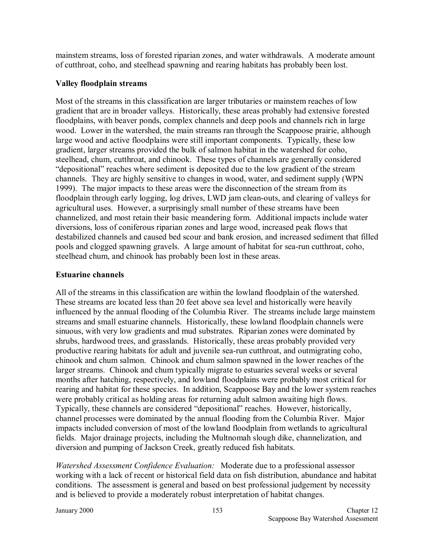mainstem streams, loss of forested riparian zones, and water withdrawals. A moderate amount of cutthroat, coho, and steelhead spawning and rearing habitats has probably been lost.

## **Valley floodplain streams**

Most of the streams in this classification are larger tributaries or mainstem reaches of low gradient that are in broader valleys. Historically, these areas probably had extensive forested floodplains, with beaver ponds, complex channels and deep pools and channels rich in large wood. Lower in the watershed, the main streams ran through the Scappoose prairie, although large wood and active floodplains were still important components. Typically, these low gradient, larger streams provided the bulk of salmon habitat in the watershed for coho, steelhead, chum, cutthroat, and chinook. These types of channels are generally considered "depositional" reaches where sediment is deposited due to the low gradient of the stream channels. They are highly sensitive to changes in wood, water, and sediment supply (WPN 1999). The major impacts to these areas were the disconnection of the stream from its floodplain through early logging, log drives, LWD jam clean-outs, and clearing of valleys for agricultural uses. However, a surprisingly small number of these streams have been channelized, and most retain their basic meandering form. Additional impacts include water diversions, loss of coniferous riparian zones and large wood, increased peak flows that destabilized channels and caused bed scour and bank erosion, and increased sediment that filled pools and clogged spawning gravels. A large amount of habitat for sea-run cutthroat, coho, steelhead chum, and chinook has probably been lost in these areas.

## **Estuarine channels**

All of the streams in this classification are within the lowland floodplain of the watershed. These streams are located less than 20 feet above sea level and historically were heavily influenced by the annual flooding of the Columbia River. The streams include large mainstem streams and small estuarine channels. Historically, these lowland floodplain channels were sinuous, with very low gradients and mud substrates. Riparian zones were dominated by shrubs, hardwood trees, and grasslands. Historically, these areas probably provided very productive rearing habitats for adult and juvenile sea-run cutthroat, and outmigrating coho, chinook and chum salmon. Chinook and chum salmon spawned in the lower reaches of the larger streams. Chinook and chum typically migrate to estuaries several weeks or several months after hatching, respectively, and lowland floodplains were probably most critical for rearing and habitat for these species. In addition, Scappoose Bay and the lower system reaches were probably critical as holding areas for returning adult salmon awaiting high flows. Typically, these channels are considered "depositional" reaches. However, historically, channel processes were dominated by the annual flooding from the Columbia River. Major impacts included conversion of most of the lowland floodplain from wetlands to agricultural fields. Major drainage projects, including the Multnomah slough dike, channelization, and diversion and pumping of Jackson Creek, greatly reduced fish habitats.

*Watershed Assessment Confidence Evaluation:* Moderate due to a professional assessor working with a lack of recent or historical field data on fish distribution, abundance and habitat conditions. The assessment is general and based on best professional judgement by necessity and is believed to provide a moderately robust interpretation of habitat changes.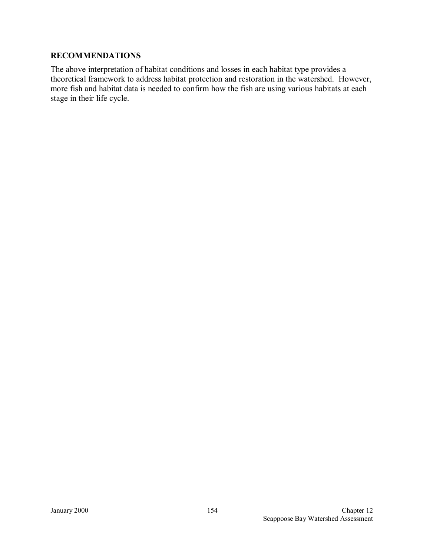### **RECOMMENDATIONS**

The above interpretation of habitat conditions and losses in each habitat type provides a theoretical framework to address habitat protection and restoration in the watershed. However, more fish and habitat data is needed to confirm how the fish are using various habitats at each stage in their life cycle.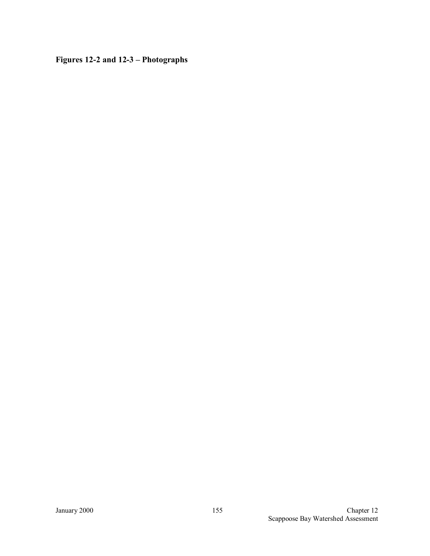Figures 12-2 and 12-3 – Photographs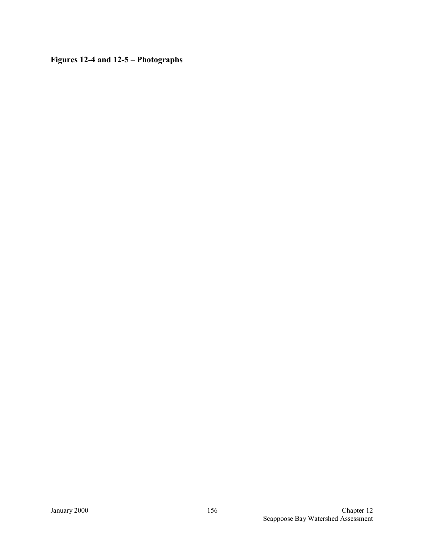Figures 12-4 and 12-5 – Photographs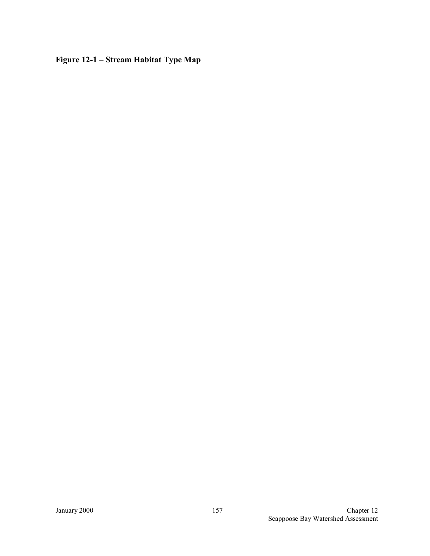Figure 12-1 – Stream Habitat Type Map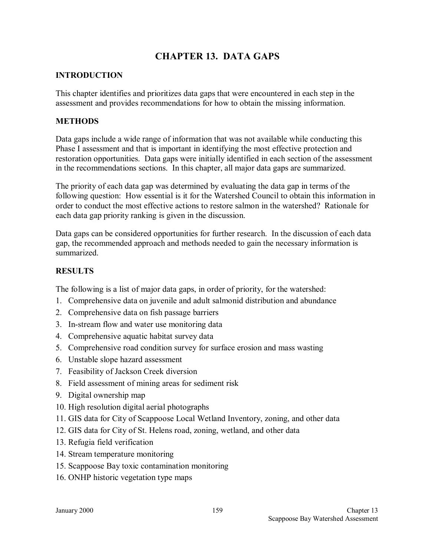# **CHAPTER 13. DATA GAPS**

#### **INTRODUCTION**

This chapter identifies and prioritizes data gaps that were encountered in each step in the assessment and provides recommendations for how to obtain the missing information.

#### **METHODS**

Data gaps include a wide range of information that was not available while conducting this Phase I assessment and that is important in identifying the most effective protection and restoration opportunities. Data gaps were initially identified in each section of the assessment in the recommendations sections. In this chapter, all major data gaps are summarized.

The priority of each data gap was determined by evaluating the data gap in terms of the following question: How essential is it for the Watershed Council to obtain this information in order to conduct the most effective actions to restore salmon in the watershed? Rationale for each data gap priority ranking is given in the discussion.

Data gaps can be considered opportunities for further research. In the discussion of each data gap, the recommended approach and methods needed to gain the necessary information is summarized.

#### **RESULTS**

The following is a list of major data gaps, in order of priority, for the watershed:

- 1. Comprehensive data on juvenile and adult salmonid distribution and abundance
- 2. Comprehensive data on fish passage barriers
- 3. In-stream flow and water use monitoring data
- 4. Comprehensive aquatic habitat survey data
- 5. Comprehensive road condition survey for surface erosion and mass wasting
- 6. Unstable slope hazard assessment
- 7. Feasibility of Jackson Creek diversion
- 8. Field assessment of mining areas for sediment risk
- 9. Digital ownership map
- 10. High resolution digital aerial photographs
- 11. GIS data for City of Scappoose Local Wetland Inventory, zoning, and other data
- 12. GIS data for City of St. Helens road, zoning, wetland, and other data
- 13. Refugia field verification
- 14. Stream temperature monitoring
- 15. Scappoose Bay toxic contamination monitoring
- 16. ONHP historic vegetation type maps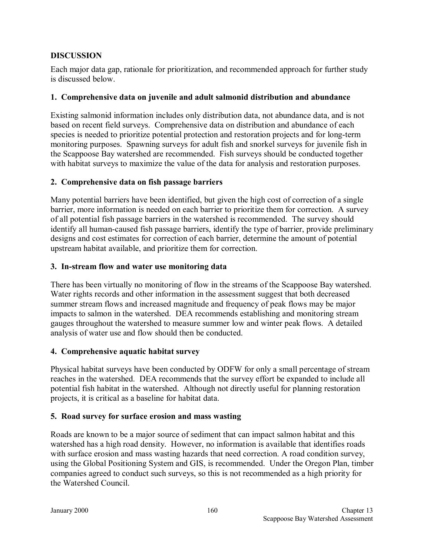# **DISCUSSION**

Each major data gap, rationale for prioritization, and recommended approach for further study is discussed below.

### **1. Comprehensive data on juvenile and adult salmonid distribution and abundance**

Existing salmonid information includes only distribution data, not abundance data, and is not based on recent field surveys. Comprehensive data on distribution and abundance of each species is needed to prioritize potential protection and restoration projects and for long-term monitoring purposes. Spawning surveys for adult fish and snorkel surveys for juvenile fish in the Scappoose Bay watershed are recommended. Fish surveys should be conducted together with habitat surveys to maximize the value of the data for analysis and restoration purposes.

# **2. Comprehensive data on fish passage barriers**

Many potential barriers have been identified, but given the high cost of correction of a single barrier, more information is needed on each barrier to prioritize them for correction. A survey of all potential fish passage barriers in the watershed is recommended. The survey should identify all human-caused fish passage barriers, identify the type of barrier, provide preliminary designs and cost estimates for correction of each barrier, determine the amount of potential upstream habitat available, and prioritize them for correction.

# **3. In-stream flow and water use monitoring data**

There has been virtually no monitoring of flow in the streams of the Scappoose Bay watershed. Water rights records and other information in the assessment suggest that both decreased summer stream flows and increased magnitude and frequency of peak flows may be major impacts to salmon in the watershed. DEA recommends establishing and monitoring stream gauges throughout the watershed to measure summer low and winter peak flows. A detailed analysis of water use and flow should then be conducted.

#### **4. Comprehensive aquatic habitat survey**

Physical habitat surveys have been conducted by ODFW for only a small percentage of stream reaches in the watershed. DEA recommends that the survey effort be expanded to include all potential fish habitat in the watershed. Although not directly useful for planning restoration projects, it is critical as a baseline for habitat data.

#### **5. Road survey for surface erosion and mass wasting**

Roads are known to be a major source of sediment that can impact salmon habitat and this watershed has a high road density. However, no information is available that identifies roads with surface erosion and mass wasting hazards that need correction. A road condition survey, using the Global Positioning System and GIS, is recommended. Under the Oregon Plan, timber companies agreed to conduct such surveys, so this is not recommended as a high priority for the Watershed Council.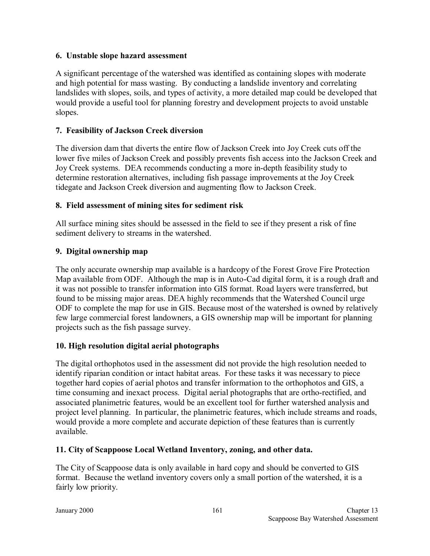#### **6. Unstable slope hazard assessment**

A significant percentage of the watershed was identified as containing slopes with moderate and high potential for mass wasting. By conducting a landslide inventory and correlating landslides with slopes, soils, and types of activity, a more detailed map could be developed that would provide a useful tool for planning forestry and development projects to avoid unstable slopes.

# **7. Feasibility of Jackson Creek diversion**

The diversion dam that diverts the entire flow of Jackson Creek into Joy Creek cuts off the lower five miles of Jackson Creek and possibly prevents fish access into the Jackson Creek and Joy Creek systems. DEA recommends conducting a more in-depth feasibility study to determine restoration alternatives, including fish passage improvements at the Joy Creek tidegate and Jackson Creek diversion and augmenting flow to Jackson Creek.

# **8. Field assessment of mining sites for sediment risk**

All surface mining sites should be assessed in the field to see if they present a risk of fine sediment delivery to streams in the watershed.

# **9. Digital ownership map**

The only accurate ownership map available is a hardcopy of the Forest Grove Fire Protection Map available from ODF. Although the map is in Auto-Cad digital form, it is a rough draft and it was not possible to transfer information into GIS format. Road layers were transferred, but found to be missing major areas. DEA highly recommends that the Watershed Council urge ODF to complete the map for use in GIS. Because most of the watershed is owned by relatively few large commercial forest landowners, a GIS ownership map will be important for planning projects such as the fish passage survey.

# **10. High resolution digital aerial photographs**

The digital orthophotos used in the assessment did not provide the high resolution needed to identify riparian condition or intact habitat areas. For these tasks it was necessary to piece together hard copies of aerial photos and transfer information to the orthophotos and GIS, a time consuming and inexact process. Digital aerial photographs that are ortho-rectified, and associated planimetric features, would be an excellent tool for further watershed analysis and project level planning. In particular, the planimetric features, which include streams and roads, would provide a more complete and accurate depiction of these features than is currently available.

#### **11. City of Scappoose Local Wetland Inventory, zoning, and other data.**

The City of Scappoose data is only available in hard copy and should be converted to GIS format. Because the wetland inventory covers only a small portion of the watershed, it is a fairly low priority.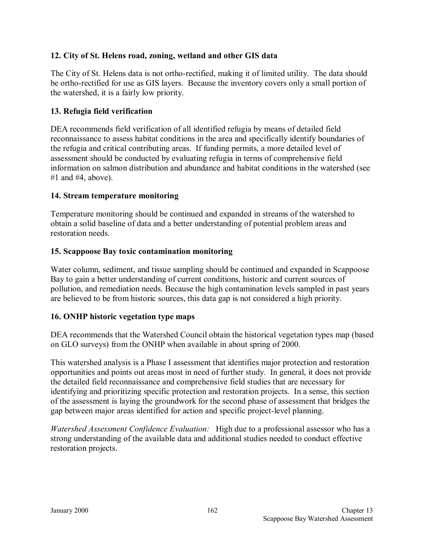# **12. City of St. Helens road, zoning, wetland and other GIS data**

The City of St. Helens data is not ortho-rectified, making it of limited utility. The data should be ortho-rectified for use as GIS layers. Because the inventory covers only a small portion of the watershed, it is a fairly low priority.

# **13. Refugia field verification**

DEA recommends field verification of all identified refugia by means of detailed field reconnaissance to assess habitat conditions in the area and specifically identify boundaries of the refugia and critical contributing areas. If funding permits, a more detailed level of assessment should be conducted by evaluating refugia in terms of comprehensive field information on salmon distribution and abundance and habitat conditions in the watershed (see  $#1$  and  $#4$ , above).

# **14. Stream temperature monitoring**

Temperature monitoring should be continued and expanded in streams of the watershed to obtain a solid baseline of data and a better understanding of potential problem areas and restoration needs.

# **15. Scappoose Bay toxic contamination monitoring**

Water column, sediment, and tissue sampling should be continued and expanded in Scappoose Bay to gain a better understanding of current conditions, historic and current sources of pollution, and remediation needs. Because the high contamination levels sampled in past years are believed to be from historic sources, this data gap is not considered a high priority.

#### **16. ONHP historic vegetation type maps**

DEA recommends that the Watershed Council obtain the historical vegetation types map (based on GLO surveys) from the ONHP when available in about spring of 2000.

This watershed analysis is a Phase I assessment that identifies major protection and restoration opportunities and points out areas most in need of further study. In general, it does not provide the detailed field reconnaissance and comprehensive field studies that are necessary for identifying and prioritizing specific protection and restoration projects. In a sense, this section of the assessment is laying the groundwork for the second phase of assessment that bridges the gap between major areas identified for action and specific project-level planning.

*Watershed Assessment Confidence Evaluation:* High due to a professional assessor who has a strong understanding of the available data and additional studies needed to conduct effective restoration projects.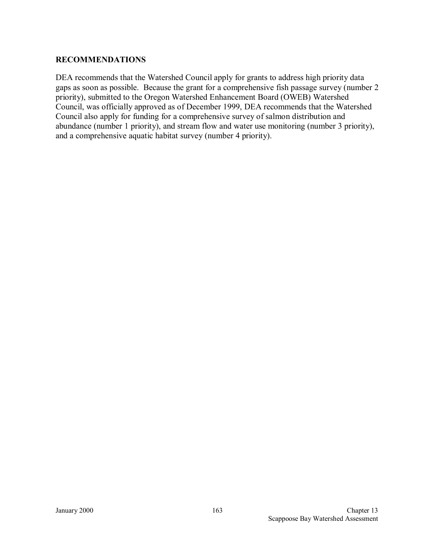#### **RECOMMENDATIONS**

DEA recommends that the Watershed Council apply for grants to address high priority data gaps as soon as possible. Because the grant for a comprehensive fish passage survey (number 2 priority), submitted to the Oregon Watershed Enhancement Board (OWEB) Watershed Council, was officially approved as of December 1999, DEA recommends that the Watershed Council also apply for funding for a comprehensive survey of salmon distribution and abundance (number 1 priority), and stream flow and water use monitoring (number 3 priority), and a comprehensive aquatic habitat survey (number 4 priority).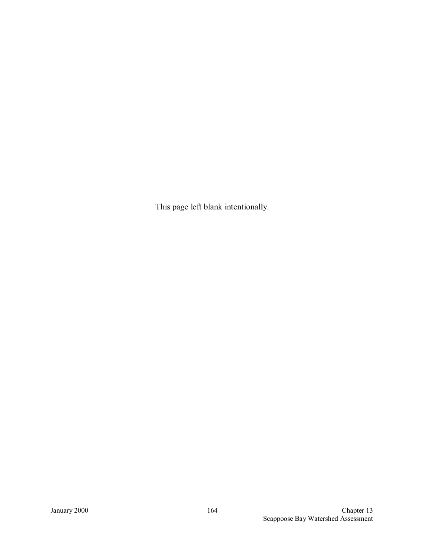This page left blank intentionally.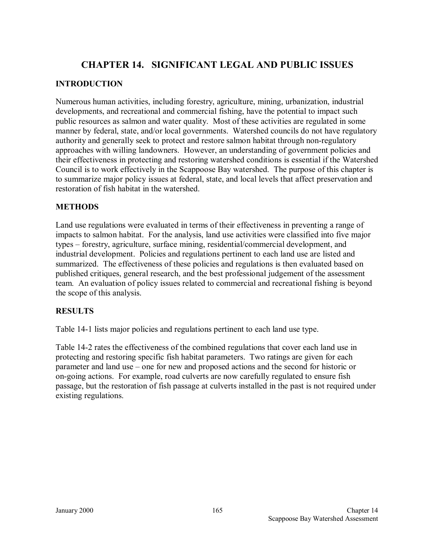# **CHAPTER 14. SIGNIFICANT LEGAL AND PUBLIC ISSUES**

### **INTRODUCTION**

Numerous human activities, including forestry, agriculture, mining, urbanization, industrial developments, and recreational and commercial fishing, have the potential to impact such public resources as salmon and water quality. Most of these activities are regulated in some manner by federal, state, and/or local governments. Watershed councils do not have regulatory authority and generally seek to protect and restore salmon habitat through non-regulatory approaches with willing landowners. However, an understanding of government policies and their effectiveness in protecting and restoring watershed conditions is essential if the Watershed Council is to work effectively in the Scappoose Bay watershed. The purpose of this chapter is to summarize major policy issues at federal, state, and local levels that affect preservation and restoration of fish habitat in the watershed.

#### **METHODS**

Land use regulations were evaluated in terms of their effectiveness in preventing a range of impacts to salmon habitat. For the analysis, land use activities were classified into five major types – forestry, agriculture, surface mining, residential/commercial development, and industrial development. Policies and regulations pertinent to each land use are listed and summarized. The effectiveness of these policies and regulations is then evaluated based on published critiques, general research, and the best professional judgement of the assessment team. An evaluation of policy issues related to commercial and recreational fishing is beyond the scope of this analysis.

#### **RESULTS**

Table 14-1 lists major policies and regulations pertinent to each land use type.

Table 14-2 rates the effectiveness of the combined regulations that cover each land use in protecting and restoring specific fish habitat parameters. Two ratings are given for each parameter and land use  $-$  one for new and proposed actions and the second for historic or on-going actions. For example, road culverts are now carefully regulated to ensure fish passage, but the restoration of fish passage at culverts installed in the past is not required under existing regulations.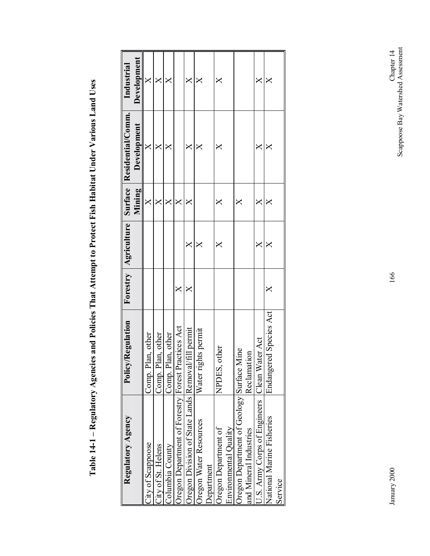Table 14-1 - Regulatory Agencies and Policies That Attempt to Protect Fish Habitat Under Various Land Uses **Table 14-1 – Regulatory Agencies and Policies That Attempt to Protect Fish Habitat Under Various Land Uses** 

| Regulatory Agency                                  | Policy/Regulation             |   | Forestry   Agriculture |                         | Surface Residential/Comm. | Industrial        |
|----------------------------------------------------|-------------------------------|---|------------------------|-------------------------|---------------------------|-------------------|
|                                                    |                               |   |                        | Mining                  | Development               | Development       |
| City of Scappoose                                  | Comp. Plan, other             |   |                        | $\mathsf{X}$            | ×                         | $\Join$           |
| City of St. Helens                                 | Comp. Plan, other             |   |                        | ×                       | ×                         | ×                 |
| Columbia County                                    | Comp. Plan, other             |   |                        | $\overline{\mathsf{X}}$ | ×                         | ×                 |
| Dregon Department of Forestry Forest Practices Act |                               | × |                        | $\bm{\times}$           |                           |                   |
| Oregon Division of State Lands Removal             | fill permit                   | × | $\bm{\mathsf{X}}$      | ×                       | $\bm{\times}$             | $\bm{\mathsf{X}}$ |
| <b>Oregon Water Resources</b>                      | Water rights permit           |   | ×                      |                         | ×                         | ×                 |
| Jepartment                                         |                               |   |                        |                         |                           |                   |
| <b>Dregon Department of</b>                        | other<br>NPDES,               |   |                        | ×                       |                           | ×                 |
| Environmental Quality                              |                               |   |                        |                         |                           |                   |
| Oregon Department of Geology Surface Mine          |                               |   |                        | $\Join$                 |                           |                   |
| and Mineral Industries                             | 1001<br>Reclamat              |   |                        |                         |                           |                   |
| J.S. Army Corps of Engineers   Clean Water Act     |                               |   | ×                      |                         | $\Join$                   | ×                 |
| National Marine Fisheries                          | <b>Endangered Species Act</b> |   |                        |                         |                           | ×                 |
| Service                                            |                               |   |                        |                         |                           |                   |
|                                                    |                               |   |                        |                         |                           |                   |

Chapter 14<br>Scappoose Bay Watershed Assessment Scappoose Bay Watershed Assessment January 20000 Chapter 14

166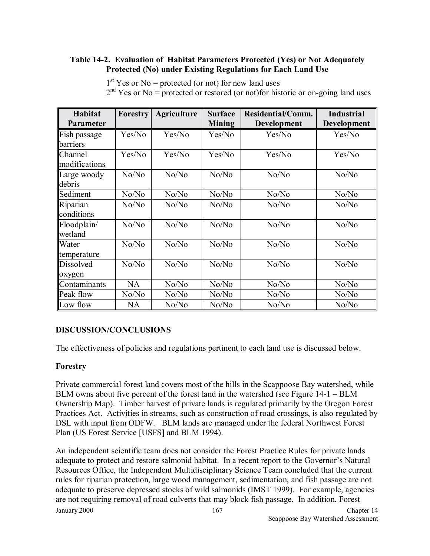### **Table 14-2. Evaluation of Habitat Parameters Protected (Yes) or Not Adequately Protected (No) under Existing Regulations for Each Land Use**

 $1<sup>st</sup>$  Yes or No = protected (or not) for new land uses

 $2<sup>nd</sup> Yes$  or No = protected or restored (or not) for historic or on-going land uses

| <b>Habitat</b><br>Parameter     | Forestry  | <b>Agriculture</b> | <b>Surface</b><br><b>Mining</b> | Residential/Comm.<br>Development | <b>Industrial</b><br>Development |
|---------------------------------|-----------|--------------------|---------------------------------|----------------------------------|----------------------------------|
| Fish passage<br>barriers        | Yes/No    | Yes/No             | Yes/No                          | Yes/No                           | Yes/No                           |
| <b>Channel</b><br>modifications | Yes/No    | Yes/No             | Yes/No                          | Yes/No                           | Yes/No                           |
| Large woody<br>debris           | No/No     | No/No              | No/No                           | No/No                            | No/No                            |
| Sediment                        | No/No     | No/No              | No/No                           | No/No                            | No/No                            |
| Riparian<br>conditions          | No/No     | No/No              | No/No                           | No/No                            | No/No                            |
| Floodplain/<br>wetland          | No/No     | No/No              | No/No                           | No/No                            | No/No                            |
| Water<br>temperature            | No/No     | No/No              | No/No                           | No/No                            | No/No                            |
| Dissolved                       | No/No     | No/No              | No/No                           | No/No                            | No/No                            |
| oxygen                          |           |                    |                                 |                                  |                                  |
| Contaminants                    | <b>NA</b> | No/No              | No/No                           | No/No                            | No/No                            |
| Peak flow                       | No/No     | No/No              | No/No                           | No/No                            | No/No                            |
| Low flow                        | <b>NA</b> | No/No              | No/No                           | No/No                            | No/No                            |

#### **DISCUSSION/CONCLUSIONS**

The effectiveness of policies and regulations pertinent to each land use is discussed below.

#### **Forestry**

Private commercial forest land covers most of the hills in the Scappoose Bay watershed, while BLM owns about five percent of the forest land in the watershed (see Figure  $14-1 - BLM$ ) Ownership Map). Timber harvest of private lands is regulated primarily by the Oregon Forest Practices Act. Activities in streams, such as construction of road crossings, is also regulated by DSL with input from ODFW. BLM lands are managed under the federal Northwest Forest Plan (US Forest Service [USFS] and BLM 1994).

January 2000 167 167 Chapter 14 167 An independent scientific team does not consider the Forest Practice Rules for private lands adequate to protect and restore salmonid habitat. In a recent report to the Governor's Natural Resources Office, the Independent Multidisciplinary Science Team concluded that the current rules for riparian protection, large wood management, sedimentation, and fish passage are not adequate to preserve depressed stocks of wild salmonids (IMST 1999). For example, agencies are not requiring removal of road culverts that may block fish passage. In addition, Forest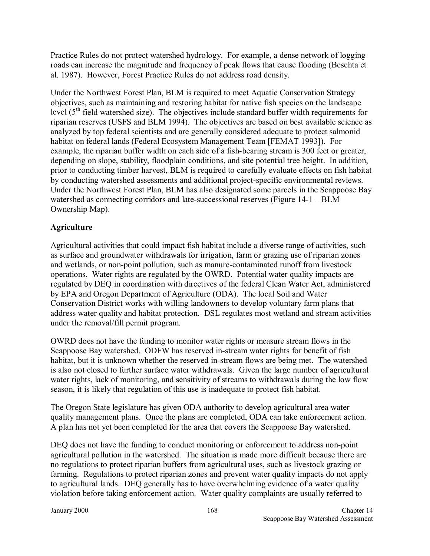Practice Rules do not protect watershed hydrology. For example, a dense network of logging roads can increase the magnitude and frequency of peak flows that cause flooding (Beschta et al. 1987). However, Forest Practice Rules do not address road density.

Under the Northwest Forest Plan, BLM is required to meet Aquatic Conservation Strategy objectives, such as maintaining and restoring habitat for native fish species on the landscape level  $(5<sup>th</sup>$  field watershed size). The objectives include standard buffer width requirements for riparian reserves (USFS and BLM 1994). The objectives are based on best available science as analyzed by top federal scientists and are generally considered adequate to protect salmonid habitat on federal lands (Federal Ecosystem Management Team [FEMAT 1993]). For example, the riparian buffer width on each side of a fish-bearing stream is 300 feet or greater, depending on slope, stability, floodplain conditions, and site potential tree height. In addition, prior to conducting timber harvest, BLM is required to carefully evaluate effects on fish habitat by conducting watershed assessments and additional project-specific environmental reviews. Under the Northwest Forest Plan, BLM has also designated some parcels in the Scappoose Bay watershed as connecting corridors and late-successional reserves (Figure  $14-1 - BLM$ Ownership Map).

# **Agriculture**

Agricultural activities that could impact fish habitat include a diverse range of activities, such as surface and groundwater withdrawals for irrigation, farm or grazing use of riparian zones and wetlands, or non-point pollution, such as manure-contaminated runoff from livestock operations. Water rights are regulated by the OWRD. Potential water quality impacts are regulated by DEQ in coordination with directives of the federal Clean Water Act, administered by EPA and Oregon Department of Agriculture (ODA). The local Soil and Water Conservation District works with willing landowners to develop voluntary farm plans that address water quality and habitat protection. DSL regulates most wetland and stream activities under the removal/fill permit program.

OWRD does not have the funding to monitor water rights or measure stream flows in the Scappoose Bay watershed. ODFW has reserved in-stream water rights for benefit of fish habitat, but it is unknown whether the reserved in-stream flows are being met. The watershed is also not closed to further surface water withdrawals. Given the large number of agricultural water rights, lack of monitoring, and sensitivity of streams to withdrawals during the low flow season, it is likely that regulation of this use is inadequate to protect fish habitat.

The Oregon State legislature has given ODA authority to develop agricultural area water quality management plans. Once the plans are completed, ODA can take enforcement action. A plan has not yet been completed for the area that covers the Scappoose Bay watershed.

DEQ does not have the funding to conduct monitoring or enforcement to address non-point agricultural pollution in the watershed. The situation is made more difficult because there are no regulations to protect riparian buffers from agricultural uses, such as livestock grazing or farming. Regulations to protect riparian zones and prevent water quality impacts do not apply to agricultural lands. DEQ generally has to have overwhelming evidence of a water quality violation before taking enforcement action. Water quality complaints are usually referred to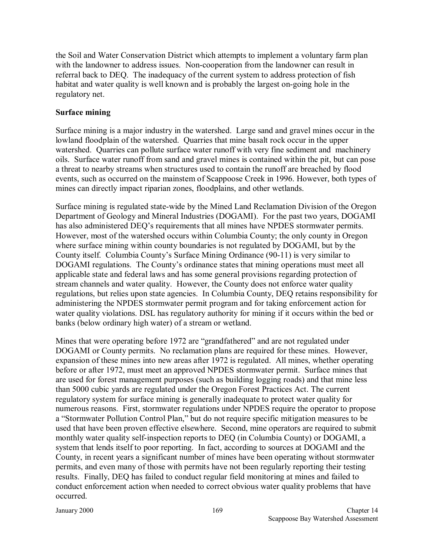the Soil and Water Conservation District which attempts to implement a voluntary farm plan with the landowner to address issues. Non-cooperation from the landowner can result in referral back to DEQ. The inadequacy of the current system to address protection of fish habitat and water quality is well known and is probably the largest on-going hole in the regulatory net.

### **Surface mining**

Surface mining is a major industry in the watershed. Large sand and gravel mines occur in the lowland floodplain of the watershed. Quarries that mine basalt rock occur in the upper watershed. Quarries can pollute surface water runoff with very fine sediment and machinery oils. Surface water runoff from sand and gravel mines is contained within the pit, but can pose a threat to nearby streams when structures used to contain the runoff are breached by flood events, such as occurred on the mainstem of Scappoose Creek in 1996. However, both types of mines can directly impact riparian zones, floodplains, and other wetlands.

Surface mining is regulated state-wide by the Mined Land Reclamation Division of the Oregon Department of Geology and Mineral Industries (DOGAMI). For the past two years, DOGAMI has also administered DEQ's requirements that all mines have NPDES stormwater permits. However, most of the watershed occurs within Columbia County; the only county in Oregon where surface mining within county boundaries is not regulated by DOGAMI, but by the County itself. Columbia County's Surface Mining Ordinance (90-11) is very similar to DOGAMI regulations. The County's ordinance states that mining operations must meet all applicable state and federal laws and has some general provisions regarding protection of stream channels and water quality. However, the County does not enforce water quality regulations, but relies upon state agencies. In Columbia County, DEQ retains responsibility for administering the NPDES stormwater permit program and for taking enforcement action for water quality violations. DSL has regulatory authority for mining if it occurs within the bed or banks (below ordinary high water) of a stream or wetland.

Mines that were operating before 1972 are "grandfathered" and are not regulated under DOGAMI or County permits. No reclamation plans are required for these mines. However, expansion of these mines into new areas after 1972 is regulated. All mines, whether operating before or after 1972, must meet an approved NPDES stormwater permit. Surface mines that are used for forest management purposes (such as building logging roads) and that mine less than 5000 cubic yards are regulated under the Oregon Forest Practices Act. The current regulatory system for surface mining is generally inadequate to protect water quality for numerous reasons. First, stormwater regulations under NPDES require the operator to propose a "Stormwater Pollution Control Plan," but do not require specific mitigation measures to be used that have been proven effective elsewhere. Second, mine operators are required to submit monthly water quality self-inspection reports to DEQ (in Columbia County) or DOGAMI, a system that lends itself to poor reporting. In fact, according to sources at DOGAMI and the County, in recent years a significant number of mines have been operating without stormwater permits, and even many of those with permits have not been regularly reporting their testing results. Finally, DEQ has failed to conduct regular field monitoring at mines and failed to conduct enforcement action when needed to correct obvious water quality problems that have occurred.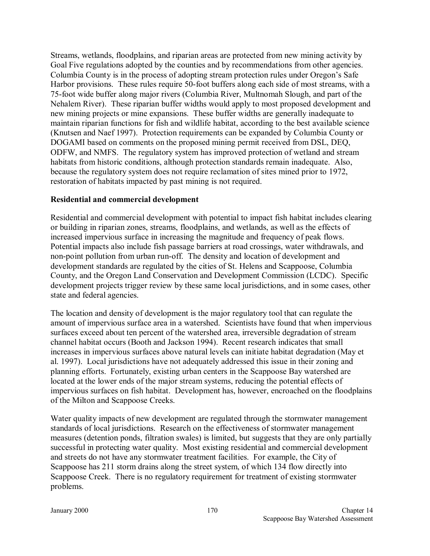Streams, wetlands, floodplains, and riparian areas are protected from new mining activity by Goal Five regulations adopted by the counties and by recommendations from other agencies. Columbia County is in the process of adopting stream protection rules under Oregon's Safe Harbor provisions. These rules require 50-foot buffers along each side of most streams, with a 75-foot wide buffer along major rivers (Columbia River, Multnomah Slough, and part of the Nehalem River). These riparian buffer widths would apply to most proposed development and new mining projects or mine expansions. These buffer widths are generally inadequate to maintain riparian functions for fish and wildlife habitat, according to the best available science (Knutsen and Naef 1997). Protection requirements can be expanded by Columbia County or DOGAMI based on comments on the proposed mining permit received from DSL, DEQ, ODFW, and NMFS. The regulatory system has improved protection of wetland and stream habitats from historic conditions, although protection standards remain inadequate. Also, because the regulatory system does not require reclamation of sites mined prior to 1972, restoration of habitats impacted by past mining is not required.

#### **Residential and commercial development**

Residential and commercial development with potential to impact fish habitat includes clearing or building in riparian zones, streams, floodplains, and wetlands, as well as the effects of increased impervious surface in increasing the magnitude and frequency of peak flows. Potential impacts also include fish passage barriers at road crossings, water withdrawals, and non-point pollution from urban run-off. The density and location of development and development standards are regulated by the cities of St. Helens and Scappoose, Columbia County, and the Oregon Land Conservation and Development Commission (LCDC). Specific development projects trigger review by these same local jurisdictions, and in some cases, other state and federal agencies.

The location and density of development is the major regulatory tool that can regulate the amount of impervious surface area in a watershed. Scientists have found that when impervious surfaces exceed about ten percent of the watershed area, irreversible degradation of stream channel habitat occurs (Booth and Jackson 1994). Recent research indicates that small increases in impervious surfaces above natural levels can initiate habitat degradation (May et al. 1997). Local jurisdictions have not adequately addressed this issue in their zoning and planning efforts. Fortunately, existing urban centers in the Scappoose Bay watershed are located at the lower ends of the major stream systems, reducing the potential effects of impervious surfaces on fish habitat. Development has, however, encroached on the floodplains of the Milton and Scappoose Creeks.

Water quality impacts of new development are regulated through the stormwater management standards of local jurisdictions. Research on the effectiveness of stormwater management measures (detention ponds, filtration swales) is limited, but suggests that they are only partially successful in protecting water quality. Most existing residential and commercial development and streets do not have any stormwater treatment facilities. For example, the City of Scappoose has 211 storm drains along the street system, of which 134 flow directly into Scappoose Creek. There is no regulatory requirement for treatment of existing stormwater problems.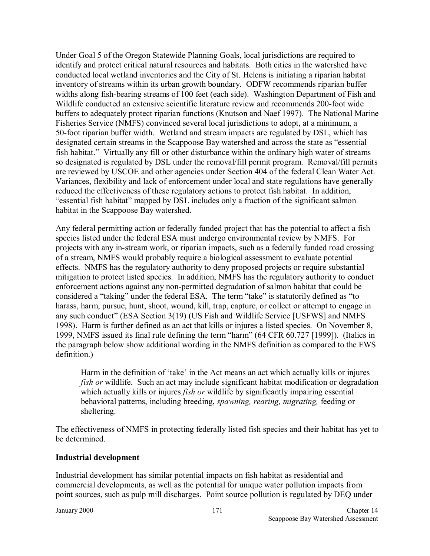Under Goal 5 of the Oregon Statewide Planning Goals, local jurisdictions are required to identify and protect critical natural resources and habitats. Both cities in the watershed have conducted local wetland inventories and the City of St. Helens is initiating a riparian habitat inventory of streams within its urban growth boundary. ODFW recommends riparian buffer widths along fish-bearing streams of 100 feet (each side). Washington Department of Fish and Wildlife conducted an extensive scientific literature review and recommends 200-foot wide buffers to adequately protect riparian functions (Knutson and Naef 1997). The National Marine Fisheries Service (NMFS) convinced several local jurisdictions to adopt, at a minimum, a 50-foot riparian buffer width. Wetland and stream impacts are regulated by DSL, which has designated certain streams in the Scappoose Bay watershed and across the state as "essential" fish habitat." Virtually any fill or other disturbance within the ordinary high water of streams so designated is regulated by DSL under the removal/fill permit program. Removal/fill permits are reviewed by USCOE and other agencies under Section 404 of the federal Clean Water Act. Variances, flexibility and lack of enforcement under local and state regulations have generally reduced the effectiveness of these regulatory actions to protect fish habitat. In addition, "essential fish habitat" mapped by DSL includes only a fraction of the significant salmon habitat in the Scappoose Bay watershed.

Any federal permitting action or federally funded project that has the potential to affect a fish species listed under the federal ESA must undergo environmental review by NMFS. For projects with any in-stream work, or riparian impacts, such as a federally funded road crossing of a stream, NMFS would probably require a biological assessment to evaluate potential effects. NMFS has the regulatory authority to deny proposed projects or require substantial mitigation to protect listed species. In addition, NMFS has the regulatory authority to conduct enforcement actions against any non-permitted degradation of salmon habitat that could be considered a "taking" under the federal ESA. The term "take" is statutorily defined as "to harass, harm, pursue, hunt, shoot, wound, kill, trap, capture, or collect or attempt to engage in any such conduct" (ESA Section  $3(19)$  (US Fish and Wildlife Service [USFWS] and NMFS 1998). Harm is further defined as an act that kills or injures a listed species. On November 8, 1999, NMFS issued its final rule defining the term "harm" (64 CFR 60.727 [1999]). (Italics in the paragraph below show additional wording in the NMFS definition as compared to the FWS definition.)

Harm in the definition of 'take' in the Act means an act which actually kills or injures *fish or* wildlife. Such an act may include significant habitat modification or degradation which actually kills or injures *fish or* wildlife by significantly impairing essential behavioral patterns, including breeding, *spawning, rearing, migrating,* feeding or sheltering.

The effectiveness of NMFS in protecting federally listed fish species and their habitat has yet to be determined.

#### **Industrial development**

Industrial development has similar potential impacts on fish habitat as residential and commercial developments, as well as the potential for unique water pollution impacts from point sources, such as pulp mill discharges. Point source pollution is regulated by DEQ under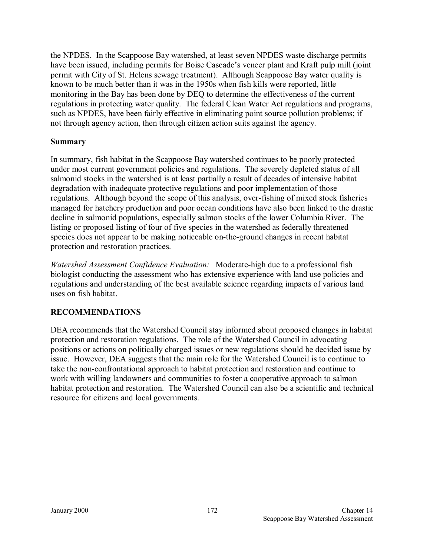the NPDES. In the Scappoose Bay watershed, at least seven NPDES waste discharge permits have been issued, including permits for Boise Cascade's veneer plant and Kraft pulp mill (joint permit with City of St. Helens sewage treatment). Although Scappoose Bay water quality is known to be much better than it was in the 1950s when fish kills were reported, little monitoring in the Bay has been done by DEQ to determine the effectiveness of the current regulations in protecting water quality. The federal Clean Water Act regulations and programs, such as NPDES, have been fairly effective in eliminating point source pollution problems; if not through agency action, then through citizen action suits against the agency.

#### **Summary**

In summary, fish habitat in the Scappoose Bay watershed continues to be poorly protected under most current government policies and regulations. The severely depleted status of all salmonid stocks in the watershed is at least partially a result of decades of intensive habitat degradation with inadequate protective regulations and poor implementation of those regulations. Although beyond the scope of this analysis, over-fishing of mixed stock fisheries managed for hatchery production and poor ocean conditions have also been linked to the drastic decline in salmonid populations, especially salmon stocks of the lower Columbia River. The listing or proposed listing of four of five species in the watershed as federally threatened species does not appear to be making noticeable on-the-ground changes in recent habitat protection and restoration practices.

*Watershed Assessment Confidence Evaluation:* Moderate-high due to a professional fish biologist conducting the assessment who has extensive experience with land use policies and regulations and understanding of the best available science regarding impacts of various land uses on fish habitat.

#### **RECOMMENDATIONS**

DEA recommends that the Watershed Council stay informed about proposed changes in habitat protection and restoration regulations. The role of the Watershed Council in advocating positions or actions on politically charged issues or new regulations should be decided issue by issue. However, DEA suggests that the main role for the Watershed Council is to continue to take the non-confrontational approach to habitat protection and restoration and continue to work with willing landowners and communities to foster a cooperative approach to salmon habitat protection and restoration. The Watershed Council can also be a scientific and technical resource for citizens and local governments.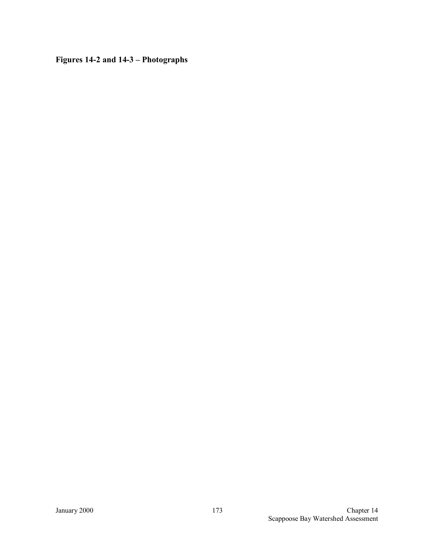Figures 14-2 and 14-3 – Photographs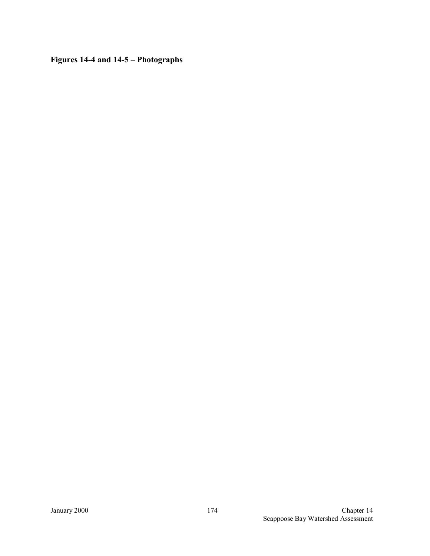Figures 14-4 and 14-5 – Photographs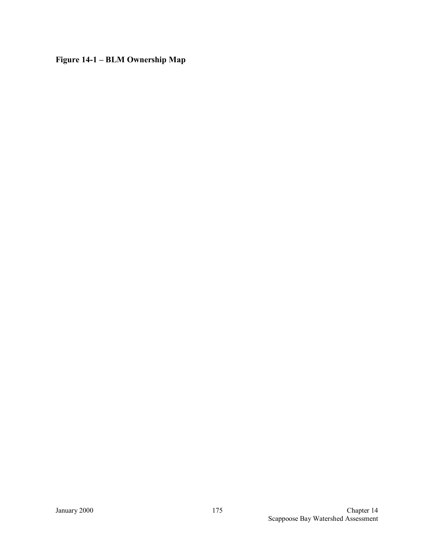Figure 14-1 – BLM Ownership Map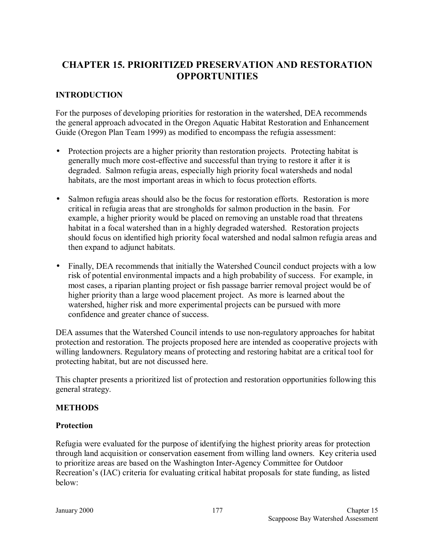# **CHAPTER 15. PRIORITIZED PRESERVATION AND RESTORATION OPPORTUNITIES**

### **INTRODUCTION**

For the purposes of developing priorities for restoration in the watershed, DEA recommends the general approach advocated in the Oregon Aquatic Habitat Restoration and Enhancement Guide (Oregon Plan Team 1999) as modified to encompass the refugia assessment:

- Protection projects are a higher priority than restoration projects. Protecting habitat is generally much more cost-effective and successful than trying to restore it after it is degraded. Salmon refugia areas, especially high priority focal watersheds and nodal habitats, are the most important areas in which to focus protection efforts.
- Salmon refugia areas should also be the focus for restoration efforts. Restoration is more critical in refugia areas that are strongholds for salmon production in the basin. For example, a higher priority would be placed on removing an unstable road that threatens habitat in a focal watershed than in a highly degraded watershed. Restoration projects should focus on identified high priority focal watershed and nodal salmon refugia areas and then expand to adjunct habitats.
- Finally, DEA recommends that initially the Watershed Council conduct projects with a low risk of potential environmental impacts and a high probability of success. For example, in most cases, a riparian planting project or fish passage barrier removal project would be of higher priority than a large wood placement project. As more is learned about the watershed, higher risk and more experimental projects can be pursued with more confidence and greater chance of success.

DEA assumes that the Watershed Council intends to use non-regulatory approaches for habitat protection and restoration. The projects proposed here are intended as cooperative projects with willing landowners. Regulatory means of protecting and restoring habitat are a critical tool for protecting habitat, but are not discussed here.

This chapter presents a prioritized list of protection and restoration opportunities following this general strategy.

#### **METHODS**

#### **Protection**

Refugia were evaluated for the purpose of identifying the highest priority areas for protection through land acquisition or conservation easement from willing land owners. Key criteria used to prioritize areas are based on the Washington Inter-Agency Committee for Outdoor Recreation's (IAC) criteria for evaluating critical habitat proposals for state funding, as listed below: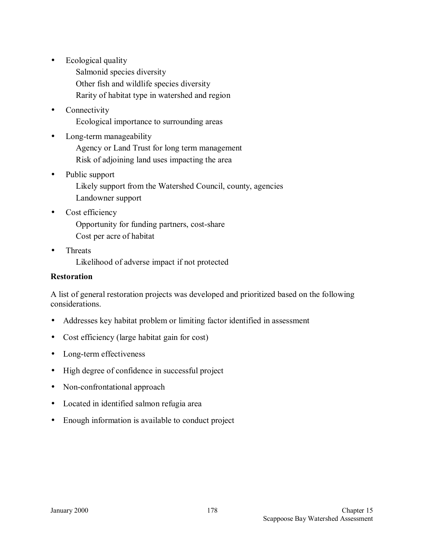- Ecological quality
	- Salmonid species diversity
	- Other fish and wildlife species diversity
	- Rarity of habitat type in watershed and region
- Connectivity Ecological importance to surrounding areas
- Long-term manageability Agency or Land Trust for long term management
	- Risk of adjoining land uses impacting the area
- Public support Likely support from the Watershed Council, county, agencies Landowner support
- Cost efficiency

Opportunity for funding partners, cost-share Cost per acre of habitat

• Threats Likelihood of adverse impact if not protected

# **Restoration**

A list of general restoration projects was developed and prioritized based on the following considerations.

- Addresses key habitat problem or limiting factor identified in assessment
- Cost efficiency (large habitat gain for cost)
- Long-term effectiveness
- High degree of confidence in successful project
- Non-confrontational approach
- Located in identified salmon refugia area
- Enough information is available to conduct project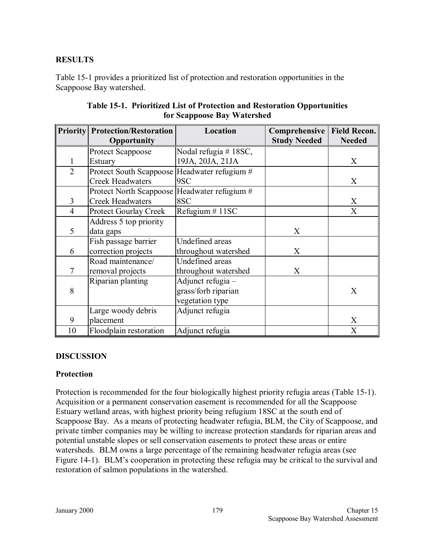# **RESULTS**

Table 15-1 provides a prioritized list of protection and restoration opportunities in the Scappoose Bay watershed.

|                | <b>Priority Protection/Restoration</b><br>Opportunity | Location               | Comprehensive<br><b>Study Needed</b> | <b>Field Recon.</b><br><b>Needed</b> |
|----------------|-------------------------------------------------------|------------------------|--------------------------------------|--------------------------------------|
|                | Protect Scappoose                                     | Nodal refugia #18SC,   |                                      |                                      |
|                | Estuary                                               | 19JA, 20JA, 21JA       |                                      | X                                    |
| $\overline{2}$ | Protect South Scappoose Headwater refugium #          |                        |                                      |                                      |
|                | <b>Creek Headwaters</b>                               | 9SC                    |                                      | X                                    |
|                | Protect North Scappoose Headwater refugium #          |                        |                                      |                                      |
| 3              | <b>Creek Headwaters</b>                               | 8SC                    |                                      | X                                    |
| $\overline{4}$ | <b>Protect Gourlay Creek</b>                          | Refugium #11SC         |                                      | X                                    |
|                | Address 5 top priority                                |                        |                                      |                                      |
| 5              | data gaps                                             |                        | X                                    |                                      |
|                | Fish passage barrier                                  | <b>Undefined</b> areas |                                      |                                      |
| 6              | correction projects                                   | throughout watershed   | X                                    |                                      |
|                | Road maintenance/                                     | <b>Undefined</b> areas |                                      |                                      |
| 7              | removal projects                                      | throughout watershed   | X                                    |                                      |
|                | Riparian planting                                     | Adjunct refugia -      |                                      |                                      |
| 8              |                                                       | grass/forb riparian    |                                      | X                                    |
|                |                                                       | vegetation type        |                                      |                                      |
|                | Large woody debris                                    | Adjunct refugia        |                                      |                                      |
| 9              | placement                                             |                        |                                      | X                                    |
| 10             | Floodplain restoration                                | Adjunct refugia        |                                      | X                                    |

#### **Table 15-1. Prioritized List of Protection and Restoration Opportunities for Scappoose Bay Watershed**

#### **DISCUSSION**

#### **Protection**

Protection is recommended for the four biologically highest priority refugia areas (Table 15-1). Acquisition or a permanent conservation easement is recommended for all the Scappoose Estuary wetland areas, with highest priority being refugium 18SC at the south end of Scappoose Bay. As a means of protecting headwater refugia, BLM, the City of Scappoose, and private timber companies may be willing to increase protection standards for riparian areas and potential unstable slopes or sell conservation easements to protect these areas or entire watersheds. BLM owns a large percentage of the remaining headwater refugia areas (see Figure 14-1). BLM's cooperation in protecting these refugia may be critical to the survival and restoration of salmon populations in the watershed.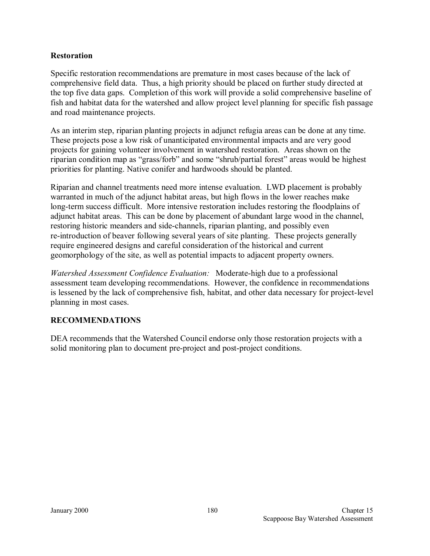#### **Restoration**

Specific restoration recommendations are premature in most cases because of the lack of comprehensive field data. Thus, a high priority should be placed on further study directed at the top five data gaps. Completion of this work will provide a solid comprehensive baseline of fish and habitat data for the watershed and allow project level planning for specific fish passage and road maintenance projects.

As an interim step, riparian planting projects in adjunct refugia areas can be done at any time. These projects pose a low risk of unanticipated environmental impacts and are very good projects for gaining volunteer involvement in watershed restoration. Areas shown on the riparian condition map as "grass/forb" and some "shrub/partial forest" areas would be highest priorities for planting. Native conifer and hardwoods should be planted.

Riparian and channel treatments need more intense evaluation. LWD placement is probably warranted in much of the adjunct habitat areas, but high flows in the lower reaches make long-term success difficult. More intensive restoration includes restoring the floodplains of adjunct habitat areas. This can be done by placement of abundant large wood in the channel, restoring historic meanders and side-channels, riparian planting, and possibly even re-introduction of beaver following several years of site planting. These projects generally require engineered designs and careful consideration of the historical and current geomorphology of the site, as well as potential impacts to adjacent property owners.

*Watershed Assessment Confidence Evaluation:* Moderate-high due to a professional assessment team developing recommendations. However, the confidence in recommendations is lessened by the lack of comprehensive fish, habitat, and other data necessary for project-level planning in most cases.

#### **RECOMMENDATIONS**

DEA recommends that the Watershed Council endorse only those restoration projects with a solid monitoring plan to document pre-project and post-project conditions.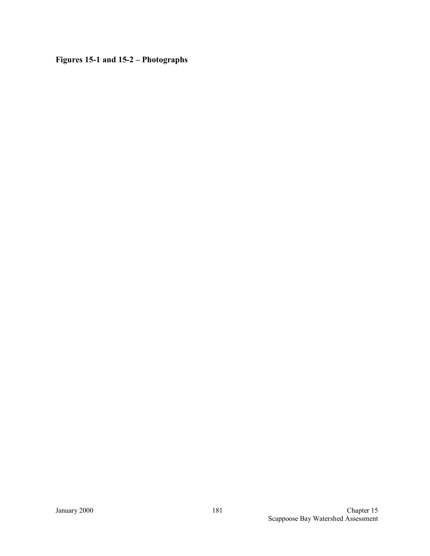Figures 15-1 and 15-2 – Photographs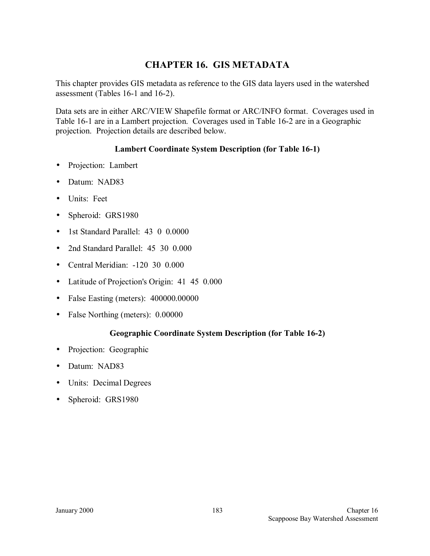# **CHAPTER 16. GIS METADATA**

This chapter provides GIS metadata as reference to the GIS data layers used in the watershed assessment (Tables 16-1 and 16-2).

Data sets are in either ARC/VIEW Shapefile format or ARC/INFO format. Coverages used in Table 16-1 are in a Lambert projection. Coverages used in Table 16-2 are in a Geographic projection. Projection details are described below.

# **Lambert Coordinate System Description (for Table 16-1)**

- Projection: Lambert
- Datum: NAD83
- Units: Feet
- Spheroid: GRS1980
- 1st Standard Parallel: 43 0 0.0000
- 2nd Standard Parallel: 45 30 0.000
- Central Meridian: -120 30 0.000
- Latitude of Projection's Origin: 41 45 0.000
- False Easting (meters): 400000.00000
- False Northing (meters): 0.00000

#### **Geographic Coordinate System Description (for Table 16-2)**

- Projection: Geographic
- Datum: NAD83
- Units: Decimal Degrees
- Spheroid: GRS1980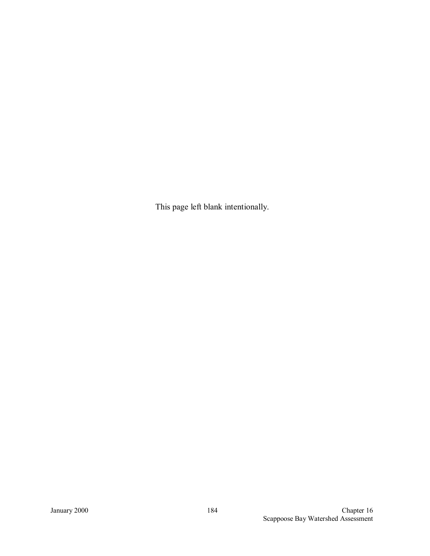This page left blank intentionally.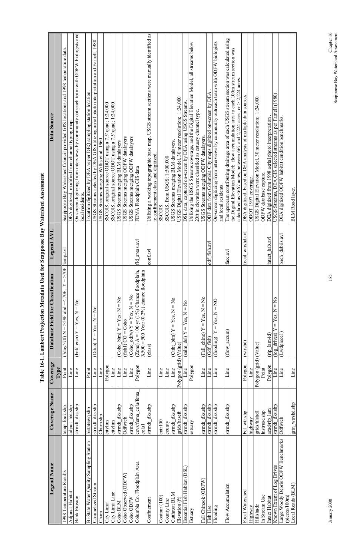| j                                    |
|--------------------------------------|
|                                      |
| I<br>l<br>l                          |
|                                      |
|                                      |
| j                                    |
|                                      |
|                                      |
|                                      |
| Ì                                    |
| l                                    |
|                                      |
| $\vdots$<br>$\mathbf{T}_\alpha$<br>Í |

| <b>Legend Name</b>                                 | Coverage Name                  | Coverage<br>Type       | Database Field for Classification                                                                       | $\mathbf{\Sigma}$<br>Legend A        | Data Source                                                                                                                                                                     |
|----------------------------------------------------|--------------------------------|------------------------|---------------------------------------------------------------------------------------------------------|--------------------------------------|---------------------------------------------------------------------------------------------------------------------------------------------------------------------------------|
| 998 Temperature Results                            | temp_loc7.shp                  | Point                  | $>70$ F<br>$\ensuremath{\mathsf{II}}$<br>≻<br>70F.<br>Y<br>$>59F$ abd<br>$\mathbf{  }$<br>$7day>70$ ) N | temp.avl                             | Scappoose Bay Watershed Council provided GPS locations and 1998 temperature data.                                                                                               |
| <b>Adjunct Habitat</b>                             | adjnct_hbt.shp                 | Line                   |                                                                                                         |                                      | DEA digitized, modified from channel typing map                                                                                                                                 |
| <b>Bank Erosion</b>                                | strndt dks.shp                 | Line                   | $= Y$ es, $N = No$<br>$(bnk_{\text{ersn}})$ Y                                                           |                                      | On screen digitizing from interviews by community outreach team with ODFW biologists and<br>local residents.                                                                    |
| Bi-State Water Quality Sampling Station            | bistatewq.shp                  | Point                  |                                                                                                         |                                      | Location digitized by DEA as per DEQ sampling station location.                                                                                                                 |
| Channelized Stream                                 | strndt dks.shp                 | Line                   | $Ditch Y = Yes: N = No$                                                                                 |                                      | USGS Streams selected by DEA GIS utilizing aerial photo interpretation and Farnell, 1980.                                                                                       |
| Chum                                               | Chum shp                       | Line                   |                                                                                                         |                                      | USGS Streams merging Willis et.al. 1960                                                                                                                                         |
| <b>City Limit</b>                                  | citylim                        | Polygon                |                                                                                                         |                                      | SSCGIS, original source ODOT using a 7.5' quad; 1:24,000                                                                                                                        |
| $City$ Limit Line                                  | citylim                        | Line                   |                                                                                                         |                                      | SSCGIS, original source ODOT using a 7.5' quad; 1:24,000                                                                                                                        |
| <b>Doho BLM</b>                                    | strmdt dks.shp                 | Line                   | $\frac{1}{2}$<br>$\vert\vert$<br>$(Coho \, blm) Y = Yes; N$                                             |                                      | USGS Streams merging BLM datalayers                                                                                                                                             |
| Coho Observed (ODFW)                               | Odfwrch                        | Line                   | $(fish) CO = Coh$                                                                                       |                                      | USGS Streams merging ODFW datalayers                                                                                                                                            |
| $\overline{Coho$ ODFW                              | strmdt_dks.shp                 | Line                   | $=No$<br>$(Cho\_odfw) Y = Yes, N$                                                                       |                                      | USGS Streams merging ODFW datalayers                                                                                                                                            |
| Columbia Co. Floodplain Area                       | covs/fema colu/fema<br>colul   | Polygon                | $(Zone)$ A = 100 yr (1%) Chance floodplain,<br>$X500 = 500$ Year (0.2%) chance floodplain               | areas.avl<br>$\overline{\mathbb{E}}$ | FEMA Floodplain GIS data                                                                                                                                                        |
| Confinement                                        | strmdt dks.shp                 | Line                   | (class)                                                                                                 | conf.avl                             | Utilizing a working topographic base map, USGS stream sections were manually identified as                                                                                      |
|                                                    |                                |                        |                                                                                                         |                                      | to confinement class and digitized.                                                                                                                                             |
| Contour (100)                                      | cntr100                        | Line                   |                                                                                                         |                                      | SSCGIS                                                                                                                                                                          |
| $Country$ Line                                     | county                         | Line                   |                                                                                                         |                                      | SSCGIS, from USGS; 1:500,000                                                                                                                                                    |
| Cutthroat BLM                                      | strmdt_dks.shp                 | Line                   | $N = N_0$<br>$=$ Yes,<br>$(CHntththolm) Y$                                                              |                                      | USGS Streams merging BLM datalayers.                                                                                                                                            |
| Elevation (ft)                                     | grids/baseft                   | Polygon (grid) (Value) |                                                                                                         |                                      | USGS Digital Elevation Model, 30 meter resolution; 1:24,000                                                                                                                     |
| Essential Fish Habitat (DSL)                       | strmdt_dks.shp                 | Line                   | $=N_0$<br>Yes, N<br>$\, \parallel$<br>(salm_dsl) $Y$                                                    |                                      | DSL data, captured on-screen by DEA using USGS Streams.                                                                                                                         |
| Estuary                                            | estuary                        | Polygon                |                                                                                                         |                                      | Utilizing the USGS Streams coverage, and the Digital Elevation Model, all streams below                                                                                         |
|                                                    |                                |                        |                                                                                                         |                                      | 20ft in elevation were classified as estuary channel type.                                                                                                                      |
| Fall Chinook (ODFW)                                | strmdt dks.shp                 | Line                   | $=$ Yes, N $=$ No<br>(Fall chino) Y                                                                     |                                      | USGS Streams merging ODFW datalayers.                                                                                                                                           |
| Fish Use                                           | strmdt_dks.shp                 | Line                   | (Odf fish)                                                                                              | odf fish.avl                         | ODF data from Columbia City maps digitized on-screen by DEA                                                                                                                     |
| Flooding                                           | strmdt_dks.shp                 | Line                   | $= Yes, N = NO$<br>$\blacktriangleright$<br>(flooding)                                                  |                                      | On-screen digitizing from interviews by community outreach team with ODFW biologists<br>and local residents.                                                                    |
| Flow Accumulation                                  | strmdt_dks.shp                 | Line                   | (flow accum)                                                                                            | facc.avl                             | The upstream contributing drainage area of each USGS stream section was calculated using<br>the Digital Elevation Model; flow accumulation area to each 100m stream section was |
|                                                    |                                |                        |                                                                                                         |                                      | calculated as $\leq 667$ acres, between 667 and 2,224 acres, or $> 2,224$ acres.                                                                                                |
| Focal Watershed                                    | wtr.shp<br>$_{\rm E}$ d        | Polygon                | (wtrshd)                                                                                                | wtrshd.avl<br>focal                  | DEA digitized, based on DEA analysis of multiple data sources.                                                                                                                  |
| Highway                                            | highway                        | Line                   |                                                                                                         |                                      | ODOT 1997 coverage.                                                                                                                                                             |
| Hillshade                                          | grids/hlshd1                   | Polygon (grid) (Value) |                                                                                                         |                                      | USGS Digital Elevation Model, 30 meter resolution; 1:24,000                                                                                                                     |
| In Stream Use                                      | Instruse.shp                   | Point                  |                                                                                                         |                                      | ODFW database capture                                                                                                                                                           |
| Intact Habitat                                     | acad/rip_lam                   | Polygon                | $(np\_lam$ -id)                                                                                         | intact hab.avl                       | DEA digitized from 1998 aerial photo interpretation                                                                                                                             |
| Known Extent of Log Drives                         | strmdt dks.shp                 | Line                   | $=$ N <sub>o</sub><br>$=$ Yes, N<br>dives<br>ခြင်္                                                      |                                      | USGS Streams, DEA GIS selected streams as per Farnell (1980).                                                                                                                   |
| arge Woody Debris ODFW Benchmarks<br>(pieces/100m) | Odfwrch                        | Line                   | (Lwdpiecel)                                                                                             | bnch debris.avl                      | DEA digitized ODFW habitat condition benchmarks.                                                                                                                                |
| Local Roads (BLM)                                  | $grtn$ <sub>_</sub> wtrshd.shp | Line                   |                                                                                                         |                                      | <b>BLM</b> Road layer.                                                                                                                                                          |
|                                                    |                                |                        |                                                                                                         |                                      |                                                                                                                                                                                 |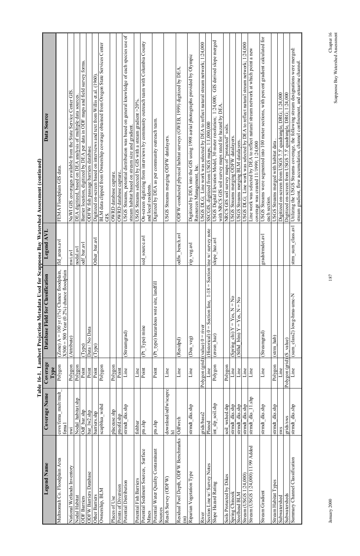|                                                         |                                          |                         | 1 apie 10-1. Lampert Frojection Metadata Used for Scappoose Bay watersned Assessment (continued) |                                             |                                                                                                                                                                        |
|---------------------------------------------------------|------------------------------------------|-------------------------|--------------------------------------------------------------------------------------------------|---------------------------------------------|------------------------------------------------------------------------------------------------------------------------------------------------------------------------|
| <b>Legend Name</b>                                      | Coverage Name                            | Coverage<br><b>Lype</b> | Database Field for Classification                                                                | $\mathbf{\Sigma}$<br>$\mathbf{A}$<br>Legend | Data Source                                                                                                                                                            |
| Multnomah Co. Floodplain Area                           | covs/fema mult/mult<br>fema <sub>1</sub> | Polygon                 | (Zone) $A = 100$ yr (1%) Chance floodplain,<br>$X500 = 500$ Year $(0.2\%)$ chance floodplain     | areas.avl<br>fld                            | FEMA Floodplain GIS data.                                                                                                                                              |
| National Wetlands Inventory                             | $n_{\rm W1}$                             | Polygon                 | (Attribute)                                                                                      | nwi.avl                                     | GIS coverages available from the State Service Center GIS<br>NaWI                                                                                                      |
| Nodal Habitat                                           | Nodal_habitat.shp                        | Polygon                 |                                                                                                  | nodal.avl                                   | DEA digitized, based on DEA analysis of multiple data sources.                                                                                                         |
| <b>ODF</b> Barriers                                     | Odf bar.shp                              | Point                   | (Type)                                                                                           | odf bar.avl                                 | Barrier location, digitized by DEA per data in ODF maps and field survey forms.                                                                                        |
| ODFW Barriers Database                                  | $bar_l$ lw2.shp                          | Point                   | Data / No Data                                                                                   |                                             | ODFW fish passage barriers database.                                                                                                                                   |
| <b>Other Barriers</b>                                   | barriers.shp                             | Point                   | (Type)                                                                                           | Other bar.avl                               | Digitized on-screen based on interviews and text from Willis et.al. (1960)                                                                                             |
| Ownership, BLM                                          | scapblua_wshd                            | Polygon                 |                                                                                                  |                                             | BLM data clipped from Ownership coverage obtained from Oregon State Services Center<br>GIS.                                                                            |
| Places of Use                                           | placeuse.shp                             | Polygon                 |                                                                                                  |                                             | OWRD database capture.                                                                                                                                                 |
| Points of Diversion                                     | ptsofd.shp                               | Point                   |                                                                                                  |                                             | OWRD database capture.                                                                                                                                                 |
| Potential Distribution                                  | strmdt dks.shp                           | Line                    | (Streamgrad)                                                                                     |                                             | USGS Streams, potential distribution was based on general knowledge of each species use of<br>stream habitat based on stream size and gradient.                        |
| Potential Fish Barriers                                 | fishbar                                  | Line                    |                                                                                                  |                                             | USGS Streams selected by GIS with a stream gradient >20%.                                                                                                              |
| Surface<br>Potential Sediment Sources,<br>Mines         | pts.shp                                  | Point                   | $\overline{\rm (Pt\_Type)}$ mine                                                                 | sed_source.avl                              | On-screen digitizing from interviews by community outreach team with Columbia County<br>and local residents.                                                           |
| Potential Water Quality Contaminant<br>Sources          | pts.shp                                  | Point                   | (Pt_type) hazardous wste site, landfill                                                          |                                             | Digitized by DEA as per community outreach team.                                                                                                                       |
| Reach Survey (ODFW)                                     | download/odfw/scaprc<br>$\overline{h}$   | Line                    |                                                                                                  |                                             | USGS Streams merging ODFW datalayers.                                                                                                                                  |
| Residual Pool Depth, ODFW Benchmarks<br>$\widehat{\Xi}$ | Odfwrch                                  | Line                    | (Residpd)                                                                                        | ュ<br>odfw bench.a                           | ODFW-conducted physical habitat surveys (GWEB, 1999) digitized by DEA.                                                                                                 |
| Riparian Vegetation Type                                | strmdt_dks.shp                           | Line                    | (Dea_veg)                                                                                        | rip_veg.avl                                 | Digitized by DEA into the GIS using 1998 aerial photographs provided by Olympic<br>Resources Management, Inc.                                                          |
| River                                                   | grids/base2                              |                         | Polygon (grid) (value) $0 =$ river                                                               |                                             | USGS DLG; Line work was selected by DEA to reflect natural stream network; 1:24,000                                                                                    |
| Section Line w/ Survey Notes                            | Pisnod                                   | Line                    | $1-18$ = Section line w/<br>$=$ Section line,<br>(Historical) 0                                  | note<br>survey                              | SSCGIS, digitized from USGS maps; 1:1,000,000                                                                                                                          |
| Slope Hazard Rating                                     | int_slp_soil.shp                         | Polygon                 | $(\text{erosn}\text{~}$ haz $)$                                                                  | slope_haz.avl                               | GIS derived slope merged<br>USGS Digital Elevation Model, 30 meter resolution; 1:24,000;<br>with NRCS GIS soil survey maps rated for hazard by DEA.                    |
| Dikes<br>Soils Protected by                             | wshed.shp<br>soil                        | Polygon                 |                                                                                                  |                                             | NRCS GIS soil survey maps of "protected" soils.                                                                                                                        |
| Spring Chinook                                          | dks.shp<br>strmdt                        | Line                    | $=N0$<br>$\mathsf{Z}$<br>Yes,<br>$\vert\vert$<br>chi) Y<br>(Spring                               |                                             | USGS Streams merging ODFW datalayers.                                                                                                                                  |
| Steelhead BLM                                           | strmdt dks.shp                           | Line                    | (Stihd blm) $Y = Yes$ , $N = No$                                                                 |                                             | USGS Streams merging BLM datalayers.                                                                                                                                   |
| Stream (USGS 1:24,000)                                  | dks.shp<br>strmdt <sub>.</sub>           | Line                    |                                                                                                  |                                             | USGS DLG; Line work was selected by DEA to reflect natural stream network; 1:24,000                                                                                    |
| Stream (USGS 1:24,000) 11/99 Added                      | strmdt dks 11.shp                        | Line                    |                                                                                                  |                                             | Line work was selected by DEA to reflect natural stream network at which point a new<br>coverage was created 11/1999; 1:24,000                                         |
| Stream Gradient                                         | strmdt dks.shp                           | Line                    | (Streamgrad)                                                                                     | gradstrmdet.avl                             | USGS Streams were segmented into 100 meter sections, with percent gradient calculated for<br>each section.                                                             |
| Stream Habitat Types                                    | dks.shp<br>strmdt                        | Polygon                 | hab)<br>(strm                                                                                    |                                             | USGS Streams merged with habitat data                                                                                                                                  |
| Subwatershed                                            | <b>SWS</b>                               | Line                    |                                                                                                  |                                             | Digitized on-screen from USGS 7.5' quadrangle, DRG; 1:24,000                                                                                                           |
| Subwatersheds                                           | grids/sws                                | Polygon (grid) (S       | value)                                                                                           |                                             | Digitized on-screen from USGS 7.5' quadrangle, DRG; 1:24,000                                                                                                           |
| Summary Channel Classification                          | strndt_dks.shp                           | Line                    | $(sum_{c}class2)$ lowg-hma-umc-N                                                                 | strm_sum_class.avl                          | Utilizing the USGS Streams coverage, the following stream designations were merged:<br>stream gradient, flow accumulation, channel confinement, and estuarine channel. |
|                                                         |                                          |                         |                                                                                                  |                                             |                                                                                                                                                                        |

ntinued) **Table 16-1. Lambert Projection Metadata Used for Scappoose Bay Watershed Assessment (continued)**   $\mathcal{L}$  $\frac{1}{2}$ se Ray Watershed A Table 16-1 Lambert Projection Metadata Used for Sc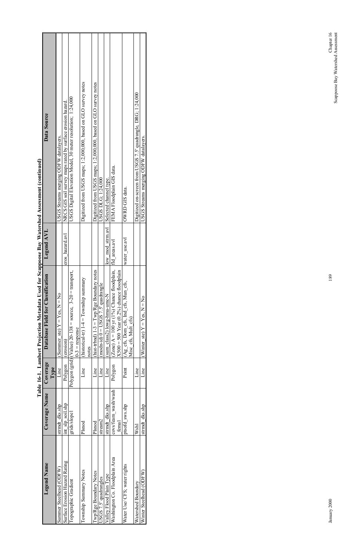Table 16-1. Lambert Projection Metadata Used for Scappoose Bay Watershed Assessment (continued) **Table 16-1. Lambert Projection Metadata Used for Scappoose Bay Watershed Assessment (continued)**

|                                |                              |          | TABLE TO THE LOT THE STATE OF THE PARTIES. THE CONFIDENCE OF THE PARTIES OF THE LOT THAT THE THE THE THE THE T |                       |                                                                  |
|--------------------------------|------------------------------|----------|----------------------------------------------------------------------------------------------------------------|-----------------------|------------------------------------------------------------------|
| <b>Legend Name</b>             | Coverage Name                | Coverage | Database Field for Classification                                                                              | Legend AVI            | Data Source                                                      |
|                                |                              | Type     |                                                                                                                |                       |                                                                  |
| Summer Steelhead (ODFW)        | strmdt dks.shp               | Line     | Summer ste) $Y = Yes$ , $N = No$                                                                               |                       | JSGS Streams merging ODFW datalayers.                            |
| Surface Erosion Hazard Rating  | int slp soil.shp             | Polygon  | (erosion)                                                                                                      | eros hazard.av        | NRCS GIS soil survey maps rated by surface erosion hazard.       |
| Topographic Gradient           | grids/slope1                 |          | Polygon (grid) (Value) $20-138$ = source, $3-20$ = transport,<br>$0-3$ = response                              |                       | USGS Digital Elevation Model, 30 meter resolution; 1:24,000      |
| Township Summary Notes         | Plsnod                       | Line     | (historical-tr) $1-4 = T$ ownship summary<br>notes                                                             |                       | Digitized from USGS maps; 1:2,000,000, based on GLO survey notes |
| wp/Rge Boundary Notes          | Plsnod                       | Line     | (hist-trbnd) $1-3 = Twp/Reg$ e Boundary notes                                                                  |                       | Digitized from USGS maps; 1:2,000,000, based on GLO survey notes |
| JSGS 7.5' quadrangles          | stream2                      | Line     | $(modn-id)$ $0 = USGS$ 7.5' quadrangle                                                                         |                       | USGS DLG: 1:24,000                                               |
| Valley Flood Plain Type        | strmdt dks.shp               | Line     | $\frac{1}{2}$ class2) $\frac{1}{2}$ lowg-hma-umc-N                                                             | l.avl<br>low mod strm | Selected channel type.                                           |
| Washington Co. Floodplain Area | covs/feam wash/wash<br>femal | Polygon  | $(Zone)$ A = 100 yr (1%) Chance floodplain,<br>$X500 = 500$ Year (0.2%) chance floodplain                      | fld areas.avl         | FEMA Floodplain GIS data.                                        |
| Water Use/ CFS; water rights   | ptsofd sws.shp               | Point    | (Ag cfs, Dom cfs, Ind cfs, Mun cfs,<br>Misc cfs, Mult cfs)                                                     | water use.avl         | OWRD GIS data.                                                   |
| Watershed Boundary             | $\mathbb{W}\mathrm{sh}1$     | Line     |                                                                                                                |                       | Digitized on-screen from USGS 7.5' quadrangle, DRG; 1:24,000     |
| Winter Steelhead (ODFW)        | strmdt dks.shp               | Line     | (Winter ste) $Y = Yes$ , $N = No$                                                                              |                       | JSGS Streams merging ODFW datalayers.                            |
|                                |                              |          |                                                                                                                |                       |                                                                  |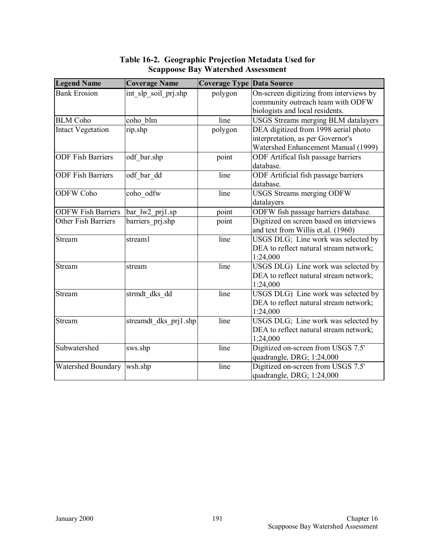| <b>Legend Name</b>        | <b>Coverage Name</b>  | <b>Coverage Type Data Source</b> |                                         |
|---------------------------|-----------------------|----------------------------------|-----------------------------------------|
| <b>Bank Erosion</b>       | int slp soil prj.shp  | polygon                          | On-screen digitizing from interviews by |
|                           |                       |                                  | community outreach team with ODFW       |
|                           |                       |                                  | biologists and local residents.         |
| <b>BLM Coho</b>           | coho blm              | line                             | USGS Streams merging BLM datalayers     |
| <b>Intact Vegetation</b>  | rip.shp               | polygon                          | DEA digitized from 1998 aerial photo    |
|                           |                       |                                  | interpretation, as per Governor's       |
|                           |                       |                                  | Watershed Enhancement Manual (1999)     |
| <b>ODF Fish Barriers</b>  | odf bar.shp           | point                            | ODF Artifical fish passage barriers     |
|                           |                       |                                  | database.                               |
| <b>ODF Fish Barriers</b>  | odf bar dd            | line                             | ODF Artificial fish passage barriers    |
|                           |                       |                                  | database.                               |
| <b>ODFW Coho</b>          | coho odfw             | line                             | <b>USGS Streams merging ODFW</b>        |
|                           |                       |                                  | datalayers                              |
| <b>ODFW Fish Barriers</b> | bar lw2 prj1.sp       | point                            | ODFW fish passage barriers database.    |
| Other Fish Barriers       | barriers prj.shp      | point                            | Digitized on screen based on interviews |
|                           |                       |                                  | and text from Willis et.al. (1960)      |
| Stream                    | stream1               | line                             | USGS DLG; Line work was selected by     |
|                           |                       |                                  | DEA to reflect natural stream network;  |
|                           |                       |                                  | 1:24,000                                |
| Stream                    | stream                | line                             | USGS DLG) Line work was selected by     |
|                           |                       |                                  | DEA to reflect natural stream network;  |
|                           |                       |                                  | 1:24,000                                |
| Stream                    | strmdt dks dd         | line                             | USGS DLG) Line work was selected by     |
|                           |                       |                                  | DEA to reflect natural stream network;  |
|                           |                       |                                  | 1:24,000                                |
| Stream                    | streamdt_dks prj1.shp | line                             | USGS DLG; Line work was selected by     |
|                           |                       |                                  | DEA to reflect natural stream network;  |
|                           |                       |                                  | 1:24,000                                |
| Subwatershed              | sws.shp               | line                             | Digitized on-screen from USGS 7.5'      |
|                           |                       |                                  | quadrangle, DRG; 1:24,000               |
| Watershed Boundary        | wsh.shp               | line                             | Digitized on-screen from USGS 7.5'      |
|                           |                       |                                  | quadrangle, DRG; 1:24,000               |

# **Table 16-2. Geographic Projection Metadata Used for Scappoose Bay Watershed Assessment**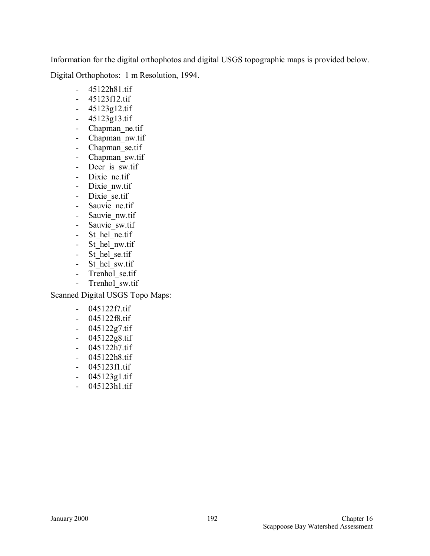Information for the digital orthophotos and digital USGS topographic maps is provided below.

Digital Orthophotos: 1 m Resolution, 1994.

- 45122h81.tif
- 45123f12.tif
- 45123g12.tif
- 45123g13.tif
- Chapman ne.tif
- Chapman nw.tif
- Chapman se.tif
- Chapman sw.tif
- Deer is sw.tif
- Dixie ne.tif
- Dixie nw.tif
- Dixie se.tif
- Sauvie ne.tif
- Sauvie nw.tif
- Sauvie sw.tif
- St hel ne.tif
- St hel nw.tif
- St hel se.tif
- St hel sw.tif
- Trenhol se.tif
- Trenhol<sup>s</sup>sw.tif

Scanned Digital USGS Topo Maps:

- 045122f7.tif
- 045122f8.tif
- 045122g7.tif
- 045122g8.tif
- 045122h7.tif
- 045122h8.tif
- 045123f1.tif
- 045123g1.tif
- 045123h1.tif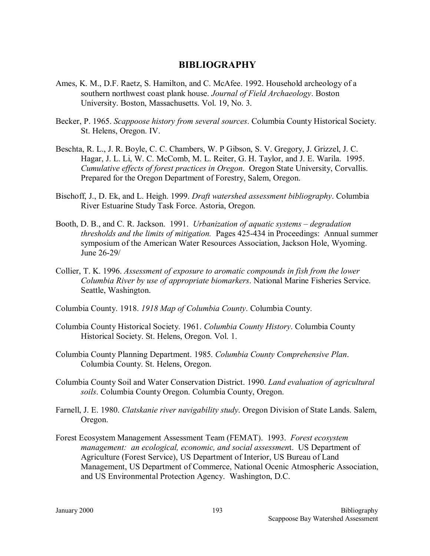#### **BIBLIOGRAPHY**

- Ames, K. M., D.F. Raetz, S. Hamilton, and C. McAfee. 1992. Household archeology of a southern northwest coast plank house. *Journal of Field Archaeology*. Boston University. Boston, Massachusetts. Vol. 19, No. 3.
- Becker, P. 1965. *Scappoose history from several sources*. Columbia County Historical Society. St. Helens, Oregon. IV.
- Beschta, R. L., J. R. Boyle, C. C. Chambers, W. P Gibson, S. V. Gregory, J. Grizzel, J. C. Hagar, J. L. Li, W. C. McComb, M. L. Reiter, G. H. Taylor, and J. E. Warila. 1995. *Cumulative effects of forest practices in Oregon*. Oregon State University, Corvallis. Prepared for the Oregon Department of Forestry, Salem, Oregon.
- Bischoff, J., D. Ek, and L. Heigh. 1999. *Draft watershed assessment bibliography*. Columbia River Estuarine Study Task Force. Astoria, Oregon.
- Booth, D. B., and C. R. Jackson. 1991. *Urbanization of aquatic systems degradation thresholds and the limits of mitigation.* Pages 425-434 in Proceedings: Annual summer symposium of the American Water Resources Association, Jackson Hole, Wyoming. June 26-29/
- Collier, T. K. 1996. *Assessment of exposure to aromatic compounds in fish from the lower Columbia River by use of appropriate biomarkers*. National Marine Fisheries Service. Seattle, Washington.
- Columbia County. 1918. *1918 Map of Columbia County*. Columbia County.
- Columbia County Historical Society. 1961. *Columbia County History*. Columbia County Historical Society. St. Helens, Oregon. Vol. 1.
- Columbia County Planning Department. 1985. *Columbia County Comprehensive Plan*. Columbia County. St. Helens, Oregon.
- Columbia County Soil and Water Conservation District. 1990. *Land evaluation of agricultural soils*. Columbia County Oregon. Columbia County, Oregon.
- Farnell, J. E. 1980. *Clatskanie river navigability study*. Oregon Division of State Lands. Salem, Oregon.
- Forest Ecosystem Management Assessment Team (FEMAT). 1993. *Forest ecosystem management: an ecological, economic, and social assessmen*t. US Department of Agriculture (Forest Service), US Department of Interior, US Bureau of Land Management, US Department of Commerce, National Ocenic Atmospheric Association, and US Environmental Protection Agency. Washington, D.C.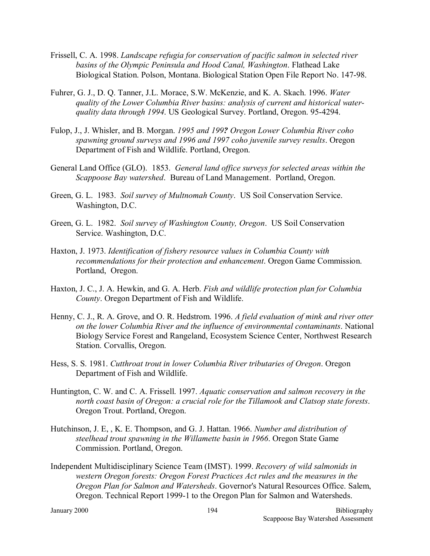- Frissell, C. A. 1998. *Landscape refugia for conservation of pacific salmon in selected river basins of the Olympic Peninsula and Hood Canal, Washington*. Flathead Lake Biological Station. Polson, Montana. Biological Station Open File Report No. 147-98.
- Fuhrer, G. J., D. Q. Tanner, J.L. Morace, S.W. McKenzie, and K. A. Skach. 1996. *Water quality of the Lower Columbia River basins: analysis of current and historical waterquality data through 1994*. US Geological Survey. Portland, Oregon. 95-4294.
- Fulop, J., J. Whisler, and B. Morgan. *1995 and 199? Oregon Lower Columbia River coho spawning ground surveys and 1996 and 1997 coho juvenile survey results*. Oregon Department of Fish and Wildlife. Portland, Oregon.
- General Land Office (GLO). 1853. *General land office surveys for selected areas within the Scappoose Bay watershed*. Bureau of Land Management. Portland, Oregon.
- Green, G. L. 1983. *Soil survey of Multnomah County*. US Soil Conservation Service. Washington, D.C.
- Green, G. L. 1982. *Soil survey of Washington County, Oregon*. US Soil Conservation Service. Washington, D.C.
- Haxton, J. 1973. *Identification of fishery resource values in Columbia County with recommendations for their protection and enhancement*. Oregon Game Commission. Portland, Oregon.
- Haxton, J. C., J. A. Hewkin, and G. A. Herb. *Fish and wildlife protection plan for Columbia County*. Oregon Department of Fish and Wildlife.
- Henny, C. J., R. A. Grove, and O. R. Hedstrom. 1996. *A field evaluation of mink and river otter on the lower Columbia River and the influence of environmental contaminants*. National Biology Service Forest and Rangeland, Ecosystem Science Center, Northwest Research Station. Corvallis, Oregon.
- Hess, S. S. 1981. *Cutthroat trout in lower Columbia River tributaries of Oregon*. Oregon Department of Fish and Wildlife.
- Huntington, C. W. and C. A. Frissell. 1997. *Aquatic conservation and salmon recovery in the north coast basin of Oregon: a crucial role for the Tillamook and Clatsop state forests*. Oregon Trout. Portland, Oregon.
- Hutchinson, J. E, , K. E. Thompson, and G. J. Hattan. 1966. *Number and distribution of steelhead trout spawning in the Willamette basin in 1966*. Oregon State Game Commission. Portland, Oregon.
- Independent Multidisciplinary Science Team (IMST). 1999. *Recovery of wild salmonids in western Oregon forests: Oregon Forest Practices Act rules and the measures in the Oregon Plan for Salmon and Watersheds*. Governor's Natural Resources Office. Salem, Oregon. Technical Report 1999-1 to the Oregon Plan for Salmon and Watersheds.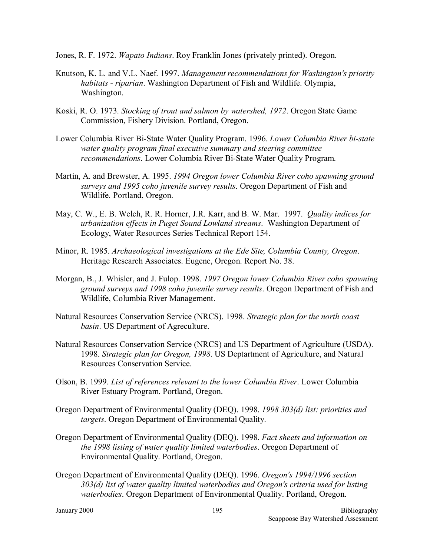Jones, R. F. 1972. *Wapato Indians*. Roy Franklin Jones (privately printed). Oregon.

- Knutson, K. L. and V.L. Naef. 1997. *Management recommendations for Washington's priority habitats - riparian*. Washington Department of Fish and Wildlife. Olympia, Washington.
- Koski, R. O. 1973. *Stocking of trout and salmon by watershed, 1972*. Oregon State Game Commission, Fishery Division. Portland, Oregon.
- Lower Columbia River Bi-State Water Quality Program. 1996. *Lower Columbia River bi-state water quality program final executive summary and steering committee recommendations*. Lower Columbia River Bi-State Water Quality Program.
- Martin, A. and Brewster, A. 1995. *1994 Oregon lower Columbia River coho spawning ground surveys and 1995 coho juvenile survey results*. Oregon Department of Fish and Wildlife. Portland, Oregon.
- May, C. W., E. B. Welch, R. R. Horner, J.R. Karr, and B. W. Mar. 1997. *Quality indices for urbanization effects in Puget Sound Lowland streams*. Washington Department of Ecology, Water Resources Series Technical Report 154.
- Minor, R. 1985. *Archaeological investigations at the Ede Site, Columbia County, Oregon*. Heritage Research Associates. Eugene, Oregon. Report No. 38.
- Morgan, B., J. Whisler, and J. Fulop. 1998. *1997 Oregon lower Columbia River coho spawning ground surveys and 1998 coho juvenile survey results*. Oregon Department of Fish and Wildlife, Columbia River Management.
- Natural Resources Conservation Service (NRCS). 1998. *Strategic plan for the north coast basin*. US Department of Agreculture.
- Natural Resources Conservation Service (NRCS) and US Department of Agriculture (USDA). 1998. *Strategic plan for Oregon, 1998*. US Deptartment of Agriculture, and Natural Resources Conservation Service.
- Olson, B. 1999. *List of references relevant to the lower Columbia River*. Lower Columbia River Estuary Program. Portland, Oregon.
- Oregon Department of Environmental Quality (DEQ). 1998. *1998 303(d) list: priorities and targets*. Oregon Department of Environmental Quality.
- Oregon Department of Environmental Quality (DEQ). 1998. *Fact sheets and information on the 1998 listing of water quality limited waterbodies*. Oregon Department of Environmental Quality. Portland, Oregon.
- Oregon Department of Environmental Quality (DEQ). 1996. *Oregon's 1994/1996 section 303(d) list of water quality limited waterbodies and Oregon's criteria used for listing waterbodies*. Oregon Department of Environmental Quality. Portland, Oregon.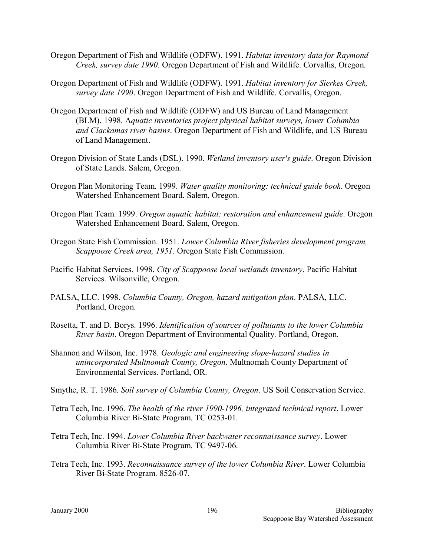- Oregon Department of Fish and Wildlife (ODFW). 1991. *Habitat inventory data for Raymond Creek, survey date 1990*. Oregon Department of Fish and Wildlife. Corvallis, Oregon.
- Oregon Department of Fish and Wildlife (ODFW). 1991. *Habitat inventory for Sierkes Creek, survey date 1990*. Oregon Department of Fish and Wildlife. Corvallis, Oregon.
- Oregon Department of Fish and Wildlife (ODFW) and US Bureau of Land Management (BLM). 1998. A*quatic inventories project physical habitat surveys, lower Columbia and Clackamas river basins*. Oregon Department of Fish and Wildlife, and US Bureau of Land Management.
- Oregon Division of State Lands (DSL). 1990. *Wetland inventory user's guide*. Oregon Division of State Lands. Salem, Oregon.
- Oregon Plan Monitoring Team. 1999. *Water quality monitoring: technical guide book*. Oregon Watershed Enhancement Board. Salem, Oregon.
- Oregon Plan Team. 1999. *Oregon aquatic habitat: restoration and enhancement guide*. Oregon Watershed Enhancement Board. Salem, Oregon.
- Oregon State Fish Commission. 1951. *Lower Columbia River fisheries development program, Scappoose Creek area, 1951*. Oregon State Fish Commission.
- Pacific Habitat Services. 1998. *City of Scappoose local wetlands inventory*. Pacific Habitat Services. Wilsonville, Oregon.
- PALSA, LLC. 1998. *Columbia County, Oregon, hazard mitigation plan*. PALSA, LLC. Portland, Oregon.
- Rosetta, T. and D. Borys. 1996. *Identification of sources of pollutants to the lower Columbia River basin*. Oregon Department of Environmental Quality. Portland, Oregon.
- Shannon and Wilson, Inc. 1978. *Geologic and engineering slope-hazard studies in unincorporated Multnomah County, Oregon*. Multnomah County Department of Environmental Services. Portland, OR.
- Smythe, R. T. 1986. *Soil survey of Columbia County, Oregon*. US Soil Conservation Service.
- Tetra Tech, Inc. 1996. *The health of the river 1990-1996, integrated technical report*. Lower Columbia River Bi-State Program. TC 0253-01.
- Tetra Tech, Inc. 1994. *Lower Columbia River backwater reconnaissance survey*. Lower Columbia River Bi-State Program. TC 9497-06.
- Tetra Tech, Inc. 1993. *Reconnaissance survey of the lower Columbia River*. Lower Columbia River Bi-State Program. 8526-07.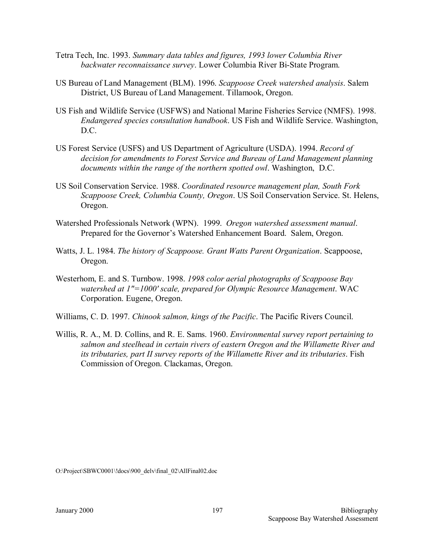- Tetra Tech, Inc. 1993. *Summary data tables and figures, 1993 lower Columbia River backwater reconnaissance survey*. Lower Columbia River Bi-State Program.
- US Bureau of Land Management (BLM). 1996. *Scappoose Creek watershed analysis*. Salem District, US Bureau of Land Management. Tillamook, Oregon.
- US Fish and Wildlife Service (USFWS) and National Marine Fisheries Service (NMFS). 1998. *Endangered species consultation handbook*. US Fish and Wildlife Service. Washington, D.C.
- US Forest Service (USFS) and US Department of Agriculture (USDA). 1994. *Record of decision for amendments to Forest Service and Bureau of Land Management planning documents within the range of the northern spotted owl*. Washington, D.C.
- US Soil Conservation Service. 1988. *Coordinated resource management plan, South Fork Scappoose Creek, Columbia County, Oregon*. US Soil Conservation Service. St. Helens, Oregon.
- Watershed Professionals Network (WPN). 1999. *Oregon watershed assessment manual*. Prepared for the Governor's Watershed Enhancement Board. Salem, Oregon.
- Watts, J. L. 1984. *The history of Scappoose. Grant Watts Parent Organization*. Scappoose, Oregon.
- Westerhom, E. and S. Turnbow. 1998. *1998 color aerial photographs of Scappoose Bay watershed at 1"=1000' scale, prepared for Olympic Resource Management*. WAC Corporation. Eugene, Oregon.
- Williams, C. D. 1997. *Chinook salmon, kings of the Pacific*. The Pacific Rivers Council.
- Willis, R. A., M. D. Collins, and R. E. Sams. 1960. *Environmental survey report pertaining to salmon and steelhead in certain rivers of eastern Oregon and the Willamette River and its tributaries, part II survey reports of the Willamette River and its tributaries*. Fish Commission of Oregon. Clackamas, Oregon.

O:\Project\SBWC0001\!docs\900\_delv\final\_02\AllFinal02.doc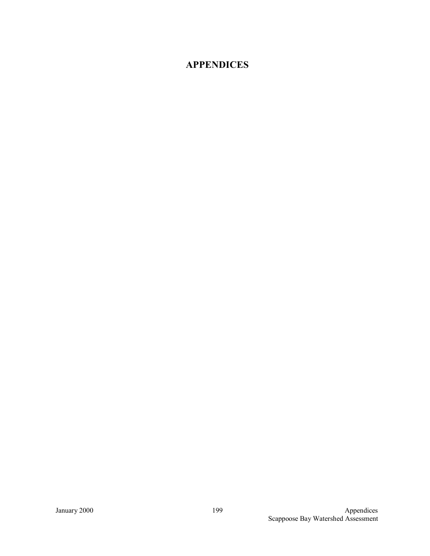# **APPENDICES**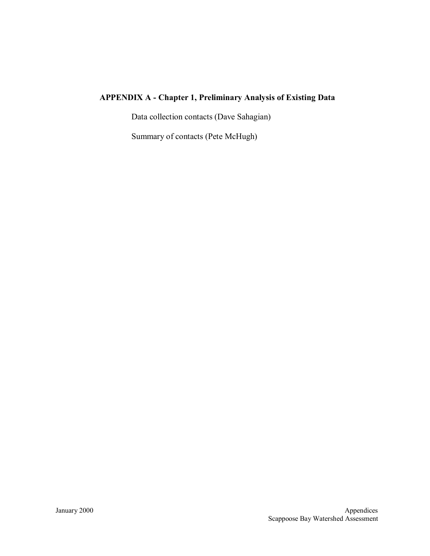# **APPENDIX A - Chapter 1, Preliminary Analysis of Existing Data**

Data collection contacts (Dave Sahagian)

Summary of contacts (Pete McHugh)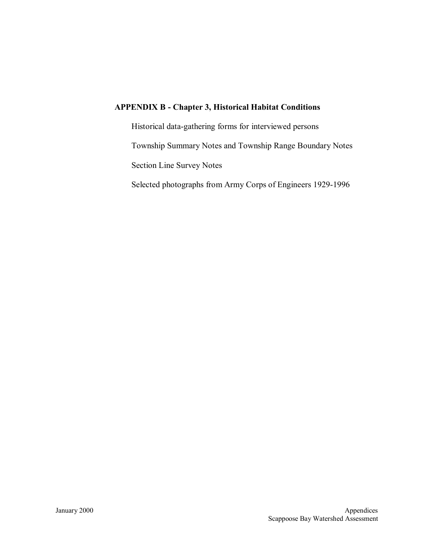## **APPENDIX B - Chapter 3, Historical Habitat Conditions**

Historical data-gathering forms for interviewed persons Township Summary Notes and Township Range Boundary Notes Section Line Survey Notes Selected photographs from Army Corps of Engineers 1929-1996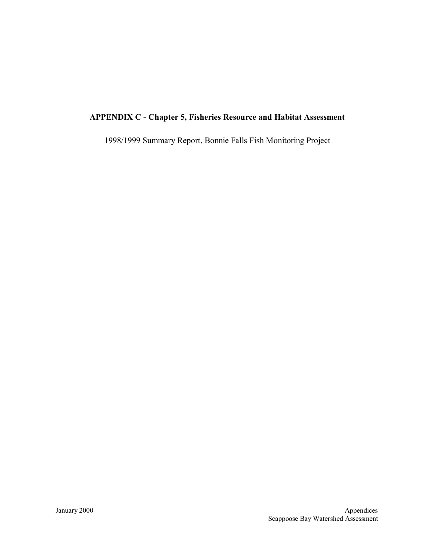# **APPENDIX C - Chapter 5, Fisheries Resource and Habitat Assessment**

1998/1999 Summary Report, Bonnie Falls Fish Monitoring Project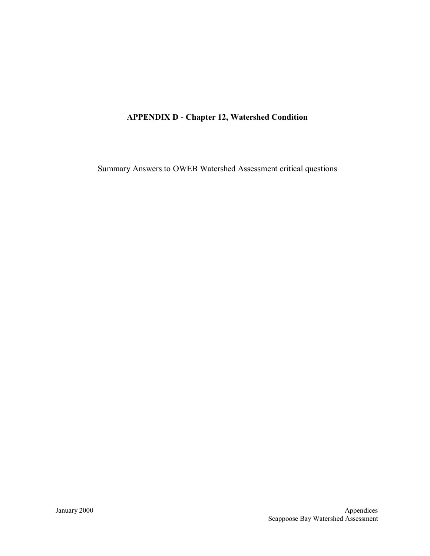# **APPENDIX D - Chapter 12, Watershed Condition**

Summary Answers to OWEB Watershed Assessment critical questions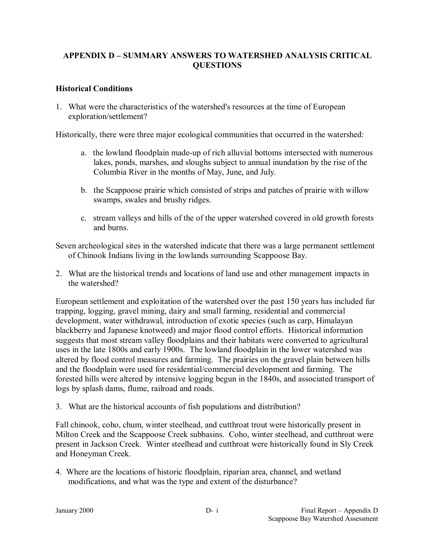#### APPENDIX D – SUMMARY ANSWERS TO WATERSHED ANALYSIS CRITICAL **QUESTIONS**

#### **Historical Conditions**

1. What were the characteristics of the watershed's resources at the time of European exploration/settlement?

Historically, there were three major ecological communities that occurred in the watershed:

- a. the lowland floodplain made-up of rich alluvial bottoms intersected with numerous lakes, ponds, marshes, and sloughs subject to annual inundation by the rise of the Columbia River in the months of May, June, and July.
- b. the Scappoose prairie which consisted of strips and patches of prairie with willow swamps, swales and brushy ridges.
- c. stream valleys and hills of the of the upper watershed covered in old growth forests and burns.

Seven archeological sites in the watershed indicate that there was a large permanent settlement of Chinook Indians living in the lowlands surrounding Scappoose Bay.

2. What are the historical trends and locations of land use and other management impacts in the watershed?

European settlement and exploitation of the watershed over the past 150 years has included fur trapping, logging, gravel mining, dairy and small farming, residential and commercial development, water withdrawal, introduction of exotic species (such as carp, Himalayan blackberry and Japanese knotweed) and major flood control efforts. Historical information suggests that most stream valley floodplains and their habitats were converted to agricultural uses in the late 1800s and early 1900s. The lowland floodplain in the lower watershed was altered by flood control measures and farming. The prairies on the gravel plain between hills and the floodplain were used for residential/commercial development and farming. The forested hills were altered by intensive logging begun in the 1840s, and associated transport of logs by splash dams, flume, railroad and roads.

3. What are the historical accounts of fish populations and distribution?

Fall chinook, coho, chum, winter steelhead, and cutthroat trout were historically present in Milton Creek and the Scappoose Creek subbasins. Coho, winter steelhead, and cutthroat were present in Jackson Creek. Winter steelhead and cutthroat were historically found in Sly Creek and Honeyman Creek.

4. Where are the locations of historic floodplain, riparian area, channel, and wetland modifications, and what was the type and extent of the disturbance?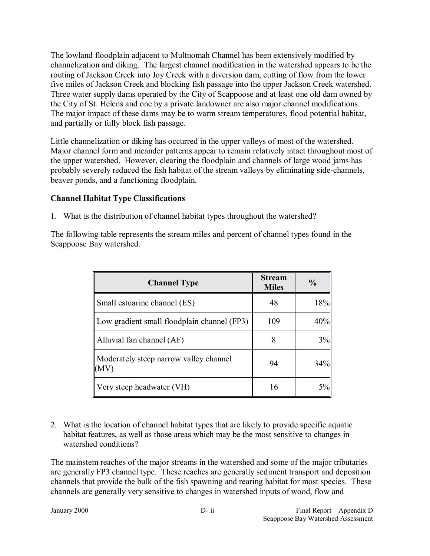The lowland floodplain adjacent to Multnomah Channel has been extensively modified by channelization and diking. The largest channel modification in the watershed appears to be the routing of Jackson Creek into Joy Creek with a diversion dam, cutting of flow from the lower five miles of Jackson Creek and blocking fish passage into the upper Jackson Creek watershed. Three water supply dams operated by the City of Scappoose and at least one old dam owned by the City of St. Helens and one by a private landowner are also major channel modifications. The major impact of these dams may be to warm stream temperatures, flood potential habitat, and partially or fully block fish passage.

Little channelization or diking has occurred in the upper valleys of most of the watershed. Major channel form and meander patterns appear to remain relatively intact throughout most of the upper watershed. However, clearing the floodplain and channels of large wood jams has probably severely reduced the fish habitat of the stream valleys by eliminating side-channels, beaver ponds, and a functioning floodplain.

#### **Channel Habitat Type Classifications**

1. What is the distribution of channel habitat types throughout the watershed?

The following table represents the stream miles and percent of channel types found in the Scappoose Bay watershed.

| <b>Channel Type</b>                            | <b>Stream</b><br><b>Miles</b> | $\frac{0}{0}$ |
|------------------------------------------------|-------------------------------|---------------|
| Small estuarine channel (ES)                   | 48                            | 18%           |
| Low gradient small floodplain channel (FP3)    | 109                           | 40%           |
| Alluvial fan channel (AF)                      | 8                             | 3%            |
| Moderately steep narrow valley channel<br>(MV) | 94                            | 34%           |
| Very steep headwater (VH)                      | 16                            |               |

2. What is the location of channel habitat types that are likely to provide specific aquatic habitat features, as well as those areas which may be the most sensitive to changes in watershed conditions?

The mainstem reaches of the major streams in the watershed and some of the major tributaries are generally FP3 channel type. These reaches are generally sediment transport and deposition channels that provide the bulk of the fish spawning and rearing habitat for most species. These channels are generally very sensitive to changes in watershed inputs of wood, flow and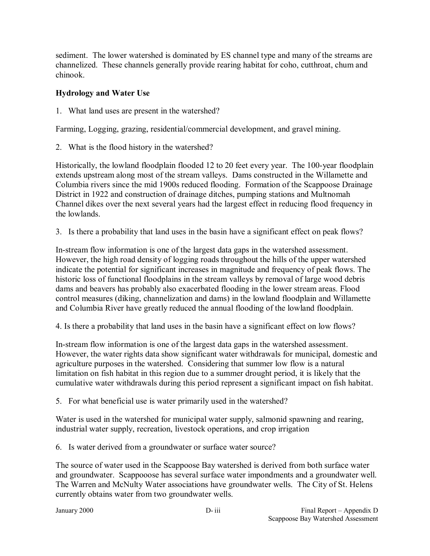sediment. The lower watershed is dominated by ES channel type and many of the streams are channelized. These channels generally provide rearing habitat for coho, cutthroat, chum and chinook.

## **Hydrology and Water Use**

1. What land uses are present in the watershed?

Farming, Logging, grazing, residential/commercial development, and gravel mining.

2. What is the flood history in the watershed?

Historically, the lowland floodplain flooded 12 to 20 feet every year. The 100-year floodplain extends upstream along most of the stream valleys. Dams constructed in the Willamette and Columbia rivers since the mid 1900s reduced flooding. Formation of the Scappoose Drainage District in 1922 and construction of drainage ditches, pumping stations and Multnomah Channel dikes over the next several years had the largest effect in reducing flood frequency in the lowlands.

3. Is there a probability that land uses in the basin have a significant effect on peak flows?

In-stream flow information is one of the largest data gaps in the watershed assessment. However, the high road density of logging roads throughout the hills of the upper watershed indicate the potential for significant increases in magnitude and frequency of peak flows. The historic loss of functional floodplains in the stream valleys by removal of large wood debris dams and beavers has probably also exacerbated flooding in the lower stream areas. Flood control measures (diking, channelization and dams) in the lowland floodplain and Willamette and Columbia River have greatly reduced the annual flooding of the lowland floodplain.

4. Is there a probability that land uses in the basin have a significant effect on low flows?

In-stream flow information is one of the largest data gaps in the watershed assessment. However, the water rights data show significant water withdrawals for municipal, domestic and agriculture purposes in the watershed. Considering that summer low flow is a natural limitation on fish habitat in this region due to a summer drought period, it is likely that the cumulative water withdrawals during this period represent a significant impact on fish habitat.

5. For what beneficial use is water primarily used in the watershed?

Water is used in the watershed for municipal water supply, salmonid spawning and rearing, industrial water supply, recreation, livestock operations, and crop irrigation

6. Is water derived from a groundwater or surface water source?

The source of water used in the Scappoose Bay watershed is derived from both surface water and groundwater. Scappooose has several surface water impondments and a groundwater well. The Warren and McNulty Water associations have groundwater wells. The City of St. Helens currently obtains water from two groundwater wells.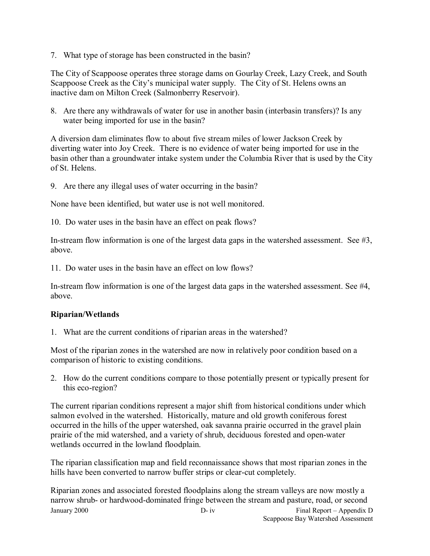7. What type of storage has been constructed in the basin?

The City of Scappoose operates three storage dams on Gourlay Creek, Lazy Creek, and South Scappoose Creek as the City's municipal water supply. The City of St. Helens owns an inactive dam on Milton Creek (Salmonberry Reservoir).

8. Are there any withdrawals of water for use in another basin (interbasin transfers)? Is any water being imported for use in the basin?

A diversion dam eliminates flow to about five stream miles of lower Jackson Creek by diverting water into Joy Creek. There is no evidence of water being imported for use in the basin other than a groundwater intake system under the Columbia River that is used by the City of St. Helens.

9. Are there any illegal uses of water occurring in the basin?

None have been identified, but water use is not well monitored.

10. Do water uses in the basin have an effect on peak flows?

In-stream flow information is one of the largest data gaps in the watershed assessment. See #3, above.

11. Do water uses in the basin have an effect on low flows?

In-stream flow information is one of the largest data gaps in the watershed assessment. See #4, above.

#### **Riparian/Wetlands**

1. What are the current conditions of riparian areas in the watershed?

Most of the riparian zones in the watershed are now in relatively poor condition based on a comparison of historic to existing conditions.

2. How do the current conditions compare to those potentially present or typically present for this eco-region?

The current riparian conditions represent a major shift from historical conditions under which salmon evolved in the watershed. Historically, mature and old growth coniferous forest occurred in the hills of the upper watershed, oak savanna prairie occurred in the gravel plain prairie of the mid watershed, and a variety of shrub, deciduous forested and open-water wetlands occurred in the lowland floodplain.

The riparian classification map and field reconnaissance shows that most riparian zones in the hills have been converted to narrow buffer strips or clear-cut completely.

January 2000 D- iv Final Report – Appendix D Scappoose Bay Watershed Assessment  $D - iy$ Riparian zones and associated forested floodplains along the stream valleys are now mostly a narrow shrub- or hardwood-dominated fringe between the stream and pasture, road, or second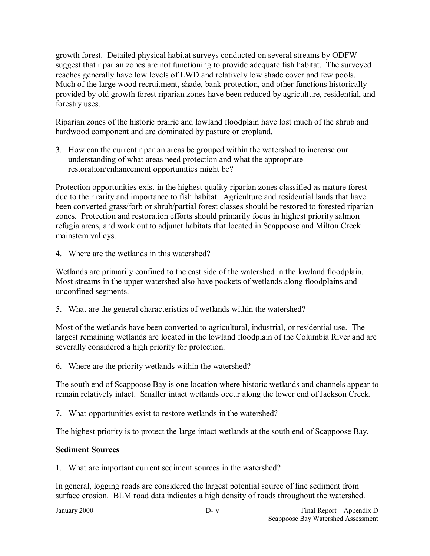growth forest. Detailed physical habitat surveys conducted on several streams by ODFW suggest that riparian zones are not functioning to provide adequate fish habitat. The surveyed reaches generally have low levels of LWD and relatively low shade cover and few pools. Much of the large wood recruitment, shade, bank protection, and other functions historically provided by old growth forest riparian zones have been reduced by agriculture, residential, and forestry uses.

Riparian zones of the historic prairie and lowland floodplain have lost much of the shrub and hardwood component and are dominated by pasture or cropland.

3. How can the current riparian areas be grouped within the watershed to increase our understanding of what areas need protection and what the appropriate restoration/enhancement opportunities might be?

Protection opportunities exist in the highest quality riparian zones classified as mature forest due to their rarity and importance to fish habitat. Agriculture and residential lands that have been converted grass/forb or shrub/partial forest classes should be restored to forested riparian zones. Protection and restoration efforts should primarily focus in highest priority salmon refugia areas, and work out to adjunct habitats that located in Scappoose and Milton Creek mainstem valleys.

4. Where are the wetlands in this watershed?

Wetlands are primarily confined to the east side of the watershed in the lowland floodplain. Most streams in the upper watershed also have pockets of wetlands along floodplains and unconfined segments.

5. What are the general characteristics of wetlands within the watershed?

Most of the wetlands have been converted to agricultural, industrial, or residential use. The largest remaining wetlands are located in the lowland floodplain of the Columbia River and are severally considered a high priority for protection.

6. Where are the priority wetlands within the watershed?

The south end of Scappoose Bay is one location where historic wetlands and channels appear to remain relatively intact. Smaller intact wetlands occur along the lower end of Jackson Creek.

7. What opportunities exist to restore wetlands in the watershed?

The highest priority is to protect the large intact wetlands at the south end of Scappoose Bay.

## **Sediment Sources**

1. What are important current sediment sources in the watershed?

In general, logging roads are considered the largest potential source of fine sediment from surface erosion. BLM road data indicates a high density of roads throughout the watershed.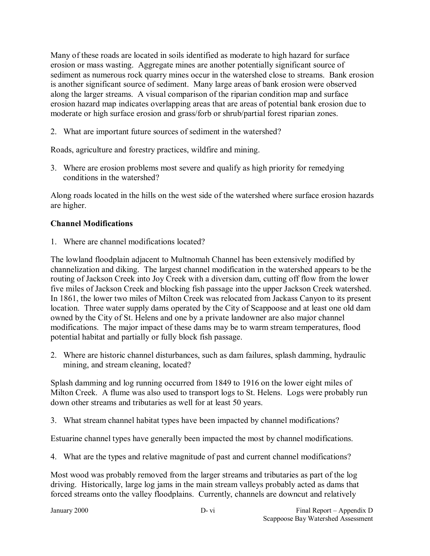Many of these roads are located in soils identified as moderate to high hazard for surface erosion or mass wasting. Aggregate mines are another potentially significant source of sediment as numerous rock quarry mines occur in the watershed close to streams. Bank erosion is another significant source of sediment. Many large areas of bank erosion were observed along the larger streams. A visual comparison of the riparian condition map and surface erosion hazard map indicates overlapping areas that are areas of potential bank erosion due to moderate or high surface erosion and grass/forb or shrub/partial forest riparian zones.

2. What are important future sources of sediment in the watershed?

Roads, agriculture and forestry practices, wildfire and mining.

3. Where are erosion problems most severe and qualify as high priority for remedying conditions in the watershed?

Along roads located in the hills on the west side of the watershed where surface erosion hazards are higher.

#### **Channel Modifications**

1. Where are channel modifications located?

The lowland floodplain adjacent to Multnomah Channel has been extensively modified by channelization and diking. The largest channel modification in the watershed appears to be the routing of Jackson Creek into Joy Creek with a diversion dam, cutting off flow from the lower five miles of Jackson Creek and blocking fish passage into the upper Jackson Creek watershed. In 1861, the lower two miles of Milton Creek was relocated from Jackass Canyon to its present location. Three water supply dams operated by the City of Scappoose and at least one old dam owned by the City of St. Helens and one by a private landowner are also major channel modifications. The major impact of these dams may be to warm stream temperatures, flood potential habitat and partially or fully block fish passage.

2. Where are historic channel disturbances, such as dam failures, splash damming, hydraulic mining, and stream cleaning, located?

Splash damming and log running occurred from 1849 to 1916 on the lower eight miles of Milton Creek. A flume was also used to transport logs to St. Helens. Logs were probably run down other streams and tributaries as well for at least 50 years.

3. What stream channel habitat types have been impacted by channel modifications?

Estuarine channel types have generally been impacted the most by channel modifications.

4. What are the types and relative magnitude of past and current channel modifications?

Most wood was probably removed from the larger streams and tributaries as part of the log driving. Historically, large log jams in the main stream valleys probably acted as dams that forced streams onto the valley floodplains. Currently, channels are downcut and relatively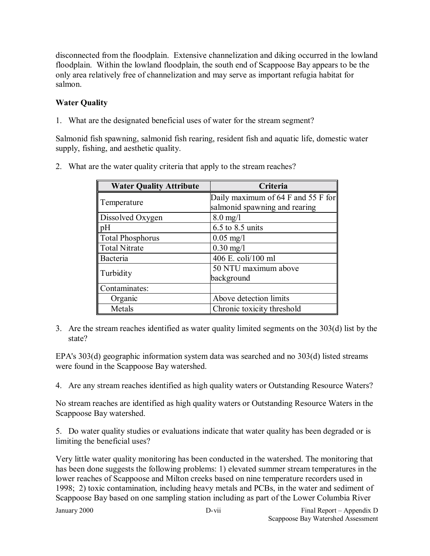disconnected from the floodplain. Extensive channelization and diking occurred in the lowland floodplain. Within the lowland floodplain, the south end of Scappoose Bay appears to be the only area relatively free of channelization and may serve as important refugia habitat for salmon.

# **Water Quality**

1. What are the designated beneficial uses of water for the stream segment?

Salmonid fish spawning, salmonid fish rearing, resident fish and aquatic life, domestic water supply, fishing, and aesthetic quality.

| <b>Water Quality Attribute</b> | Criteria                           |  |
|--------------------------------|------------------------------------|--|
|                                | Daily maximum of 64 F and 55 F for |  |
| Temperature                    | salmonid spawning and rearing      |  |
| Dissolved Oxygen               | $8.0 \text{ mg}/1$                 |  |
| pH                             | $6.5$ to $8.5$ units               |  |
| <b>Total Phosphorus</b>        | $0.05 \text{ mg/l}$                |  |
| <b>Total Nitrate</b>           | $0.30 \,\mathrm{mg}/l$             |  |
| Bacteria                       | 406 E. coli/100 ml                 |  |
| Turbidity                      | 50 NTU maximum above               |  |
|                                | background                         |  |
| Contaminates:                  |                                    |  |
| Organic                        | Above detection limits             |  |
| Metals                         | Chronic toxicity threshold         |  |

2. What are the water quality criteria that apply to the stream reaches?

3. Are the stream reaches identified as water quality limited segments on the 303(d) list by the state?

EPA's 303(d) geographic information system data was searched and no 303(d) listed streams were found in the Scappoose Bay watershed.

4. Are any stream reaches identified as high quality waters or Outstanding Resource Waters?

No stream reaches are identified as high quality waters or Outstanding Resource Waters in the Scappoose Bay watershed.

5. Do water quality studies or evaluations indicate that water quality has been degraded or is limiting the beneficial uses?

Very little water quality monitoring has been conducted in the watershed. The monitoring that has been done suggests the following problems: 1) elevated summer stream temperatures in the lower reaches of Scappoose and Milton creeks based on nine temperature recorders used in 1998; 2) toxic contamination, including heavy metals and PCBs, in the water and sediment of Scappoose Bay based on one sampling station including as part of the Lower Columbia River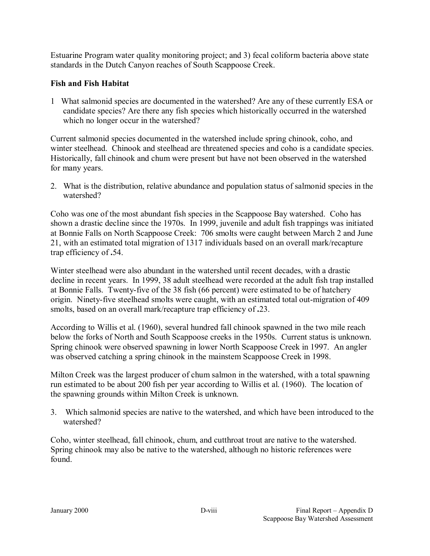Estuarine Program water quality monitoring project; and 3) fecal coliform bacteria above state standards in the Dutch Canyon reaches of South Scappoose Creek.

## **Fish and Fish Habitat**

1 What salmonid species are documented in the watershed? Are any of these currently ESA or candidate species? Are there any fish species which historically occurred in the watershed which no longer occur in the watershed?

Current salmonid species documented in the watershed include spring chinook, coho, and winter steelhead. Chinook and steelhead are threatened species and coho is a candidate species. Historically, fall chinook and chum were present but have not been observed in the watershed for many years.

2. What is the distribution, relative abundance and population status of salmonid species in the watershed?

Coho was one of the most abundant fish species in the Scappoose Bay watershed. Coho has shown a drastic decline since the 1970s. In 1999, juvenile and adult fish trappings was initiated at Bonnie Falls on North Scappoose Creek: 706 smolts were caught between March 2 and June 21, with an estimated total migration of 1317 individuals based on an overall mark/recapture trap efficiency of **.**54.

Winter steelhead were also abundant in the watershed until recent decades, with a drastic decline in recent years. In 1999, 38 adult steelhead were recorded at the adult fish trap installed at Bonnie Falls. Twenty-five of the 38 fish (66 percent) were estimated to be of hatchery origin. Ninety-five steelhead smolts were caught, with an estimated total out-migration of 409 smolts, based on an overall mark/recapture trap efficiency of **.**23.

According to Willis et al. (1960), several hundred fall chinook spawned in the two mile reach below the forks of North and South Scappoose creeks in the 1950s. Current status is unknown. Spring chinook were observed spawning in lower North Scappoose Creek in 1997. An angler was observed catching a spring chinook in the mainstem Scappoose Creek in 1998.

Milton Creek was the largest producer of chum salmon in the watershed, with a total spawning run estimated to be about 200 fish per year according to Willis et al. (1960). The location of the spawning grounds within Milton Creek is unknown.

3. Which salmonid species are native to the watershed, and which have been introduced to the watershed?

Coho, winter steelhead, fall chinook, chum, and cutthroat trout are native to the watershed. Spring chinook may also be native to the watershed, although no historic references were found.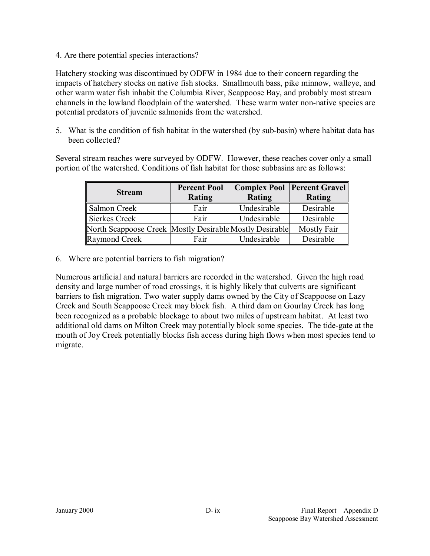4. Are there potential species interactions?

Hatchery stocking was discontinued by ODFW in 1984 due to their concern regarding the impacts of hatchery stocks on native fish stocks. Smallmouth bass, pike minnow, walleye, and other warm water fish inhabit the Columbia River, Scappoose Bay, and probably most stream channels in the lowland floodplain of the watershed. These warm water non-native species are potential predators of juvenile salmonids from the watershed.

5. What is the condition of fish habitat in the watershed (by sub-basin) where habitat data has been collected?

Several stream reaches were surveyed by ODFW. However, these reaches cover only a small portion of the watershed. Conditions of fish habitat for those subbasins are as follows:

| <b>Stream</b>                                           | <b>Percent Pool</b> | <b>Complex Pool</b> | <b>Percent Gravel</b> |
|---------------------------------------------------------|---------------------|---------------------|-----------------------|
|                                                         | Rating              | Rating              | Rating                |
| Salmon Creek                                            | Fair                | Undesirable         | Desirable             |
| Sierkes Creek                                           | Fair                | Undesirable         | Desirable             |
| North Scappoose Creek Mostly Desirable Mostly Desirable |                     |                     | <b>Mostly Fair</b>    |
| Raymond Creek                                           | Fair                | Undesirable         | Desirable             |

6. Where are potential barriers to fish migration?

Numerous artificial and natural barriers are recorded in the watershed. Given the high road density and large number of road crossings, it is highly likely that culverts are significant barriers to fish migration. Two water supply dams owned by the City of Scappoose on Lazy Creek and South Scappoose Creek may block fish. A third dam on Gourlay Creek has long been recognized as a probable blockage to about two miles of upstream habitat. At least two additional old dams on Milton Creek may potentially block some species. The tide-gate at the mouth of Joy Creek potentially blocks fish access during high flows when most species tend to migrate.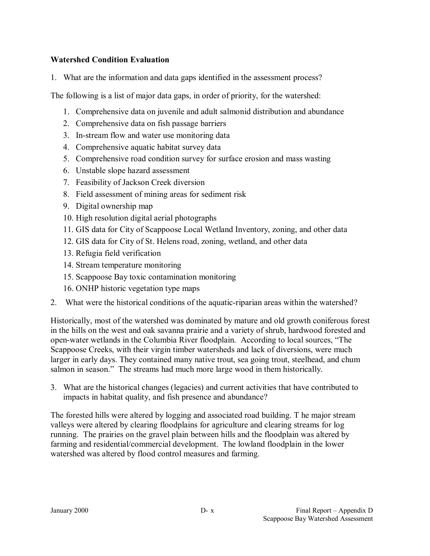#### **Watershed Condition Evaluation**

1. What are the information and data gaps identified in the assessment process?

The following is a list of major data gaps, in order of priority, for the watershed:

- 1. Comprehensive data on juvenile and adult salmonid distribution and abundance
- 2. Comprehensive data on fish passage barriers
- 3. In-stream flow and water use monitoring data
- 4. Comprehensive aquatic habitat survey data
- 5. Comprehensive road condition survey for surface erosion and mass wasting
- 6. Unstable slope hazard assessment
- 7. Feasibility of Jackson Creek diversion
- 8. Field assessment of mining areas for sediment risk
- 9. Digital ownership map
- 10. High resolution digital aerial photographs
- 11. GIS data for City of Scappoose Local Wetland Inventory, zoning, and other data
- 12. GIS data for City of St. Helens road, zoning, wetland, and other data
- 13. Refugia field verification
- 14. Stream temperature monitoring
- 15. Scappoose Bay toxic contamination monitoring
- 16. ONHP historic vegetation type maps
- 2. What were the historical conditions of the aquatic-riparian areas within the watershed?

Historically, most of the watershed was dominated by mature and old growth coniferous forest in the hills on the west and oak savanna prairie and a variety of shrub, hardwood forested and open-water wetlands in the Columbia River floodplain. According to local sources, "The Scappoose Creeks, with their virgin timber watersheds and lack of diversions, were much larger in early days. They contained many native trout, sea going trout, steelhead, and chum salmon in season." The streams had much more large wood in them historically.

3. What are the historical changes (legacies) and current activities that have contributed to impacts in habitat quality, and fish presence and abundance?

The forested hills were altered by logging and associated road building. T he major stream valleys were altered by clearing floodplains for agriculture and clearing streams for log running. The prairies on the gravel plain between hills and the floodplain was altered by farming and residential/commercial development. The lowland floodplain in the lower watershed was altered by flood control measures and farming.